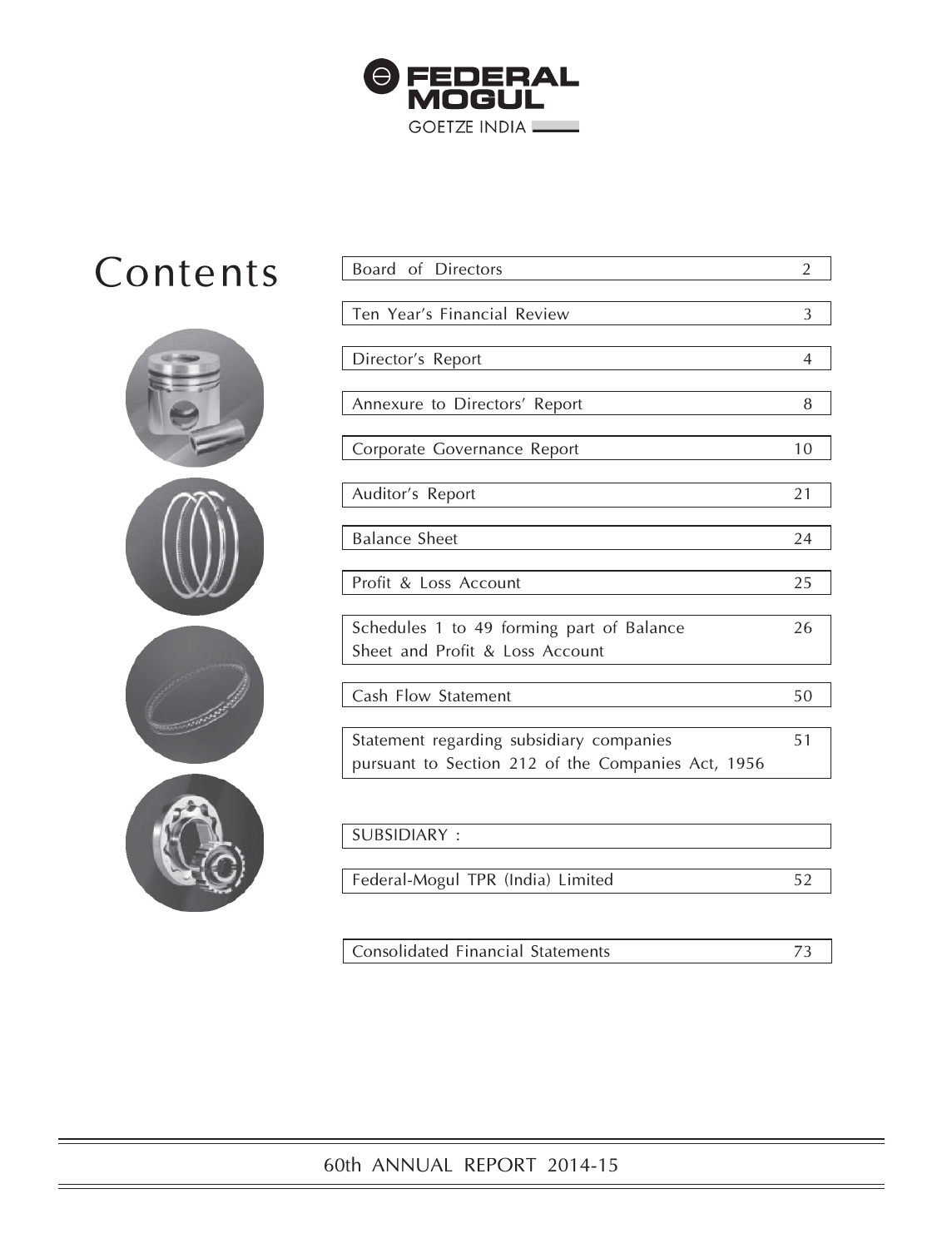

# Contents



| Board of Directors                                 | 2              |
|----------------------------------------------------|----------------|
|                                                    |                |
| Ten Year's Financial Review                        | 3              |
|                                                    |                |
| Director's Report                                  | $\overline{4}$ |
|                                                    |                |
| Annexure to Directors' Report                      | 8              |
|                                                    |                |
| Corporate Governance Report                        | 10             |
|                                                    |                |
| Auditor's Report                                   | 21             |
|                                                    |                |
| <b>Balance Sheet</b>                               | 24             |
|                                                    |                |
| Profit & Loss Account                              | 25             |
|                                                    |                |
| Schedules 1 to 49 forming part of Balance          | 26             |
| Sheet and Profit & Loss Account                    |                |
|                                                    |                |
| Cash Flow Statement                                | 50             |
|                                                    |                |
| Statement regarding subsidiary companies           | 51             |
| pursuant to Section 212 of the Companies Act, 1956 |                |
|                                                    |                |
|                                                    |                |
| SUBSIDIARY:                                        |                |
|                                                    |                |
| Federal-Mogul TPR (India) Limited                  | 52             |
|                                                    |                |

Consolidated Financial Statements 73

### 60th ANNUAL REPORT 2014-15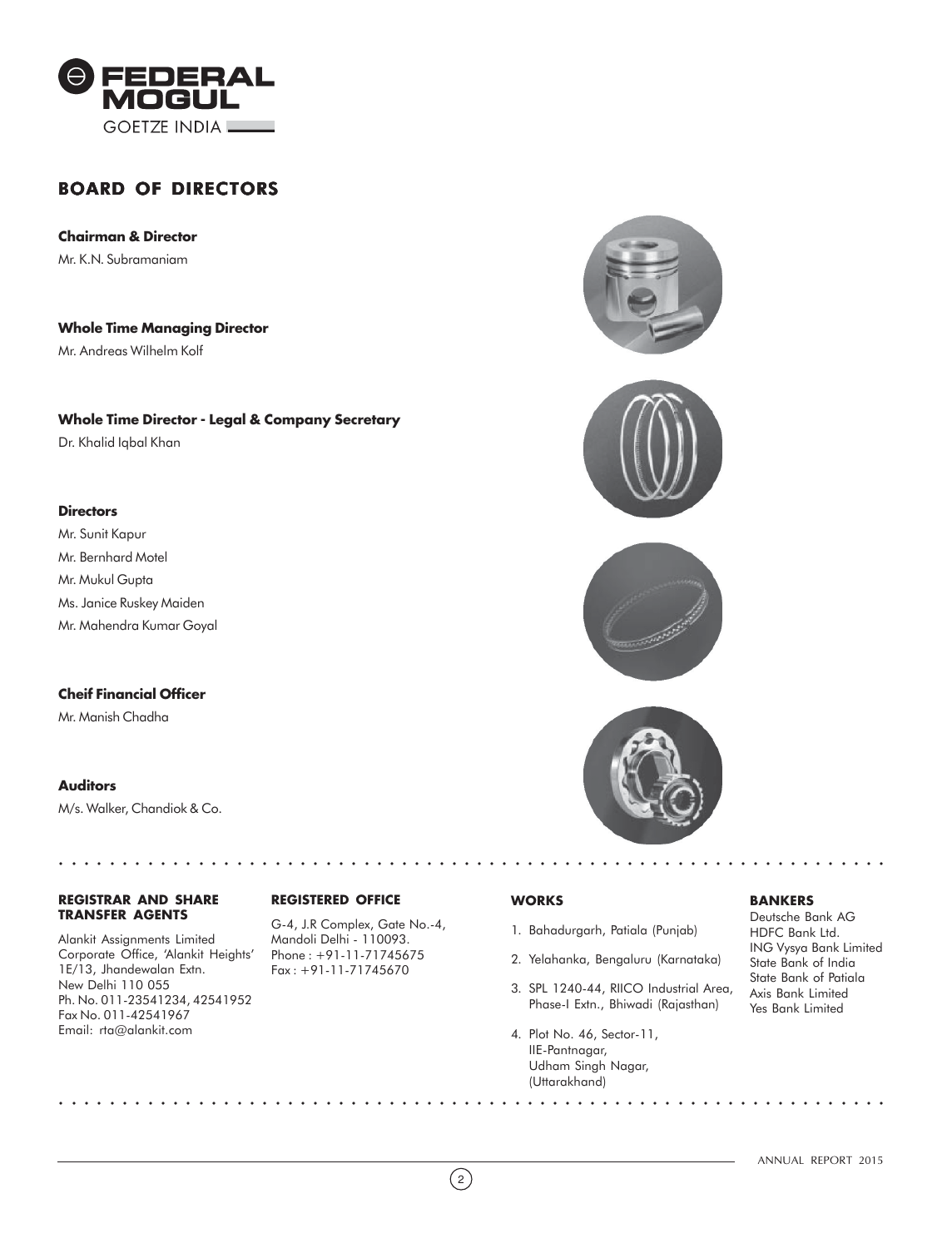

### BOARD OF DIRECTORS

**Chairman & Director** Mr. K.N. Subramaniam

**Whole Time Managing Director** Mr. Andreas Wilhelm Kolf

### **Whole Time Director - Legal & Company Secretary**

○○○○○○○○○○○○○○○○○○○○○○○○○○○○○○○ ○○○○○○○○○○○○○○○○○○○○○○○○○○○○○○○○○○○

Dr. Khalid Iqbal Khan

### **Directors**

Mr. Sunit Kapur Mr. Bernhard Motel Mr. Mukul Gupta Ms. Janice Ruskey Maiden Mr. Mahendra Kumar Goyal

### **Cheif Financial Officer**

Mr. Manish Chadha

### **Auditors**

M/s. Walker, Chandiok & Co.

### **REGISTRAR AND SHARE TRANSFER AGENTS**

Alankit Assignments Limited Corporate Office, 'Alankit Heights' 1E/13, Jhandewalan Extn. New Delhi 110 055 Ph. No. 011-23541234, 42541952 Fax No. 011-42541967 Email: rta@alankit.com

### **REGISTERED OFFICE**

G-4, J.R Complex, Gate No.-4, Mandoli Delhi - 110093. Phone : +91-11-71745675 Fax : +91-11-71745670







### **WORKS**

- 1. Bahadurgarh, Patiala (Punjab)
- 2. Yelahanka, Bengaluru (Karnataka)
- 3. SPL 1240-44, RIICO Industrial Area, Phase-I Extn., Bhiwadi (Rajasthan)
- 4. Plot No. 46, Sector-11, IIE-Pantnagar, Udham Singh Nagar, (Uttarakhand)

### **BANKERS**

Deutsche Bank AG HDFC Bank Ltd. ING Vysya Bank Limited State Bank of India State Bank of Patiala Axis Bank Limited Yes Bank Limited



○○○○○○○○○○○○○○○○○○○○○○○○○○○○○○○ ○○○○○○○○○○○○○○○○○○○○○○○○○○○○○○○○○○○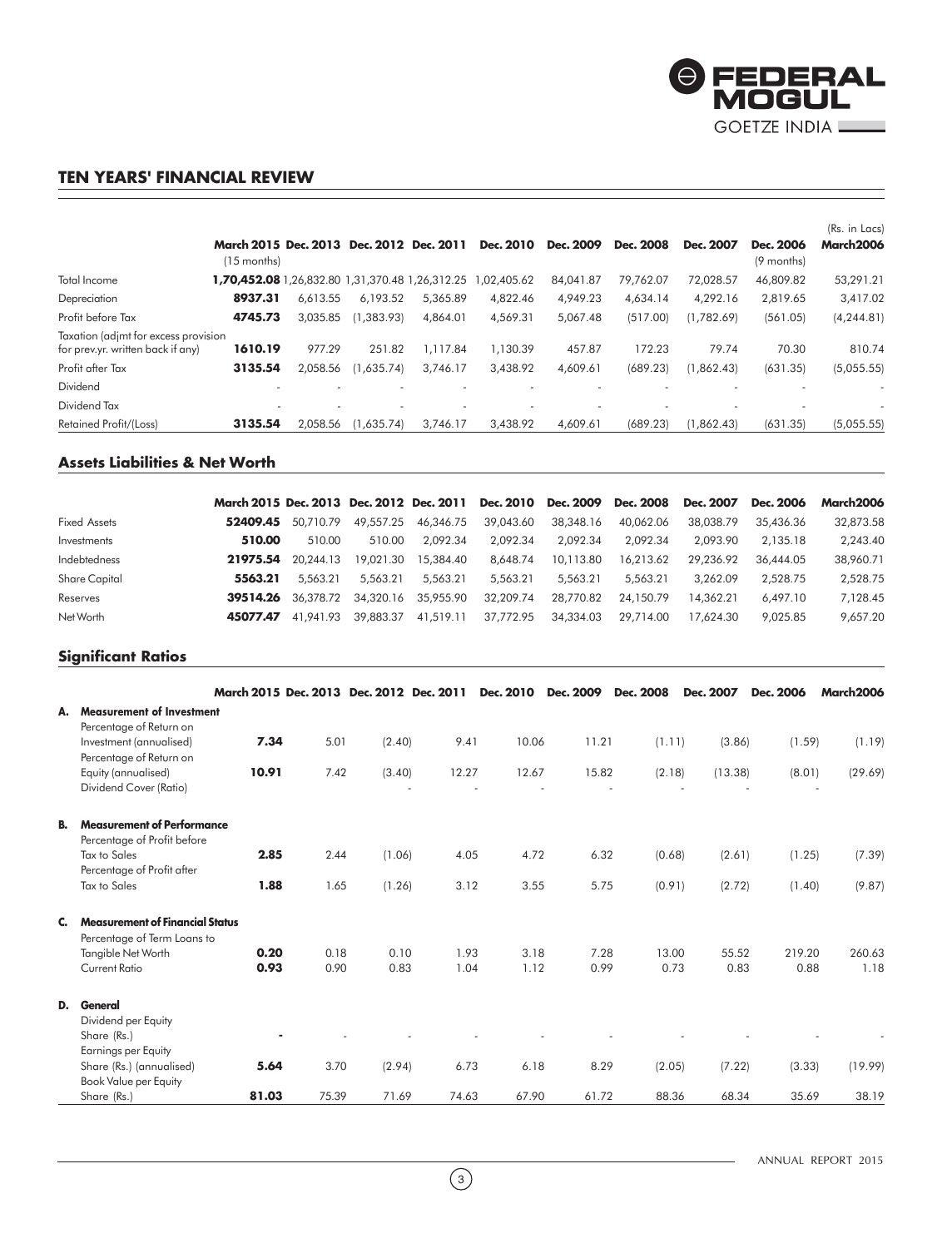

### **TEN YEARS' FINANCIAL REVIEW**

|                                                                           |                                                           |          |            |          |            |           |           |            |                         | (Rs. in Lacs) |
|---------------------------------------------------------------------------|-----------------------------------------------------------|----------|------------|----------|------------|-----------|-----------|------------|-------------------------|---------------|
|                                                                           | March 2015 Dec. 2013 Dec. 2012 Dec. 2011<br>$(15$ months) |          |            |          | Dec. 2010  | Dec. 2009 | Dec. 2008 | Dec. 2007  | Dec. 2006<br>(9 months) | March 2006    |
| Total Income                                                              | 1,70,452.08 1,26,832.80 1,31,370.48 1,26,312.25           |          |            |          | .02.405.62 | 84,041.87 | 79.762.07 | 72.028.57  | 46,809.82               | 53,291.21     |
| Depreciation                                                              | 8937.31                                                   | 6,613.55 | 6,193.52   | 5,365.89 | 4,822.46   | 4,949.23  | 4,634.14  | 4,292.16   | 2,819.65                | 3,417.02      |
| Profit before Tax                                                         | 4745.73                                                   | 3,035.85 | (1,383.93) | 4.864.01 | 4,569.31   | 5,067.48  | (517.00)  | (1,782.69) | (561.05)                | (4, 244.81)   |
| Taxation (adjmt for excess provision<br>for prev.yr. written back if any) | 1610.19                                                   | 977.29   | 251.82     | 1.117.84 | 1.130.39   | 457.87    | 172.23    | 79.74      | 70.30                   | 810.74        |
| Profit after Tax                                                          | 3135.54                                                   | 2.058.56 | (1,635.74) | 3.746.17 | 3.438.92   | 4,609.61  | (689.23)  | (1,862.43) | (631.35)                | (5,055.55)    |
| Dividend                                                                  |                                                           |          |            |          |            |           |           |            |                         |               |
| Dividend Tax                                                              |                                                           | ۰        |            |          |            |           |           |            |                         |               |
| Retained Profit/(Loss)                                                    | 3135.54                                                   | 2,058.56 | (1,635.74) | 3,746.17 | 3,438.92   | 4,609.61  | (689.23)  | (1,862.43) | (631.35)                | (5,055.55)    |

### **Assets Liabilities & Net Worth**

|                      | March 2015 Dec. 2013 Dec. 2012 Dec. 2011 Dec. 2010 |           |           |           |           | Dec. 2009 | Dec. 2008 | Dec. 2007 | Dec. 2006 | March 2006 |
|----------------------|----------------------------------------------------|-----------|-----------|-----------|-----------|-----------|-----------|-----------|-----------|------------|
| <b>Fixed Assets</b>  | 52409.45                                           | 50.710.79 | 49,557.25 | 46.346.75 | 39,043.60 | 38,348,16 | 40.062.06 | 38,038,79 | 35.436.36 | 32,873.58  |
| Investments          | 510.00                                             | 510.00    | 510.00    | 2.092.34  | 2.092.34  | 2.092.34  | 2.092.34  | 2.093.90  | 2.135.18  | 2,243.40   |
| Indebtedness         | 21975.54                                           | 20.244.13 | 19.021.30 | 15,384.40 | 8.648.74  | 10.113.80 | 16.213.62 | 29.236.92 | 36,444.05 | 38,960.71  |
| <b>Share Capital</b> | 5563.21                                            | 5.563.21  | 5.563.21  | 5.563.21  | 5.563.21  | 5.563.21  | 5.563.21  | 3.262.09  | 2.528.75  | 2,528.75   |
| Reserves             | 39514.26                                           | 36.378.72 | 34,320.16 | 35,955,90 | 32.209.74 | 28,770.82 | 24.150.79 | 14.362.21 | 6.497.10  | 7,128.45   |
| Net Worth            | 45077.47                                           | 41,941.93 | 39.883.37 | 41,519.11 | 37.772.95 | 34,334.03 | 29.714.00 | 17.624.30 | 9.025.85  | 9,657.20   |

### **Significant Ratios**

|    |                                        | March 2015 Dec. 2013 Dec. 2012 Dec. 2011 |       |        |       | Dec. 2010 | Dec. 2009 | Dec. 2008 | Dec. 2007 | Dec. 2006 | March2006 |
|----|----------------------------------------|------------------------------------------|-------|--------|-------|-----------|-----------|-----------|-----------|-----------|-----------|
| А. | <b>Measurement of Investment</b>       |                                          |       |        |       |           |           |           |           |           |           |
|    | Percentage of Return on                |                                          |       |        |       |           |           |           |           |           |           |
|    | Investment (annualised)                | 7.34                                     | 5.01  | (2.40) | 9.41  | 10.06     | 11.21     | (1.11)    | (3.86)    | (1.59)    | (1.19)    |
|    | Percentage of Return on                |                                          |       |        |       |           |           |           |           |           |           |
|    | Equity (annualised)                    | 10.91                                    | 7.42  | (3.40) | 12.27 | 12.67     | 15.82     | (2.18)    | (13.38)   | (8.01)    | (29.69)   |
|    | Dividend Cover (Ratio)                 |                                          |       |        |       |           |           |           |           |           |           |
| В. | <b>Measurement of Performance</b>      |                                          |       |        |       |           |           |           |           |           |           |
|    | Percentage of Profit before            |                                          |       |        |       |           |           |           |           |           |           |
|    | <b>Tax to Sales</b>                    | 2.85                                     | 2.44  | (1.06) | 4.05  | 4.72      | 6.32      | (0.68)    | (2.61)    | (1.25)    | (7.39)    |
|    | Percentage of Profit after             |                                          |       |        |       |           |           |           |           |           |           |
|    | <b>Tax to Sales</b>                    | 1.88                                     | 1.65  | (1.26) | 3.12  | 3.55      | 5.75      | (0.91)    | (2.72)    | (1.40)    | (9.87)    |
| C. | <b>Measurement of Financial Status</b> |                                          |       |        |       |           |           |           |           |           |           |
|    | Percentage of Term Loans to            |                                          |       |        |       |           |           |           |           |           |           |
|    | Tangible Net Worth                     | 0.20                                     | 0.18  | 0.10   | 1.93  | 3.18      | 7.28      | 13.00     | 55.52     | 219.20    | 260.63    |
|    | <b>Current Ratio</b>                   | 0.93                                     | 0.90  | 0.83   | 1.04  | 1.12      | 0.99      | 0.73      | 0.83      | 0.88      | 1.18      |
| D. | General                                |                                          |       |        |       |           |           |           |           |           |           |
|    | Dividend per Equity                    |                                          |       |        |       |           |           |           |           |           |           |
|    | Share (Rs.)                            | ٠                                        |       |        |       |           |           |           |           |           |           |
|    | Earnings per Equity                    |                                          |       |        |       |           |           |           |           |           |           |
|    | Share (Rs.) (annualised)               | 5.64                                     | 3.70  | (2.94) | 6.73  | 6.18      | 8.29      | (2.05)    | (7.22)    | (3.33)    | (19.99)   |
|    | Book Value per Equity                  |                                          |       |        |       |           |           |           |           |           |           |
|    | Share (Rs.)                            | 81.03                                    | 75.39 | 71.69  | 74.63 | 67.90     | 61.72     | 88.36     | 68.34     | 35.69     | 38.19     |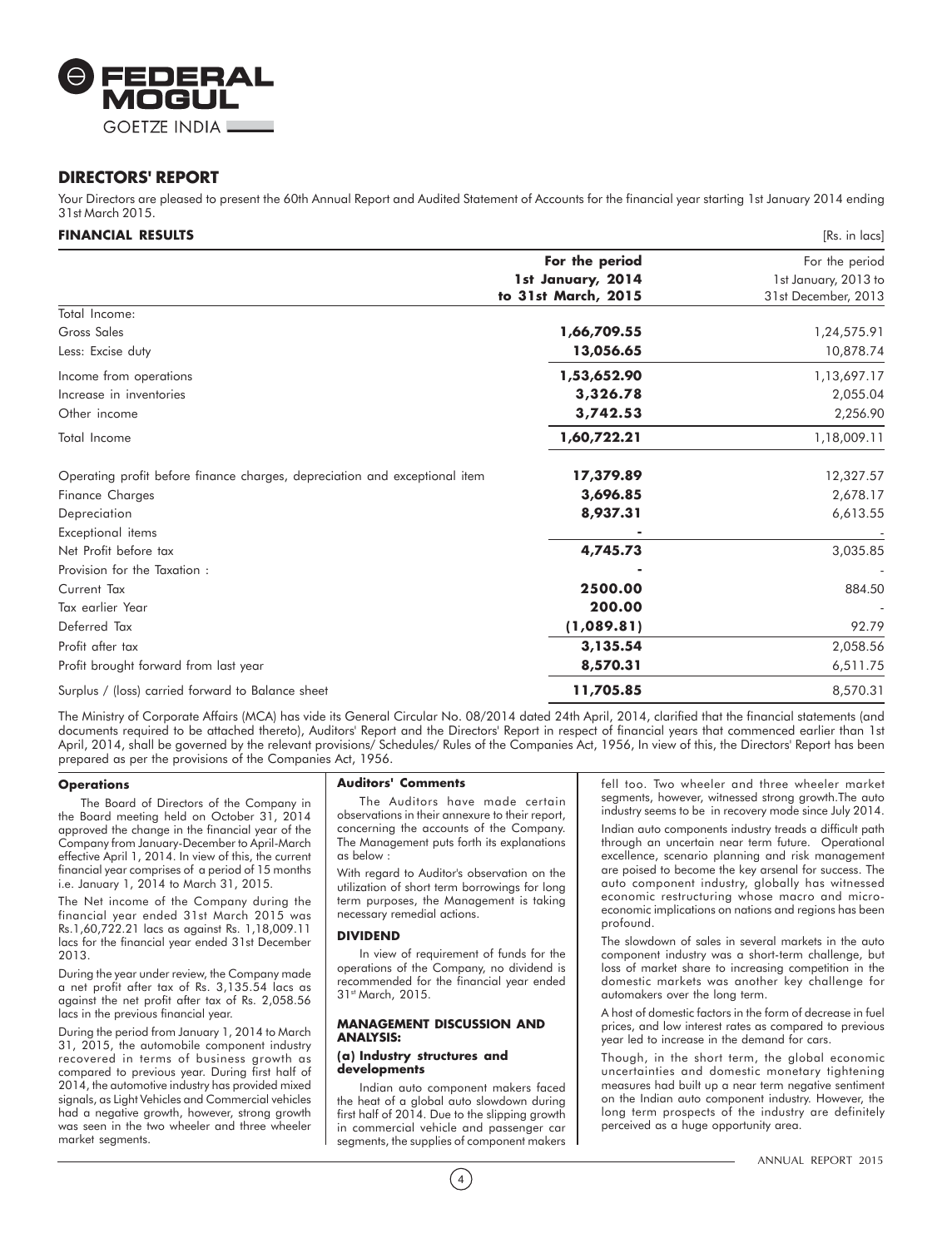

### **DIRECTORS' REPORT**

Your Directors are pleased to present the 60th Annual Report and Audited Statement of Accounts for the financial year starting 1st January 2014 ending 31st March 2015.

| FINANCIAL RESULTS                                                          |                                     | $ Rs.$ in $ acs $                      |
|----------------------------------------------------------------------------|-------------------------------------|----------------------------------------|
|                                                                            | For the period<br>1st January, 2014 | For the period<br>1st January, 2013 to |
|                                                                            | to 31st March, 2015                 | 31st December, 2013                    |
| Total Income:                                                              |                                     |                                        |
| <b>Gross Sales</b>                                                         | 1,66,709.55                         | 1,24,575.91                            |
| Less: Excise duty                                                          | 13,056.65                           | 10,878.74                              |
| Income from operations                                                     | 1,53,652.90                         | 1,13,697.17                            |
| Increase in inventories                                                    | 3,326.78                            | 2,055.04                               |
| Other income                                                               | 3,742.53                            | 2,256.90                               |
| Total Income                                                               | 1,60,722.21                         | 1,18,009.11                            |
| Operating profit before finance charges, depreciation and exceptional item | 17,379.89                           | 12,327.57                              |
| Finance Charges                                                            | 3,696.85                            | 2,678.17                               |
| Depreciation                                                               | 8,937.31                            | 6,613.55                               |
| Exceptional items                                                          |                                     |                                        |
| Net Profit before tax                                                      | 4,745.73                            | 3,035.85                               |
| Provision for the Taxation:                                                |                                     |                                        |
| Current Tax                                                                | 2500.00                             | 884.50                                 |
| Tax earlier Year                                                           | 200.00                              |                                        |
| Deferred Tax                                                               | (1,089.81)                          | 92.79                                  |
| Profit after tax                                                           | 3,135.54                            | 2,058.56                               |
| Profit brought forward from last year                                      | 8,570.31                            | 6,511.75                               |
| Surplus / (loss) carried forward to Balance sheet                          | 11,705.85                           | 8,570.31                               |

The Ministry of Corporate Affairs (MCA) has vide its General Circular No. 08/2014 dated 24th April, 2014, clarified that the financial statements (and documents required to be attached thereto), Auditors' Report and the Directors' Report in respect of financial years that commenced earlier than 1st April, 2014, shall be governed by the relevant provisions/ Schedules/ Rules of the Companies Act, 1956, In view of this, the Directors' Report has been prepared as per the provisions of the Companies Act, 1956.

### **Operations**

The Board of Directors of the Company in the Board meeting held on October 31, 2014 approved the change in the financial year of the Company from January-December to April-March effective April 1, 2014. In view of this, the current financial year comprises of a period of 15 months i.e. January 1, 2014 to March 31, 2015.

The Net income of the Company during the financial year ended 31st March 2015 was Rs.1,60,722.21 lacs as against Rs. 1,18,009.11 lacs for the financial year ended 31st December 2013.

During the year under review, the Company made a net profit after tax of Rs. 3,135.54 lacs as against the net profit after tax of Rs. 2,058.56 lacs in the previous financial year.

During the period from January 1, 2014 to March 31, 2015, the automobile component industry recovered in terms of business growth as compared to previous year. During first half of 2014, the automotive industry has provided mixed signals, as Light Vehicles and Commercial vehicles had a negative growth, however, strong growth was seen in the two wheeler and three wheeler market segments.

### **Auditors' Comments**

The Auditors have made certain observations in their annexure to their report, concerning the accounts of the Company. The Management puts forth its explanations as below :

With regard to Auditor's observation on the utilization of short term borrowings for long term purposes, the Management is taking necessary remedial actions.

### **DIVIDEND**

In view of requirement of funds for the operations of the Company, no dividend is recommended for the financial year ended 31st March, 2015.

### **MANAGEMENT DISCUSSION AND ANALYSIS:**

### **(a) Industry structures and developments**

Indian auto component makers faced the heat of a global auto slowdown during first half of 2014. Due to the slipping growth in commercial vehicle and passenger car segments, the supplies of component makers fell too. Two wheeler and three wheeler market segments, however, witnessed strong growth.The auto industry seems to be in recovery mode since July 2014. Indian auto components industry treads a difficult path through an uncertain near term future. Operational excellence, scenario planning and risk management are poised to become the key arsenal for success. The auto component industry, globally has witnessed economic restructuring whose macro and microeconomic implications on nations and regions has been profound.

The slowdown of sales in several markets in the auto component industry was a short-term challenge, but loss of market share to increasing competition in the domestic markets was another key challenge for automakers over the long term.

A host of domestic factors in the form of decrease in fuel prices, and low interest rates as compared to previous year led to increase in the demand for cars.

Though, in the short term, the global economic uncertainties and domestic monetary tightening measures had built up a near term negative sentiment on the Indian auto component industry. However, the long term prospects of the industry are definitely perceived as a huge opportunity area.

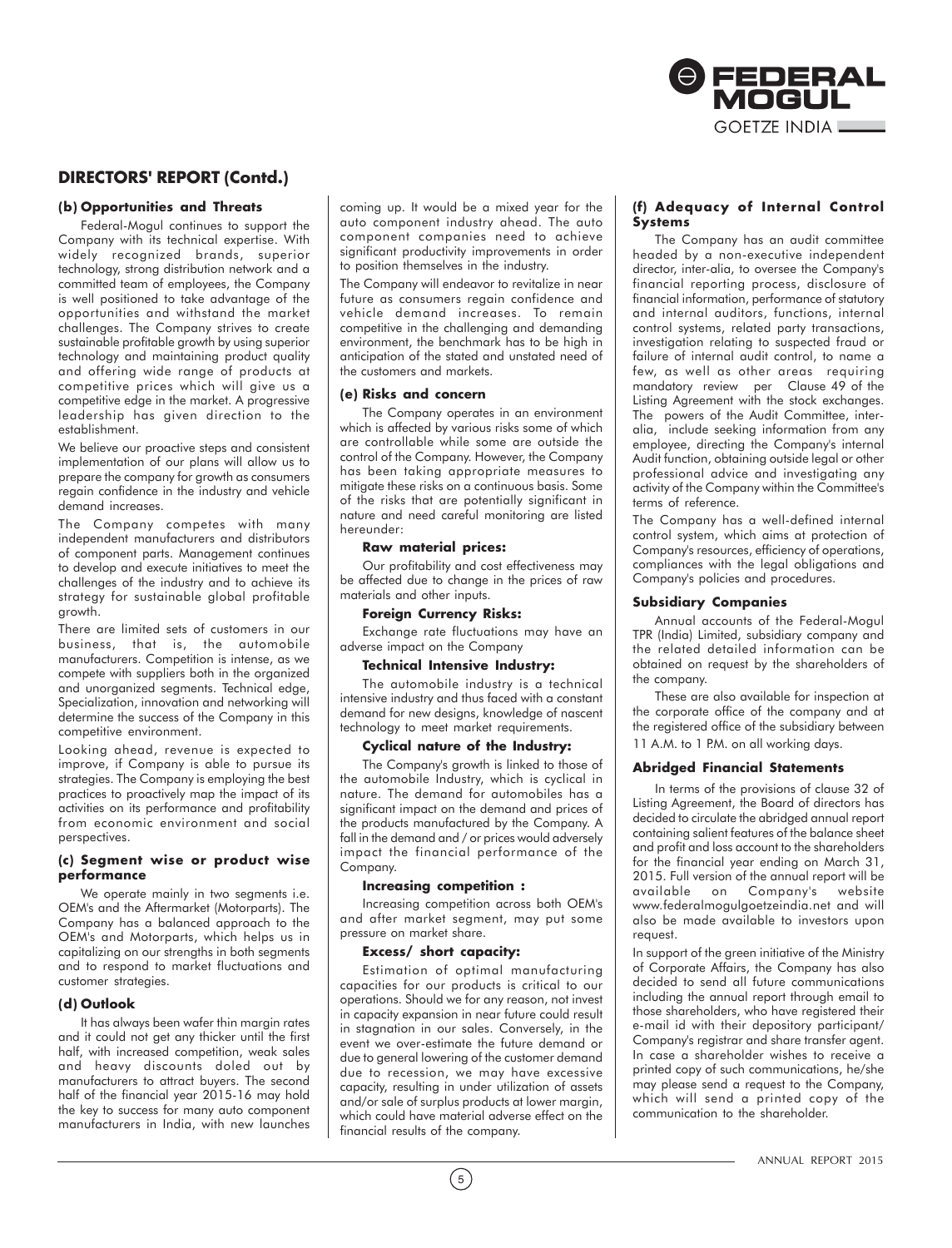

### **DIRECTORS' REPORT (Contd.)**

### **(b) Opportunities and Threats**

Federal-Mogul continues to support the Company with its technical expertise. With widely recognized brands, superior technology, strong distribution network and a committed team of employees, the Company is well positioned to take advantage of the opportunities and withstand the market challenges. The Company strives to create sustainable profitable growth by using superior technology and maintaining product quality and offering wide range of products at competitive prices which will give us a competitive edge in the market. A progressive leadership has given direction to the establishment.

We believe our proactive steps and consistent implementation of our plans will allow us to prepare the company for growth as consumers regain confidence in the industry and vehicle demand increases.

The Company competes with many independent manufacturers and distributors of component parts. Management continues to develop and execute initiatives to meet the challenges of the industry and to achieve its strategy for sustainable global profitable growth.

There are limited sets of customers in our business, that is, the automobile manufacturers. Competition is intense, as we compete with suppliers both in the organized and unorganized segments. Technical edge, Specialization, innovation and networking will determine the success of the Company in this competitive environment.

Looking ahead, revenue is expected to improve, if Company is able to pursue its strategies. The Company is employing the best practices to proactively map the impact of its activities on its performance and profitability from economic environment and social perspectives.

### **(c) Segment wise or product wise performance**

We operate mainly in two segments i.e. OEM's and the Aftermarket (Motorparts). The Company has a balanced approach to the OEM's and Motorparts, which helps us in capitalizing on our strengths in both segments and to respond to market fluctuations and customer strategies.

### **(d) Outlook**

It has always been wafer thin margin rates and it could not get any thicker until the first half, with increased competition, weak sales and heavy discounts doled out by manufacturers to attract buyers. The second half of the financial year 2015-16 may hold the key to success for many auto component manufacturers in India, with new launches coming up. It would be a mixed year for the auto component industry ahead. The auto component companies need to achieve significant productivity improvements in order to position themselves in the industry.

The Company will endeavor to revitalize in near future as consumers regain confidence and vehicle demand increases. To remain competitive in the challenging and demanding environment, the benchmark has to be high in anticipation of the stated and unstated need of the customers and markets.

### **(e) Risks and concern**

The Company operates in an environment which is affected by various risks some of which are controllable while some are outside the control of the Company. However, the Company has been taking appropriate measures to mitigate these risks on a continuous basis. Some of the risks that are potentially significant in nature and need careful monitoring are listed hereunder:

### **Raw material prices:**

Our profitability and cost effectiveness may be affected due to change in the prices of raw materials and other inputs.

### **Foreign Currency Risks:**

Exchange rate fluctuations may have an adverse impact on the Company

### **Technical Intensive Industry:**

The automobile industry is a technical intensive industry and thus faced with a constant demand for new designs, knowledge of nascent technology to meet market requirements.

### **Cyclical nature of the Industry:**

The Company's growth is linked to those of the automobile Industry, which is cyclical in nature. The demand for automobiles has a significant impact on the demand and prices of the products manufactured by the Company. A fall in the demand and / or prices would adversely impact the financial performance of the Company.

### **Increasing competition :**

Increasing competition across both OEM's and after market segment, may put some pressure on market share.

### **Excess/ short capacity:**

Estimation of optimal manufacturing capacities for our products is critical to our operations. Should we for any reason, not invest in capacity expansion in near future could result in stagnation in our sales. Conversely, in the event we over-estimate the future demand or due to general lowering of the customer demand due to recession, we may have excessive capacity, resulting in under utilization of assets and/or sale of surplus products at lower margin, which could have material adverse effect on the financial results of the company.

### **(f) Adequacy of Internal Control Systems**

The Company has an audit committee headed by a non-executive independent director, inter-alia, to oversee the Company's financial reporting process, disclosure of financial information, performance of statutory and internal auditors, functions, internal control systems, related party transactions, investigation relating to suspected fraud or failure of internal audit control, to name a few, as well as other areas requiring mandatory review per Clause 49 of the Listing Agreement with the stock exchanges. The powers of the Audit Committee, interalia, include seeking information from any employee, directing the Company's internal Audit function, obtaining outside legal or other professional advice and investigating any activity of the Company within the Committee's terms of reference.

The Company has a well-defined internal control system, which aims at protection of Company's resources, efficiency of operations, compliances with the legal obligations and Company's policies and procedures.

### **Subsidiary Companies**

Annual accounts of the Federal-Mogul TPR (India) Limited, subsidiary company and the related detailed information can be obtained on request by the shareholders of the company.

These are also available for inspection at the corporate office of the company and at the registered office of the subsidiary between 11 A.M. to 1 P.M. on all working days.

### **Abridged Financial Statements**

In terms of the provisions of clause 32 of Listing Agreement, the Board of directors has decided to circulate the abridged annual report containing salient features of the balance sheet and profit and loss account to the shareholders for the financial year ending on March 31, 2015. Full version of the annual report will be Company's www.federalmogulgoetzeindia.net and will also be made available to investors upon request.

In support of the green initiative of the Ministry of Corporate Affairs, the Company has also decided to send all future communications including the annual report through email to those shareholders, who have registered their e-mail id with their depository participant/ Company's registrar and share transfer agent. In case a shareholder wishes to receive a printed copy of such communications, he/she may please send a request to the Company, which will send a printed copy of the communication to the shareholder.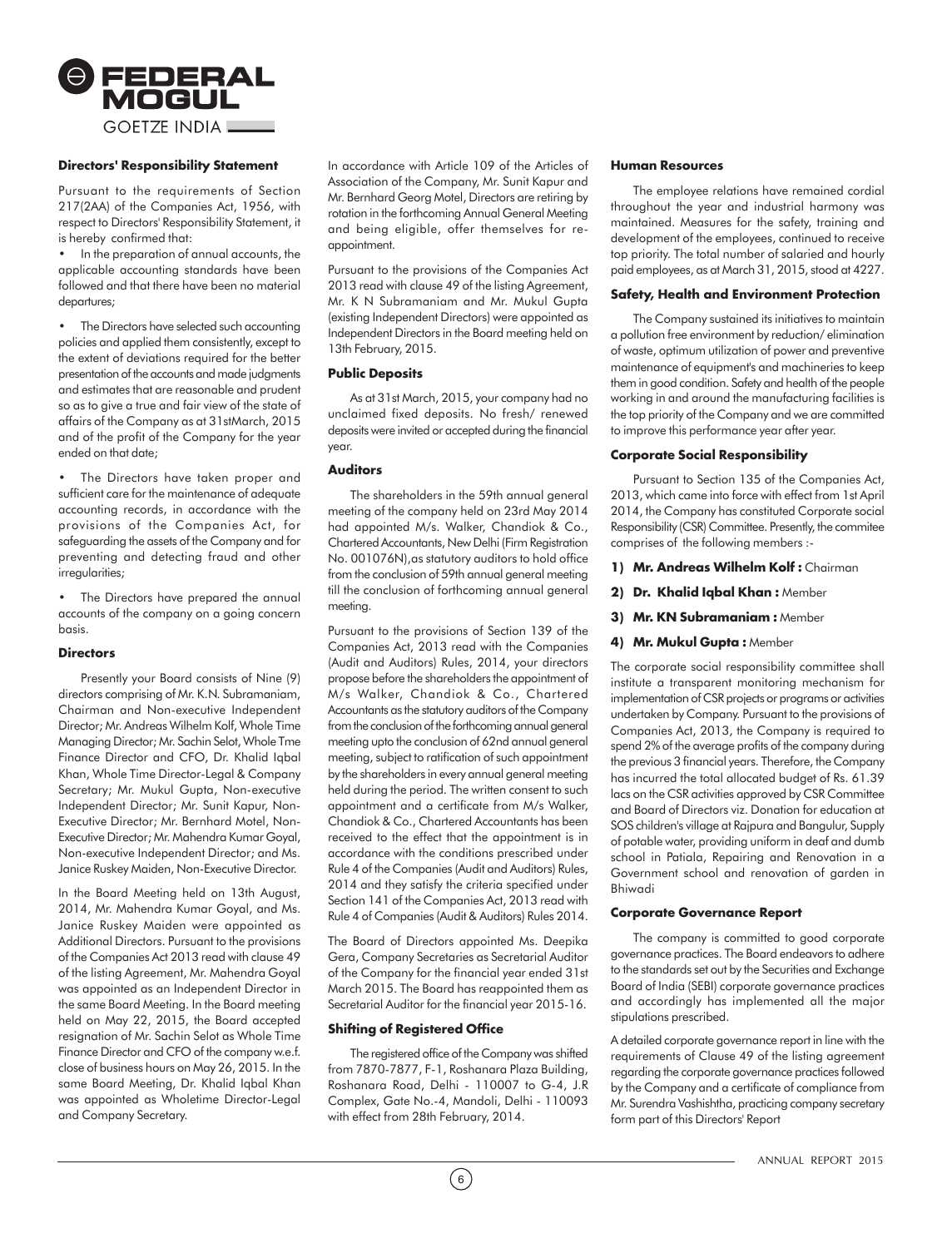

### **Directors' Responsibility Statement**

Pursuant to the requirements of Section 217(2AA) of the Companies Act, 1956, with respect to Directors' Responsibility Statement, it is hereby confirmed that:

• In the preparation of annual accounts, the applicable accounting standards have been followed and that there have been no material departures;

• The Directors have selected such accounting policies and applied them consistently, except to the extent of deviations required for the better presentation of the accounts and made judgments and estimates that are reasonable and prudent so as to give a true and fair view of the state of affairs of the Company as at 31stMarch, 2015 and of the profit of the Company for the year ended on that date;

The Directors have taken proper and sufficient care for the maintenance of adequate accounting records, in accordance with the provisions of the Companies Act, for safeguarding the assets of the Company and for preventing and detecting fraud and other irregularities;

The Directors have prepared the annual accounts of the company on a going concern basis.

### **Directors**

Presently your Board consists of Nine (9) directors comprising of Mr. K.N. Subramaniam, Chairman and Non-executive Independent Director; Mr. Andreas Wilhelm Kolf, Whole Time Managing Director; Mr. Sachin Selot, Whole Tme Finance Director and CFO, Dr. Khalid Iqbal Khan, Whole Time Director-Legal & Company Secretary; Mr. Mukul Gupta, Non-executive Independent Director; Mr. Sunit Kapur, Non-Executive Director; Mr. Bernhard Motel, Non-Executive Director; Mr. Mahendra Kumar Goyal, Non-executive Independent Director; and Ms. Janice Ruskey Maiden, Non-Executive Director.

In the Board Meeting held on 13th August, 2014, Mr. Mahendra Kumar Goyal, and Ms. Janice Ruskey Maiden were appointed as Additional Directors. Pursuant to the provisions of the Companies Act 2013 read with clause 49 of the listing Agreement, Mr. Mahendra Goyal was appointed as an Independent Director in the same Board Meeting. In the Board meeting held on May 22, 2015, the Board accepted resignation of Mr. Sachin Selot as Whole Time Finance Director and CFO of the company w.e.f. close of business hours on May 26, 2015. In the same Board Meeting, Dr. Khalid Iqbal Khan was appointed as Wholetime Director-Legal and Company Secretary.

In accordance with Article 109 of the Articles of Association of the Company, Mr. Sunit Kapur and Mr. Bernhard Georg Motel, Directors are retiring by rotation in the forthcoming Annual General Meeting and being eligible, offer themselves for reappointment.

Pursuant to the provisions of the Companies Act 2013 read with clause 49 of the listing Agreement, Mr. K N Subramaniam and Mr. Mukul Gupta (existing Independent Directors) were appointed as Independent Directors in the Board meeting held on 13th February, 2015.

### **Public Deposits**

As at 31st March, 2015, your company had no unclaimed fixed deposits. No fresh/ renewed deposits were invited or accepted during the financial year.

### **Auditors**

The shareholders in the 59th annual general meeting of the company held on 23rd May 2014 had appointed M/s. Walker, Chandiok & Co., Chartered Accountants, New Delhi (Firm Registration No. 001076N),as statutory auditors to hold office from the conclusion of 59th annual general meeting till the conclusion of forthcoming annual general meeting.

Pursuant to the provisions of Section 139 of the Companies Act, 2013 read with the Companies (Audit and Auditors) Rules, 2014, your directors propose before the shareholders the appointment of M/s Walker, Chandiok & Co., Chartered Accountants as the statutory auditors of the Company from the conclusion of the forthcoming annual general meeting upto the conclusion of 62nd annual general meeting, subject to ratification of such appointment by the shareholders in every annual general meeting held during the period. The written consent to such appointment and a certificate from M/s Walker, Chandiok & Co., Chartered Accountants has been received to the effect that the appointment is in accordance with the conditions prescribed under Rule 4 of the Companies (Audit and Auditors) Rules, 2014 and they satisfy the criteria specified under Section 141 of the Companies Act, 2013 read with Rule 4 of Companies (Audit & Auditors) Rules 2014.

The Board of Directors appointed Ms. Deepika Gera, Company Secretaries as Secretarial Auditor of the Company for the financial year ended 31st March 2015. The Board has reappointed them as Secretarial Auditor for the financial year 2015-16.

### **Shifting of Registered Office**

The registered office of the Company was shifted from 7870-7877, F-1, Roshanara Plaza Building, Roshanara Road, Delhi - 110007 to G-4, J.R Complex, Gate No.-4, Mandoli, Delhi - 110093 with effect from 28th February, 2014.

### **Human Resources**

The employee relations have remained cordial throughout the year and industrial harmony was maintained. Measures for the safety, training and development of the employees, continued to receive top priority. The total number of salaried and hourly paid employees, as at March 31, 2015, stood at 4227.

### **Safety, Health and Environment Protection**

The Company sustained its initiatives to maintain a pollution free environment by reduction/ elimination of waste, optimum utilization of power and preventive maintenance of equipment's and machineries to keep them in good condition. Safety and health of the people working in and around the manufacturing facilities is the top priority of the Company and we are committed to improve this performance year after year.

### **Corporate Social Responsibility**

Pursuant to Section 135 of the Companies Act, 2013, which came into force with effect from 1st April 2014, the Company has constituted Corporate social Responsibility (CSR) Committee. Presently, the commitee comprises of the following members :-

- **1) Mr. Andreas Wilhelm Kolf :** Chairman
- **2) Dr. Khalid Iqbal Khan :** Member
- **3) Mr. KN Subramaniam :** Member
- **4) Mr. Mukul Gupta :** Member

The corporate social responsibility committee shall institute a transparent monitoring mechanism for implementation of CSR projects or programs or activities undertaken by Company. Pursuant to the provisions of Companies Act, 2013, the Company is required to spend 2% of the average profits of the company during the previous 3 financial years. Therefore, the Company has incurred the total allocated budget of Rs. 61.39 lacs on the CSR activities approved by CSR Committee and Board of Directors viz. Donation for education at SOS children's village at Rajpura and Bangulur, Supply of potable water, providing uniform in deaf and dumb school in Patiala, Repairing and Renovation in a Government school and renovation of garden in Bhiwadi

### **Corporate Governance Report**

The company is committed to good corporate governance practices. The Board endeavors to adhere to the standards set out by the Securities and Exchange Board of India (SEBI) corporate governance practices and accordingly has implemented all the major stipulations prescribed.

A detailed corporate governance report in line with the requirements of Clause 49 of the listing agreement regarding the corporate governance practices followed by the Company and a certificate of compliance from Mr. Surendra Vashishtha, practicing company secretary form part of this Directors' Report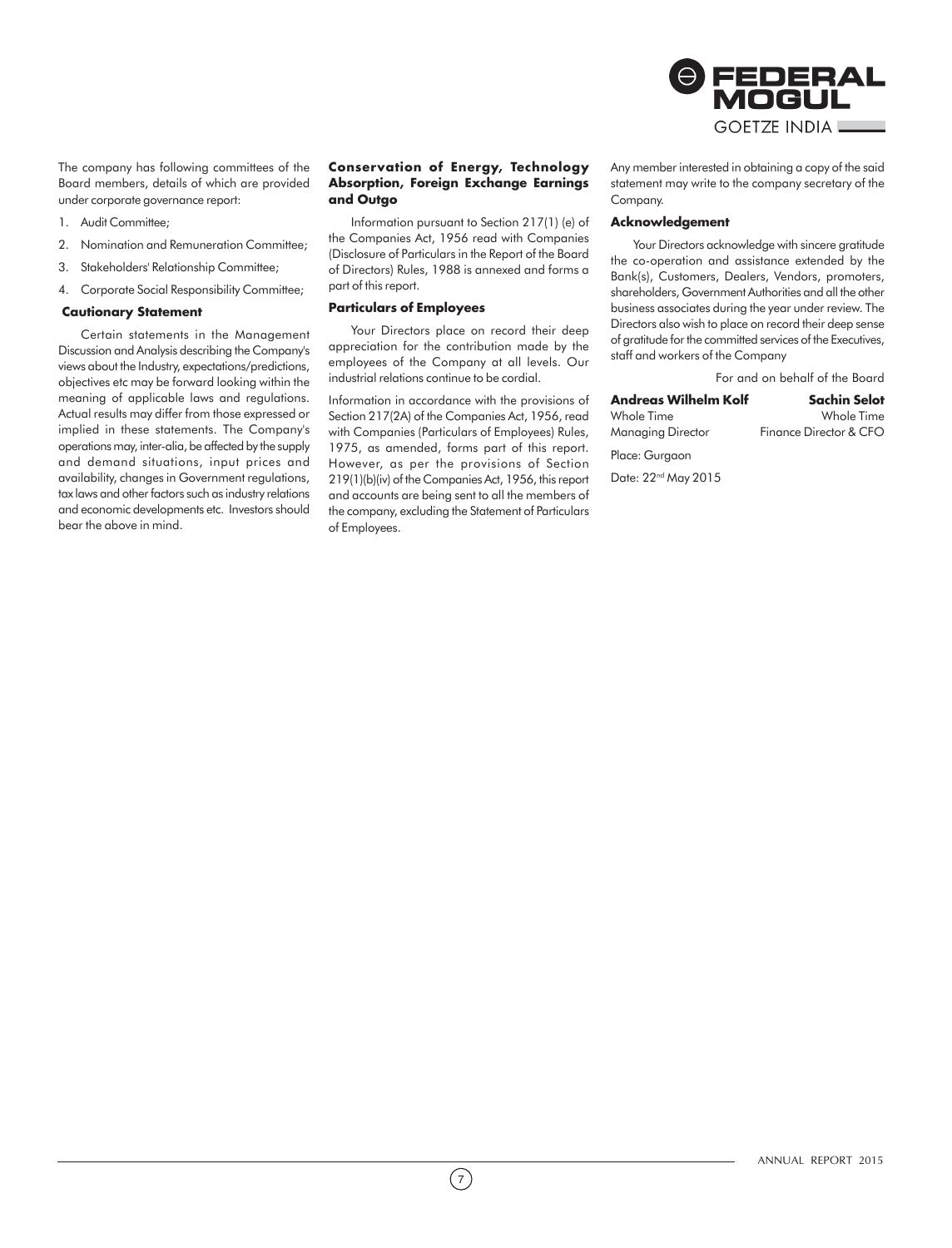

The company has following committees of the Board members, details of which are provided under corporate governance report:

- 1. Audit Committee;
- 2. Nomination and Remuneration Committee;
- 3. Stakeholders' Relationship Committee;
- 4. Corporate Social Responsibility Committee;

### **Cautionary Statement**

Certain statements in the Management Discussion and Analysis describing the Company's views about the Industry, expectations/predictions, objectives etc may be forward looking within the meaning of applicable laws and regulations. Actual results may differ from those expressed or implied in these statements. The Company's operations may, inter-alia, be affected by the supply and demand situations, input prices and availability, changes in Government regulations, tax laws and other factors such as industry relations and economic developments etc. Investors should bear the above in mind.

### **Conservation of Energy, Technology Absorption, Foreign Exchange Earnings and Outgo**

Information pursuant to Section 217(1) (e) of the Companies Act, 1956 read with Companies (Disclosure of Particulars in the Report of the Board of Directors) Rules, 1988 is annexed and forms a part of this report.

### **Particulars of Employees**

Your Directors place on record their deep appreciation for the contribution made by the employees of the Company at all levels. Our industrial relations continue to be cordial.

Information in accordance with the provisions of Section 217(2A) of the Companies Act, 1956, read with Companies (Particulars of Employees) Rules, 1975, as amended, forms part of this report. However, as per the provisions of Section 219(1)(b)(iv) of the Companies Act, 1956, this report and accounts are being sent to all the members of the company, excluding the Statement of Particulars of Employees.

Any member interested in obtaining a copy of the said statement may write to the company secretary of the Company.

### **Acknowledgement**

Your Directors acknowledge with sincere gratitude the co-operation and assistance extended by the Bank(s), Customers, Dealers, Vendors, promoters, shareholders, Government Authorities and all the other business associates during the year under review. The Directors also wish to place on record their deep sense of gratitude for the committed services of the Executives, staff and workers of the Company

For and on behalf of the Board

| <b>Andreas Wilhelm Kolf</b>     | <b>Sachin Selot</b>    |
|---------------------------------|------------------------|
| Whole Time                      | Whole Time             |
| <b>Managing Director</b>        | Finance Director & CFO |
| Place: Gurgaon                  |                        |
| Date: 22 <sup>nd</sup> May 2015 |                        |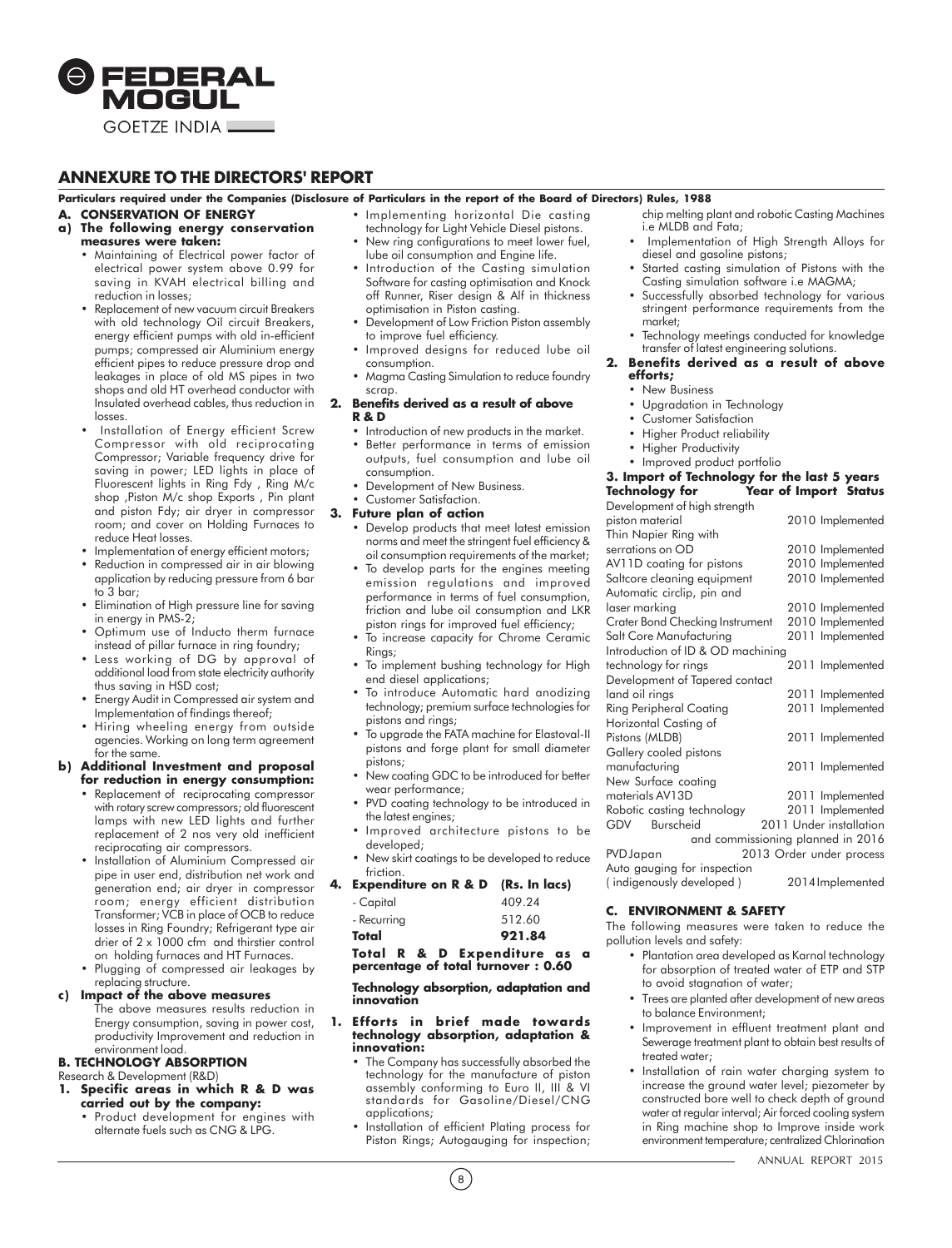

**GOETZE INDIA** 

### **ANNEXURE TO THE DIRECTORS' REPORT**

### **Particulars required under the Companies (Disclosure of Particulars in the report of the Board of Directors) Rules, 1988**

### **CONSERVATION OF ENERGY**

- **a) The following energy conservation**
	- **measures were taken:** • Maintaining of Electrical power factor of electrical power system above 0.99 for saving in KVAH electrical billing and reduction in losses;
	- Replacement of new vacuum circuit Breakers with old technology Oil circuit Breakers, energy efficient pumps with old in-efficient pumps; compressed air Aluminium energy efficient pipes to reduce pressure drop and leakages in place of old MS pipes in two shops and old HT overhead conductor with Insulated overhead cables, thus reduction in losses.
	- Installation of Energy efficient Screw Compressor with old reciprocating Compressor; Variable frequency drive for saving in power; LED lights in place of Fluorescent lights in Ring Fdy , Ring M/c shop ,Piston M/c shop Exports , Pin plant and piston Fdy; air dryer in compressor room; and cover on Holding Furnaces to reduce Heat losses.
	- Implementation of energy efficient motors;
	- Reduction in compressed air in air blowing application by reducing pressure from 6 bar to 3 bar;
	- Elimination of High pressure line for saving in energy in PMS-2;
	- Optimum use of Inducto therm furnace instead of pillar furnace in ring foundry;
	- Less working of DG by approval of additional load from state electricity authority thus saving in HSD cost;
	- Energy Audit in Compressed air system and Implementation of findings thereof;
	- Hiring wheeling energy from outside agencies. Working on long term agreement for the same.

### **b) Additional Investment and proposal for reduction in energy consumption:**

- Replacement of reciprocating compressor with rotary screw compressors; old fluorescent lamps with new LED lights and further replacement of 2 nos very old inefficient reciprocating air compressors.
- Installation of Aluminium Compressed air pipe in user end, distribution net work and generation end; air dryer in compressor room; energy efficient distribution Transformer; VCB in place of OCB to reduce losses in Ring Foundry; Refrigerant type air drier of 2 x 1000 cfm and thirstier control on holding furnaces and HT Furnaces.
- Plugging of compressed air leakages by replacing structure.

#### **c) Impact of the above measures**

The above measures results reduction in Energy consumption, saving in power cost, productivity Improvement and reduction in environment load.

### **B. TECHNOLOGY ABSORPTION**

Research & Development (R&D)

- **1. Specific areas in which R & D was carried out by the company:**
	- Product development for engines with alternate fuels such as CNG & LPG.
- Implementing horizontal Die casting technology for Light Vehicle Diesel pistons.
- New ring configurations to meet lower fuel, lube oil consumption and Engine life.
- Introduction of the Casting simulation Software for casting optimisation and Knock off Runner, Riser design & Alf in thickness optimisation in Piston casting.
- Development of Low Friction Piston assembly to improve fuel efficiency.
- Improved designs for reduced lube oil consumption.
- Magma Casting Simulation to reduce foundry scrap.

### **2. Benefits derived as a result of above R & D**

- Introduction of new products in the market.
- Better performance in terms of emission outputs, fuel consumption and lube oil consumption.
- Development of New Business.

#### • Customer Satisfaction. **3. Future plan of action**

- Develop products that meet latest emission norms and meet the stringent fuel efficiency & oil consumption requirements of the market;
- To develop parts for the engines meeting emission regulations and improved performance in terms of fuel consumption, friction and lube oil consumption and LKR piston rings for improved fuel efficiency;
- To increase capacity for Chrome Ceramic
- To implement bushing technology for High end diesel applications;
- To introduce Automatic hard anodizing technology; premium surface technologies for pistons and rings;
- To upgrade the FATA machine for Elastoval-II pistons and forge plant for small diameter pistons;
- New coating GDC to be introduced for better wear performance;
- PVD coating technology to be introduced in the latest engines;
- Improved architecture pistons to be developed;
- New skirt coatings to be developed to reduce friction.
- **4. Expenditure on R & D (Rs. In lacs)** - Capital 409.24 - Recurring 512.60

| Total |  | 921.84                       |  |
|-------|--|------------------------------|--|
|       |  | Total R & D Expenditure as a |  |

**percentage of total turnover : 0.60**

### **Technology absorption, adaptation and innovation**

#### 1. Efforts in brief made towards **technology absorption, adaptation & innovation:**

- The Company has successfully absorbed the technology for the manufacture of piston assembly conforming to Euro II, III & VI standards for Gasoline/Diesel/CNG applications;
- Installation of efficient Plating process for Piston Rings; Autogauging for inspection;

chip melting plant and robotic Casting Machines i.e MLDB and Fata;

- Implementation of High Strength Alloys for diesel and gasoline pistons;
- Started casting simulation of Pistons with the Casting simulation software i.e MAGMA;
- Successfully absorbed technology for various stringent performance requirements from the market;
- Technology meetings conducted for knowledge transfer of latest engineering solutions.

### **2. Benefits derived as a result of above efforts;**

- New Business
- Upgradation in Technology
- Customer Satisfaction
- Higher Product reliability
- Higher Productivity
- Improved product portfolio

### **3. Import of Technology for the last 5 years Year of Import Status**

| Development of high strength      |                                   |  |  |  |  |  |
|-----------------------------------|-----------------------------------|--|--|--|--|--|
| piston material                   | 2010 Implemented                  |  |  |  |  |  |
| Thin Napier Ring with             |                                   |  |  |  |  |  |
| serrations on OD                  | 2010 Implemented                  |  |  |  |  |  |
| AV11D coating for pistons         | 2010 Implemented                  |  |  |  |  |  |
| Saltcore cleaning equipment       | 2010 Implemented                  |  |  |  |  |  |
| Automatic circlip, pin and        |                                   |  |  |  |  |  |
| laser marking                     | 2010 Implemented                  |  |  |  |  |  |
| Crater Bond Checking Instrument   | 2010 Implemented                  |  |  |  |  |  |
| Salt Core Manufacturing           | 2011 Implemented                  |  |  |  |  |  |
| Introduction of ID & OD machining |                                   |  |  |  |  |  |
| technology for rings              | 2011 Implemented                  |  |  |  |  |  |
| Development of Tapered contact    |                                   |  |  |  |  |  |
| land oil rings                    | 2011 Implemented                  |  |  |  |  |  |
| Ring Peripheral Coating           | 2011 Implemented                  |  |  |  |  |  |
| Horizontal Casting of             |                                   |  |  |  |  |  |
| Pistons (MLDB)                    | 2011 Implemented                  |  |  |  |  |  |
| Gallery cooled pistons            |                                   |  |  |  |  |  |
| manufacturing                     | 2011 Implemented                  |  |  |  |  |  |
| New Surface coating               |                                   |  |  |  |  |  |
| materials AV13D                   | 2011 Implemented                  |  |  |  |  |  |
| Robotic casting technology        | 2011 Implemented                  |  |  |  |  |  |
| <b>Burscheid</b><br>GDV           | 2011 Under installation           |  |  |  |  |  |
|                                   | and commissioning planned in 2016 |  |  |  |  |  |
| PVD Japan                         | 2013 Order under process          |  |  |  |  |  |
| Auto gauging for inspection       |                                   |  |  |  |  |  |

( indigenously developed ) 2014Implemented

### **C. ENVIRONMENT & SAFETY**

The following measures were taken to reduce the pollution levels and safety:

- Plantation area developed as Karnal technology for absorption of treated water of ETP and STP to avoid stagnation of water;
- Trees are planted after development of new areas to balance Environment;
- Improvement in effluent treatment plant and Sewerage treatment plant to obtain best results of treated water;
- Installation of rain water charging system to increase the ground water level; piezometer by constructed bore well to check depth of ground water at regular interval; Air forced cooling system in Ring machine shop to Improve inside work environment temperature; centralized Chlorination

Rings;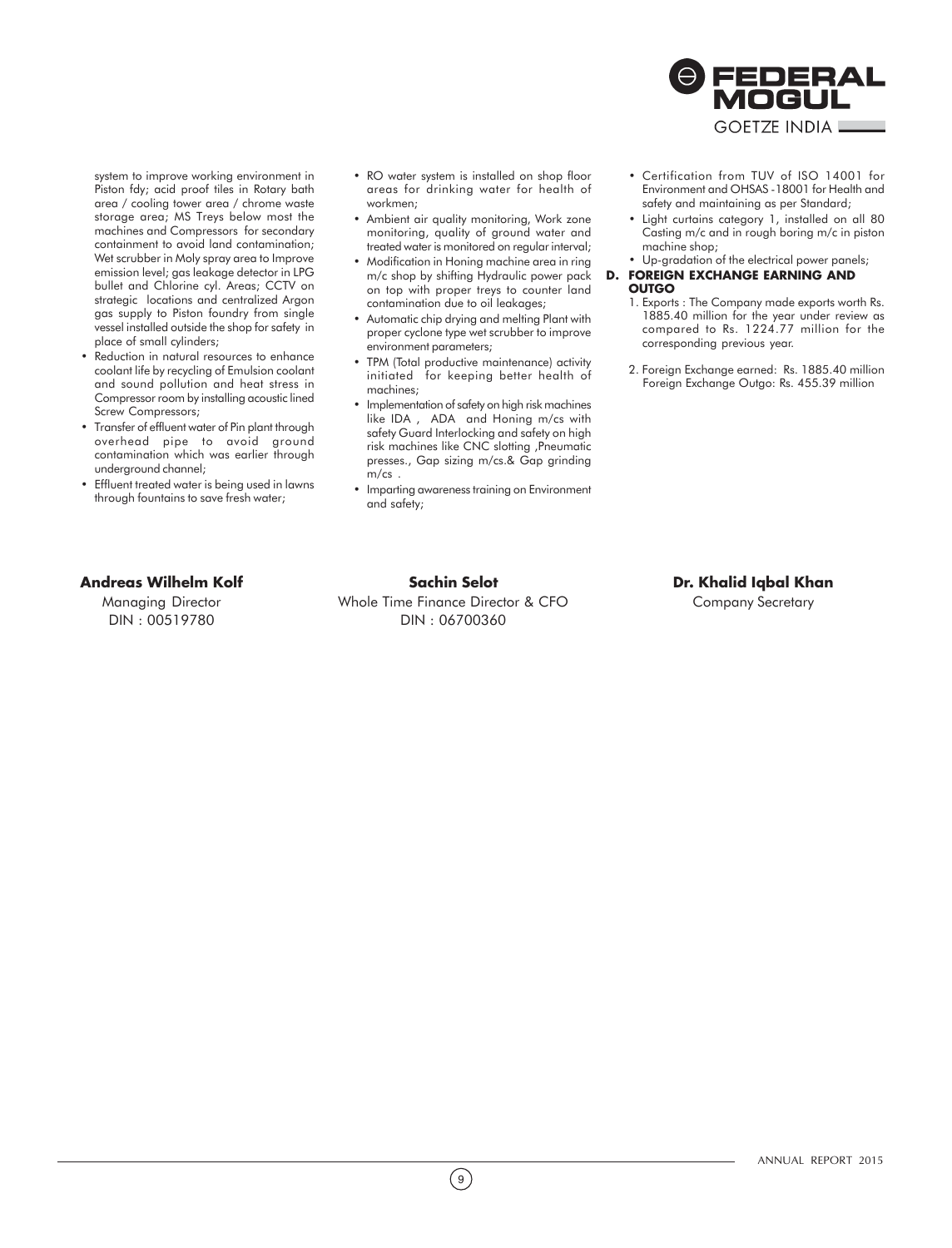system to improve working environment in Piston fdy; acid proof tiles in Rotary bath area / cooling tower area / chrome waste storage area; MS Treys below most the machines and Compressors for secondary containment to avoid land contamination; Wet scrubber in Moly spray area to Improve emission level; gas leakage detector in LPG bullet and Chlorine cyl. Areas; CCTV on strategic locations and centralized Argon gas supply to Piston foundry from single vessel installed outside the shop for safety in place of small cylinders;

- Reduction in natural resources to enhance coolant life by recycling of Emulsion coolant and sound pollution and heat stress in Compressor room by installing acoustic lined Screw Compressors;
- Transfer of effluent water of Pin plant through overhead pipe to avoid ground contamination which was earlier through underground channel;
- Effluent treated water is being used in lawns through fountains to save fresh water;

### **Andreas Wilhelm Kolf Sachin Selot Dr. Khalid Iqbal Khan**

- RO water system is installed on shop floor areas for drinking water for health of workmen;
- Ambient air quality monitoring, Work zone monitoring, quality of ground water and treated water is monitored on regular interval;
- Modification in Honing machine area in ring m/c shop by shifting Hydraulic power pack on top with proper treys to counter land contamination due to oil leakages;
- Automatic chip drying and melting Plant with proper cyclone type wet scrubber to improve environment parameters;
- TPM (Total productive maintenance) activity initiated for keeping better health of machines;
- Implementation of safety on high risk machines like IDA , ADA and Honing m/cs with safety Guard Interlocking and safety on high risk machines like CNC slotting ,Pneumatic presses., Gap sizing m/cs.& Gap grinding m/cs .
- Imparting awareness training on Environment and safety;

• Certification from TUV of ISO 14001 for Environment and OHSAS -18001 for Health and safety and maintaining as per Standard;

FEDERAL MOGUL **GOETZE INDIA** 

- Light curtains category 1, installed on all 80 Casting m/c and in rough boring m/c in piston machine shop;
- Up-gradation of the electrical power panels; **D. FOREIGN EXCHANGE EARNING AND OUTGO**
	- 1. Exports : The Company made exports worth Rs. 1885.40 million for the year under review as compared to Rs. 1224.77 million for the corresponding previous year.
	- 2. Foreign Exchange earned: Rs. 1885.40 million Foreign Exchange Outgo: Rs. 455.39 million

Managing Director **Managing Director** Whole Time Finance Director & CFO Company Secretary DIN : 00519780 DIN : 06700360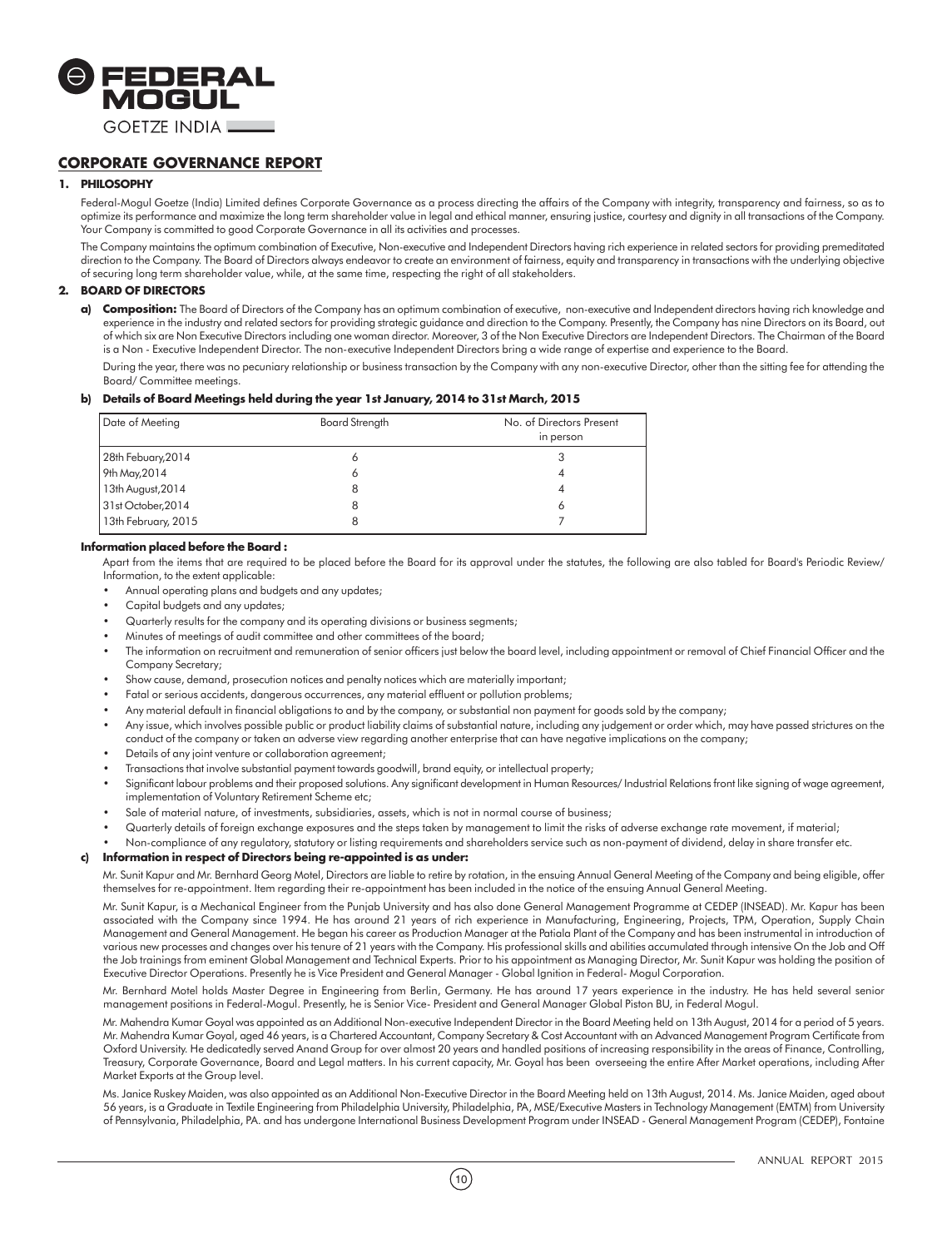

**GOETZE INDIA** 

### **CORPORATE GOVERNANCE REPORT**

### **1. PHILOSOPHY**

Federal-Mogul Goetze (India) Limited defines Corporate Governance as a process directing the affairs of the Company with integrity, transparency and fairness, so as to optimize its performance and maximize the long term shareholder value in legal and ethical manner, ensuring justice, courtesy and dignity in all transactions of the Company. Your Company is committed to good Corporate Governance in all its activities and processes.

The Company maintains the optimum combination of Executive, Non-executive and Independent Directors having rich experience in related sectors for providing premeditated direction to the Company. The Board of Directors always endeavor to create an environment of fairness, equity and transparency in transactions with the underlying objective of securing long term shareholder value, while, at the same time, respecting the right of all stakeholders.

### **2. BOARD OF DIRECTORS**

**a) Composition:** The Board of Directors of the Company has an optimum combination of executive, non-executive and Independent directors having rich knowledge and experience in the industry and related sectors for providing strategic guidance and direction to the Company. Presently, the Company has nine Directors on its Board, out of which six are Non Executive Directors including one woman director. Moreover, 3 of the Non Executive Directors are Independent Directors. The Chairman of the Board is a Non - Executive Independent Director. The non-executive Independent Directors bring a wide range of expertise and experience to the Board.

During the year, there was no pecuniary relationship or business transaction by the Company with any non-executive Director, other than the sitting fee for attending the Board/ Committee meetings.

### **b) Details of Board Meetings held during the year 1st January, 2014 to 31st March, 2015**

| Date of Meeting     | <b>Board Strength</b> | No. of Directors Present<br>in person |
|---------------------|-----------------------|---------------------------------------|
| 28th Febuary, 2014  |                       |                                       |
| 9th May, 2014       | o                     |                                       |
| 13th August, 2014   | 8                     |                                       |
| 31st October, 2014  | 8                     | o                                     |
| 13th February, 2015 |                       |                                       |

### **Information placed before the Board :**

Apart from the items that are required to be placed before the Board for its approval under the statutes, the following are also tabled for Board's Periodic Review/ Information, to the extent applicable:

- Annual operating plans and budgets and any updates;
- Capital budgets and any updates;
- Quarterly results for the company and its operating divisions or business segments;
- Minutes of meetings of audit committee and other committees of the board;
- The information on recruitment and remuneration of senior officers just below the board level, including appointment or removal of Chief Financial Officer and the Company Secretary;
- Show cause, demand, prosecution notices and penalty notices which are materially important;
- Fatal or serious accidents, dangerous occurrences, any material effluent or pollution problems;
- Any material default in financial obligations to and by the company, or substantial non payment for goods sold by the company;
- Any issue, which involves possible public or product liability claims of substantial nature, including any judgement or order which, may have passed strictures on the conduct of the company or taken an adverse view regarding another enterprise that can have negative implications on the company;
- Details of any joint venture or collaboration agreement;
- Transactions that involve substantial payment towards goodwill, brand equity, or intellectual property;
- Significant labour problems and their proposed solutions. Any significant development in Human Resources/ Industrial Relations front like signing of wage agreement, implementation of Voluntary Retirement Scheme etc;
- Sale of material nature, of investments, subsidiaries, assets, which is not in normal course of business;
- Quarterly details of foreign exchange exposures and the steps taken by management to limit the risks of adverse exchange rate movement, if material;
- Non-compliance of any regulatory, statutory or listing requirements and shareholders service such as non-payment of dividend, delay in share transfer etc.

#### **c) Information in respect of Directors being re-appointed is as under:**

Mr. Sunit Kapur and Mr. Bernhard Georg Motel, Directors are liable to retire by rotation, in the ensuing Annual General Meeting of the Company and being eligible, offer themselves for re-appointment. Item regarding their re-appointment has been included in the notice of the ensuing Annual General Meeting.

Mr. Sunit Kapur, is a Mechanical Engineer from the Punjab University and has also done General Management Programme at CEDEP (INSEAD). Mr. Kapur has been associated with the Company since 1994. He has around 21 years of rich experience in Manufacturing, Engineering, Projects, TPM, Operation, Supply Chain Management and General Management. He began his career as Production Manager at the Patiala Plant of the Company and has been instrumental in introduction of various new processes and changes over his tenure of 21 years with the Company. His professional skills and abilities accumulated through intensive On the Job and Off the Job trainings from eminent Global Management and Technical Experts. Prior to his appointment as Managing Director, Mr. Sunit Kapur was holding the position of Executive Director Operations. Presently he is Vice President and General Manager - Global Ignition in Federal- Mogul Corporation.

Mr. Bernhard Motel holds Master Degree in Engineering from Berlin, Germany. He has around 17 years experience in the industry. He has held several senior management positions in Federal-Mogul. Presently, he is Senior Vice- President and General Manager Global Piston BU, in Federal Mogul.

Mr. Mahendra Kumar Goyal was appointed as an Additional Non-executive Independent Director in the Board Meeting held on 13th August, 2014 for a period of 5 years. Mr. Mahendra Kumar Goyal, aged 46 years, is a Chartered Accountant, Company Secretary & Cost Accountant with an Advanced Management Program Certificate from Oxford University. He dedicatedly served Anand Group for over almost 20 years and handled positions of increasing responsibility in the areas of Finance, Controlling, Treasury, Corporate Governance, Board and Legal matters. In his current capacity, Mr. Goyal has been overseeing the entire After Market operations, including After Market Exports at the Group level.

Ms. Janice Ruskey Maiden, was also appointed as an Additional Non-Executive Director in the Board Meeting held on 13th August, 2014. Ms. Janice Maiden, aged about 56 years, is a Graduate in Textile Engineering from Philadelphia University, Philadelphia, PA, MSE/Executive Masters in Technology Management (EMTM) from University of Pennsylvania, Philadelphia, PA. and has undergone International Business Development Program under INSEAD - General Management Program (CEDEP), Fontaine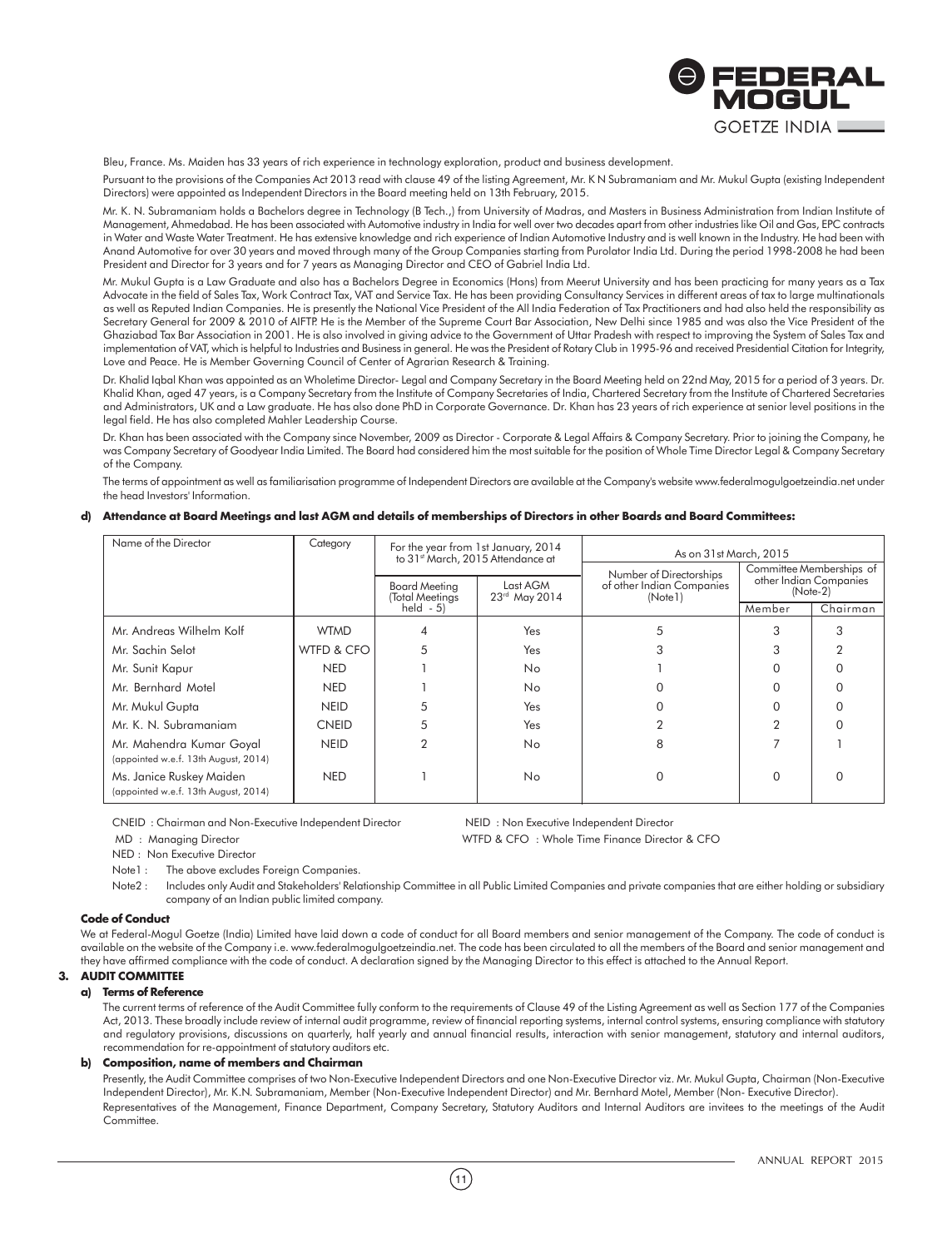

Bleu, France. Ms. Maiden has 33 years of rich experience in technology exploration, product and business development.

Pursuant to the provisions of the Companies Act 2013 read with clause 49 of the listing Agreement, Mr. K N Subramaniam and Mr. Mukul Gupta (existing Independent Directors) were appointed as Independent Directors in the Board meeting held on 13th February, 2015.

Mr. K. N. Subramaniam holds a Bachelors degree in Technology (B Tech.,) from University of Madras, and Masters in Business Administration from Indian Institute of Management, Ahmedabad. He has been associated with Automotive industry in India for well over two decades apart from other industries like Oil and Gas, EPC contracts in Water and Waste Water Treatment. He has extensive knowledge and rich experience of Indian Automotive Industry and is well known in the Industry. He had been with Anand Automotive for over 30 years and moved through many of the Group Companies starting from Purolator India Ltd. During the period 1998-2008 he had been President and Director for 3 years and for 7 years as Managing Director and CEO of Gabriel India Ltd.

Mr. Mukul Gupta is a Law Graduate and also has a Bachelors Degree in Economics (Hons) from Meerut University and has been practicing for many years as a Tax Advocate in the field of Sales Tax, Work Contract Tax, VAT and Service Tax. He has been providing Consultancy Services in different areas of tax to large multinationals as well as Reputed Indian Companies. He is presently the National Vice President of the All India Federation of Tax Practitioners and had also held the responsibility as Secretary General for 2009 & 2010 of AIFTP. He is the Member of the Supreme Court Bar Association, New Delhi since 1985 and was also the Vice President of the Ghaziabad Tax Bar Association in 2001. He is also involved in giving advice to the Government of Uttar Pradesh with respect to improving the System of Sales Tax and implementation of VAT, which is helpful to Industries and Business in general. He was the President of Rotary Club in 1995-96 and received Presidential Citation for Integrity, Love and Peace. He is Member Governing Council of Center of Agrarian Research & Training.

Dr. Khalid Iqbal Khan was appointed as an Wholetime Director- Legal and Company Secretary in the Board Meeting held on 22nd May, 2015 for a period of 3 years. Dr. Khalid Khan, aged 47 years, is a Company Secretary from the Institute of Company Secretaries of India, Chartered Secretary from the Institute of Chartered Secretaries and Administrators, UK and a Law graduate. He has also done PhD in Corporate Governance. Dr. Khan has 23 years of rich experience at senior level positions in the legal field. He has also completed Mahler Leadership Course.

Dr. Khan has been associated with the Company since November, 2009 as Director - Corporate & Legal Affairs & Company Secretary. Prior to joining the Company, he was Company Secretary of Goodyear India Limited. The Board had considered him the most suitable for the position of Whole Time Director Legal & Company Secretary of the Company.

The terms of appointment as well as familiarisation programme of Independent Directors are available at the Company's website www.federalmogulgoetzeindia.net under the head Investors' Information.

### **d) Attendance at Board Meetings and last AGM and details of memberships of Directors in other Boards and Board Committees:**

| Name of the Director                                             | Category     | For the year from 1st January, 2014<br>to 31 <sup>st</sup> March, 2015 Attendance at |                | As on 31st March, 2015                               |                                                    |  |  |
|------------------------------------------------------------------|--------------|--------------------------------------------------------------------------------------|----------------|------------------------------------------------------|----------------------------------------------------|--|--|
|                                                                  |              | Board Meetina                                                                        | Last AGM       | Number of Directorships<br>of other Indian Companies | Committee Memberships of<br>other Indian Companies |  |  |
|                                                                  |              | Total Meetings<br>held $-5$ )                                                        | 23rd May 2014  | (Note 1)                                             | $(Note-2)$<br>Chairman<br>Member                   |  |  |
| Mr. Andreas Wilhelm Kolf                                         | <b>WTMD</b>  |                                                                                      | Yes            | 5                                                    |                                                    |  |  |
|                                                                  |              |                                                                                      |                |                                                      |                                                    |  |  |
| Mr. Sachin Selot                                                 | WTFD & CFO   | 5                                                                                    | Yes            | 3                                                    |                                                    |  |  |
| Mr. Sunit Kapur                                                  | <b>NED</b>   |                                                                                      | N <sub>o</sub> |                                                      |                                                    |  |  |
| Mr. Bernhard Motel                                               | <b>NED</b>   |                                                                                      | <b>No</b>      |                                                      |                                                    |  |  |
| Mr. Mukul Gupta                                                  | <b>NEID</b>  | 5                                                                                    | Yes            |                                                      |                                                    |  |  |
| Mr. K. N. Subramaniam                                            | <b>CNEID</b> |                                                                                      | Yes            |                                                      |                                                    |  |  |
| Mr. Mahendra Kumar Goyal<br>(appointed w.e.f. 13th August, 2014) | <b>NEID</b>  | 2                                                                                    | <b>No</b>      | 8                                                    |                                                    |  |  |
| Ms. Janice Ruskey Maiden<br>(appointed w.e.f. 13th August, 2014) | <b>NED</b>   |                                                                                      | No.            | $\Omega$                                             | 0                                                  |  |  |

CNEID : Chairman and Non-Executive Independent Director NEID : Non Executive Independent Director

MD : Managing Director WTFD & CFO : Whole Time Finance Director & CFO

NED : Non Executive Director

Note1 : The above excludes Foreign Companies.<br>Note2 : Includes only Audit and Stakeholders' Rela

Includes only Audit and Stakeholders' Relationship Committee in all Public Limited Companies and private companies that are either holding or subsidiary company of an Indian public limited company.

### **Code of Conduct**

We at Federal-Mogul Goetze (India) Limited have laid down a code of conduct for all Board members and senior management of the Company. The code of conduct is available on the website of the Company i.e. www.federalmogulgoetzeindia.net. The code has been circulated to all the members of the Board and senior management and they have affirmed compliance with the code of conduct. A declaration signed by the Managing Director to this effect is attached to the Annual Report.

### **3. AUDIT COMMITTEE**

### **a) Terms of Reference**

The current terms of reference of the Audit Committee fully conform to the requirements of Clause 49 of the Listing Agreement as well as Section 177 of the Companies Act, 2013. These broadly include review of internal audit programme, review of financial reporting systems, internal control systems, ensuring compliance with statutory and regulatory provisions, discussions on quarterly, half yearly and annual financial results, interaction with senior management, statutory and internal auditors, recommendation for re-appointment of statutory auditors etc.

#### **b) Composition, name of members and Chairman**

Presently, the Audit Committee comprises of two Non-Executive Independent Directors and one Non-Executive Director viz. Mr. Mukul Gupta, Chairman (Non-Executive Independent Director), Mr. K.N. Subramaniam, Member (Non-Executive Independent Director) and Mr. Bernhard Motel, Member (Non- Executive Director). Representatives of the Management, Finance Department, Company Secretary, Statutory Auditors and Internal Auditors are invitees to the meetings of the Audit **Committee**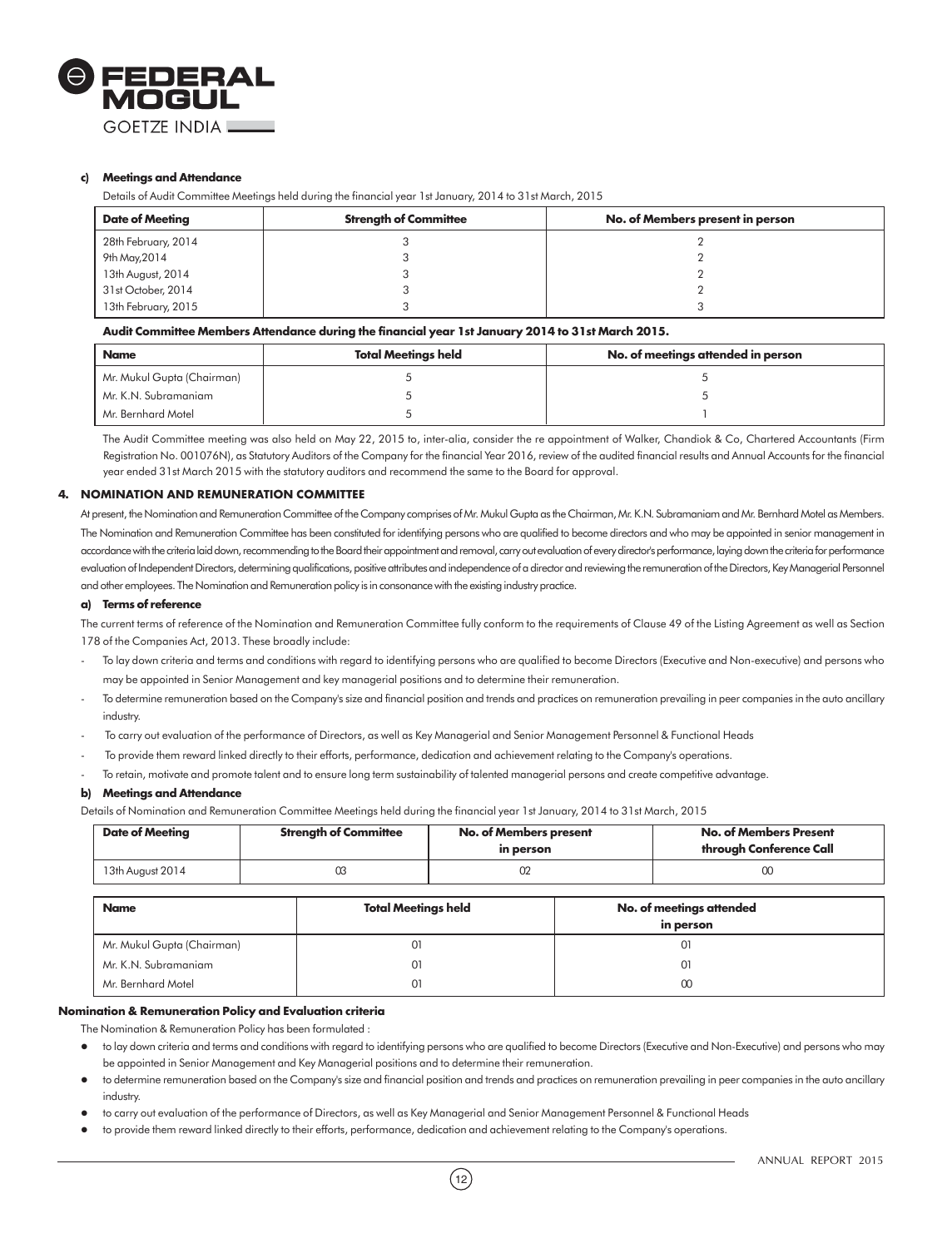

### **c) Meetings and Attendance**

Details of Audit Committee Meetings held during the financial year 1st January, 2014 to 31st March, 2015

| <b>Date of Meeting</b> | <b>Strength of Committee</b> | No. of Members present in person |
|------------------------|------------------------------|----------------------------------|
| 28th February, 2014    |                              |                                  |
| 9th May, 2014          |                              |                                  |
| 13th August, 2014      |                              |                                  |
| 31st October, 2014     |                              |                                  |
| 13th February, 2015    |                              |                                  |

### **Audit Committee Members Attendance during the financial year 1st January 2014 to 31st March 2015.**

| <b>Name</b>                | <b>Total Meetings held</b> | No. of meetings attended in person |
|----------------------------|----------------------------|------------------------------------|
| Mr. Mukul Gupta (Chairman) |                            |                                    |
| Mr. K.N. Subramaniam       |                            |                                    |
| Mr. Bernhard Motel         |                            |                                    |

The Audit Committee meeting was also held on May 22, 2015 to, inter-alia, consider the re appointment of Walker, Chandiok & Co, Chartered Accountants (Firm Registration No. 001076N), as Statutory Auditors of the Company for the financial Year 2016, review of the audited financial results and Annual Accounts for the financial year ended 31st March 2015 with the statutory auditors and recommend the same to the Board for approval.

### **4. NOMINATION AND REMUNERATION COMMITTEE**

At present, the Nomination and Remuneration Committee of the Company comprises of Mr. Mukul Gupta as the Chairman, Mr. K.N. Subramaniam and Mr. Bernhard Motel as Members. The Nomination and Remuneration Committee has been constituted for identifying persons who are qualified to become directors and who may be appointed in senior management in accordance with the criteria laid down, recommending to the Board their appointment and removal, carry out evaluation of every director's performance, laying down the criteria for performance evaluation of Independent Directors, determining qualifications, positive attributes and independence of a director and reviewing the remuneration of the Directors, Key Managerial Personnel and other employees. The Nomination and Remuneration policy is in consonance with the existing industry practice.

### **a) Terms of reference**

The current terms of reference of the Nomination and Remuneration Committee fully conform to the requirements of Clause 49 of the Listing Agreement as well as Section 178 of the Companies Act, 2013. These broadly include:

- To lay down criteria and terms and conditions with regard to identifying persons who are qualified to become Directors (Executive and Non-executive) and persons who may be appointed in Senior Management and key managerial positions and to determine their remuneration.
- To determine remuneration based on the Company's size and financial position and trends and practices on remuneration prevailing in peer companies in the auto ancillary industry.
- To carry out evaluation of the performance of Directors, as well as Key Managerial and Senior Management Personnel & Functional Heads
- To provide them reward linked directly to their efforts, performance, dedication and achievement relating to the Company's operations.
- To retain, motivate and promote talent and to ensure long term sustainability of talented managerial persons and create competitive advantage.

### **b) Meetings and Attendance**

Details of Nomination and Remuneration Committee Meetings held during the financial year 1st January, 2014 to 31st March, 2015

| <b>Date of Meeting</b> | <b>Strength of Committee</b> | <b>No. of Members present</b><br>in person | <b>No. of Members Present</b><br>through Conference Call |  |
|------------------------|------------------------------|--------------------------------------------|----------------------------------------------------------|--|
| 13th August 2014       | 03                           |                                            |                                                          |  |

| <b>Name</b>                | <b>Total Meetings held</b> | No. of meetings attended<br>in person |
|----------------------------|----------------------------|---------------------------------------|
| Mr. Mukul Gupta (Chairman) | 01                         | 01                                    |
| Mr. K.N. Subramaniam       | $_{01}$                    | 01                                    |
| Mr. Bernhard Motel         | 01                         | $^{00}$                               |

### **Nomination & Remuneration Policy and Evaluation criteria**

The Nomination & Remuneration Policy has been formulated :

- to lay down criteria and terms and conditions with regard to identifying persons who are qualified to become Directors (Executive and Non-Executive) and persons who may be appointed in Senior Management and Key Managerial positions and to determine their remuneration.
- to determine remuneration based on the Company's size and financial position and trends and practices on remuneration prevailing in peer companies in the auto ancillary industry.
- to carry out evaluation of the performance of Directors, as well as Key Managerial and Senior Management Personnel & Functional Heads
- to provide them reward linked directly to their efforts, performance, dedication and achievement relating to the Company's operations.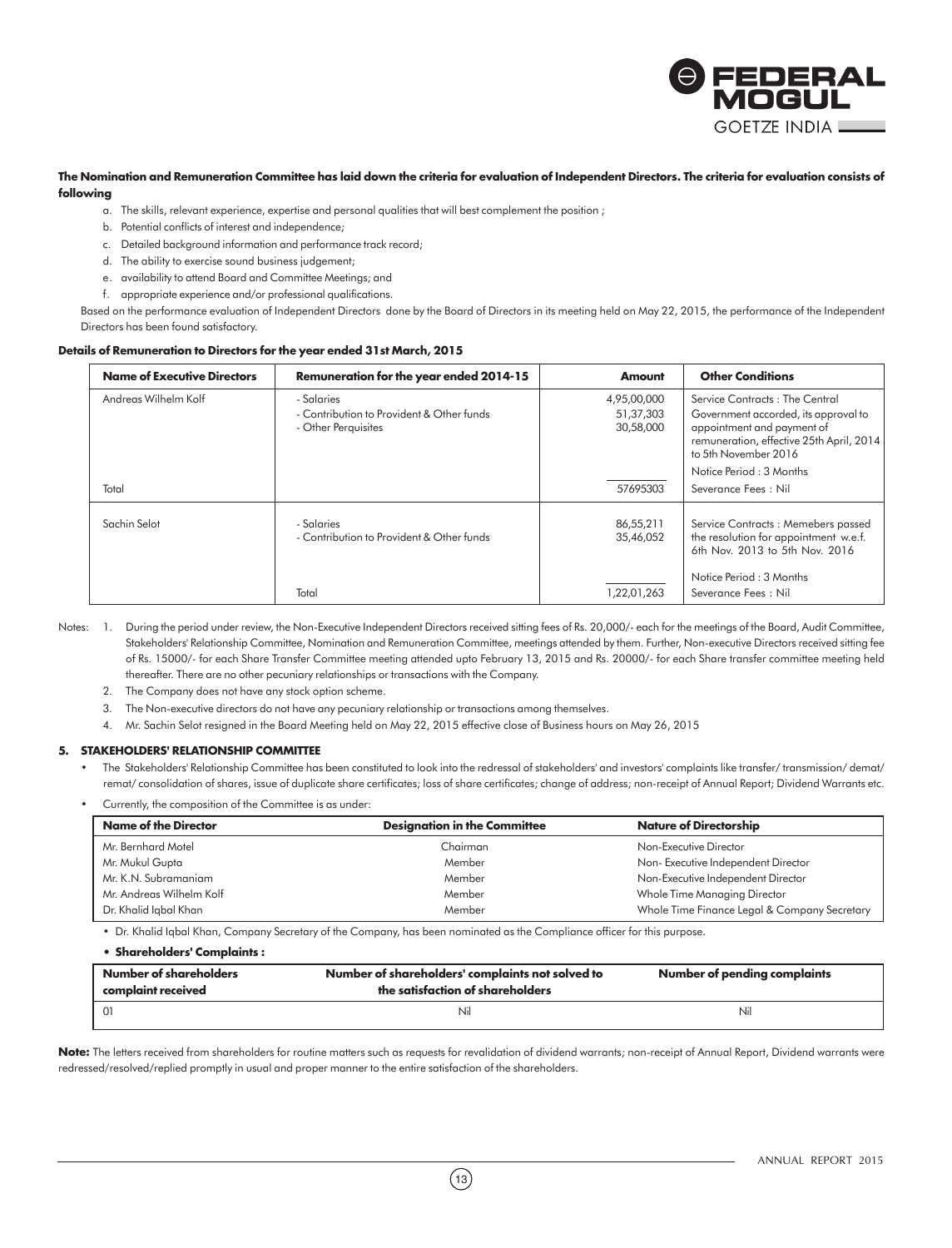

### **The Nomination and Remuneration Committee has laid down the criteria for evaluation of Independent Directors. The criteria for evaluation consists of following**

- a. The skills, relevant experience, expertise and personal qualities that will best complement the position ;
- b. Potential conflicts of interest and independence;
- c. Detailed background information and performance track record;
- d. The ability to exercise sound business judgement;
- e. availability to attend Board and Committee Meetings; and
- f. appropriate experience and/or professional qualifications.

Based on the performance evaluation of Independent Directors done by the Board of Directors in its meeting held on May 22, 2015, the performance of the Independent Directors has been found satisfactory.

### **Details of Remuneration to Directors for the year ended 31st March, 2015**

| <b>Name of Executive Directors</b> | Remuneration for the year ended 2014-15                                        | Amount                                | <b>Other Conditions</b>                                                                                                                                                  |
|------------------------------------|--------------------------------------------------------------------------------|---------------------------------------|--------------------------------------------------------------------------------------------------------------------------------------------------------------------------|
| Andreas Wilhelm Kolf               | - Salaries<br>- Contribution to Provident & Other funds<br>- Other Perguisites | 4,95,00,000<br>51,37,303<br>30,58,000 | Service Contracts: The Central<br>Government accorded, its approval to<br>appointment and payment of<br>remuneration, effective 25th April, 2014<br>to 5th November 2016 |
| Total                              |                                                                                | 57695303                              | Notice Period: 3 Months<br>Severance Fees: Nil                                                                                                                           |
|                                    |                                                                                |                                       |                                                                                                                                                                          |
| Sachin Selot                       | - Salaries<br>- Contribution to Provident & Other funds                        | 86,55,211<br>35.46.052                | Service Contracts: Memebers passed<br>the resolution for appointment w.e.f.<br>6th Nov. 2013 to 5th Nov. 2016                                                            |
|                                    |                                                                                |                                       | Notice Period: 3 Months                                                                                                                                                  |
|                                    | Total                                                                          | 1,22,01,263                           | Severance Fees: Nil                                                                                                                                                      |

Notes: 1. During the period under review, the Non-Executive Independent Directors received sitting fees of Rs. 20,000/- each for the meetings of the Board, Audit Committee, Stakeholders' Relationship Committee, Nomination and Remuneration Committee, meetings attended by them. Further, Non-executive Directors received sitting fee of Rs. 15000/- for each Share Transfer Committee meeting attended upto February 13, 2015 and Rs. 20000/- for each Share transfer committee meeting held thereafter. There are no other pecuniary relationships or transactions with the Company.

- 2. The Company does not have any stock option scheme.
- 3. The Non-executive directors do not have any pecuniary relationship or transactions among themselves.
- 4. Mr. Sachin Selot resigned in the Board Meeting held on May 22, 2015 effective close of Business hours on May 26, 2015

### **5. STAKEHOLDERS' RELATIONSHIP COMMITTEE**

• The Stakeholders' Relationship Committee has been constituted to look into the redressal of stakeholders' and investors' complaints like transfer/ transmission/ demat/ remat/ consolidation of shares, issue of duplicate share certificates; loss of share certificates; change of address; non-receipt of Annual Report; Dividend Warrants etc.

| Name of the Director     | <b>Designation in the Committee</b> | <b>Nature of Directorship</b>                |
|--------------------------|-------------------------------------|----------------------------------------------|
| Mr. Bernhard Motel       | Chairman                            | Non-Executive Director                       |
| Mr. Mukul Gupta          | Member                              | Non-Executive Independent Director           |
| Mr. K.N. Subramaniam     | Member                              | Non-Executive Independent Director           |
| Mr. Andreas Wilhelm Kolf | Member                              | Whole Time Managing Director                 |
| Dr. Khalid Jabal Khan    | Member                              | Whole Time Finance Legal & Company Secretary |

• Dr. Khalid Iqbal Khan, Company Secretary of the Company, has been nominated as the Compliance officer for this purpose.

**• Shareholders' Complaints :**

| Number of shareholders<br>complaint received | Number of shareholders' complaints not solved to<br>the satisfaction of shareholders | Number of pending complaints |
|----------------------------------------------|--------------------------------------------------------------------------------------|------------------------------|
| -01                                          | Nil                                                                                  | Nil                          |

Note: The letters received from shareholders for routine matters such as requests for revalidation of dividend warrants; non-receipt of Annual Report, Dividend warrants were redressed/resolved/replied promptly in usual and proper manner to the entire satisfaction of the shareholders.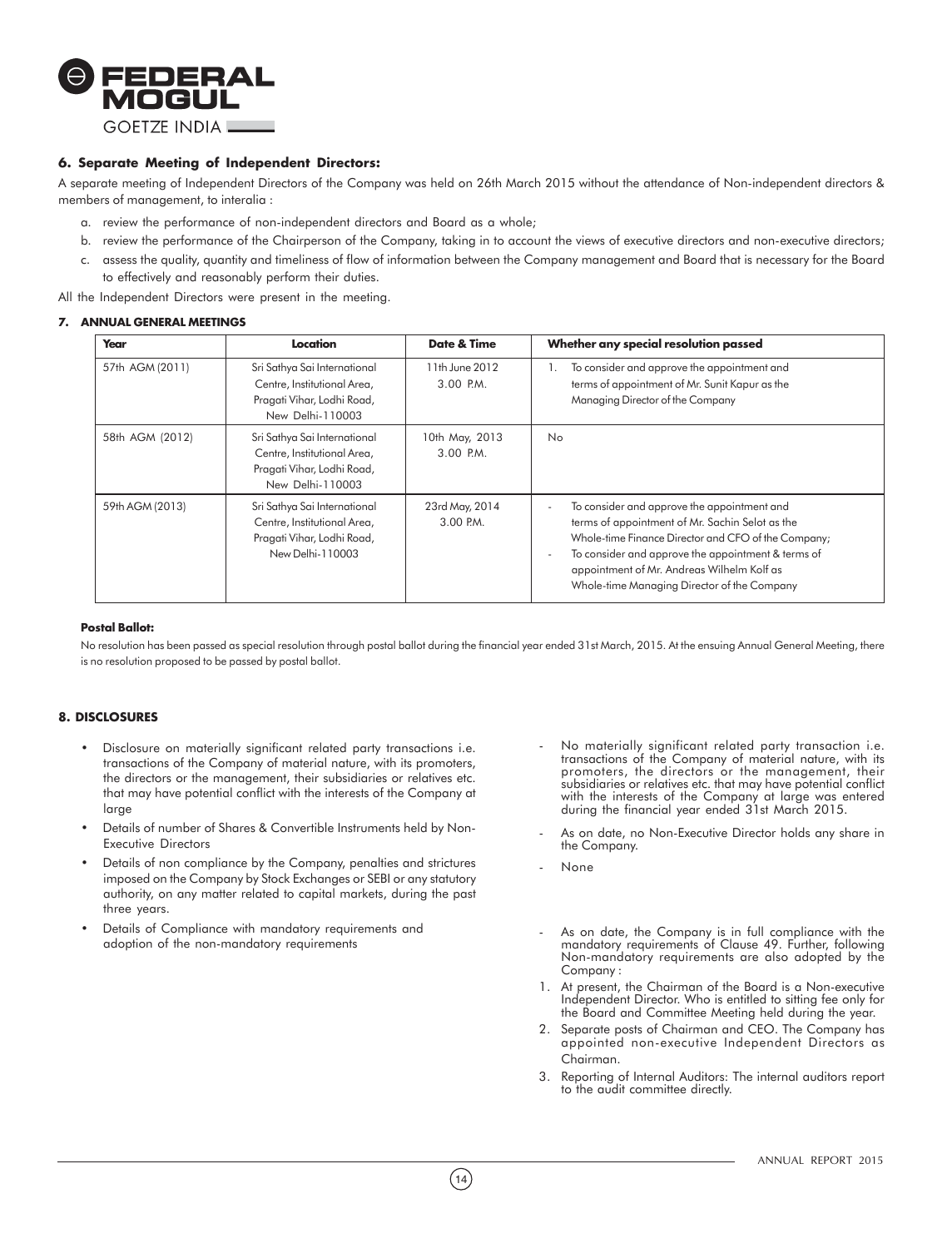

### **6. Separate Meeting of Independent Directors:**

A separate meeting of Independent Directors of the Company was held on 26th March 2015 without the attendance of Non-independent directors & members of management, to interalia :

- a. review the performance of non-independent directors and Board as a whole;
- b. review the performance of the Chairperson of the Company, taking in to account the views of executive directors and non-executive directors;
- c. assess the quality, quantity and timeliness of flow of information between the Company management and Board that is necessary for the Board to effectively and reasonably perform their duties.

All the Independent Directors were present in the meeting.

### **7. ANNUAL GENERAL MEETINGS**

| Year            | Location                                                                                                      | Date & Time                 | Whether any special resolution passed                                                                                                                                                                                                                                                                    |
|-----------------|---------------------------------------------------------------------------------------------------------------|-----------------------------|----------------------------------------------------------------------------------------------------------------------------------------------------------------------------------------------------------------------------------------------------------------------------------------------------------|
| 57th AGM (2011) | Sri Sathya Sai International<br>Centre, Institutional Area,<br>Pragati Vihar, Lodhi Road,<br>New Delhi-110003 | 11th June 2012<br>3.00 P.M. | To consider and approve the appointment and<br>Ι.<br>terms of appointment of Mr. Sunit Kapur as the<br>Managing Director of the Company                                                                                                                                                                  |
| 58th AGM (2012) | Sri Sathya Sai International<br>Centre, Institutional Area,<br>Pragati Vihar, Lodhi Road,<br>New Delhi-110003 | 10th May, 2013<br>3.00 P.M. | No                                                                                                                                                                                                                                                                                                       |
| 59th AGM (2013) | Sri Sathya Sai International<br>Centre, Institutional Area,<br>Pragati Vihar, Lodhi Road,<br>New Delhi-110003 | 23rd May, 2014<br>3.00 PM.  | To consider and approve the appointment and<br>terms of appointment of Mr. Sachin Selot as the<br>Whole-time Finance Director and CFO of the Company;<br>To consider and approve the appointment & terms of<br>appointment of Mr. Andreas Wilhelm Kolf as<br>Whole-time Managing Director of the Company |

### **Postal Ballot:**

No resolution has been passed as special resolution through postal ballot during the financial year ended 31st March, 2015. At the ensuing Annual General Meeting, there is no resolution proposed to be passed by postal ballot.

### **8. DISCLOSURES**

- Disclosure on materially significant related party transactions i.e. transactions of the Company of material nature, with its promoters, the directors or the management, their subsidiaries or relatives etc. that may have potential conflict with the interests of the Company at large
- Details of number of Shares & Convertible Instruments held by Non-Executive Directors
- Details of non compliance by the Company, penalties and strictures imposed on the Company by Stock Exchanges or SEBI or any statutory authority, on any matter related to capital markets, during the past three years.
- Details of Compliance with mandatory requirements and adoption of the non-mandatory requirements
- No materially significant related party transaction i.e. transactions of the Company of material nature, with its promoters, the directors or the management, their subsidiaries or relatives etc. that may have potential conflict with the interests of the Company at large was entered during the financial year ended 31st March 2015.
- As on date, no Non-Executive Director holds any share in the Company.
- None
- As on date, the Company is in full compliance with the mandatory requirements of Clause 49. Further, following Non-mandatory requirements are also adopted by the Company :
- 1. At present, the Chairman of the Board is a Non-executive Independent Director. Who is entitled to sitting fee only for the Board and Committee Meeting held during the year.
- 2. Separate posts of Chairman and CEO. The Company has appointed non-executive Independent Directors as Chairman.
- 3. Reporting of Internal Auditors: The internal auditors report to the audit committee directly.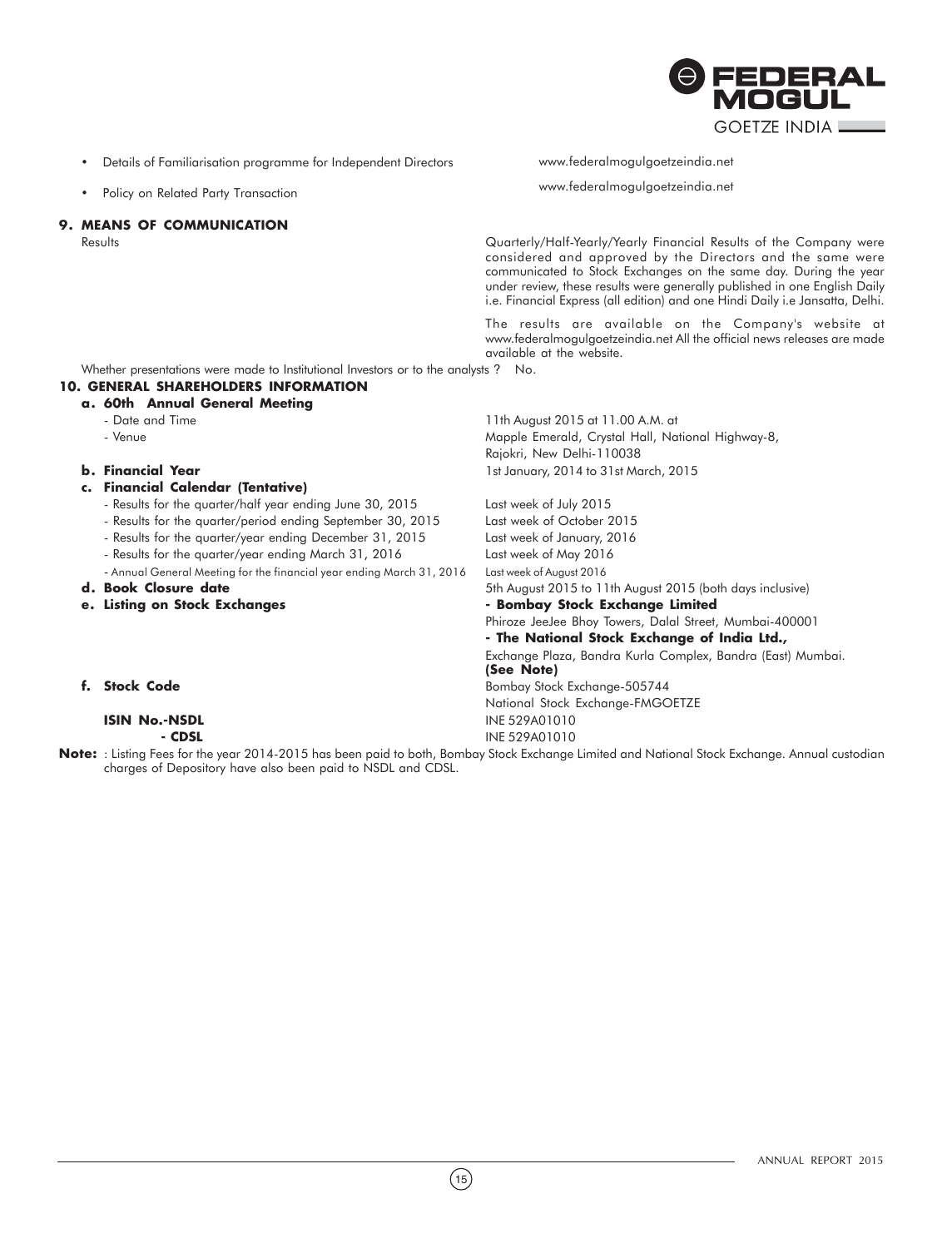

- Details of Familiarisation programme for Independent Directors
- Policy on Related Party Transaction

## **9. MEANS OF COMMUNICATION**<br>Results

Quarterly/Half-Yearly/Yearly Financial Results of the Company were considered and approved by the Directors and the same were communicated to Stock Exchanges on the same day. During the year under review, these results were generally published in one English Daily i.e. Financial Express (all edition) and one Hindi Daily i.e Jansatta, Delhi.

The results are available on the Company's website at www.federalmogulgoetzeindia.net All the official news releases are made available at the website.

Mapple Emerald, Crystal Hall, National Highway-8,

www.federalmogulgoetzeindia.net www.federalmogulgoetzeindia.net

**- Bombay Stock Exchange Limited** 

National Stock Exchange-FMGOETZE<br>INE 529A01010

Phiroze JeeJee Bhoy Towers, Dalal Street, Mumbai-400001 **- The National Stock Exchange of India Ltd.,**

Exchange Plaza, Bandra Kurla Complex, Bandra (East) Mumbai.

Rajokri, New Delhi-110038

Whether presentations were made to Institutional Investors or to the analysts ? No.

### **10. GENERAL SHAREHOLDERS INFORMATION**

- **a . 60th Annual General Meeting**
	- Date and Time 11th August 2015 at 11.00 A.M. at 2016 at 11.00 A.M. at 2015 at 11.00 A.M. at 2015 at 2015 at 2
	-

### **b. Financial Year** 1st January, 2014 to 31st March, 2015

- **c. Financial Calendar (Tentative)**
	- Results for the quarter/half year ending June 30, 2015 Last week of July 2015
	- Results for the quarter/period ending September 30, 2015 Last week of October 2015
	- Results for the quarter/year ending December 31, 2015 Last week of January, 2016<br>- Results for the quarter/year ending March 31, 2016 Last week of May 2016
	- Results for the quarter/year ending March 31, 2016
- Annual General Meeting for the financial year ending March 31, 2016 Last week of August 2016<br>**d. Book Closure date** 5th August 2015 to 11
- 
- **d. Book Closure date** 5th August 2015 to 11th August 2015 (both days inclusive) **6.**<br> **15th August 2015 to Close 2016**<br> **15th August 2015 to Close 2016 (both days inclusive) 6. Listing on Stock Exchange Limited**
- **f. Stock Code** Bombay Stock Exchange-505744

## **ISIN No.-NSDL**<br>CDSL -

**Note:** : Listing Fees for the year 2014-2015 has been paid to both, Bombay Stock Exchange Limited and National Stock Exchange. Annual custodian charges of Depository have also been paid to NSDL and CDSL.

**(See Note)**

 **- CDSL** INE 529A01010

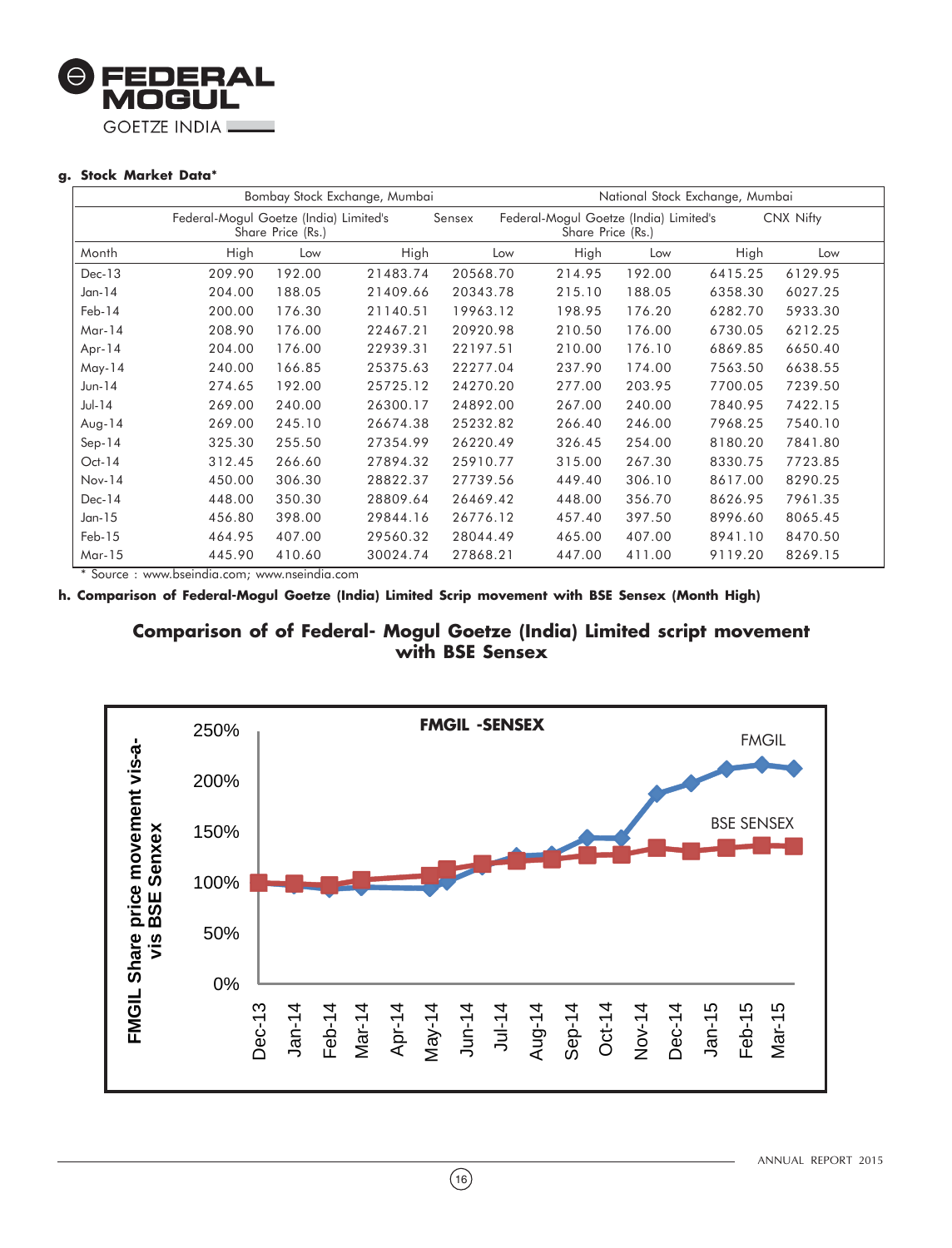

### **g. Stock Market Data\***

|               |                                        |                   | Bombay Stock Exchange, Mumbai |          |                                                             |        | National Stock Exchange, Mumbai |           |
|---------------|----------------------------------------|-------------------|-------------------------------|----------|-------------------------------------------------------------|--------|---------------------------------|-----------|
|               | Federal-Mogul Goetze (India) Limited's | Share Price (Rs.) |                               | Sensex   | Federal-Mogul Goetze (India) Limited's<br>Share Price (Rs.) |        |                                 | CNX Nifty |
| Month         | High                                   | Low               | High                          | Low      | High                                                        | Low    | High                            | Low       |
| $Dec-13$      | 209.90                                 | 192.00            | 21483.74                      | 20568.70 | 214.95                                                      | 192.00 | 6415.25                         | 6129.95   |
| $Jan-14$      | 204.00                                 | 188.05            | 21409.66                      | 20343.78 | 215.10                                                      | 188.05 | 6358.30                         | 6027.25   |
| Feb-14        | 200.00                                 | 176.30            | 21140.51                      | 19963.12 | 198.95                                                      | 176.20 | 6282.70                         | 5933.30   |
| Mar-14        | 208.90                                 | 176.00            | 22467.21                      | 20920.98 | 210.50                                                      | 176.00 | 6730.05                         | 6212.25   |
| Apr-14        | 204.00                                 | 176.00            | 22939.31                      | 22197.51 | 210.00                                                      | 176.10 | 6869.85                         | 6650.40   |
| May-14        | 240.00                                 | 166.85            | 25375.63                      | 22277.04 | 237.90                                                      | 174.00 | 7563.50                         | 6638.55   |
| $Jun-14$      | 274.65                                 | 192.00            | 25725.12                      | 24270.20 | 277.00                                                      | 203.95 | 7700.05                         | 7239.50   |
| $Jul-14$      | 269.00                                 | 240.00            | 26300.17                      | 24892.00 | 267.00                                                      | 240.00 | 7840.95                         | 7422.15   |
| Aug-14        | 269.00                                 | 245.10            | 26674.38                      | 25232.82 | 266.40                                                      | 246.00 | 7968.25                         | 7540.10   |
| $Sep-14$      | 325.30                                 | 255.50            | 27354.99                      | 26220.49 | 326.45                                                      | 254.00 | 8180.20                         | 7841.80   |
| $Oct-14$      | 312.45                                 | 266.60            | 27894.32                      | 25910.77 | 315.00                                                      | 267.30 | 8330.75                         | 7723.85   |
| <b>Nov-14</b> | 450.00                                 | 306.30            | 28822.37                      | 27739.56 | 449.40                                                      | 306.10 | 8617.00                         | 8290.25   |
| $Dec-14$      | 448.00                                 | 350.30            | 28809.64                      | 26469.42 | 448.00                                                      | 356.70 | 8626.95                         | 7961.35   |
| $Jan-15$      | 456.80                                 | 398.00            | 29844.16                      | 26776.12 | 457.40                                                      | 397.50 | 8996.60                         | 8065.45   |
| Feb-15        | 464.95                                 | 407.00            | 29560.32                      | 28044.49 | 465.00                                                      | 407.00 | 8941.10                         | 8470.50   |
| Mar-15        | 445.90                                 | 410.60            | 30024.74                      | 27868.21 | 447.00                                                      | 411.00 | 9119.20                         | 8269.15   |

\* Source : www.bseindia.com; www.nseindia.com

**h. Comparison of Federal-Mogul Goetze (India) Limited Scrip movement with BSE Sensex (Month High)**

### **Comparison of of Federal- Mogul Goetze (India) Limited script movement with BSE Sensex**

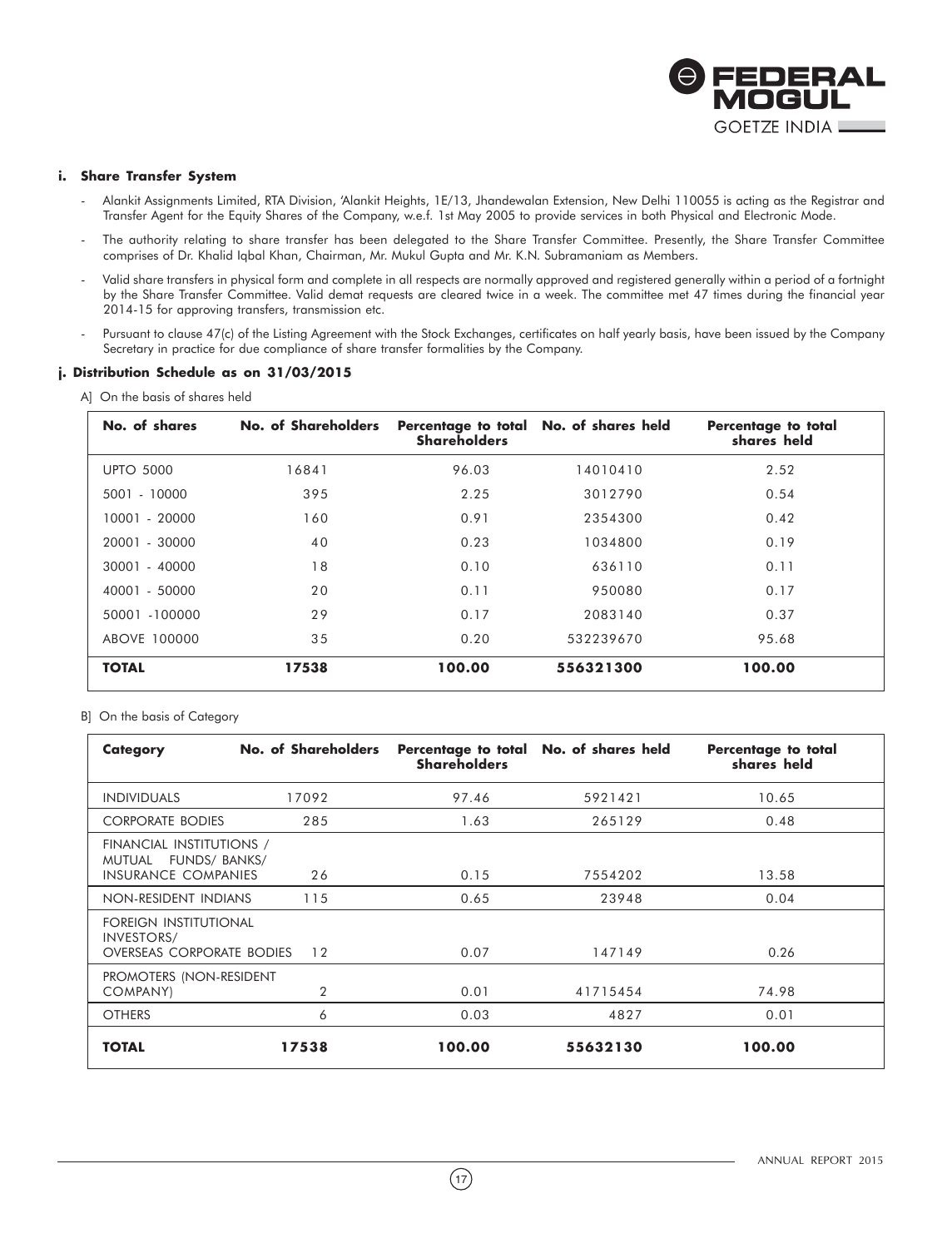

### **i. Share Transfer System**

- Alankit Assignments Limited, RTA Division, 'Alankit Heights, 1E/13, Jhandewalan Extension, New Delhi 110055 is acting as the Registrar and Transfer Agent for the Equity Shares of the Company, w.e.f. 1st May 2005 to provide services in both Physical and Electronic Mode.
- The authority relating to share transfer has been delegated to the Share Transfer Committee. Presently, the Share Transfer Committee comprises of Dr. Khalid Iqbal Khan, Chairman, Mr. Mukul Gupta and Mr. K.N. Subramaniam as Members.
- Valid share transfers in physical form and complete in all respects are normally approved and registered generally within a period of a fortnight by the Share Transfer Committee. Valid demat requests are cleared twice in a week. The committee met 47 times during the financial year 2014-15 for approving transfers, transmission etc.
- Pursuant to clause 47(c) of the Listing Agreement with the Stock Exchanges, certificates on half yearly basis, have been issued by the Company Secretary in practice for due compliance of share transfer formalities by the Company.

### **j. Distribution Schedule as on 31/03/2015**

A] On the basis of shares held

| No. of shares    | No. of Shareholders | <b>Shareholders</b> | Percentage to total No. of shares held | Percentage to total<br>shares held |
|------------------|---------------------|---------------------|----------------------------------------|------------------------------------|
| <b>UPTO 5000</b> | 16841               | 96.03               | 14010410                               | 2.52                               |
| 5001 - 10000     | 395                 | 2.25                | 3012790                                | 0.54                               |
| 10001 - 20000    | 160                 | 0.91                | 2354300                                | 0.42                               |
| 20001 - 30000    | 40                  | 0.23                | 1034800                                | 0.19                               |
| 30001 - 40000    | 18                  | 0.10                | 636110                                 | 0.11                               |
| 40001 - 50000    | 20                  | 0.11                | 950080                                 | 0.17                               |
| 50001 -100000    | 29                  | 0.17                | 2083140                                | 0.37                               |
| ABOVE 100000     | 35                  | 0.20                | 532239670                              | 95.68                              |
| <b>TOTAL</b>     | 17538               | 100.00              | 556321300                              | 100.00                             |

B] On the basis of Category

| <b>Category</b>                                                                | No. of Shareholders | <b>Shareholders</b> | Percentage to total No. of shares held | Percentage to total<br>shares held |
|--------------------------------------------------------------------------------|---------------------|---------------------|----------------------------------------|------------------------------------|
| <b>INDIVIDUALS</b>                                                             | 17092               | 97.46               | 5921421                                | 10.65                              |
| <b>CORPORATE BODIES</b>                                                        | 285                 | 1.63                | 265129                                 | 0.48                               |
| FINANCIAL INSTITUTIONS /<br>MUTUAL FUNDS/ BANKS/<br><b>INSURANCE COMPANIES</b> | 26                  | 0.15                | 7554202                                | 13.58                              |
| NON-RESIDENT INDIANS                                                           | 115                 | 0.65                | 23948                                  | 0.04                               |
| FOREIGN INSTITUTIONAL<br>INVESTORS/<br>OVERSEAS CORPORATE BODIES               | 12                  | 0.07                | 147149                                 | 0.26                               |
| PROMOTERS (NON-RESIDENT<br>COMPANY)                                            | 2                   | 0.01                | 41715454                               | 74.98                              |
| <b>OTHERS</b>                                                                  | 6                   | 0.03                | 4827                                   | 0.01                               |
| <b>TOTAL</b>                                                                   | 17538               | 100.00              | 55632130                               | 100.00                             |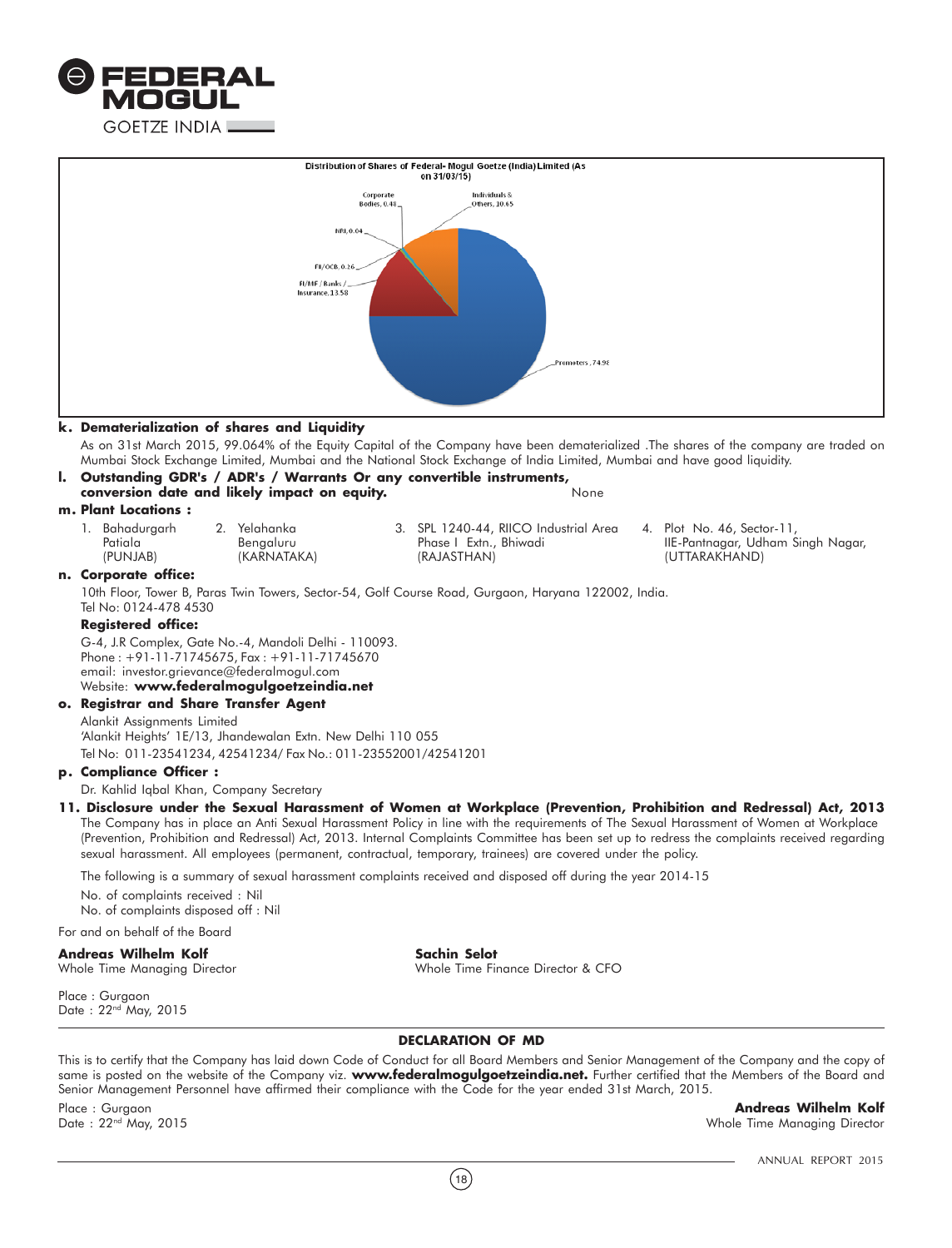



### **k . Dematerialization of shares and Liquidity**

As on 31st March 2015, 99.064% of the Equity Capital of the Company have been dematerialized .The shares of the company are traded on Mumbai Stock Exchange Limited, Mumbai and the National Stock Exchange of India Limited, Mumbai and have good liquidity.

| l. Outstanding GDR's / ADR's / Warrants Or any convertible instruments, |      |
|-------------------------------------------------------------------------|------|
| conversion date and likely impact on equity.                            | None |
| m Dlant Incations :                                                     |      |

### **m. Plant Locations :**

- 1. Bahadurgarh 2. Yelahanka 3. SPL 1240-44, RIICO Industrial Area 4. Plot No. 46, Sector-11,
- Patiala Bengaluru Phase I Extn., Bhiwadi IIE-Pantnagar, Udham Singh Nagar, (UTTARAKHAND)

### **n. Corporate office:**

10th Floor, Tower B, Paras Twin Towers, Sector-54, Golf Course Road, Gurgaon, Haryana 122002, India. Tel No: 0124-478 4530

### **Registered office:**

G-4, J.R Complex, Gate No.-4, Mandoli Delhi - 110093. Phone : +91-11-71745675, Fax : +91-11-71745670 email: investor.grievance@federalmogul.com Website: **www.federalmogulgoetzeindia.net**

### **o. Registrar and Share Transfer Agent**

Alankit Assignments Limited

'Alankit Heights' 1E/13, Jhandewalan Extn. New Delhi 110 055 Tel No: 011-23541234, 42541234/ Fax No.: 011-23552001/42541201

### **p . Compliance Officer :**

Dr. Kahlid Iqbal Khan, Company Secretary

**11. Disclosure under the Sexual Harassment of Women at Workplace (Prevention, Prohibition and Redressal) Act, 2013** The Company has in place an Anti Sexual Harassment Policy in line with the requirements of The Sexual Harassment of Women at Workplace (Prevention, Prohibition and Redressal) Act, 2013. Internal Complaints Committee has been set up to redress the complaints received regarding sexual harassment. All employees (permanent, contractual, temporary, trainees) are covered under the policy.

The following is a summary of sexual harassment complaints received and disposed off during the year 2014-15

No. of complaints received : Nil

No. of complaints disposed off : Nil

For and on behalf of the Board

## **Andreas Wilhelm Kolf** Sachin Selot<br>Whole Time Managing Director Sachin Selot Sachin Selot

Place : Gurgaon Date: 22<sup>nd</sup> May, 2015

Whole Time Finance Director & CFO

### **DECLARATION OF MD**

This is to certify that the Company has laid down Code of Conduct for all Board Members and Senior Management of the Company and the copy of same is posted on the website of the Company viz. **www.federalmogulgoetzeindia.net.** Further certified that the Members of the Board and Senior Management Personnel have affirmed their compliance with the Code for the year ended 31st March, 2015.

Place : Gurgaon **Andreas Wilhelm Kolf**<br>
Date : 22<sup>nd</sup> May, 2015<br>
Date : 22<sup>nd</sup> May, 2015

Whole Time Managing Director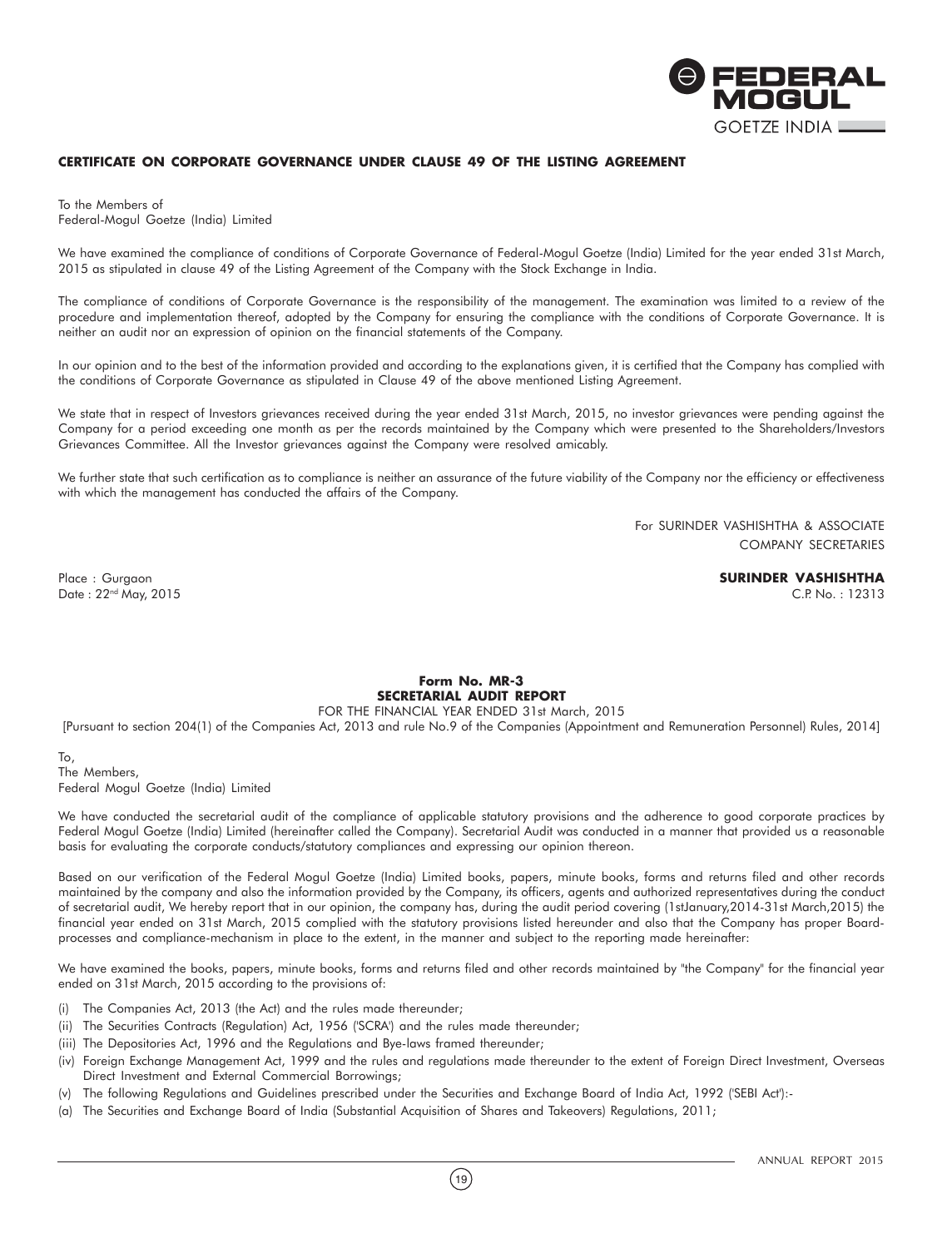

### **CERTIFICATE ON CORPORATE GOVERNANCE UNDER CLAUSE 49 OF THE LISTING AGREEMENT**

To the Members of Federal-Mogul Goetze (India) Limited

We have examined the compliance of conditions of Corporate Governance of Federal-Mogul Goetze (India) Limited for the year ended 31st March, 2015 as stipulated in clause 49 of the Listing Agreement of the Company with the Stock Exchange in India.

The compliance of conditions of Corporate Governance is the responsibility of the management. The examination was limited to a review of the procedure and implementation thereof, adopted by the Company for ensuring the compliance with the conditions of Corporate Governance. It is neither an audit nor an expression of opinion on the financial statements of the Company.

In our opinion and to the best of the information provided and according to the explanations given, it is certified that the Company has complied with the conditions of Corporate Governance as stipulated in Clause 49 of the above mentioned Listing Agreement.

We state that in respect of Investors grievances received during the year ended 31st March, 2015, no investor grievances were pending against the Company for a period exceeding one month as per the records maintained by the Company which were presented to the Shareholders/Investors Grievances Committee. All the Investor grievances against the Company were resolved amicably.

We further state that such certification as to compliance is neither an assurance of the future viability of the Company nor the efficiency or effectiveness with which the management has conducted the affairs of the Company.

> For SURINDER VASHISHTHA & ASSOCIATE COMPANY SECRETARIES

Place : Gurgaon **SURINDER VASHISHTHA** Date: 22<sup>nd</sup> May, 2015

### **Form No. MR-3 SECRETARIAL AUDIT REPORT** FOR THE FINANCIAL YEAR ENDED 31st March, 2015

[Pursuant to section 204(1) of the Companies Act, 2013 and rule No.9 of the Companies (Appointment and Remuneration Personnel) Rules, 2014]

To, The Members, Federal Mogul Goetze (India) Limited

We have conducted the secretarial audit of the compliance of applicable statutory provisions and the adherence to good corporate practices by Federal Mogul Goetze (India) Limited (hereinafter called the Company). Secretarial Audit was conducted in a manner that provided us a reasonable basis for evaluating the corporate conducts/statutory compliances and expressing our opinion thereon.

Based on our verification of the Federal Mogul Goetze (India) Limited books, papers, minute books, forms and returns filed and other records maintained by the company and also the information provided by the Company, its officers, agents and authorized representatives during the conduct of secretarial audit, We hereby report that in our opinion, the company has, during the audit period covering (1stJanuary,2014-31st March,2015) the financial year ended on 31st March, 2015 complied with the statutory provisions listed hereunder and also that the Company has proper Boardprocesses and compliance-mechanism in place to the extent, in the manner and subject to the reporting made hereinafter:

We have examined the books, papers, minute books, forms and returns filed and other records maintained by "the Company" for the financial year ended on 31st March, 2015 according to the provisions of:

- (i) The Companies Act, 2013 (the Act) and the rules made thereunder;
- (ii) The Securities Contracts (Regulation) Act, 1956 ('SCRA') and the rules made thereunder;
- (iii) The Depositories Act, 1996 and the Regulations and Bye-laws framed thereunder;
- (iv) Foreign Exchange Management Act, 1999 and the rules and regulations made thereunder to the extent of Foreign Direct Investment, Overseas Direct Investment and External Commercial Borrowings;
- (v) The following Regulations and Guidelines prescribed under the Securities and Exchange Board of India Act, 1992 ('SEBI Act'):-
- (a) The Securities and Exchange Board of India (Substantial Acquisition of Shares and Takeovers) Regulations, 2011;

 $(19)$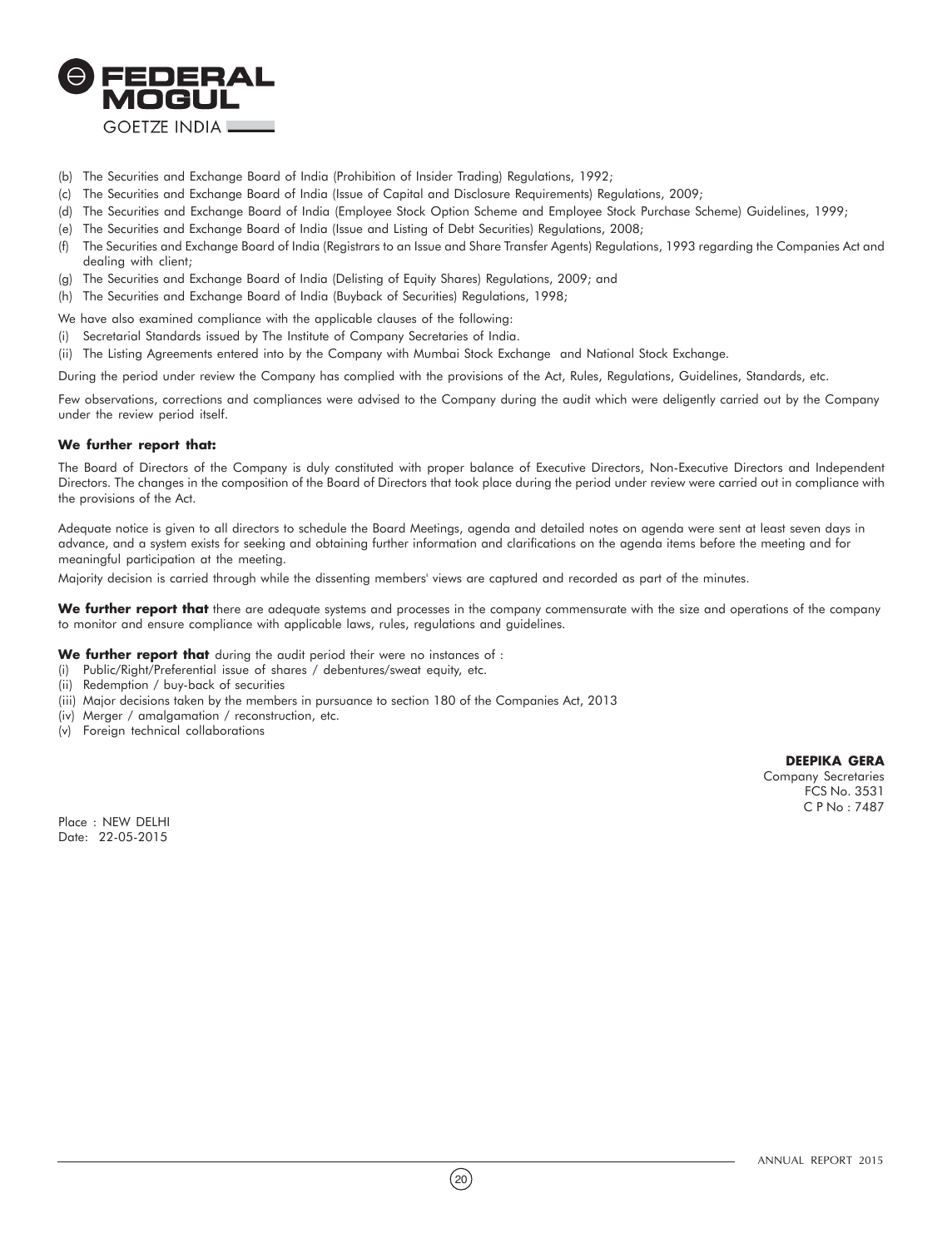

- (b) The Securities and Exchange Board of India (Prohibition of Insider Trading) Regulations, 1992;
- (c) The Securities and Exchange Board of India (Issue of Capital and Disclosure Requirements) Regulations, 2009;
- (d) The Securities and Exchange Board of India (Employee Stock Option Scheme and Employee Stock Purchase Scheme) Guidelines, 1999;
- (e) The Securities and Exchange Board of India (Issue and Listing of Debt Securities) Regulations, 2008;
- (f) The Securities and Exchange Board of India (Registrars to an Issue and Share Transfer Agents) Regulations, 1993 regarding the Companies Act and dealing with client;
- (g) The Securities and Exchange Board of India (Delisting of Equity Shares) Regulations, 2009; and
- (h) The Securities and Exchange Board of India (Buyback of Securities) Regulations, 1998;

We have also examined compliance with the applicable clauses of the following:

- (i) Secretarial Standards issued by The Institute of Company Secretaries of India.
- (ii) The Listing Agreements entered into by the Company with Mumbai Stock Exchange and National Stock Exchange.

During the period under review the Company has complied with the provisions of the Act, Rules, Regulations, Guidelines, Standards, etc.

Few observations, corrections and compliances were advised to the Company during the audit which were deligently carried out by the Company under the review period itself.

### **We further report that:**

The Board of Directors of the Company is duly constituted with proper balance of Executive Directors, Non-Executive Directors and Independent Directors. The changes in the composition of the Board of Directors that took place during the period under review were carried out in compliance with the provisions of the Act.

Adequate notice is given to all directors to schedule the Board Meetings, agenda and detailed notes on agenda were sent at least seven days in advance, and a system exists for seeking and obtaining further information and clarifications on the agenda items before the meeting and for meaningful participation at the meeting.

Majority decision is carried through while the dissenting members' views are captured and recorded as part of the minutes.

We further report that there are adequate systems and processes in the company commensurate with the size and operations of the company to monitor and ensure compliance with applicable laws, rules, regulations and guidelines.

We further report that during the audit period their were no instances of :

- (i) Public/Right/Preferential issue of shares / debentures/sweat equity, etc.
- (ii) Redemption / buy-back of securities
- (iii) Major decisions taken by the members in pursuance to section 180 of the Companies Act, 2013
- (iv) Merger / amalgamation / reconstruction, etc.
- (v) Foreign technical collaborations

### **DEEPIKA GERA**

Company Secretaries FCS No. 3531 C P No : 7487

Place : NEW DELHI Date: 22-05-2015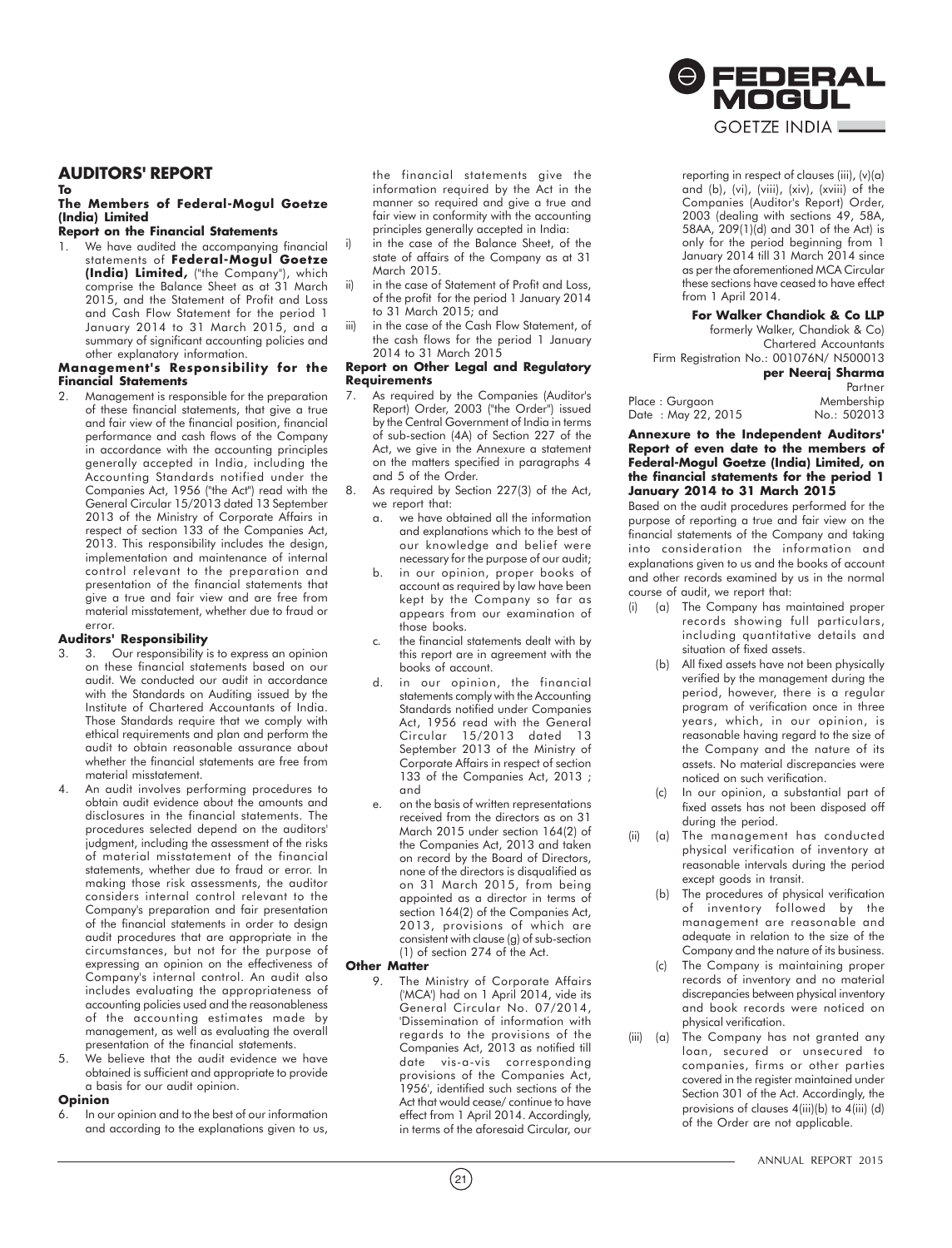### **AUDITORS' REPORT**

**To**

### **The Members of Federal-Mogul Goetze (India) Limited**

### **Report on the Financial Statements**

1. We have audited the accompanying financial statements of **Federal-Mogul Goetze (India) Limited,** ("the Company"), which comprise the Balance Sheet as at 31 March 2015, and the Statement of Profit and Loss and Cash Flow Statement for the period 1 January 2014 to 31 March 2015, and a summary of significant accounting policies and other explanatory information.

### **Management's Responsibility for the Financial Statements**<br>2. Management is resp.

Management is responsible for the preparation of these financial statements, that give a true and fair view of the financial position, financial performance and cash flows of the Company in accordance with the accounting principles generally accepted in India, including the Accounting Standards notified under the Companies Act, 1956 ("the Act") read with the General Circular 15/2013 dated 13 September 2013 of the Ministry of Corporate Affairs in respect of section 133 of the Companies Act, 2013. This responsibility includes the design, implementation and maintenance of internal control relevant to the preparation and presentation of the financial statements that give a true and fair view and are free from material misstatement, whether due to fraud or error.

### **Auditors' Responsibility**

- 3. 3. Our responsibility is to express an opinion on these financial statements based on our audit. We conducted our audit in accordance with the Standards on Auditing issued by the Institute of Chartered Accountants of India. Those Standards require that we comply with ethical requirements and plan and perform the audit to obtain reasonable assurance about whether the financial statements are free from material misstatement.
- 4. An audit involves performing procedures to obtain audit evidence about the amounts and disclosures in the financial statements. The procedures selected depend on the auditors' judgment, including the assessment of the risks of material misstatement of the financial statements, whether due to fraud or error. In making those risk assessments, the auditor considers internal control relevant to the Company's preparation and fair presentation of the financial statements in order to design audit procedures that are appropriate in the circumstances, but not for the purpose of expressing an opinion on the effectiveness of Company's internal control. An audit also includes evaluating the appropriateness of accounting policies used and the reasonableness of the accounting estimates made by management, as well as evaluating the overall presentation of the financial statements.
- 5. We believe that the audit evidence we have obtained is sufficient and appropriate to provide a basis for our audit opinion.

### **Opinion**

In our opinion and to the best of our information and according to the explanations given to us, the financial statements give the information required by the Act in the manner so required and give a true and fair view in conformity with the accounting principles generally accepted in India:

- i) in the case of the Balance Sheet, of the state of affairs of the Company as at 31 March 2015.
- ii) in the case of Statement of Profit and Loss, of the profit for the period 1 January 2014 to 31 March 2015; and
- iii) in the case of the Cash Flow Statement, of the cash flows for the period 1 January 2014 to 31 March 2015

### **Report on Other Legal and Regulatory Requirements**

- 7. As required by the Companies (Auditor's Report) Order, 2003 ("the Order") issued by the Central Government of India in terms of sub-section (4A) of Section 227 of the Act, we give in the Annexure a statement on the matters specified in paragraphs 4 and 5 of the Order.
- 8. As required by Section 227(3) of the Act, we report that:
	- a. we have obtained all the information and explanations which to the best of our knowledge and belief were necessary for the purpose of our audit;
	- b. in our opinion, proper books of account as required by law have been kept by the Company so far as appears from our examination of those books.
	- c. the financial statements dealt with by this report are in agreement with the books of account.
	- d. in our opinion, the financial statements comply with the Accounting Standards notified under Companies Act, 1956 read with the General Circular 15/2013 dated 13 September 2013 of the Ministry of Corporate Affairs in respect of section 133 of the Companies Act, 2013 ; and
	- e. on the basis of written representations received from the directors as on 31 March 2015 under section 164(2) of the Companies Act, 2013 and taken on record by the Board of Directors, none of the directors is disqualified as on 31 March 2015, from being appointed as a director in terms of section 164(2) of the Companies Act, 2013, provisions of which are consistent with clause (g) of sub-section (1) of section 274 of the Act.

### **Other Matter**

The Ministry of Corporate Affairs ('MCA') had on 1 April 2014, vide its General Circular No. 07/2014, 'Dissemination of information with regards to the provisions of the Companies Act, 2013 as notified till date vis-a-vis corresponding provisions of the Companies Act, 1956', identified such sections of the Act that would cease/ continue to have effect from 1 April 2014. Accordingly, in terms of the aforesaid Circular, our

reporting in respect of clauses (iii),  $(v)(\alpha)$ and (b), (vi), (viii), (xiv), (xviii) of the Companies (Auditor's Report) Order, 2003 (dealing with sections 49, 58A, 58AA, 209(1)(d) and 301 of the Act) is only for the period beginning from 1 January 2014 till 31 March 2014 since as per the aforementioned MCA Circular these sections have ceased to have effect from 1 April 2014.

e FEDERAL MOGUL **GOETZE INDIA LAND** 

### **For Walker Chandiok & Co LLP**

formerly Walker, Chandiok & Co) Chartered Accountants Firm Registration No.: 001076N/ N500013

#### **per Neeraj Sharma** Partner

| Place: Gurgaon     | Membership  |
|--------------------|-------------|
| Date: May 22, 2015 | No.: 502013 |

### **Annexure to the Independent Auditors' Report of even date to the members of Federal-Mogul Goetze (India) Limited, on the financial statements for the period 1 January 2014 to 31 March 2015**

Based on the audit procedures performed for the purpose of reporting a true and fair view on the financial statements of the Company and taking into consideration the information and explanations given to us and the books of account and other records examined by us in the normal course of audit, we report that:

- (i) (a) The Company has maintained proper records showing full particulars, including quantitative details and situation of fixed assets.
	- (b) All fixed assets have not been physically verified by the management during the period, however, there is a regular program of verification once in three years, which, in our opinion, is reasonable having regard to the size of the Company and the nature of its assets. No material discrepancies were noticed on such verification.
	- (c) In our opinion, a substantial part of fixed assets has not been disposed off during the period.
- (ii) (a) The management has conducted physical verification of inventory at reasonable intervals during the period except goods in transit.
	- (b) The procedures of physical verification of inventory followed by the management are reasonable and adequate in relation to the size of the Company and the nature of its business.
	- (c) The Company is maintaining proper records of inventory and no material discrepancies between physical inventory and book records were noticed on physical verification.
- (iii) (a) The Company has not granted any loan, secured or unsecured to companies, firms or other parties covered in the register maintained under Section 301 of the Act. Accordingly, the provisions of clauses 4(iii)(b) to 4(iii) (d) of the Order are not applicable.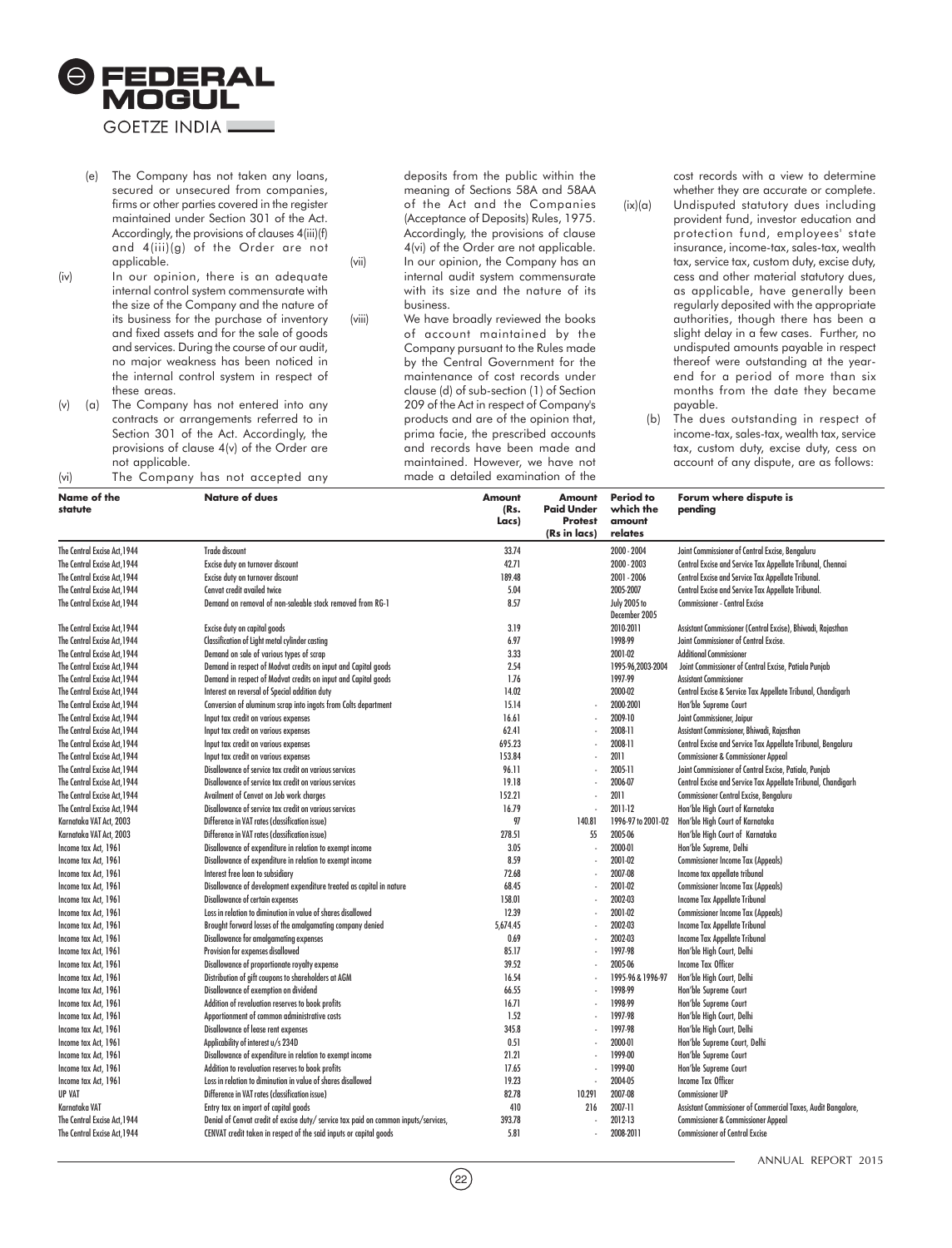

- (e) The Company has not taken any loans, secured or unsecured from companies, firms or other parties covered in the register maintained under Section 301 of the Act. Accordingly, the provisions of clauses 4(iii)(f) and 4(iii)(g) of the Order are not applicable.
- (iv) In our opinion, there is an adequate internal control system commensurate with the size of the Company and the nature of its business for the purchase of inventory and fixed assets and for the sale of goods and services. During the course of our audit, no major weakness has been noticed in the internal control system in respect of these areas.
- (v) (a) The Company has not entered into any contracts or arrangements referred to in Section 301 of the Act. Accordingly, the provisions of clause 4(v) of the Order are not applicable.

(vi) The Company has not accepted any

deposits from the public within the meaning of Sections 58A and 58AA of the Act and the Companies (Acceptance of Deposits) Rules, 1975. Accordingly, the provisions of clause 4(vi) of the Order are not applicable.

- (vii) In our opinion, the Company has an internal audit system commensurate with its size and the nature of its business.
- (viii) We have broadly reviewed the books of account maintained by the Company pursuant to the Rules made by the Central Government for the maintenance of cost records under clause (d) of sub-section (1) of Section 209 of the Act in respect of Company's products and are of the opinion that, prima facie, the prescribed accounts and records have been made and maintained. However, we have not made a detailed examination of the

cost records with a view to determine whether they are accurate or complete. (ix)(a) Undisputed statutory dues including provident fund, investor education and protection fund, employees' state insurance, income-tax, sales-tax, wealth tax, service tax, custom duty, excise duty, cess and other material statutory dues, as applicable, have generally been regularly deposited with the appropriate authorities, though there has been a slight delay in a few cases. Further, no undisputed amounts payable in respect thereof were outstanding at the yearend for a period of more than six months from the date they became payable.

(b) The dues outstanding in respect of income-tax, sales-tax, wealth tax, service tax, custom duty, excise duty, cess on account of any dispute, are as follows:

| Name of the<br>statute       | <b>Nature of dues</b>                                                              | Amount<br>(Rs.<br>Lacs) | Amount<br>Paid Under<br><b>Protest</b><br>(Rs in lacs) | <b>Period to</b><br>which the<br>amount<br>relates | Forum where dispute is<br>pending                             |
|------------------------------|------------------------------------------------------------------------------------|-------------------------|--------------------------------------------------------|----------------------------------------------------|---------------------------------------------------------------|
| The Central Excise Act, 1944 | <b>Trade discount</b>                                                              | 33.74                   |                                                        | 2000 - 2004                                        | Joint Commissioner of Central Excise, Bengaluru               |
| The Central Excise Act, 1944 | Excise duty on turnover discount                                                   | 42.71                   |                                                        | 2000 - 2003                                        | Central Excise and Service Tax Appellate Tribunal, Chennai    |
| The Central Excise Act, 1944 | Excise duty on turnover discount                                                   | 189.48                  |                                                        | 2001 - 2006                                        | Central Excise and Service Tax Appellate Tribunal.            |
| The Central Excise Act, 1944 | Cenvat credit availed twice                                                        | 5.04                    |                                                        | 2005-2007                                          | Central Excise and Service Tax Appellate Tribunal.            |
| The Central Excise Act, 1944 | Demand on removal of non-saleable stock removed from RG-1                          | 8.57                    |                                                        | <b>July 2005 to</b><br>December 2005               | <b>Commissioner - Central Excise</b>                          |
| The Central Excise Act, 1944 | Excise duty on capital goods                                                       | 3.19                    |                                                        | 2010-2011                                          | Assistant Commissioner (Central Excise), Bhiwadi, Rajasthan   |
| The Central Excise Act, 1944 | Classification of Light metal cylinder casting                                     | 6.97                    |                                                        | 1998-99                                            | Joint Commissioner of Central Excise.                         |
| The Central Excise Act, 1944 | Demand on sale of various types of scrap                                           | 3.33                    |                                                        | 2001-02                                            | <b>Additional Commissioner</b>                                |
| The Central Excise Act. 1944 | Demand in respect of Modvat credits on input and Capital goods                     | 2.54                    |                                                        | 1995-96.2003-2004                                  | Joint Commissioner of Central Excise, Patiala Punjab          |
| The Central Excise Act, 1944 | Demand in respect of Modvat credits on input and Capital goods                     | 1.76                    |                                                        | 1997-99                                            | <b>Assistant Commissioner</b>                                 |
| The Central Excise Act, 1944 | Interest on reversal of Special addition duty                                      | 14.02                   |                                                        | 2000-02                                            | Central Excise & Service Tax Appellate Tribunal, Chandigarh   |
| The Central Excise Act, 1944 | Conversion of aluminum scrap into ingots from Colts department                     | 15.14                   |                                                        | 2000-2001                                          | Hon'ble Supreme Court                                         |
| The Central Excise Act, 1944 | Input tax credit on various expenses                                               | 16.61                   |                                                        | 2009-10                                            | Joint Commissioner, Jaipur                                    |
| The Central Excise Act, 1944 | Input tax credit on various expenses                                               | 62.41                   |                                                        | 2008-11                                            | Assistant Commissioner, Bhiwadi, Rajasthan                    |
| The Central Excise Act, 1944 | Input tax credit on various expenses                                               | 695.23                  |                                                        | 2008-11                                            | Central Excise and Service Tax Appellate Tribunal, Bengaluru  |
| The Central Excise Act. 1944 | Input tax credit on various expenses                                               | 153.84                  |                                                        | 2011                                               | <b>Commissioner &amp; Commissioner Appeal</b>                 |
| The Central Excise Act, 1944 | Disallowance of service tax credit on various services                             | 96.11                   |                                                        | 2005-11                                            | Joint Commissioner of Central Excise, Patiala, Punjab         |
| The Central Excise Act, 1944 | Disallowance of service tax credit on various services                             | 19.18                   |                                                        | 2006-07                                            | Central Excise and Service Tax Appellate Tribunal, Chandigarh |
| The Central Excise Act, 1944 | Availment of Cenvat on Job work charges                                            | 152.21                  |                                                        | 2011                                               | Commissioner Central Excise, Bengaluru                        |
| The Central Excise Act, 1944 | Disallowance of service tax credit on various services                             | 16.79                   | ÷,                                                     | 2011-12                                            | Hon'ble High Court of Karnataka                               |
| Karnataka VAT Act, 2003      | Difference in VAT rates (classification issue)                                     | 97                      | 140.81                                                 | 1996-97 to 2001-02                                 | Hon'ble High Court of Karnataka                               |
| Karnataka VAT Act, 2003      | Difference in VAT rates (classification issue)                                     | 278.51                  | 55                                                     | 2005-06                                            | Hon'ble High Court of Karnataka                               |
| Income tax Act, 1961         | Disallowance of expenditure in relation to exempt income                           | 3.05                    |                                                        | 2000-01                                            | Hon'ble Supreme, Delhi                                        |
| Income tax Act, 1961         | Disallowance of expenditure in relation to exempt income                           | 8.59                    |                                                        | 2001-02                                            | <b>Commissioner Income Tax (Appeals)</b>                      |
| Income tax Act, 1961         | Interest free loan to subsidiary                                                   | 72.68                   |                                                        | 2007-08                                            | Income tax appellate tribunal                                 |
|                              | Disallowance of development expenditure treated as capital in nature               | 68.45                   |                                                        | 2001-02                                            | <b>Commissioner Income Tax (Appeals)</b>                      |
| Income tax Act, 1961         |                                                                                    | 158.01                  |                                                        | 2002-03                                            |                                                               |
| Income tax Act, 1961         | Disallowance of certain expenses                                                   | 12.39                   |                                                        | 2001-02                                            | Income Tax Appellate Tribunal                                 |
| Income tax Act, 1961         | Loss in relation to diminution in value of shares disallowed                       |                         |                                                        | 2002-03                                            | <b>Commissioner Income Tax (Appeals)</b>                      |
| Income tax Act, 1961         | Brought forward losses of the amalgamating company denied                          | 5,674.45                |                                                        |                                                    | <b>Income Tax Appellate Tribunal</b>                          |
| Income tax Act, 1961         | Disallowance for amalgamating expenses                                             | 0.69                    |                                                        | 2002-03                                            | Income Tax Appellate Tribunal                                 |
| Income tax Act, 1961         | Provision for expenses disallowed                                                  | 85.17<br>39.52          |                                                        | 1997-98<br>2005-06                                 | Hon'ble High Court, Delhi                                     |
| Income tax Act, 1961         | Disallowance of proportionate royalty expense                                      |                         |                                                        |                                                    | Income Tax Officer                                            |
| Income tax Act, 1961         | Distribution of gift coupons to shareholders at AGM                                | 16.54                   |                                                        | 1995-96 & 1996-97                                  | Hon'ble High Court, Delhi                                     |
| Income tax Act, 1961         | Disallowance of exemption on dividend                                              | 66.55                   |                                                        | 1998-99                                            | Hon'ble Supreme Court                                         |
| Income tax Act, 1961         | Addition of revaluation reserves to book profits                                   | 16.71                   |                                                        | 1998-99                                            | Hon'ble Supreme Court                                         |
| Income tax Act, 1961         | Apportionment of common administrative costs                                       | 1.52                    |                                                        | 1997-98                                            | Hon'ble High Court, Delhi                                     |
| Income tax Act, 1961         | Disallowance of lease rent expenses                                                | 345.8                   | ł,                                                     | 1997-98                                            | Hon'ble High Court, Delhi                                     |
| Income tax Act, 1961         | Applicability of interest u/s 234D                                                 | 0.51                    |                                                        | 2000-01                                            | Hon'ble Supreme Court, Delhi                                  |
| Income tax Act, 1961         | Disallowance of expenditure in relation to exempt income                           | 21.21                   |                                                        | 1999-00                                            | Hon'ble Supreme Court                                         |
| Income tax Act, 1961         | Addition to revaluation reserves to book profits                                   | 17.65                   |                                                        | 1999-00                                            | Hon'ble Supreme Court                                         |
| Income tax Act, 1961         | Loss in relation to diminution in value of shares disallowed                       | 19.23                   | ä,                                                     | 2004-05                                            | Income Tax Officer                                            |
| UP VAT                       | Difference in VAT rates (classification issue)                                     | 82.78                   | 10.291                                                 | 2007-08                                            | <b>Commissioner UP</b>                                        |
| Karnataka VAT                | Entry tax on import of capital goods                                               | 410                     | 216                                                    | 2007-11                                            | Assistant Commissioner of Commercial Taxes, Audit Bangalore,  |
| The Central Excise Act, 1944 | Denial of Cenvat credit of excise duty/service tax paid on common inputs/services, | 393.78                  |                                                        | 2012-13                                            | <b>Commissioner &amp; Commissioner Appeal</b>                 |
| The Central Excise Act. 1944 | CENVAT credit taken in respect of the said inputs or capital goods                 | 5.81                    |                                                        | 2008-201                                           | <b>Commissioner of Central Excise</b>                         |

ANNUAL REPORT 2015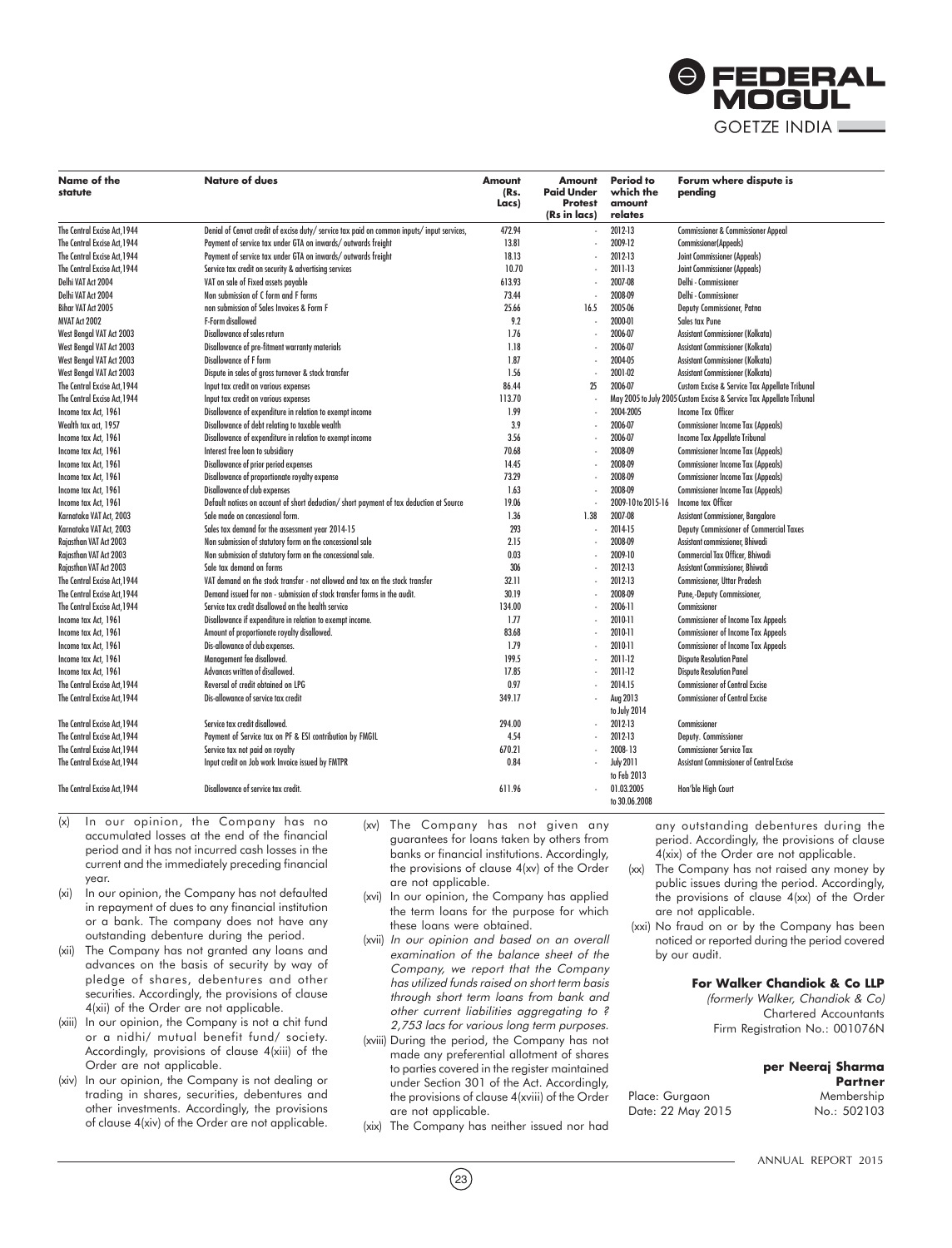| Name of the<br>statute       | <b>Nature of dues</b>                                                                    | Amount<br>(Rs.<br>Lacs) | Amount<br><b>Paid Under</b><br><b>Protest</b><br>(Rs in lacs) | <b>Period to</b><br>which the<br>amount<br>relates | Forum where dispute is<br>pending                                    |
|------------------------------|------------------------------------------------------------------------------------------|-------------------------|---------------------------------------------------------------|----------------------------------------------------|----------------------------------------------------------------------|
| The Central Excise Act, 1944 | Denial of Cenvat credit of excise duty/service tax paid on common inputs/input services, | 472.94                  |                                                               | 2012-13                                            | <b>Commissioner &amp; Commissioner Appeal</b>                        |
| The Central Excise Act, 1944 | Payment of service tax under GTA on inwards/outwards freight                             | 13.81                   |                                                               | 2009-12                                            | Commissioner(Appeals)                                                |
| The Central Excise Act, 1944 | Payment of service tax under GTA on inwards/outwards freight                             | 18.13                   |                                                               | 2012-13                                            | Joint Commissioner (Appeals)                                         |
| The Central Excise Act, 1944 | Service tax credit on security & advertising services                                    | 10.70                   |                                                               | 2011-13                                            | Joint Commissioner (Appeals)                                         |
| Delhi VAT Act 2004           | VAT on sale of Fixed assets payable                                                      | 613.93                  |                                                               | 2007-08                                            | Delhi - Commissioner                                                 |
| Delhi VAT Act 2004           | Non submission of C form and F forms                                                     | 73.44                   |                                                               | 2008-09                                            | Delhi - Commissioner                                                 |
| <b>Bihar VAT Act 2005</b>    | non submission of Sales Invoices & Form F                                                | 25.66                   | 16.5                                                          | 2005-06                                            | Deputy Commissioner, Patna                                           |
| MVAT Act 2002                | F-Form disallowed                                                                        | 9.2                     |                                                               | 2000-01                                            | Sales tax Pune                                                       |
| West Bengal VAT Act 2003     | Disallowance of sales return                                                             | 1.76                    |                                                               | 2006-07                                            | Assistant Commissioner (Kolkata)                                     |
| West Bengal VAT Act 2003     | Disallowance of pre-fitment warranty materials                                           | 1.18                    |                                                               | 2006-07                                            | Assistant Commissioner (Kolkata)                                     |
| West Bengal VAT Act 2003     | Disallowance of F form                                                                   | 1.87                    |                                                               | 2004-05                                            | Assistant Commissioner (Kolkata)                                     |
| West Bengal VAT Act 2003     | Dispute in sales of gross turnover & stock transfer                                      | 1.56                    |                                                               | 2001-02                                            | Assistant Commissioner (Kolkata)                                     |
| The Central Excise Act, 1944 | Input tax credit on various expenses                                                     | 86.44                   | 25                                                            | 2006-07                                            | Custom Excise & Service Tax Appellate Tribunal                       |
| The Central Excise Act, 1944 | Input tax credit on various expenses                                                     | 113.70                  |                                                               |                                                    | May 2005 to July 2005 Custom Excise & Service Tax Appellate Tribunal |
| Income tax Act, 1961         | Disallowance of expenditure in relation to exempt income                                 | 1.99                    |                                                               | 2004-2005                                          | Income Tax Officer                                                   |
| Wealth tax act, 1957         | Disallowance of debt relating to taxable wealth                                          | 3.9                     |                                                               | 2006-07                                            | <b>Commissioner Income Tax (Appeals)</b>                             |
| Income tax Act, 1961         | Disallowance of expenditure in relation to exempt income                                 | 3.56                    |                                                               | 2006-07                                            | Income Tax Appellate Tribunal                                        |
| Income tax Act, 1961         | Interest free loan to subsidiary                                                         | 70.68                   |                                                               | 2008-09                                            | <b>Commissioner Income Tax (Appeals)</b>                             |
| Income tax Act, 1961         | Disallowance of prior period expenses                                                    | 14.45                   |                                                               | 2008-09                                            | <b>Commissioner Income Tax (Appeals)</b>                             |
| Income tax Act, 1961         | Disallowance of proportionate royalty expense                                            | 73.29                   |                                                               | 2008-09                                            | <b>Commissioner Income Tax (Appeals)</b>                             |
| Income tax Act, 1961         | Disallowance of club expenses                                                            | 1.63                    |                                                               | 2008-09                                            | <b>Commissioner Income Tax (Appeals)</b>                             |
| Income tax Act, 1961         | Default notices on account of short deduction/short payment of tax deduction at Source   | 19.06                   |                                                               | 2009-10 to 2015-16                                 | Income tax Officer                                                   |
| Karnataka VAT Act, 2003      | Sale made on concessional form.                                                          | 1.36                    | 1.38                                                          | 2007-08                                            | Assistant Commissioner, Bangalore                                    |
| Karnataka VAT Act, 2003      | Sales tax demand for the assessment year 2014-15                                         | 293                     |                                                               | 2014-15                                            | Deputy Commissioner of Commercial Taxes                              |
| Rajasthan VAT Act 2003       | Non submission of statutory form on the concessional sale                                | 2.15                    |                                                               | 2008-09                                            | Assistant commissioner, Bhiwadi                                      |
| Rajasthan VAT Act 2003       | Non submission of statutory form on the concessional sale.                               | 0.03                    |                                                               | 2009-10                                            | Commercial Tax Officer, Bhiwadi                                      |
| Rajasthan VAT Act 2003       | Sale tax demand on forms                                                                 | 306                     |                                                               | 2012-13                                            | Assistant Commissioner, Bhiwadi                                      |
| The Central Excise Act, 1944 | VAT demand on the stock transfer - not allowed and tax on the stock transfer             | 32.11                   |                                                               | 2012-13                                            | <b>Commissioner, Uttar Pradesh</b>                                   |
| The Central Excise Act, 1944 | Demand issued for non - submission of stock transfer forms in the audit.                 | 30.19                   |                                                               | 2008-09                                            | Pune,-Deputy Commissioner,                                           |
| The Central Excise Act, 1944 | Service tax credit disallowed on the health service                                      | 134.00                  |                                                               | 2006-11                                            | Commissioner                                                         |
| Income tax Act, 1961         | Disallowance if expenditure in relation to exempt income.                                | 1.77                    |                                                               | 2010-11                                            | <b>Commissioner of Income Tax Appeals</b>                            |
| Income tax Act, 1961         | Amount of proportionate royalty disallowed.                                              | 83.68                   |                                                               | 2010-11                                            | <b>Commissioner of Income Tax Appeals</b>                            |
| Income tax Act, 1961         | Dis-allowance of club expenses.                                                          | 1.79                    |                                                               | 2010-11                                            | <b>Commissioner of Income Tax Appeals</b>                            |
| Income tax Act, 1961         | Management fee disallowed.                                                               | 199.5                   |                                                               | 2011-12                                            | <b>Dispute Resolution Panel</b>                                      |
| Income tax Act, 1961         | Advances written of disallowed.                                                          | 17.85                   |                                                               | 2011-12                                            | <b>Dispute Resolution Panel</b>                                      |
| The Central Excise Act, 1944 | Reversal of credit obtained on LPG                                                       | 0.97                    |                                                               | 2014.15                                            | <b>Commissioner of Central Excise</b>                                |
| The Central Excise Act, 1944 | Dis-allowance of service tax credit                                                      | 349.17                  |                                                               | Aug 2013                                           | <b>Commissioner of Central Excise</b>                                |
|                              |                                                                                          |                         |                                                               | to July 2014                                       |                                                                      |
| The Central Excise Act, 1944 | Service tax credit disallowed.                                                           | 294.00                  |                                                               | 2012-13                                            | Commissioner                                                         |
| The Central Excise Act, 1944 | Payment of Service tax on PF & ESI contribution by FMGIL                                 | 4.54                    |                                                               | 2012-13                                            | Deputy. Commissioner                                                 |
| The Central Excise Act, 1944 |                                                                                          | 670.21                  |                                                               | 2008-13                                            | <b>Commissioner Service Tax</b>                                      |
| The Central Excise Act, 1944 | Service tax not paid on royalty<br>Input credit on Job work Invoice issued by FMTPR      | 0.84                    |                                                               | <b>July 2011</b>                                   | Assistant Commissioner of Central Excise                             |
|                              |                                                                                          |                         |                                                               | to Feb 2013                                        |                                                                      |
| The Central Excise Act, 1944 | Disallowance of service tax credit.                                                      | 611.96                  |                                                               | 01.03.2005                                         | Hon'ble High Court                                                   |
|                              |                                                                                          |                         |                                                               | to 30 06 2008                                      |                                                                      |

- $\overline{x}$  In our opinion, the Company has no accumulated losses at the end of the financial period and it has not incurred cash losses in the current and the immediately preceding financial year.
- (xi) In our opinion, the Company has not defaulted in repayment of dues to any financial institution or a bank. The company does not have any outstanding debenture during the period.
- (xii) The Company has not granted any loans and advances on the basis of security by way of pledge of shares, debentures and other securities. Accordingly, the provisions of clause 4(xii) of the Order are not applicable.
- (xiii) In our opinion, the Company is not a chit fund or a nidhi/ mutual benefit fund/ society. Accordingly, provisions of clause 4(xiii) of the Order are not applicable.
- (xiv) In our opinion, the Company is not dealing or trading in shares, securities, debentures and other investments. Accordingly, the provisions of clause 4(xiv) of the Order are not applicable.
- (xv) The Company has not given any guarantees for loans taken by others from banks or financial institutions. Accordingly, the provisions of clause 4(xv) of the Order are not applicable.
- (xvi) In our opinion, the Company has applied the term loans for the purpose for which these loans were obtained.
- (xvii) In our opinion and based on an overall examination of the balance sheet of the Company, we report that the Company has utilized funds raised on short term basis through short term loans from bank and other current liabilities aggregating to ? 2,753 lacs for various long term purposes.
- (xviii) During the period, the Company has not made any preferential allotment of shares to parties covered in the register maintained under Section 301 of the Act. Accordingly, the provisions of clause 4(xviii) of the Order are not applicable.
- (xix) The Company has neither issued nor had

any outstanding debentures during the period. Accordingly, the provisions of clause 4(xix) of the Order are not applicable.

FEDERAL<br>MOGUL

**GOETZE INDIA L** 

- (xx) The Company has not raised any money by public issues during the period. Accordingly, the provisions of clause 4(xx) of the Order are not applicable.
- (xxi) No fraud on or by the Company has been noticed or reported during the period covered by our audit.

### **For Walker Chandiok & Co LLP**

(formerly Walker, Chandiok & Co) Chartered Accountants Firm Registration No.: 001076N

### **per Neeraj Sharma**

|                   | Partner     |
|-------------------|-------------|
| Place: Gurgaon    | Membership  |
| Date: 22 May 2015 | No.: 502103 |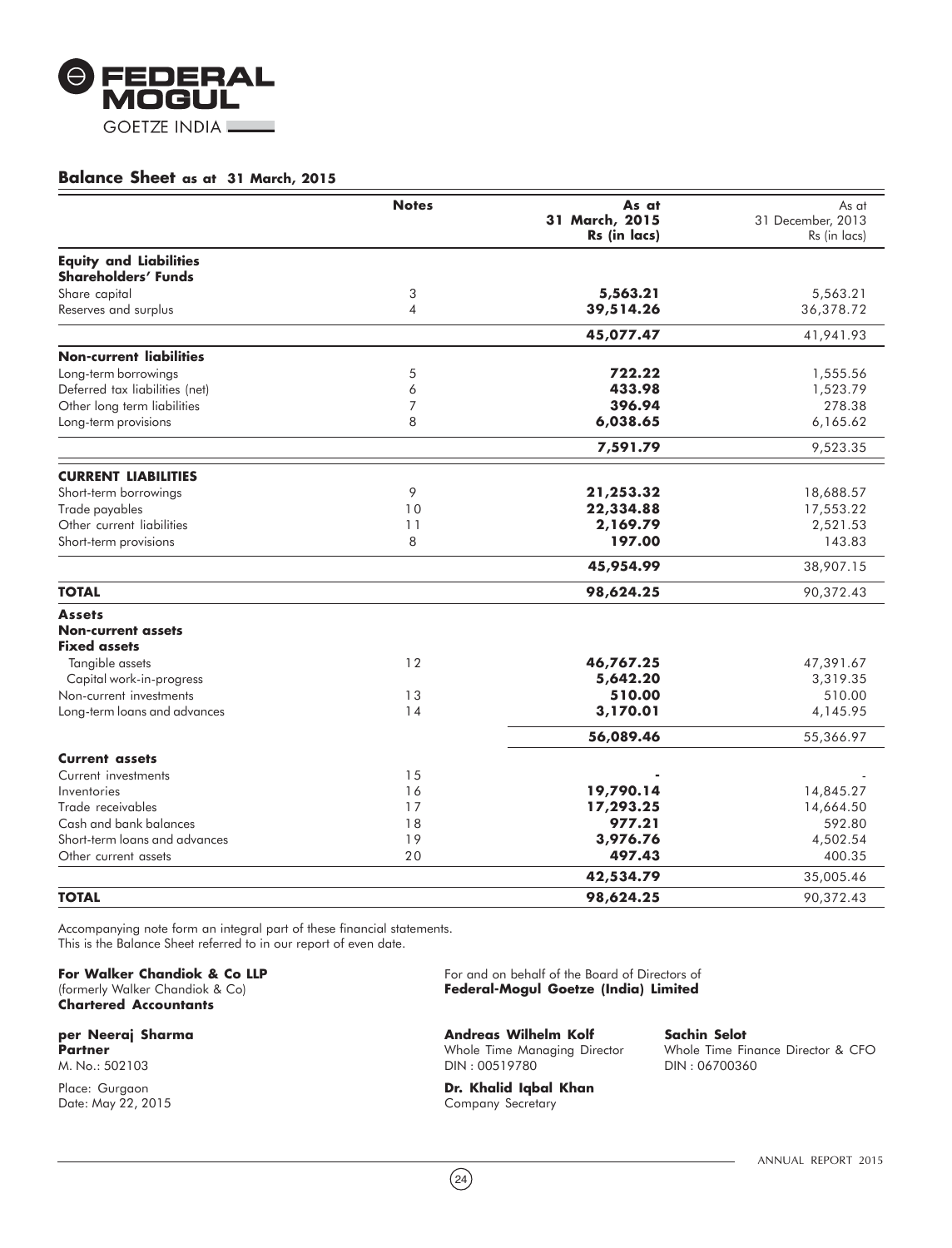

### **Balance Sheet as at 31 March, 2015**

|                                | <b>Notes</b>   | As at                          | As at             |
|--------------------------------|----------------|--------------------------------|-------------------|
|                                |                | 31 March, 2015<br>Rs (in lacs) | 31 December, 2013 |
|                                |                |                                | Rs (in lacs)      |
| <b>Equity and Liabilities</b>  |                |                                |                   |
| Shareholders' Funds            |                |                                |                   |
| Share capital                  | 3              | 5,563.21                       | 5,563.21          |
| Reserves and surplus           | 4              | 39,514.26                      | 36,378.72         |
|                                |                | 45,077.47                      | 41,941.93         |
| <b>Non-current liabilities</b> |                |                                |                   |
| Long-term borrowings           | 5              | 722.22                         | 1,555.56          |
| Deferred tax liabilities (net) | 6              | 433.98                         | 1,523.79          |
| Other long term liabilities    | $\overline{7}$ | 396.94                         | 278.38            |
| Long-term provisions           | 8              | 6,038.65                       | 6,165.62          |
|                                |                | 7,591.79                       | 9,523.35          |
| <b>CURRENT LIABILITIES</b>     |                |                                |                   |
| Short-term borrowings          | 9              | 21,253.32                      | 18,688.57         |
| Trade payables                 | 10             | 22,334.88                      | 17,553.22         |
| Other current liabilities      | 11             | 2,169.79                       | 2,521.53          |
| Short-term provisions          | 8              | 197.00                         | 143.83            |
|                                |                | 45,954.99                      | 38,907.15         |
| <b>TOTAL</b>                   |                | 98,624.25                      | 90,372.43         |
| <b>Assets</b>                  |                |                                |                   |
| <b>Non-current assets</b>      |                |                                |                   |
| <b>Fixed assets</b>            |                |                                |                   |
| Tangible assets                | 12             | 46,767.25                      | 47,391.67         |
| Capital work-in-progress       |                | 5,642.20                       | 3,319.35          |
| Non-current investments        | 13             | 510.00                         | 510.00            |
| Long-term loans and advances   | 14             | 3,170.01                       | 4,145.95          |
|                                |                | 56,089.46                      | 55,366.97         |
| <b>Current assets</b>          |                |                                |                   |
| Current investments            | 15             |                                |                   |
| Inventories                    | 16             | 19,790.14                      | 14,845.27         |
| Trade receivables              | 17             | 17,293.25                      | 14,664.50         |
| Cash and bank balances         | 18             | 977.21                         | 592.80            |
| Short-term loans and advances  | 19             | 3,976.76                       | 4,502.54          |
| Other current assets           | 20             | 497.43                         | 400.35            |
|                                |                | 42,534.79                      | 35,005.46         |
| <b>TOTAL</b>                   |                | 98.624.25                      | 90,372.43         |

Accompanying note form an integral part of these financial statements. This is the Balance Sheet referred to in our report of even date.

**Chartered Accountants**

**For Walker Chandiok & Co LLP** For and on behalf of the Board of Directors of (formerly Walker Chandiok & Co) **Federal-Mogul Goetze (India) Limited Federal-Mogul Goetze (India) Limited** 

**per Neeraj Sharma Andreas Wilhelm Kolf Sachin Selot** DIN: 00519780

Place: Gurgaon **Dr. Khalid Iqbal Khan**<br>
Date: May 22, 2015 **Dr. Company Secretary** Company Secretary

**Partner CONFERGATE:**<br>
Mole Time Managing Director Whole Time Finance Director & CFO<br>
M. No.: 502103

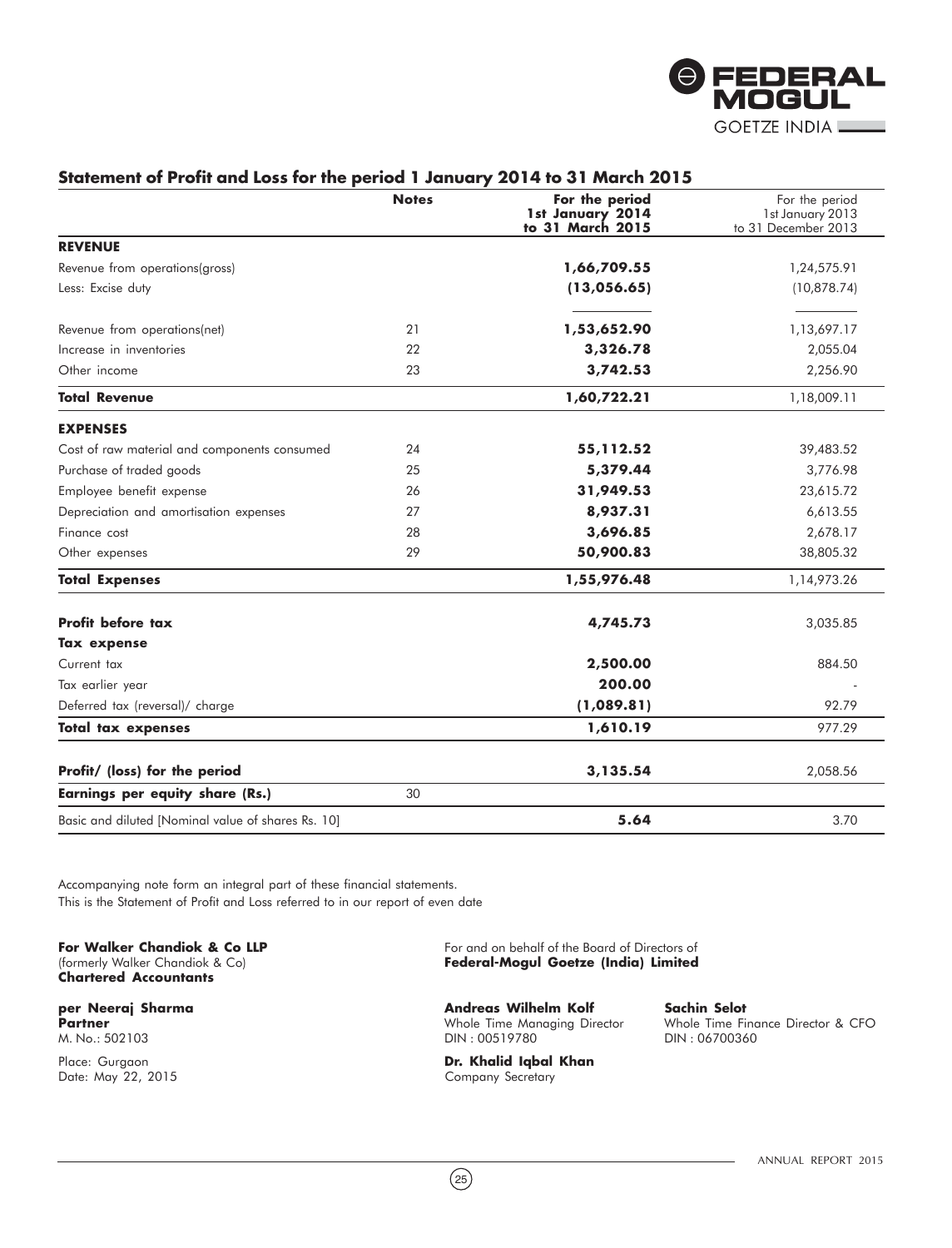

### **Notes For the period** For the period **For the period For the period 1st January 2013 1st January 2014** 1st January 2013 **to 31 March 2015** to 31 December 2013 **REVENUE** Revenue from operations(gross) **1,66,709.55** 1,24,575.91 Less: Excise duty **(13,056.65)** (10,878.74) Revenue from operations(net) 21 **1,53,652.90** 1,13,697.17 Increase in inventories 22 **3,326.78** 2,055.04 Other income 23 **3,742.53** 2,256.90 **Total Revenue 1,60,722.21** 1,18,009.11 **EXPENSES** Cost of raw material and components consumed 24 **55,112.52** 39,483.52 Purchase of traded goods 25 **5,379.44** 3,776.98 Employee benefit expense 26 **31,949.53** 23,615.72 Depreciation and amortisation expenses 27 **8,937.31** 6,613.55 Finance cost 28 **3,696.85** 2,678.17 Other expenses 29 **50,900.83** 38,805.32 **Total Expenses 1,55,976.48** 1,14,973.26 **Profit before tax** 3,035.85 **Tax expense** Current tax **2,500.00** 884.50 Tax earlier year **200.00** - Deferred tax (reversal)/ charge **(1,089.81)** 92.79 **Total tax expenses** 977.29 **Profit/ (loss) for the period 2,058.56** 2,058.56 **Earnings per equity share (Rs.)** 30 Basic and diluted [Nominal value of shares Rs. 10] **5.64** 3.70

### **Statement of Profit and Loss for the period 1 January 2014 to 31 March 2015**

Accompanying note form an integral part of these financial statements. This is the Statement of Profit and Loss referred to in our report of even date

**Chartered Accountants**

M. No.: 502103

Date: May 22, 2015 Company Secretary

**For Walker Chandiok & Co LLP** For and on behalf of the Board of Directors of (formerly Walker Chandiok & Co) **Federal-Moaul Goetze (India) Limited Federal-Mogul Goetze (India) Limited** 

**per Neeraj Sharma Andreas Wilhelm Kolf Sachin Selot**

Whole Time Managing Director Whole Time Finance Director & CFO<br>
DIN: 00519780<br>
DIN: 06700360

Place: Gurgaon **Dr. Khalid Iqbal Khan** 

 $(25)$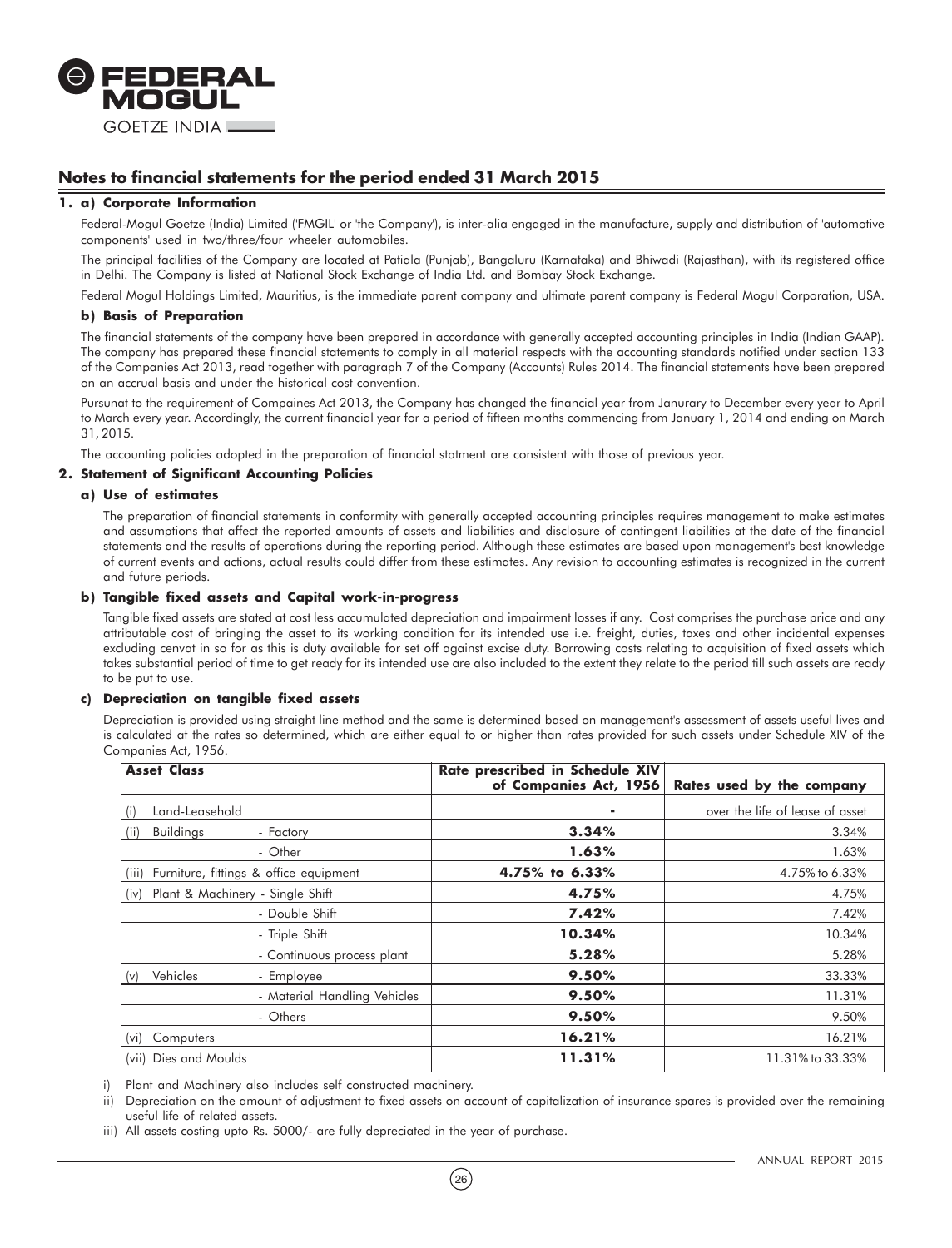

### **Notes to financial statements for the period ended 31 March 2015**

### **1 . a) Corporate Information**

Federal-Mogul Goetze (India) Limited ('FMGIL' or 'the Company'), is inter-alia engaged in the manufacture, supply and distribution of 'automotive components' used in two/three/four wheeler automobiles.

The principal facilities of the Company are located at Patiala (Punjab), Bangaluru (Karnataka) and Bhiwadi (Rajasthan), with its registered office in Delhi. The Company is listed at National Stock Exchange of India Ltd. and Bombay Stock Exchange.

Federal Mogul Holdings Limited, Mauritius, is the immediate parent company and ultimate parent company is Federal Mogul Corporation, USA.

### **b) Basis of Preparation**

The financial statements of the company have been prepared in accordance with generally accepted accounting principles in India (Indian GAAP). The company has prepared these financial statements to comply in all material respects with the accounting standards notified under section 133 of the Companies Act 2013, read together with paragraph 7 of the Company (Accounts) Rules 2014. The financial statements have been prepared on an accrual basis and under the historical cost convention.

Pursunat to the requirement of Compaines Act 2013, the Company has changed the financial year from Janurary to December every year to April to March every year. Accordingly, the current financial year for a period of fifteen months commencing from January 1, 2014 and ending on March 31, 2015.

The accounting policies adopted in the preparation of financial statment are consistent with those of previous year.

### **2 . Statement of Significant Accounting Policies**

### **a) Use of estimates**

The preparation of financial statements in conformity with generally accepted accounting principles requires management to make estimates and assumptions that affect the reported amounts of assets and liabilities and disclosure of contingent liabilities at the date of the financial statements and the results of operations during the reporting period. Although these estimates are based upon management's best knowledge of current events and actions, actual results could differ from these estimates. Any revision to accounting estimates is recognized in the current and future periods.

### **b ) Tangible fixed assets and Capital work-in-progress**

Tangible fixed assets are stated at cost less accumulated depreciation and impairment losses if any. Cost comprises the purchase price and any attributable cost of bringing the asset to its working condition for its intended use i.e. freight, duties, taxes and other incidental expenses excluding cenvat in so for as this is duty available for set off against excise duty. Borrowing costs relating to acquisition of fixed assets which takes substantial period of time to get ready for its intended use are also included to the extent they relate to the period till such assets are ready to be put to use.

### **c) Depreciation on tangible fixed assets**

Depreciation is provided using straight line method and the same is determined based on management's assessment of assets useful lives and is calculated at the rates so determined, which are either equal to or higher than rates provided for such assets under Schedule XIV of the Companies Act, 1956.

| <b>Asset Class</b>                              | Rate prescribed in Schedule XIV<br>of Companies Act, 1956 | Rates used by the company       |  |
|-------------------------------------------------|-----------------------------------------------------------|---------------------------------|--|
| Land-Leasehold<br>(i)                           |                                                           | over the life of lease of asset |  |
| (ii)<br><b>Buildings</b><br>- Factory           | 3.34%                                                     | 3.34%                           |  |
| - Other                                         | 1.63%                                                     | 1.63%                           |  |
| Furniture, fittings & office equipment<br>(iii) | 4.75% to 6.33%                                            | 4.75% to 6.33%                  |  |
| Plant & Machinery - Single Shift<br>(iv)        | 4.75%                                                     | 4.75%                           |  |
| - Double Shift                                  | 7.42%                                                     | 7.42%                           |  |
| - Triple Shift                                  | 10.34%                                                    | 10.34%                          |  |
| - Continuous process plant                      | 5.28%                                                     | 5.28%                           |  |
| Vehicles<br>- Employee<br>(v)                   | 9.50%                                                     | 33.33%                          |  |
| - Material Handling Vehicles                    | 9.50%                                                     | 11.31%                          |  |
| - Others                                        | 9.50%                                                     | 9.50%                           |  |
| Computers<br>$(v_i)$                            | 16.21%                                                    | 16.21%                          |  |
| Dies and Moulds<br>(vii)                        | 11.31%                                                    | 11.31% to 33.33%                |  |

i) Plant and Machinery also includes self constructed machinery.

ii) Depreciation on the amount of adjustment to fixed assets on account of capitalization of insurance spares is provided over the remaining useful life of related assets.

iii) All assets costing upto Rs. 5000/- are fully depreciated in the year of purchase.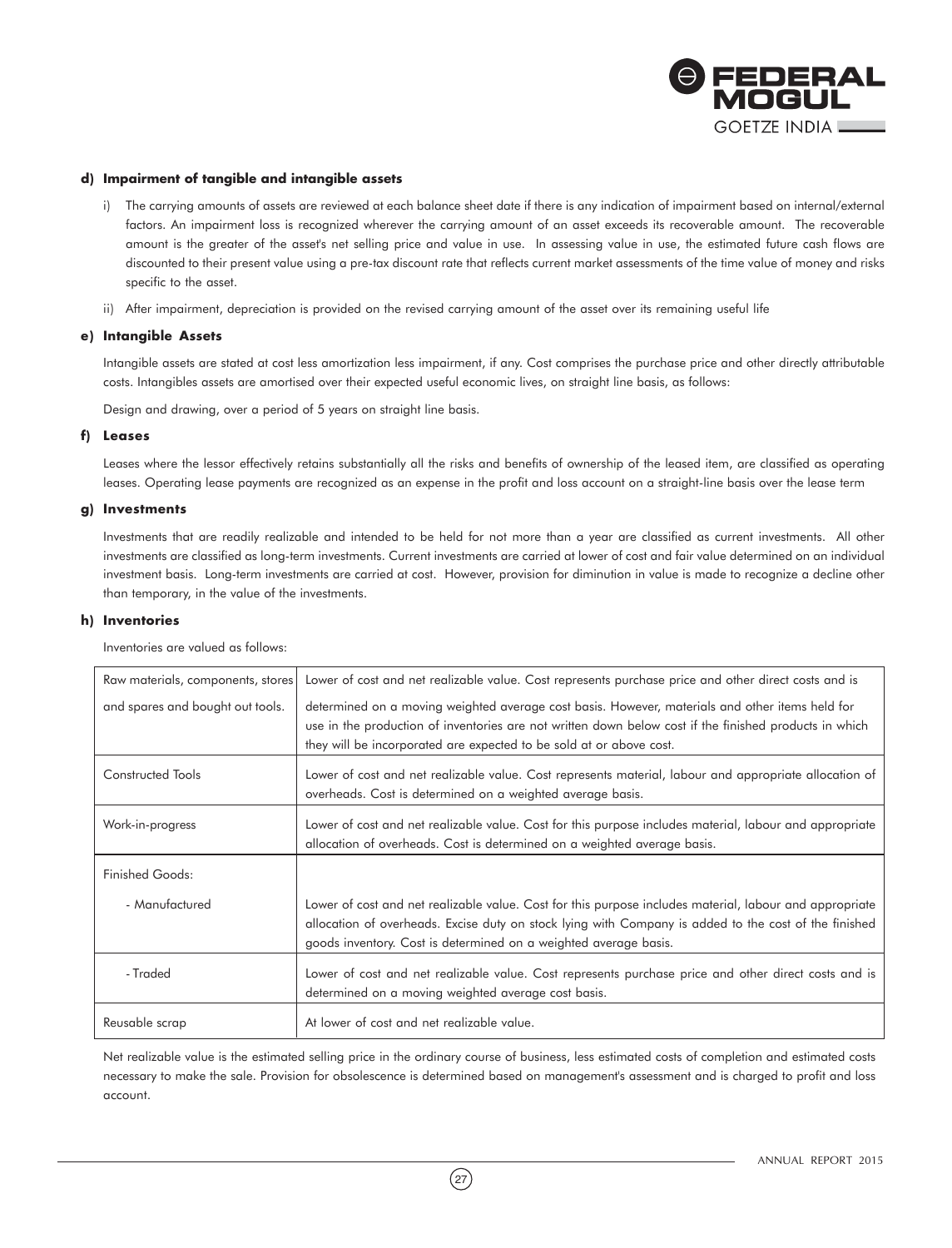

### **d) Impairment of tangible and intangible assets**

- i) The carrying amounts of assets are reviewed at each balance sheet date if there is any indication of impairment based on internal/external factors. An impairment loss is recognized wherever the carrying amount of an asset exceeds its recoverable amount. The recoverable amount is the greater of the asset's net selling price and value in use. In assessing value in use, the estimated future cash flows are discounted to their present value using a pre-tax discount rate that reflects current market assessments of the time value of money and risks specific to the asset.
- ii) After impairment, depreciation is provided on the revised carrying amount of the asset over its remaining useful life

### **e) Intangible Assets**

Intangible assets are stated at cost less amortization less impairment, if any. Cost comprises the purchase price and other directly attributable costs. Intangibles assets are amortised over their expected useful economic lives, on straight line basis, as follows:

Design and drawing, over a period of 5 years on straight line basis.

### **f) Leases**

Leases where the lessor effectively retains substantially all the risks and benefits of ownership of the leased item, are classified as operating leases. Operating lease payments are recognized as an expense in the profit and loss account on a straight-line basis over the lease term

### **g) Investments**

Investments that are readily realizable and intended to be held for not more than a year are classified as current investments. All other investments are classified as long-term investments. Current investments are carried at lower of cost and fair value determined on an individual investment basis. Long-term investments are carried at cost. However, provision for diminution in value is made to recognize a decline other than temporary, in the value of the investments.

### **h) Inventories**

Inventories are valued as follows:

| Raw materials, components, stores | Lower of cost and net realizable value. Cost represents purchase price and other direct costs and is                                                                                                                                                                                 |
|-----------------------------------|--------------------------------------------------------------------------------------------------------------------------------------------------------------------------------------------------------------------------------------------------------------------------------------|
| and spares and bought out tools.  | determined on a moving weighted average cost basis. However, materials and other items held for<br>use in the production of inventories are not written down below cost if the finished products in which<br>they will be incorporated are expected to be sold at or above cost.     |
| <b>Constructed Tools</b>          | Lower of cost and net realizable value. Cost represents material, labour and appropriate allocation of<br>overheads. Cost is determined on a weighted average basis.                                                                                                                 |
| Work-in-progress                  | Lower of cost and net realizable value. Cost for this purpose includes material, labour and appropriate<br>allocation of overheads. Cost is determined on a weighted average basis.                                                                                                  |
| Finished Goods:                   |                                                                                                                                                                                                                                                                                      |
| - Manufactured                    | Lower of cost and net realizable value. Cost for this purpose includes material, labour and appropriate<br>allocation of overheads. Excise duty on stock lying with Company is added to the cost of the finished<br>goods inventory. Cost is determined on a weighted average basis. |
| - Traded                          | Lower of cost and net realizable value. Cost represents purchase price and other direct costs and is<br>determined on a moving weighted average cost basis.                                                                                                                          |
| Reusable scrap                    | At lower of cost and net realizable value.                                                                                                                                                                                                                                           |

Net realizable value is the estimated selling price in the ordinary course of business, less estimated costs of completion and estimated costs necessary to make the sale. Provision for obsolescence is determined based on management's assessment and is charged to profit and loss account.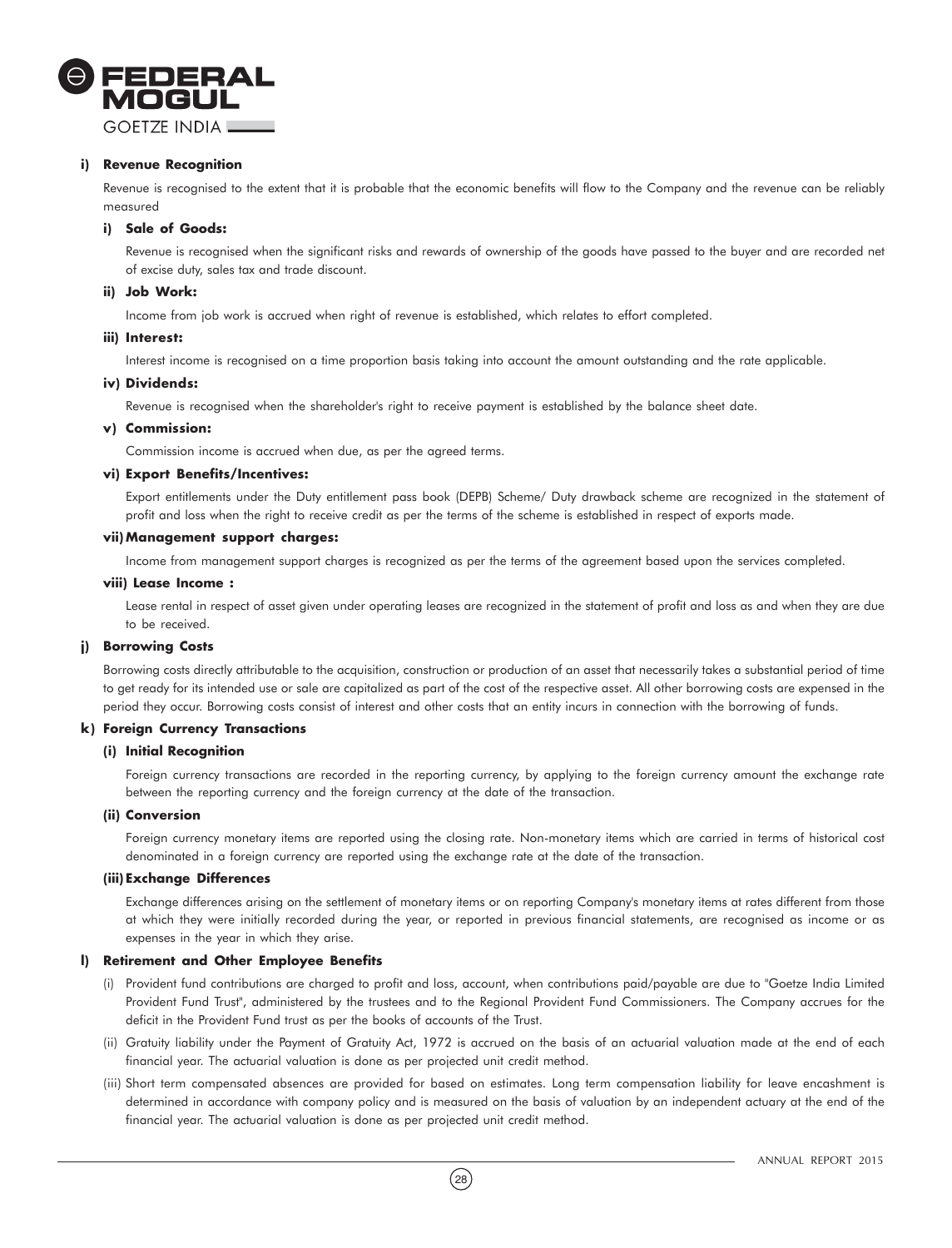

### **i) Revenue Recognition**

Revenue is recognised to the extent that it is probable that the economic benefits will flow to the Company and the revenue can be reliably measured

### **i) Sale of Goods:**

Revenue is recognised when the significant risks and rewards of ownership of the goods have passed to the buyer and are recorded net of excise duty, sales tax and trade discount.

### **ii) Job Work:**

Income from job work is accrued when right of revenue is established, which relates to effort completed.

### **iii) Interest:**

Interest income is recognised on a time proportion basis taking into account the amount outstanding and the rate applicable.

### **iv) Dividends:**

Revenue is recognised when the shareholder's right to receive payment is established by the balance sheet date.

### **v) Commission:**

Commission income is accrued when due, as per the agreed terms.

### **vi) Export Benefits/Incentives:**

Export entitlements under the Duty entitlement pass book (DEPB) Scheme/ Duty drawback scheme are recognized in the statement of profit and loss when the right to receive credit as per the terms of the scheme is established in respect of exports made.

### **vii) Management support charges:**

Income from management support charges is recognized as per the terms of the agreement based upon the services completed.

### **viii) Lease Income :**

Lease rental in respect of asset given under operating leases are recognized in the statement of profit and loss as and when they are due to be received.

### **j) Borrowing Costs**

Borrowing costs directly attributable to the acquisition, construction or production of an asset that necessarily takes a substantial period of time to get ready for its intended use or sale are capitalized as part of the cost of the respective asset. All other borrowing costs are expensed in the period they occur. Borrowing costs consist of interest and other costs that an entity incurs in connection with the borrowing of funds.

### **k) Foreign Currency Transactions**

### **(i) Initial Recognition**

Foreign currency transactions are recorded in the reporting currency, by applying to the foreign currency amount the exchange rate between the reporting currency and the foreign currency at the date of the transaction.

### **(ii) Conversion**

Foreign currency monetary items are reported using the closing rate. Non-monetary items which are carried in terms of historical cost denominated in a foreign currency are reported using the exchange rate at the date of the transaction.

### **(iii) Exchange Differences**

Exchange differences arising on the settlement of monetary items or on reporting Company's monetary items at rates different from those at which they were initially recorded during the year, or reported in previous financial statements, are recognised as income or as expenses in the year in which they arise.

### **l) Retirement and Other Employee Benefits**

- (i) Provident fund contributions are charged to profit and loss, account, when contributions paid/payable are due to "Goetze India Limited Provident Fund Trust", administered by the trustees and to the Regional Provident Fund Commissioners. The Company accrues for the deficit in the Provident Fund trust as per the books of accounts of the Trust.
- (ii) Gratuity liability under the Payment of Gratuity Act, 1972 is accrued on the basis of an actuarial valuation made at the end of each financial year. The actuarial valuation is done as per projected unit credit method.
- (iii) Short term compensated absences are provided for based on estimates. Long term compensation liability for leave encashment is determined in accordance with company policy and is measured on the basis of valuation by an independent actuary at the end of the financial year. The actuarial valuation is done as per projected unit credit method.

 $(28)$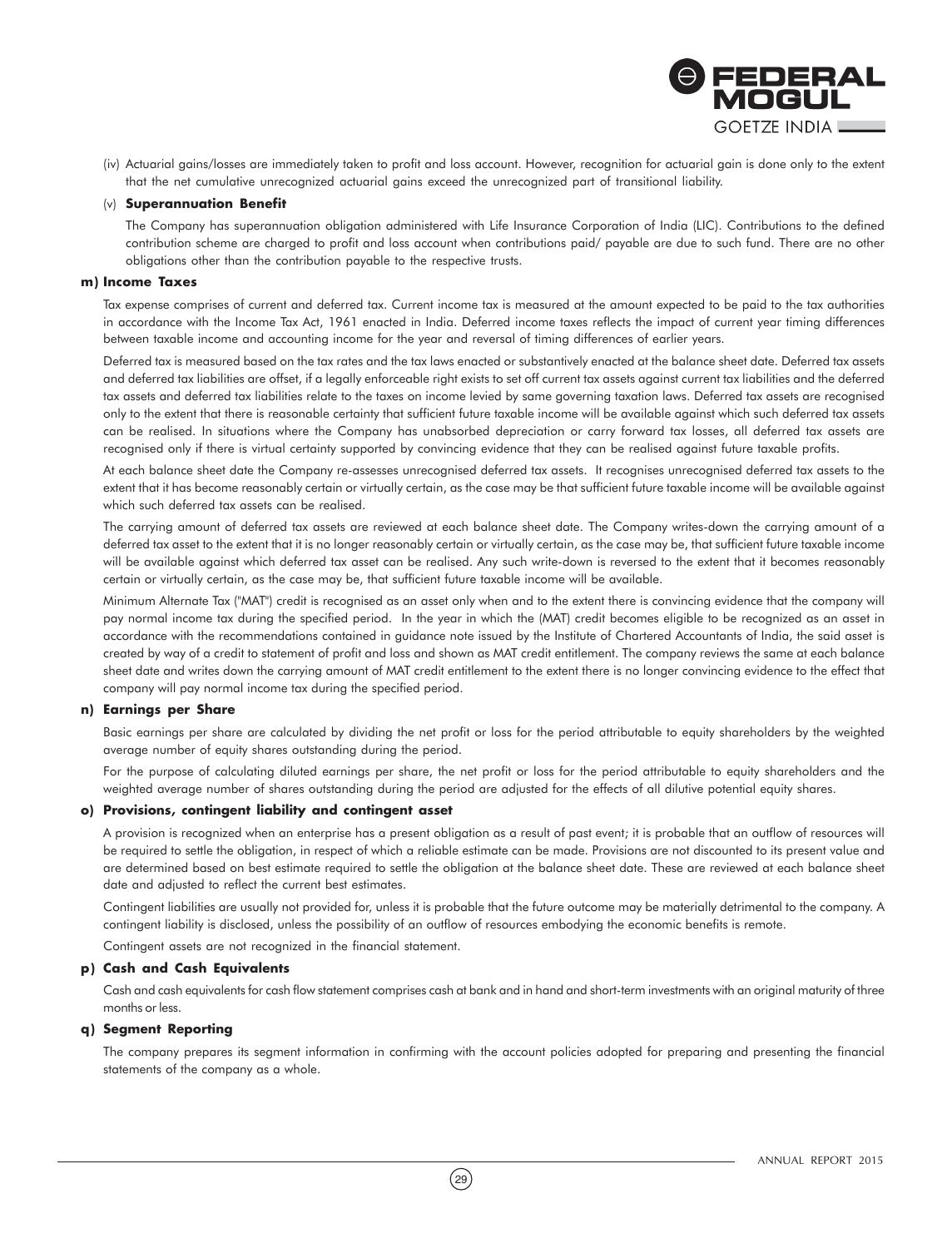(iv) Actuarial gains/losses are immediately taken to profit and loss account. However, recognition for actuarial gain is done only to the extent that the net cumulative unrecognized actuarial gains exceed the unrecognized part of transitional liability.

### (v) **Superannuation Benefit**

The Company has superannuation obligation administered with Life Insurance Corporation of India (LIC). Contributions to the defined contribution scheme are charged to profit and loss account when contributions paid/ payable are due to such fund. There are no other obligations other than the contribution payable to the respective trusts.

### **m) Income Taxes**

Tax expense comprises of current and deferred tax. Current income tax is measured at the amount expected to be paid to the tax authorities in accordance with the Income Tax Act, 1961 enacted in India. Deferred income taxes reflects the impact of current year timing differences between taxable income and accounting income for the year and reversal of timing differences of earlier years.

Deferred tax is measured based on the tax rates and the tax laws enacted or substantively enacted at the balance sheet date. Deferred tax assets and deferred tax liabilities are offset, if a legally enforceable right exists to set off current tax assets against current tax liabilities and the deferred tax assets and deferred tax liabilities relate to the taxes on income levied by same governing taxation laws. Deferred tax assets are recognised only to the extent that there is reasonable certainty that sufficient future taxable income will be available against which such deferred tax assets can be realised. In situations where the Company has unabsorbed depreciation or carry forward tax losses, all deferred tax assets are recognised only if there is virtual certainty supported by convincing evidence that they can be realised against future taxable profits.

At each balance sheet date the Company re-assesses unrecognised deferred tax assets. It recognises unrecognised deferred tax assets to the extent that it has become reasonably certain or virtually certain, as the case may be that sufficient future taxable income will be available against which such deferred tax assets can be realised.

The carrying amount of deferred tax assets are reviewed at each balance sheet date. The Company writes-down the carrying amount of a deferred tax asset to the extent that it is no longer reasonably certain or virtually certain, as the case may be, that sufficient future taxable income will be available against which deferred tax asset can be realised. Any such write-down is reversed to the extent that it becomes reasonably certain or virtually certain, as the case may be, that sufficient future taxable income will be available.

Minimum Alternate Tax ("MAT") credit is recognised as an asset only when and to the extent there is convincing evidence that the company will pay normal income tax during the specified period. In the year in which the (MAT) credit becomes eligible to be recognized as an asset in accordance with the recommendations contained in guidance note issued by the Institute of Chartered Accountants of India, the said asset is created by way of a credit to statement of profit and loss and shown as MAT credit entitlement. The company reviews the same at each balance sheet date and writes down the carrying amount of MAT credit entitlement to the extent there is no longer convincing evidence to the effect that company will pay normal income tax during the specified period.

### **n) Earnings per Share**

Basic earnings per share are calculated by dividing the net profit or loss for the period attributable to equity shareholders by the weighted average number of equity shares outstanding during the period.

For the purpose of calculating diluted earnings per share, the net profit or loss for the period attributable to equity shareholders and the weighted average number of shares outstanding during the period are adjusted for the effects of all dilutive potential equity shares.

### **o) Provisions, contingent liability and contingent asset**

A provision is recognized when an enterprise has a present obligation as a result of past event; it is probable that an outflow of resources will be required to settle the obligation, in respect of which a reliable estimate can be made. Provisions are not discounted to its present value and are determined based on best estimate required to settle the obligation at the balance sheet date. These are reviewed at each balance sheet date and adjusted to reflect the current best estimates.

Contingent liabilities are usually not provided for, unless it is probable that the future outcome may be materially detrimental to the company. A contingent liability is disclosed, unless the possibility of an outflow of resources embodying the economic benefits is remote.

Contingent assets are not recognized in the financial statement.

### **p) Cash and Cash Equivalents**

Cash and cash equivalents for cash flow statement comprises cash at bank and in hand and short-term investments with an original maturity of three months or less.

### **q) Segment Reporting**

The company prepares its segment information in confirming with the account policies adopted for preparing and presenting the financial statements of the company as a whole.

FEDERAL

**GOETZE INDIA !**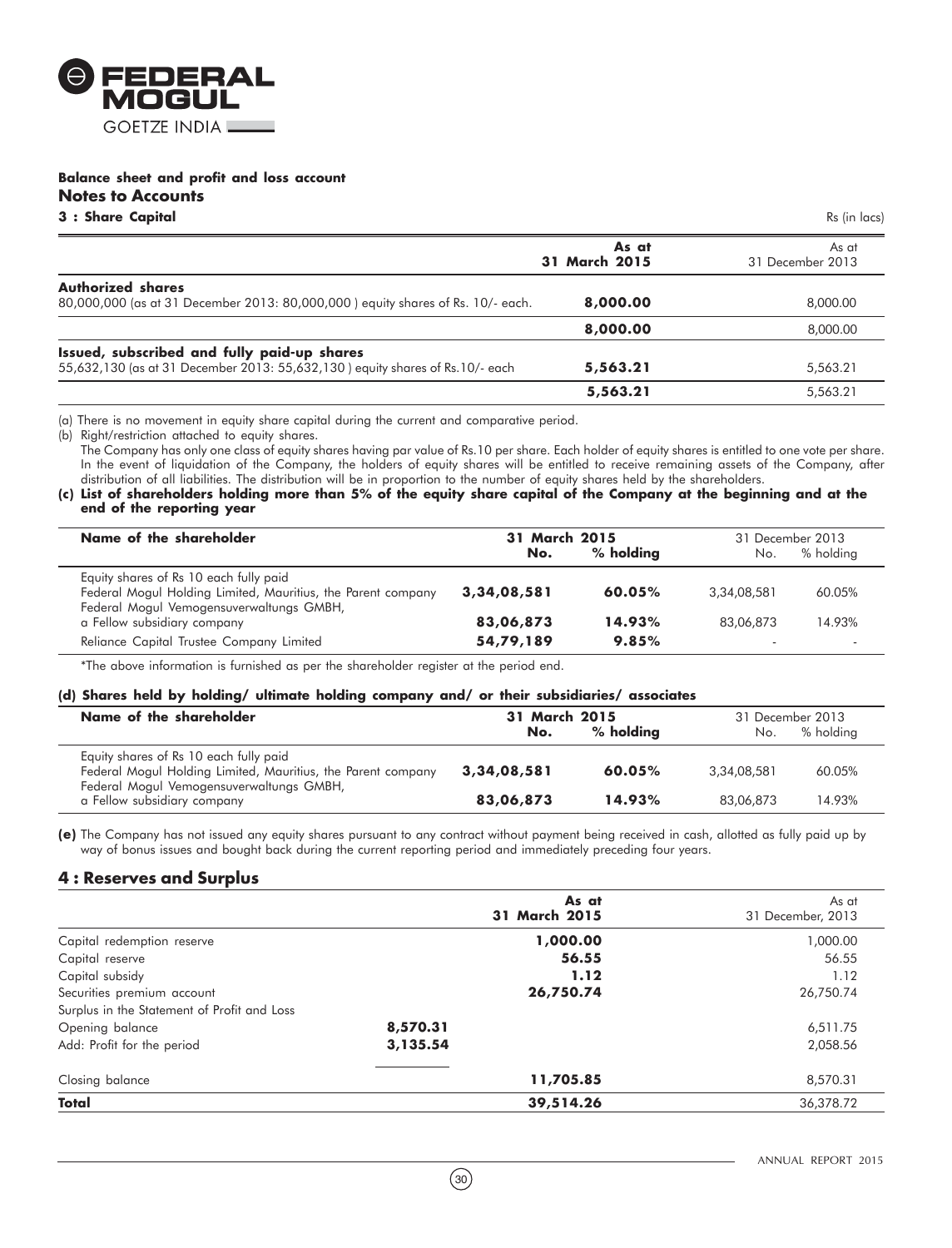

### **Balance sheet and profit and loss account Notes to Accounts**

| 3 : Share Capital                                                                                                            |                        | Rs (in lacs)              |
|------------------------------------------------------------------------------------------------------------------------------|------------------------|---------------------------|
|                                                                                                                              | As at<br>31 March 2015 | As at<br>31 December 2013 |
| <b>Authorized shares</b><br>80,000,000 (as at 31 December 2013: 80,000,000) equity shares of Rs. 10/- each.                  | 8,000.00               | 8,000.00                  |
|                                                                                                                              | 8,000.00               | 8,000.00                  |
| Issued, subscribed and fully paid-up shares<br>55,632,130 (as at 31 December 2013: 55,632,130) equity shares of Rs.10/- each | 5,563.21               | 5,563.21                  |
|                                                                                                                              | 5,563.21               | 5,563.21                  |

(a) There is no movement in equity share capital during the current and comparative period.

(b) Right/restriction attached to equity shares.

The Company has only one class of equity shares having par value of Rs.10 per share. Each holder of equity shares is entitled to one vote per share. In the event of liquidation of the Company, the holders of equity shares will be entitled to receive remaining assets of the Company, after distribution of all liabilities. The distribution will be in proportion to the number of equity shares held by the shareholders.

### **(c) List of shareholders holding more than 5% of the equity share capital of the Company at the beginning and at the end of the reporting year**

| Name of the shareholder                                                                                                                            | 31 March 2015<br>No. | $%$ holding | No.                      | 31 December 2013<br>% holdina |
|----------------------------------------------------------------------------------------------------------------------------------------------------|----------------------|-------------|--------------------------|-------------------------------|
| Equity shares of Rs 10 each fully paid<br>Federal Mogul Holding Limited, Mauritius, the Parent company<br>Federal Mogul Vemogensuverwaltungs GMBH, | 3,34,08,581          | 60.05%      | 3.34.08.581              | 60.05%                        |
| a Fellow subsidiary company                                                                                                                        | 83,06,873            | 14.93%      | 83,06,873                | 14.93%                        |
| Reliance Capital Trustee Company Limited                                                                                                           | 54,79,189            | 9.85%       | $\overline{\phantom{a}}$ |                               |

\*The above information is furnished as per the shareholder register at the period end.

### **(d) Shares held by holding/ ultimate holding company and/ or their subsidiaries/ associates**

| Name of the shareholder                                                                                | 31 March 2015<br>No. | $%$ holdina | No.         | 31 December 2013<br>% holding |
|--------------------------------------------------------------------------------------------------------|----------------------|-------------|-------------|-------------------------------|
| Equity shares of Rs 10 each fully paid<br>Federal Mogul Holding Limited, Mauritius, the Parent company | 3,34,08,581          | 60.05%      | 3.34.08.581 | 60.05%                        |
| Federal Mogul Vemogensuverwaltungs GMBH,<br>a Fellow subsidiary company                                | 83,06,873            | 14.93%      | 83,06,873   | 14.93%                        |

**(e)** The Company has not issued any equity shares pursuant to any contract without payment being received in cash, allotted as fully paid up by way of bonus issues and bought back during the current reporting period and immediately preceding four years.

### **4 : Reserves and Surplus**

|                                             | As at<br>31 March 2015 | As at<br>31 December, 2013 |
|---------------------------------------------|------------------------|----------------------------|
| Capital redemption reserve                  | 1,000.00               | 1,000.00                   |
| Capital reserve                             | 56.55                  | 56.55                      |
| Capital subsidy                             | 1.12                   | 1.12                       |
| Securities premium account                  | 26,750.74              | 26,750.74                  |
| Surplus in the Statement of Profit and Loss |                        |                            |
| Opening balance                             | 8,570.31               | 6,511.75                   |
| Add: Profit for the period                  | 3,135.54               | 2,058.56                   |
| Closing balance                             | 11,705.85              | 8,570.31                   |
| Total                                       | 39,514.26              | 36,378.72                  |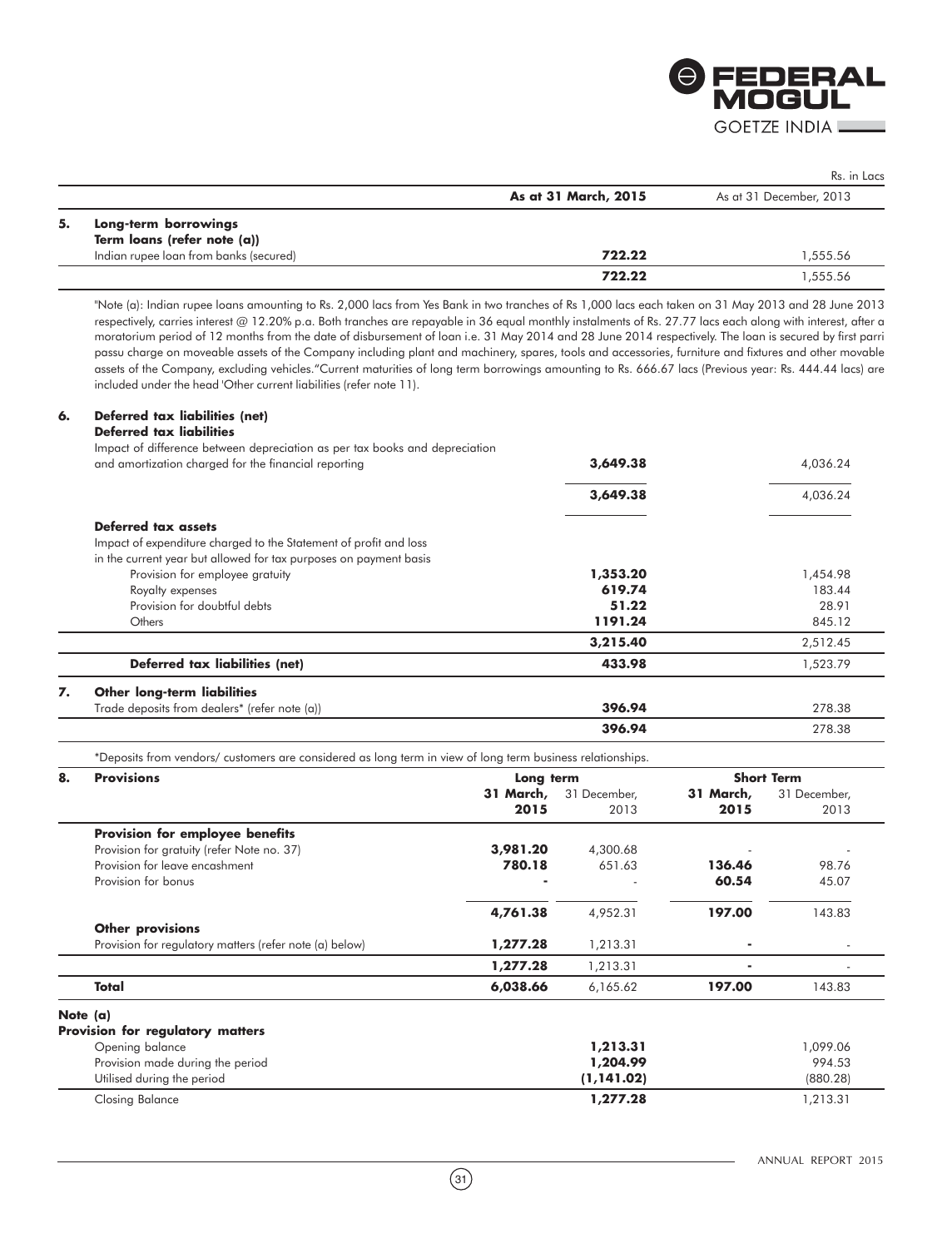|    |                                        |                      | Rs. in Lacs             |
|----|----------------------------------------|----------------------|-------------------------|
|    |                                        | As at 31 March, 2015 | As at 31 December, 2013 |
| 5. | Long-term borrowings                   |                      |                         |
|    | Term loans (refer note (a))            |                      |                         |
|    | Indian rupee loan from banks (secured) | 722.22               | 1,555.56                |
|    |                                        | 722.22               | .555.56                 |

"Note (a): Indian rupee loans amounting to Rs. 2,000 lacs from Yes Bank in two tranches of Rs 1,000 lacs each taken on 31 May 2013 and 28 June 2013 respectively, carries interest @ 12.20% p.a. Both tranches are repayable in 36 equal monthly instalments of Rs. 27.77 lacs each along with interest, after a moratorium period of 12 months from the date of disbursement of loan i.e. 31 May 2014 and 28 June 2014 respectively. The loan is secured by first parri passu charge on moveable assets of the Company including plant and machinery, spares, tools and accessories, furniture and fixtures and other movable assets of the Company, excluding vehicles."Current maturities of long term borrowings amounting to Rs. 666.67 lacs (Previous year: Rs. 444.44 lacs) are included under the head 'Other current liabilities (refer note 11).

### **6. Deferred tax liabilities (net)**

**Deferred tax liabilities**

Impact of difference between depreciation as per tax books and depreciation

| Deferred tax liabilities (net)                                    | 433.98   | 1,523.79 |
|-------------------------------------------------------------------|----------|----------|
|                                                                   | 3,215.40 | 2,512.45 |
| Others                                                            | 1191.24  | 845.12   |
| Provision for doubtful debts                                      | 51.22    | 28.91    |
| Royalty expenses                                                  | 619.74   | 183.44   |
| Provision for employee gratuity                                   | 1,353.20 | 1,454.98 |
| in the current year but allowed for tax purposes on payment basis |          |          |
| Impact of expenditure charged to the Statement of profit and loss |          |          |
| Deferred tax assets                                               |          |          |
|                                                                   | 3,649.38 | 4,036.24 |
| and amortization charged for the financial reporting              | 3,649.38 | 4,036.24 |

| Trade deposits from dealers* (reter note (a)) | 396.94 | 278.38 |
|-----------------------------------------------|--------|--------|
|                                               | 396.94 | 278.38 |

\*Deposits from vendors/ customers are considered as long term in view of long term business relationships.

| 8. | <b>Provisions</b>                                       | Long term |              | <b>Short Term</b> |              |  |
|----|---------------------------------------------------------|-----------|--------------|-------------------|--------------|--|
|    |                                                         | 31 March, | 31 December, | 31 March,         | 31 December, |  |
|    |                                                         | 2015      | 2013         | 2015              | 2013         |  |
|    | <b>Provision for employee benefits</b>                  |           |              |                   |              |  |
|    | Provision for gratuity (refer Note no. 37)              | 3,981.20  | 4,300.68     |                   |              |  |
|    | Provision for leave encashment                          | 780.18    | 651.63       | 136.46            | 98.76        |  |
|    | Provision for bonus                                     |           |              | 60.54             | 45.07        |  |
|    |                                                         | 4,761.38  | 4,952.31     | 197.00            | 143.83       |  |
|    | <b>Other provisions</b>                                 |           |              |                   |              |  |
|    | Provision for regulatory matters (refer note (a) below) | 1,277.28  | 1,213.31     | ٠                 |              |  |
|    |                                                         | 1,277.28  | 1,213.31     | ۰                 |              |  |
|    | Total                                                   | 6,038.66  | 6,165.62     | 197.00            | 143.83       |  |
|    | Note $(a)$                                              |           |              |                   |              |  |
|    | <b>Provision for regulatory matters</b>                 |           |              |                   |              |  |
|    | Opening balance                                         |           | 1,213.31     |                   | 1,099.06     |  |
|    | Provision made during the period                        |           | 1,204.99     |                   | 994.53       |  |
|    | Utilised during the period                              |           | (1, 141.02)  |                   | (880.28)     |  |
|    | <b>Closing Balance</b>                                  |           | 1,277.28     |                   | 1,213.31     |  |

FEDERAL<br>MOGUL

**GOETZE INDIA**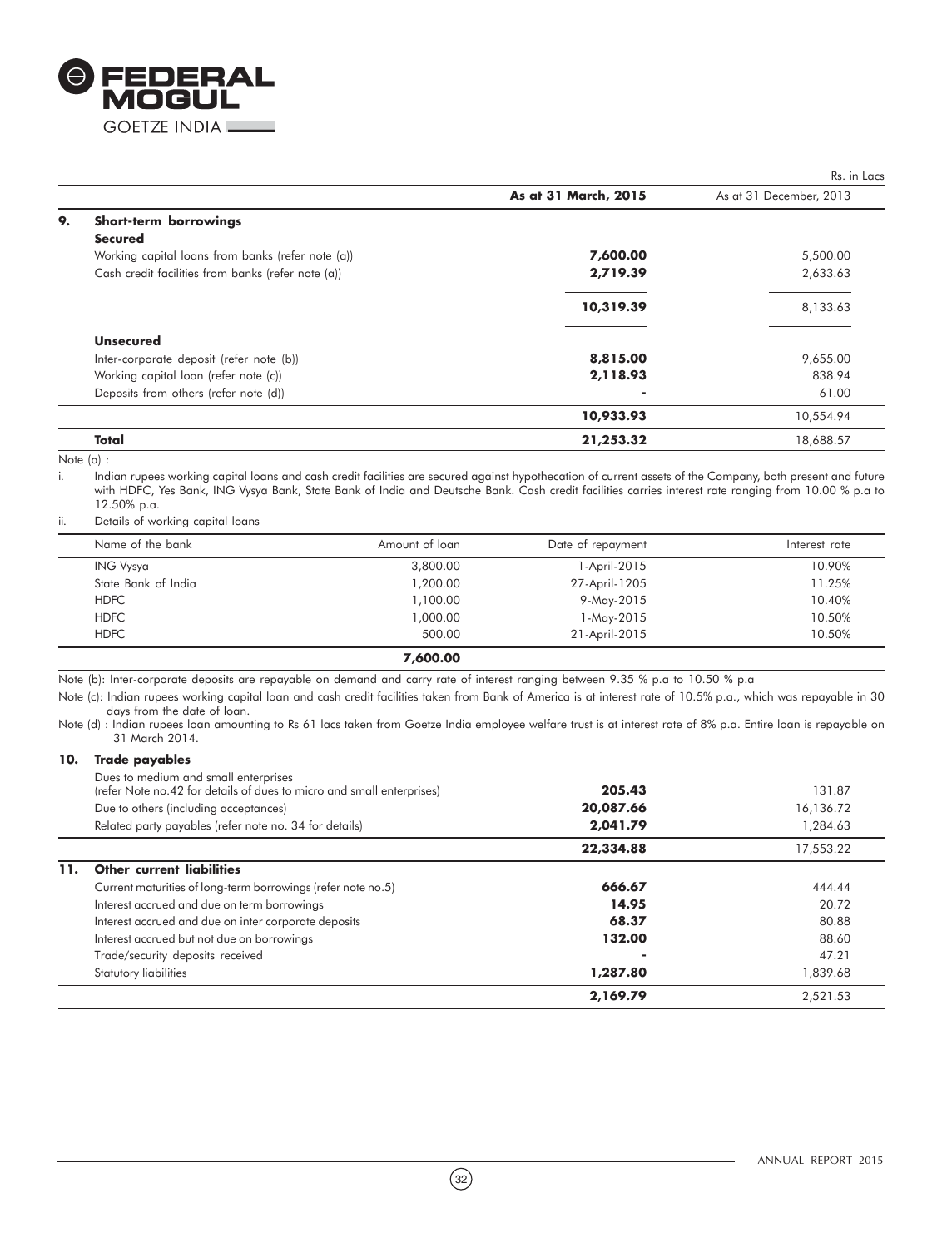

|    |                                                    |                      | Rs. in Lacs             |
|----|----------------------------------------------------|----------------------|-------------------------|
|    |                                                    | As at 31 March, 2015 | As at 31 December, 2013 |
| 9. | Short-term borrowings                              |                      |                         |
|    | <b>Secured</b>                                     |                      |                         |
|    | Working capital loans from banks (refer note (a))  | 7,600.00             | 5,500.00                |
|    | Cash credit facilities from banks (refer note (a)) | 2,719.39             | 2,633.63                |
|    |                                                    | 10,319.39            | 8,133.63                |
|    | <b>Unsecured</b>                                   |                      |                         |
|    | Inter-corporate deposit (refer note (b))           | 8,815.00             | 9,655.00                |
|    | Working capital loan (refer note (c))              | 2,118.93             | 838.94                  |
|    | Deposits from others (refer note (d))              |                      | 61.00                   |
|    |                                                    | 10,933.93            | 10,554.94               |
|    | Total                                              | 21,253.32            | 18,688.57               |

### Note (a) :

i. Indian rupees working capital loans and cash credit facilities are secured against hypothecation of current assets of the Company, both present and future with HDFC, Yes Bank, ING Vysya Bank, State Bank of India and Deutsche Bank. Cash credit facilities carries interest rate ranging from 10.00 % p.a to 12.50% p.a.

ii. Details of working capital loans

| Name of the bank    | Amount of loan | Date of repayment | Interest rate |
|---------------------|----------------|-------------------|---------------|
| ING Vysya           | 3,800.00       | 1-April-2015      | 10.90%        |
| State Bank of India | 1,200.00       | 27-April-1205     | 11.25%        |
| <b>HDFC</b>         | 1,100.00       | 9-May-2015        | 10.40%        |
| <b>HDFC</b>         | 1,000.00       | 1-May-2015        | 10.50%        |
| <b>HDFC</b>         | 500.00         | 21-April-2015     | 10.50%        |
|                     | 7,600.00       |                   |               |

Note (b): Inter-corporate deposits are repayable on demand and carry rate of interest ranging between 9.35 % p.a to 10.50 % p.a

Note (c): Indian rupees working capital loan and cash credit facilities taken from Bank of America is at interest rate of 10.5% p.a., which was repayable in 30 days from the date of loan.

Note (d) : Indian rupees loan amounting to Rs 61 lacs taken from Goetze India employee welfare trust is at interest rate of 8% p.a. Entire loan is repayable on 31 March 2014.

### **10. Trade payables**

| Dues to medium and small enterprises                                  |           |           |
|-----------------------------------------------------------------------|-----------|-----------|
| (refer Note no.42 for details of dues to micro and small enterprises) | 205.43    | 131.87    |
| Due to others (including acceptances)                                 | 20,087.66 | 16,136.72 |
| Related party payables (refer note no. 34 for details)                | 2.041.79  | 1.284.63  |
|                                                                       | 22,334.88 | 17,553.22 |
| Other current liabilities<br>11.                                      |           |           |
| Current maturities of long-term borrowings (refer note no.5)          | 666.67    | 444.44    |
| Interest accrued and due on term borrowings                           | 14.95     | 20.72     |
| Interest accrued and due on inter corporate deposits                  | 68.37     | 80.88     |
| Interest accrued but not due on borrowings                            | 132.00    | 88.60     |
| Trade/security deposits received                                      |           | 47.21     |
| Statutory liabilities                                                 | 1,287.80  | 1,839.68  |
|                                                                       | 2.169.79  | 2.521.53  |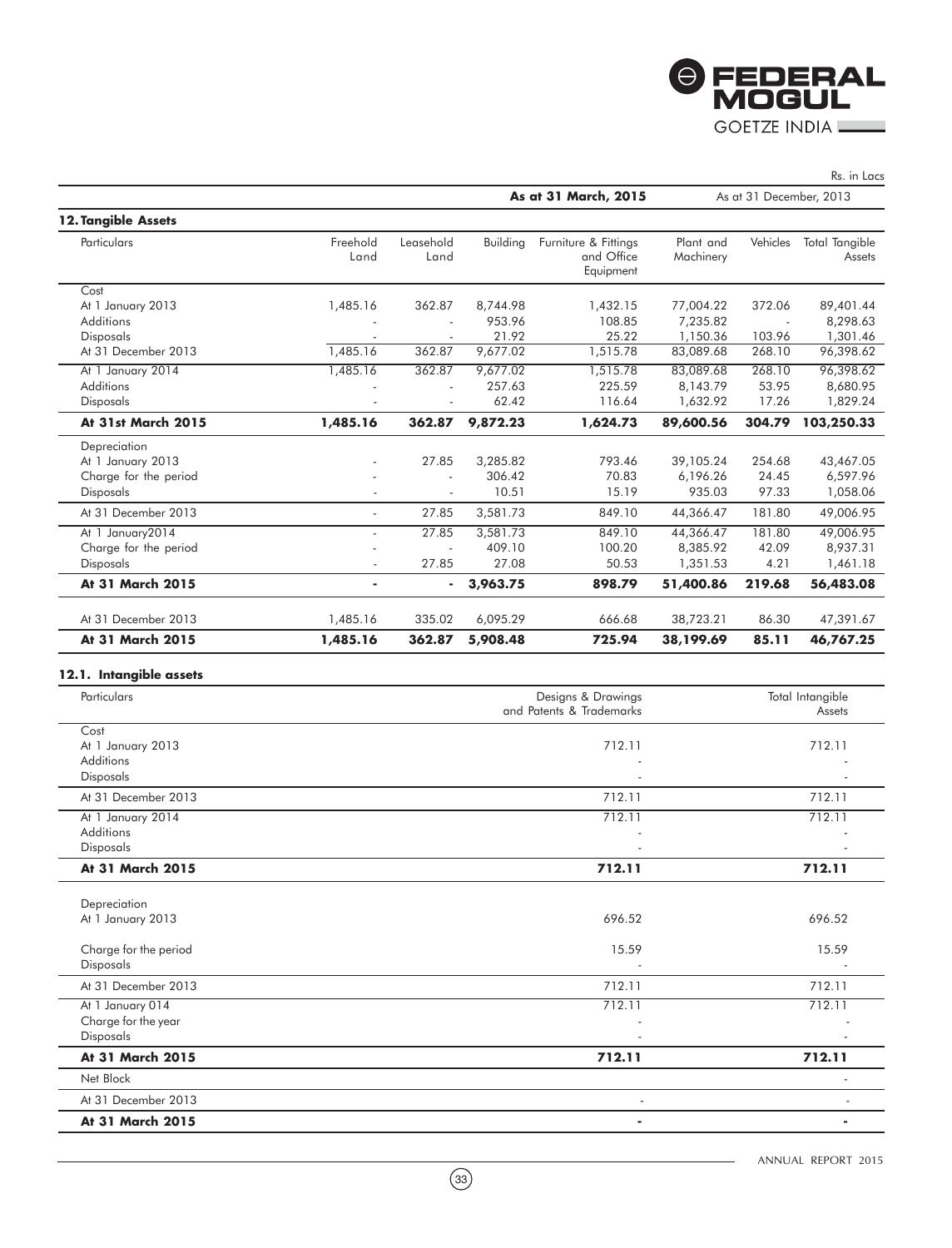# **O** FEDERAL<br>MOGUL **GOETZE INDIA**

|                                                                                |                                            |                                           |                             |                                                 |                                   |                          | Rs. in Lacs                       |
|--------------------------------------------------------------------------------|--------------------------------------------|-------------------------------------------|-----------------------------|-------------------------------------------------|-----------------------------------|--------------------------|-----------------------------------|
|                                                                                |                                            |                                           |                             | As at 31 March, 2015                            |                                   | As at 31 December, 2013  |                                   |
| 12. Tangible Assets                                                            |                                            |                                           |                             |                                                 |                                   |                          |                                   |
| Particulars                                                                    | Freehold<br>Land                           | Leasehold<br>Land                         | <b>Buildina</b>             | Furniture & Fittings<br>and Office<br>Equipment | Plant and<br>Machinery            | <b>Vehicles</b>          | <b>Total Tangible</b><br>Assets   |
| Cost<br>At 1 January 2013<br>Additions<br><b>Disposals</b>                     | 1,485.16                                   | 362.87                                    | 8.744.98<br>953.96<br>21.92 | 1,432.15<br>108.85<br>25.22                     | 77.004.22<br>7,235.82<br>1.150.36 | 372.06<br>103.96         | 89,401.44<br>8,298.63<br>1.301.46 |
| At 31 December 2013                                                            | 1,485.16                                   | 362.87                                    | 9,677.02                    | 1,515.78                                        | 83,089.68                         | 268.10                   | 96,398.62                         |
| At 1 January 2014<br><b>Additions</b><br>Disposals                             | 1,485.16                                   | 362.87                                    | 9.677.02<br>257.63<br>62.42 | 1,515.78<br>225.59<br>116.64                    | 83,089.68<br>8.143.79<br>1,632.92 | 268.10<br>53.95<br>17.26 | 96,398.62<br>8.680.95<br>1,829.24 |
| At 31st March 2015                                                             | 1,485.16                                   | 362.87                                    | 9,872.23                    | 1,624.73                                        | 89,600.56                         | 304.79                   | 103,250.33                        |
| Depreciation<br>At 1 January 2013<br>Charge for the period<br><b>Disposals</b> |                                            | 27.85<br>$\overline{a}$<br>$\overline{a}$ | 3,285.82<br>306.42<br>10.51 | 793.46<br>70.83<br>15.19                        | 39,105.24<br>6.196.26<br>935.03   | 254.68<br>24.45<br>97.33 | 43,467.05<br>6,597.96<br>1,058.06 |
| At 31 December 2013                                                            | $\overline{\phantom{a}}$                   | 27.85                                     | 3,581.73                    | 849.10                                          | 44,366.47                         | 181.80                   | 49,006.95                         |
| At 1 January2014<br>Charge for the period<br><b>Disposals</b>                  | $\overline{a}$<br>$\overline{\phantom{a}}$ | 27.85<br>$\overline{a}$<br>27.85          | 3,581.73<br>409.10<br>27.08 | 849.10<br>100.20<br>50.53                       | 44,366.47<br>8.385.92<br>1,351.53 | 181.80<br>42.09<br>4.21  | 49,006.95<br>8,937.31<br>1,461.18 |
| At 31 March 2015                                                               | ٠                                          | ٠                                         | 3,963.75                    | 898.79                                          | 51,400.86                         | 219.68                   | 56,483.08                         |
| At 31 December 2013                                                            | 1,485.16                                   | 335.02                                    | 6,095.29                    | 666.68                                          | 38,723.21                         | 86.30                    | 47,391.67                         |
| At 31 March 2015                                                               | 1,485.16                                   | 362.87                                    | 5,908.48                    | 725.94                                          | 38,199.69                         | 85.11                    | 46,767.25                         |

### **12.1. Intangible assets**

| Particulars                                                             | Designs & Drawings<br>and Patents & Trademarks | Total Intangible<br>Assets |
|-------------------------------------------------------------------------|------------------------------------------------|----------------------------|
| Cost<br>At 1 January 2013<br>Additions<br>Disposals                     | 712.11                                         | 712.11                     |
| At 31 December 2013                                                     | 712.11                                         | 712.11                     |
| At 1 January 2014<br><b>Additions</b><br>Disposals                      | 712.11                                         | 712.11                     |
| At 31 March 2015                                                        | 712.11                                         | 712.11                     |
| Depreciation<br>At 1 January 2013<br>Charge for the period<br>Disposals | 696.52<br>15.59                                | 696.52<br>15.59            |
| At 31 December 2013                                                     | 712.11                                         | 712.11                     |
| At 1 January 014<br>Charge for the year<br><b>Disposals</b>             | 712.11                                         | 712.11                     |
| At 31 March 2015                                                        | 712.11                                         | 712.11                     |
| Net Block                                                               |                                                | $\overline{a}$             |
| At 31 December 2013                                                     | $\overline{\phantom{a}}$                       |                            |
| At 31 March 2015                                                        | ٠                                              |                            |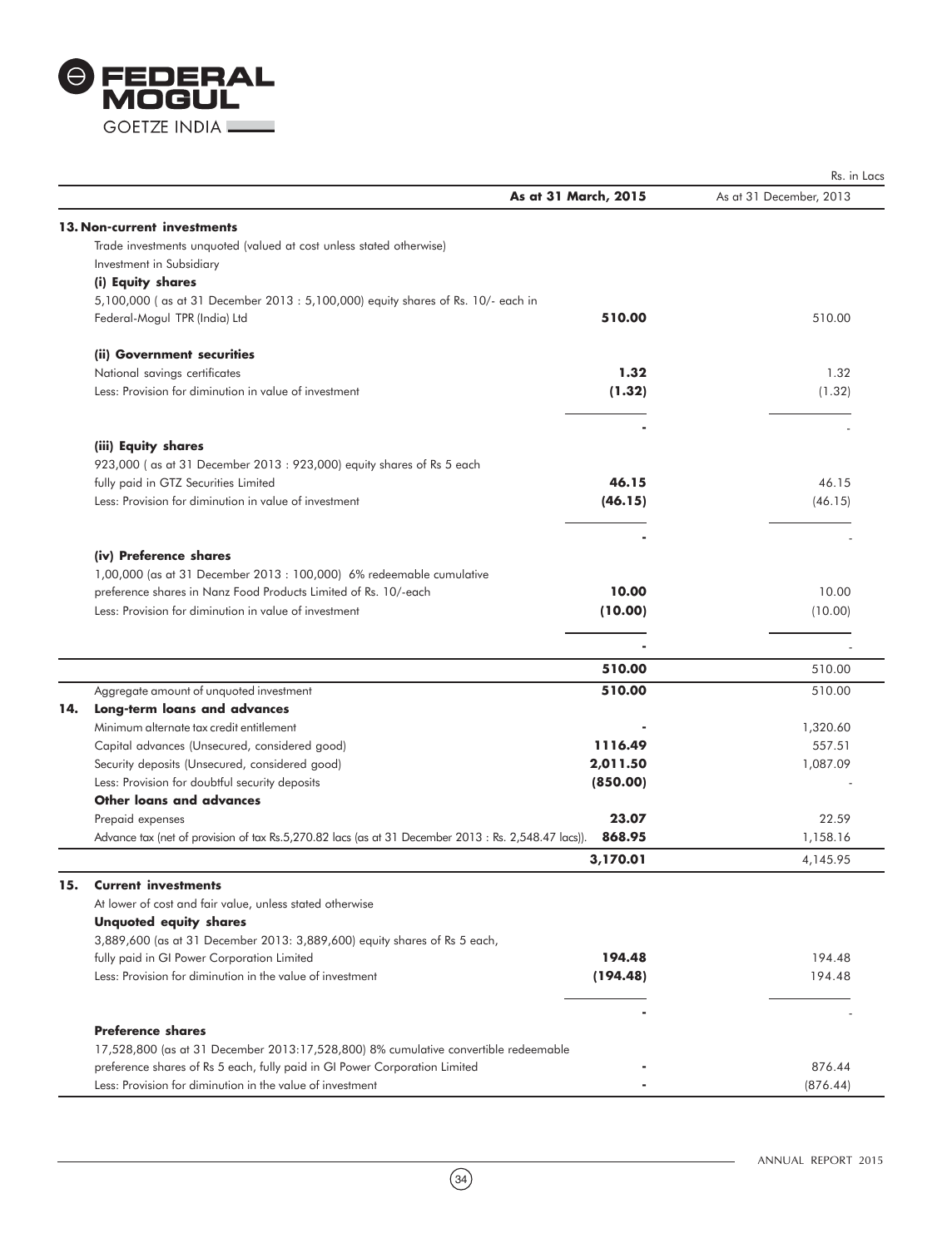

|     |                                                                                                      |                      | Rs. in Lacs             |
|-----|------------------------------------------------------------------------------------------------------|----------------------|-------------------------|
|     |                                                                                                      | As at 31 March, 2015 | As at 31 December, 2013 |
|     | 13. Non-current investments                                                                          |                      |                         |
|     | Trade investments unquoted (valued at cost unless stated otherwise)                                  |                      |                         |
|     | Investment in Subsidiary                                                                             |                      |                         |
|     | (i) Equity shares                                                                                    |                      |                         |
|     | 5,100,000 (as at 31 December 2013: 5,100,000) equity shares of Rs. 10/- each in                      |                      |                         |
|     | Federal-Mogul TPR (India) Ltd                                                                        | 510.00               | 510.00                  |
|     | (ii) Government securities                                                                           |                      |                         |
|     | National savings certificates                                                                        | 1.32                 | 1.32                    |
|     | Less: Provision for diminution in value of investment                                                | (1.32)               | (1.32)                  |
|     |                                                                                                      |                      |                         |
|     | (iii) Equity shares                                                                                  |                      |                         |
|     | 923,000 (as at 31 December 2013: 923,000) equity shares of Rs 5 each                                 |                      |                         |
|     | fully paid in GTZ Securities Limited                                                                 | 46.15                | 46.15                   |
|     |                                                                                                      |                      |                         |
|     | Less: Provision for diminution in value of investment                                                | (46.15)              | (46.15)                 |
|     |                                                                                                      |                      |                         |
|     | (iv) Preference shares                                                                               |                      |                         |
|     | 1,00,000 (as at 31 December 2013 : 100,000) 6% redeemable cumulative                                 |                      |                         |
|     | preference shares in Nanz Food Products Limited of Rs. 10/-each                                      | 10.00                | 10.00                   |
|     | Less: Provision for diminution in value of investment                                                | (10.00)              | (10.00)                 |
|     |                                                                                                      |                      |                         |
|     |                                                                                                      | 510.00               | 510.00                  |
|     | Aggregate amount of unquoted investment                                                              | 510.00               | 510.00                  |
| 14. | Long-term loans and advances                                                                         |                      |                         |
|     | Minimum alternate tax credit entitlement                                                             |                      | 1,320.60                |
|     | Capital advances (Unsecured, considered good)                                                        | 1116.49              | 557.51                  |
|     | Security deposits (Unsecured, considered good)                                                       | 2,011.50             | 1,087.09                |
|     | Less: Provision for doubtful security deposits                                                       | (850.00)             |                         |
|     | Other loans and advances                                                                             |                      |                         |
|     | Prepaid expenses                                                                                     | 23.07                | 22.59                   |
|     | Advance tax (net of provision of tax Rs.5,270.82 lacs (as at 31 December 2013 : Rs. 2,548.47 lacs)). | 868.95               | 1,158.16                |
|     |                                                                                                      | 3,170.01             | 4,145.95                |
| 15. | <b>Current investments</b>                                                                           |                      |                         |
|     | At lower of cost and fair value, unless stated otherwise                                             |                      |                         |
|     | Unquoted equity shares                                                                               |                      |                         |
|     | 3,889,600 (as at 31 December 2013: 3,889,600) equity shares of Rs 5 each,                            |                      |                         |
|     | fully paid in GI Power Corporation Limited                                                           | 194.48               | 194.48                  |
|     | Less: Provision for diminution in the value of investment                                            | (194.48)             | 194.48                  |
|     |                                                                                                      |                      |                         |
|     | <b>Preference shares</b>                                                                             |                      |                         |
|     | 17,528,800 (as at 31 December 2013:17,528,800) 8% cumulative convertible redeemable                  |                      |                         |
|     | preference shares of Rs 5 each, fully paid in GI Power Corporation Limited                           |                      | 876.44                  |
|     | Less: Provision for diminution in the value of investment                                            |                      | (876.44)                |

 $\circled{34}$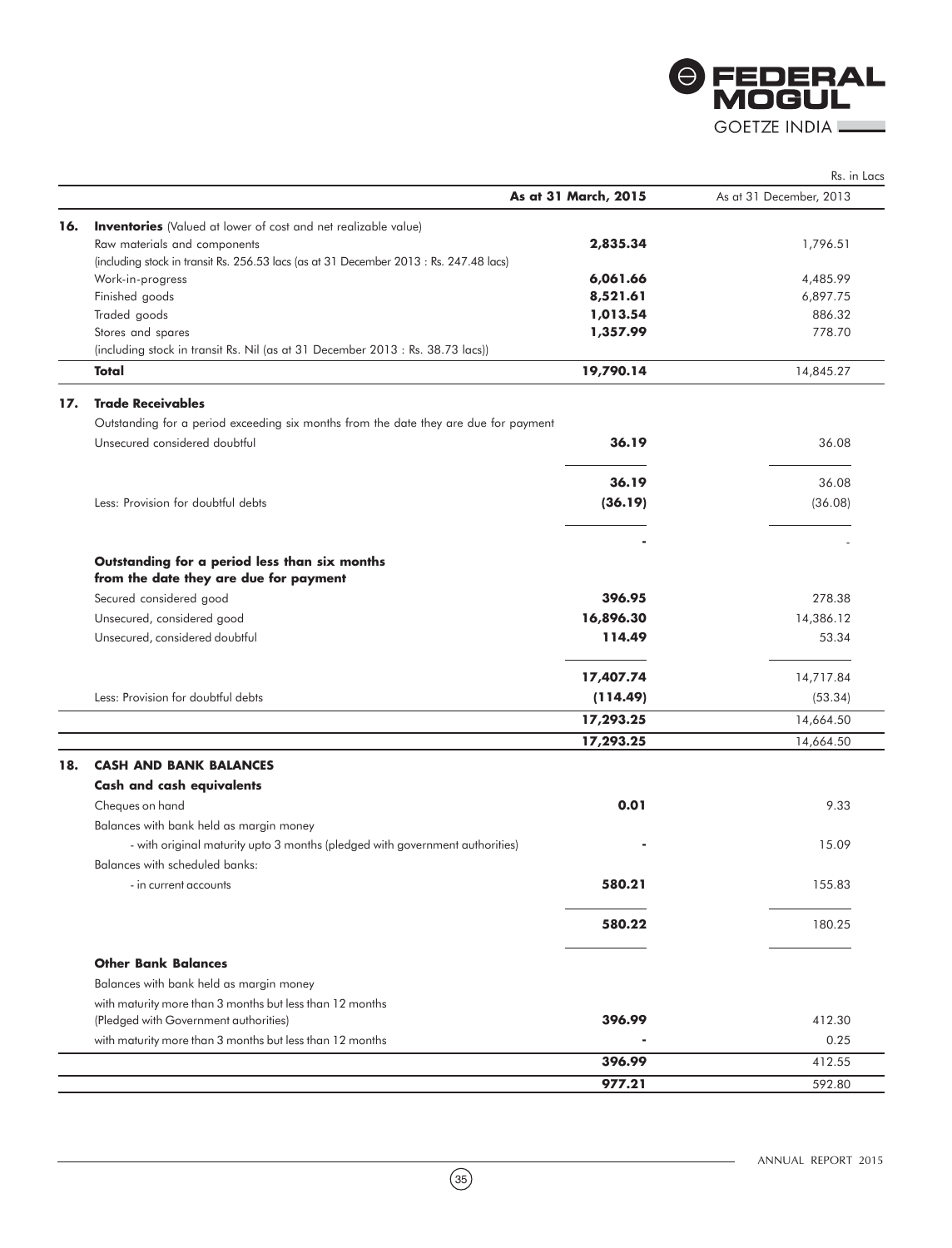

|     |                                                                                       |                      | Rs. in Lacs             |
|-----|---------------------------------------------------------------------------------------|----------------------|-------------------------|
|     |                                                                                       | As at 31 March, 2015 | As at 31 December, 2013 |
| 16. | <b>Inventories</b> (Valued at lower of cost and net realizable value)                 |                      |                         |
|     | Raw materials and components                                                          | 2,835.34             | 1,796.51                |
|     | (including stock in transit Rs. 256.53 lacs (as at 31 December 2013: Rs. 247.48 lacs) |                      |                         |
|     | Work-in-progress                                                                      | 6,061.66             | 4,485.99                |
|     | Finished goods                                                                        | 8,521.61             | 6,897.75                |
|     | Traded goods                                                                          | 1,013.54             | 886.32                  |
|     | Stores and spares                                                                     | 1,357.99             | 778.70                  |
|     | (including stock in transit Rs. Nil (as at 31 December 2013 : Rs. 38.73 lacs))        |                      |                         |
|     | Total                                                                                 | 19,790.14            | 14,845.27               |
| 17. | <b>Trade Receivables</b>                                                              |                      |                         |
|     | Outstanding for a period exceeding six months from the date they are due for payment  |                      |                         |
|     | Unsecured considered doubtful                                                         | 36.19                | 36.08                   |
|     |                                                                                       |                      |                         |
|     |                                                                                       | 36.19                | 36.08                   |
|     | Less: Provision for doubtful debts                                                    | (36.19)              | (36.08)                 |
|     |                                                                                       |                      |                         |
|     | Outstanding for a period less than six months                                         |                      |                         |
|     | from the date they are due for payment                                                |                      |                         |
|     | Secured considered good                                                               | 396.95               | 278.38                  |
|     | Unsecured, considered good                                                            | 16,896.30            | 14,386.12               |
|     | Unsecured, considered doubtful                                                        | 114.49               | 53.34                   |
|     |                                                                                       | 17,407.74            | 14,717.84               |
|     | Less: Provision for doubtful debts                                                    | (114.49)             | (53.34)                 |
|     |                                                                                       | 17,293.25            | 14,664.50               |
|     |                                                                                       | 17,293.25            | 14,664.50               |
| 18. | <b>CASH AND BANK BALANCES</b>                                                         |                      |                         |
|     | Cash and cash equivalents                                                             |                      |                         |
|     | Cheques on hand                                                                       | 0.01                 | 9.33                    |
|     | Balances with bank held as margin money                                               |                      |                         |
|     | - with original maturity upto 3 months (pledged with government authorities)          |                      | 15.09                   |
|     | Balances with scheduled banks:                                                        |                      |                         |
|     | - in current accounts                                                                 | 580.21               | 155.83                  |
|     |                                                                                       |                      |                         |
|     |                                                                                       | 580.22               | 180.25                  |
|     | <b>Other Bank Balances</b>                                                            |                      |                         |
|     | Balances with bank held as margin money                                               |                      |                         |
|     | with maturity more than 3 months but less than 12 months                              |                      |                         |
|     | (Pledged with Government authorities)                                                 | 396.99               | 412.30                  |
|     | with maturity more than 3 months but less than 12 months                              |                      | 0.25                    |
|     |                                                                                       | 396.99               | 412.55                  |
|     |                                                                                       | 977.21               | 592.80                  |
|     |                                                                                       |                      |                         |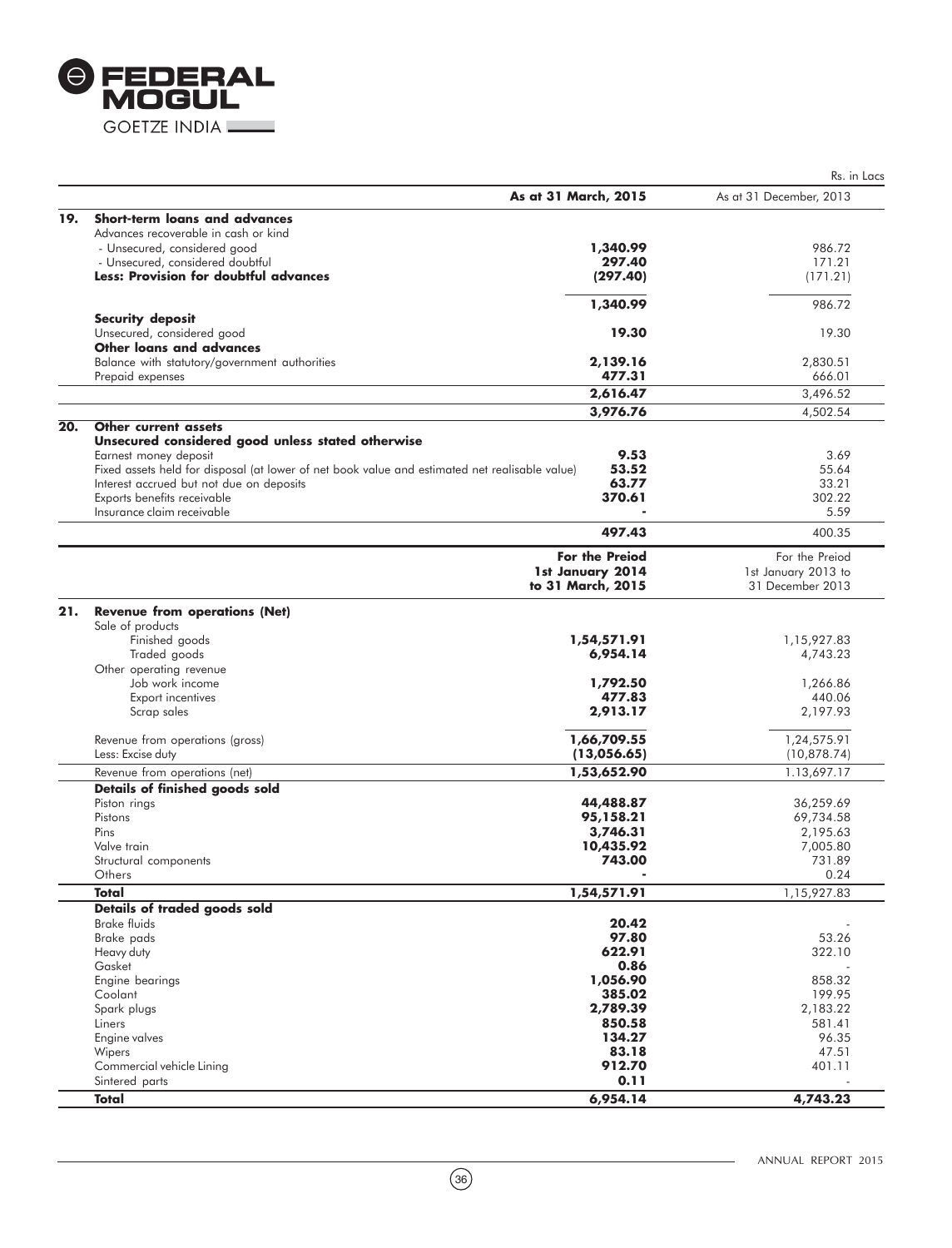

|     |                                                                                                |                       | Rs. in Lacs             |
|-----|------------------------------------------------------------------------------------------------|-----------------------|-------------------------|
|     |                                                                                                | As at 31 March, 2015  | As at 31 December, 2013 |
| 19. | Short-term loans and advances                                                                  |                       |                         |
|     | Advances recoverable in cash or kind                                                           |                       |                         |
|     | - Unsecured, considered good                                                                   | 1,340.99              | 986.72                  |
|     | - Unsecured, considered doubtful                                                               | 297.40                | 171.21                  |
|     | <b>Less: Provision for doubtful advances</b>                                                   | (297.40)              | (171.21)                |
|     |                                                                                                | 1,340.99              | 986.72                  |
|     | <b>Security deposit</b>                                                                        |                       |                         |
|     | Unsecured, considered good                                                                     | 19.30                 | 19.30                   |
|     | Other loans and advances<br>Balance with statutory/government authorities                      | 2,139.16              | 2,830.51                |
|     | Prepaid expenses                                                                               | 477.31                | 666.01                  |
|     |                                                                                                | 2,616.47              | 3,496.52                |
|     |                                                                                                | 3,976.76              | 4,502.54                |
| 20. | Other current assets                                                                           |                       |                         |
|     | Unsecured considered good unless stated otherwise                                              |                       |                         |
|     | Earnest money deposit                                                                          | 9.53                  | 3.69                    |
|     | Fixed assets held for disposal (at lower of net book value and estimated net realisable value) | 53.52                 | 55.64                   |
|     | Interest accrued but not due on deposits                                                       | 63.77                 | 33.21                   |
|     | Exports benefits receivable<br>Insurance claim receivable                                      | 370.61                | 302.22<br>5.59          |
|     |                                                                                                | 497.43                | 400.35                  |
|     |                                                                                                | <b>For the Preiod</b> | For the Preiod          |
|     |                                                                                                | 1st January 2014      | 1st January 2013 to     |
|     |                                                                                                | to 31 March, 2015     | 31 December 2013        |
|     |                                                                                                |                       |                         |
| 21. | <b>Revenue from operations (Net)</b><br>Sale of products                                       |                       |                         |
|     | Finished goods                                                                                 | 1,54,571.91           | 1,15,927.83             |
|     | Traded goods                                                                                   | 6,954.14              | 4,743.23                |
|     | Other operating revenue                                                                        |                       |                         |
|     | Job work income                                                                                | 1,792.50              | 1,266.86                |
|     | Export incentives                                                                              | 477.83                | 440.06                  |
|     | Scrap sales                                                                                    | 2,913.17              | 2,197.93                |
|     | Revenue from operations (gross)                                                                | 1,66,709.55           | 1,24,575.91             |
|     | Less: Excise duty                                                                              | (13,056.65)           | (10, 878.74)            |
|     | Revenue from operations (net)                                                                  | 1,53,652.90           | 1.13,697.17             |
|     | Details of finished goods sold                                                                 |                       |                         |
|     | Piston rings                                                                                   | 44,488.87             | 36,259.69               |
|     | Pistons                                                                                        | 95,158.21             | 69,734.58               |
|     | Pins                                                                                           | 3,746.31              | 2,195.63                |
|     | Valve train                                                                                    | 10,435.92             | 7,005.80                |
|     | Structural components<br>Others                                                                | 743.00                | 731.89<br>0.24          |
|     | Total                                                                                          | 1,54,571.91           | 1,15,927.83             |
|     | Details of traded goods sold                                                                   |                       |                         |
|     | <b>Brake fluids</b>                                                                            | 20.42                 |                         |
|     | Brake pads                                                                                     | 97.80                 | 53.26                   |
|     | Heavy duty                                                                                     | 622.91                | 322.10                  |
|     | Gasket                                                                                         | 0.86                  |                         |
|     | Engine bearings                                                                                | 1,056.90              | 858.32                  |
|     | Coolant                                                                                        | 385.02                | 199.95                  |
|     | Spark plugs                                                                                    | 2,789.39              | 2,183.22                |
|     | Liners                                                                                         | 850.58                | 581.41                  |
|     | Engine valves                                                                                  | 134.27                | 96.35                   |
|     | Wipers                                                                                         | 83.18                 | 47.51                   |
|     | Commercial vehicle Lining<br>Sintered parts                                                    | 912.70<br>0.11        | 401.11                  |
|     |                                                                                                |                       |                         |
|     | Total                                                                                          | 6,954.14              | 4,743.23                |

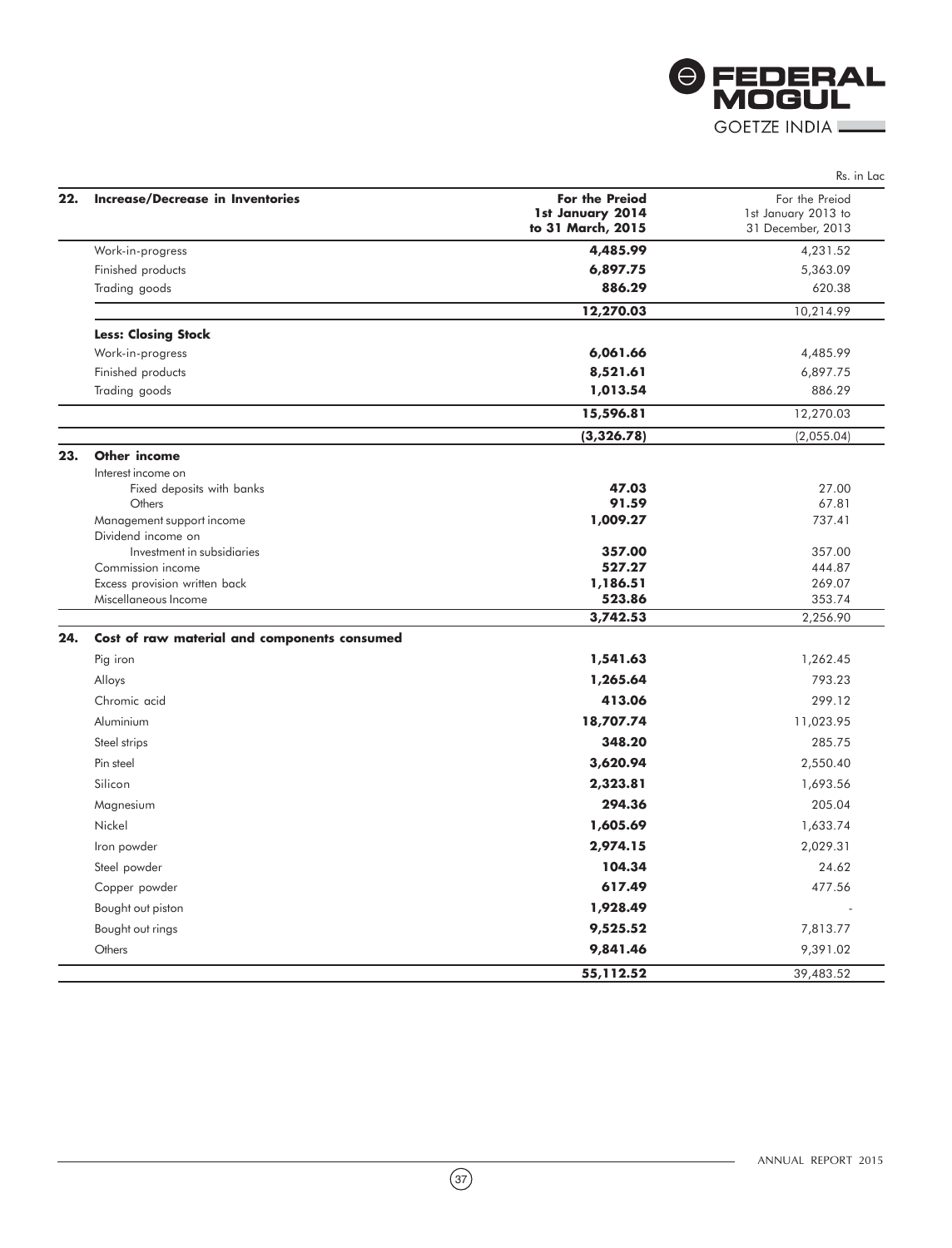

| 22. | <b>Increase/Decrease in Inventories</b>               | <b>For the Preiod</b> | For the Preiod      |
|-----|-------------------------------------------------------|-----------------------|---------------------|
|     |                                                       | 1st January 2014      | 1st January 2013 to |
|     |                                                       | to 31 March, 2015     | 31 December, 2013   |
|     | Work-in-progress                                      | 4,485.99              | 4,231.52            |
|     | Finished products                                     | 6,897.75              | 5,363.09            |
|     | Trading goods                                         | 886.29                | 620.38              |
|     |                                                       | 12,270.03             | 10,214.99           |
|     | <b>Less: Closing Stock</b>                            |                       |                     |
|     | Work-in-progress                                      | 6,061.66              | 4,485.99            |
|     | Finished products                                     | 8,521.61              | 6,897.75            |
|     | Trading goods                                         | 1,013.54              | 886.29              |
|     |                                                       | 15,596.81             | 12,270.03           |
|     |                                                       | (3, 326.78)           | (2,055.04)          |
| 23. | Other income                                          |                       |                     |
|     | Interest income on<br>Fixed deposits with banks       | 47.03                 | 27.00               |
|     | Others                                                | 91.59                 | 67.81               |
|     | Management support income                             | 1,009.27              | 737.41              |
|     | Dividend income on                                    |                       |                     |
|     | Investment in subsidiaries                            | 357.00                | 357.00              |
|     | Commission income                                     | 527.27                | 444.87              |
|     | Excess provision written back<br>Miscellaneous Income | 1,186.51<br>523.86    | 269.07<br>353.74    |
|     |                                                       | 3,742.53              | 2,256.90            |
| 24. | Cost of raw material and components consumed          |                       |                     |
|     | Pig iron                                              | 1,541.63              | 1,262.45            |
|     | Alloys                                                | 1,265.64              | 793.23              |
|     | Chromic acid                                          | 413.06                | 299.12              |
|     | Aluminium                                             | 18,707.74             | 11,023.95           |
|     | Steel strips                                          | 348.20                | 285.75              |
|     | Pin steel                                             | 3,620.94              | 2,550.40            |
|     | Silicon                                               | 2,323.81              | 1,693.56            |
|     | Magnesium                                             | 294.36                | 205.04              |
|     | Nickel                                                | 1,605.69              | 1,633.74            |
|     | Iron powder                                           | 2,974.15              | 2,029.31            |
|     | Steel powder                                          | 104.34                | 24.62               |
|     | Copper powder                                         | 617.49                | 477.56              |
|     | Bought out piston                                     | 1,928.49              |                     |
|     | Bought out rings                                      | 9,525.52              | 7,813.77            |
|     | Others                                                | 9,841.46              | 9,391.02            |
|     |                                                       | 55,112.52             | 39,483.52           |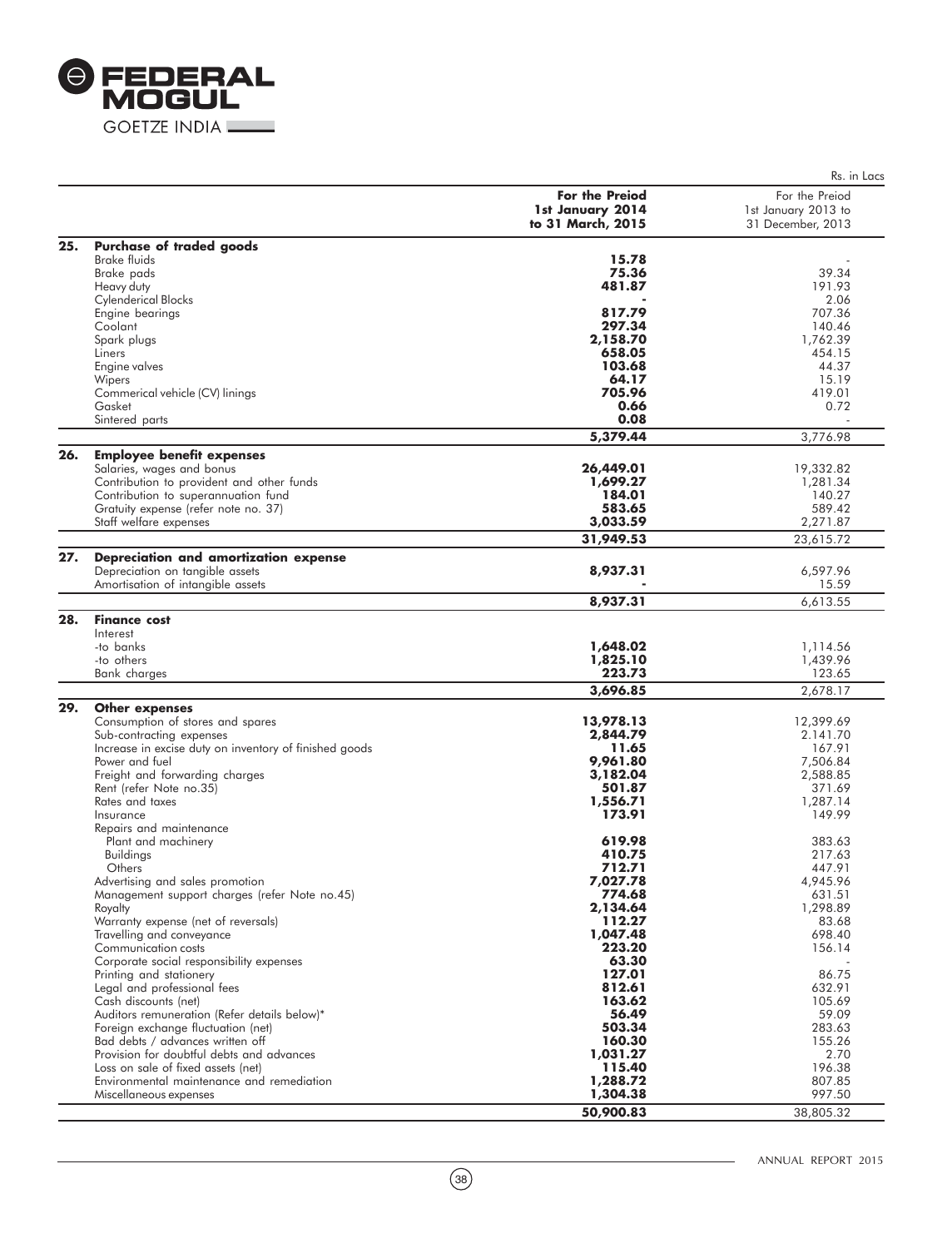

|     |                                                                               |                                                                | Rs. in Lacs                                                |
|-----|-------------------------------------------------------------------------------|----------------------------------------------------------------|------------------------------------------------------------|
|     |                                                                               | <b>For the Preiod</b><br>1st January 2014<br>to 31 March, 2015 | For the Preiod<br>1st January 2013 to<br>31 December, 2013 |
| 25. | <b>Purchase of traded goods</b>                                               |                                                                |                                                            |
|     | <b>Brake fluids</b>                                                           | 15.78                                                          |                                                            |
|     | Brake pads                                                                    | 75.36<br>481.87                                                | 39.34                                                      |
|     | Heavy duty<br><b>Cylenderical Blocks</b>                                      |                                                                | 191.93<br>2.06                                             |
|     | Engine bearings                                                               | 817.79                                                         | 707.36                                                     |
|     | Coolant                                                                       | 297.34                                                         | 140.46                                                     |
|     | Spark plugs                                                                   | 2,158.70                                                       | 1,762.39                                                   |
|     | Liners                                                                        | 658.05                                                         | 454.15                                                     |
|     | Engine valves<br>Wipers                                                       | 103.68<br>64.17                                                | 44.37<br>15.19                                             |
|     | Commerical vehicle (CV) linings                                               | 705.96                                                         | 419.01                                                     |
|     | Gasket                                                                        | 0.66                                                           | 0.72                                                       |
|     | Sintered parts                                                                | 0.08                                                           |                                                            |
|     |                                                                               | 5,379.44                                                       | 3,776.98                                                   |
| 26. | <b>Employee benefit expenses</b>                                              |                                                                |                                                            |
|     | Salaries, wages and bonus<br>Contribution to provident and other funds        | 26,449.01<br>1,699.27                                          | 19,332.82<br>1,281.34                                      |
|     | Contribution to superannuation fund                                           | 184.01                                                         | 140.27                                                     |
|     | Gratuity expense (refer note no. 37)                                          | 583.65                                                         | 589.42                                                     |
|     | Staff welfare expenses                                                        | 3,033.59                                                       | 2,271.87                                                   |
|     |                                                                               | 31,949.53                                                      | 23,615.72                                                  |
| 27. | Depreciation and amortization expense                                         |                                                                |                                                            |
|     | Depreciation on tangible assets<br>Amortisation of intangible assets          | 8,937.31                                                       | 6,597.96<br>15.59                                          |
|     |                                                                               | 8,937.31                                                       | 6,613.55                                                   |
| 28. | <b>Finance cost</b>                                                           |                                                                |                                                            |
|     | Interest                                                                      |                                                                |                                                            |
|     | -to banks                                                                     | 1,648.02                                                       | 1,114.56                                                   |
|     | -to others<br>Bank charges                                                    | 1,825.10<br>223.73                                             | 1,439.96<br>123.65                                         |
|     |                                                                               | 3,696.85                                                       | 2,678.17                                                   |
| 29. | Other expenses                                                                |                                                                |                                                            |
|     | Consumption of stores and spares                                              | 13,978.13                                                      | 12,399.69                                                  |
|     | Sub-contracting expenses                                                      | 2,844.79                                                       | 2.141.70                                                   |
|     | Increase in excise duty on inventory of finished goods                        | 11.65                                                          | 167.91                                                     |
|     | Power and fuel<br>Freight and forwarding charges                              | 9,961.80<br>3,182.04                                           | 7,506.84<br>2,588.85                                       |
|     | Rent (refer Note no.35)                                                       | 501.87                                                         | 371.69                                                     |
|     | Rates and taxes                                                               | 1,556.71                                                       | 1.287.14                                                   |
|     | Insurance                                                                     | 173.91                                                         | 149.99                                                     |
|     | Repairs and maintenance                                                       |                                                                |                                                            |
|     | Plant and machinery                                                           | 619.98                                                         | 383.63                                                     |
|     | <b>Buildings</b><br>Others                                                    | 410.75<br>712.71                                               | 217.63<br>447.91                                           |
|     | Advertising and sales promotion                                               | 7,027.78                                                       | 4,945.96                                                   |
|     | Management support charges (refer Note no.45)                                 | 774.68                                                         | 631.51                                                     |
|     | Royalty                                                                       | 2,134.64                                                       | 1,298.89                                                   |
|     | Warranty expense (net of reversals)                                           | 112.27                                                         | 83.68                                                      |
|     | Travelling and conveyance                                                     | 1,047.48                                                       | 698.40                                                     |
|     | Communication costs<br>Corporate social responsibility expenses               | 223.20<br>63.30                                                | 156.14                                                     |
|     | Printing and stationery                                                       | 127.01                                                         | 86.75                                                      |
|     | Legal and professional fees                                                   | 812.61                                                         | 632.91                                                     |
|     | Cash discounts (net)                                                          | 163.62                                                         | 105.69                                                     |
|     | Auditors remuneration (Refer details below)*                                  | 56.49                                                          | 59.09                                                      |
|     | Foreign exchange fluctuation (net)                                            | 503.34                                                         | 283.63                                                     |
|     | Bad debts / advances written off<br>Provision for doubtful debts and advances | 160.30<br>1,031.27                                             | 155.26<br>2.70                                             |
|     | Loss on sale of fixed assets (net)                                            | 115.40                                                         | 196.38                                                     |
|     | Environmental maintenance and remediation                                     | 1,288.72                                                       | 807.85                                                     |
|     | Miscellaneous expenses                                                        | 1,304.38                                                       | 997.50                                                     |
|     |                                                                               | 50,900.83                                                      | 38,805.32                                                  |

 $\overline{\phantom{0}}$ 

38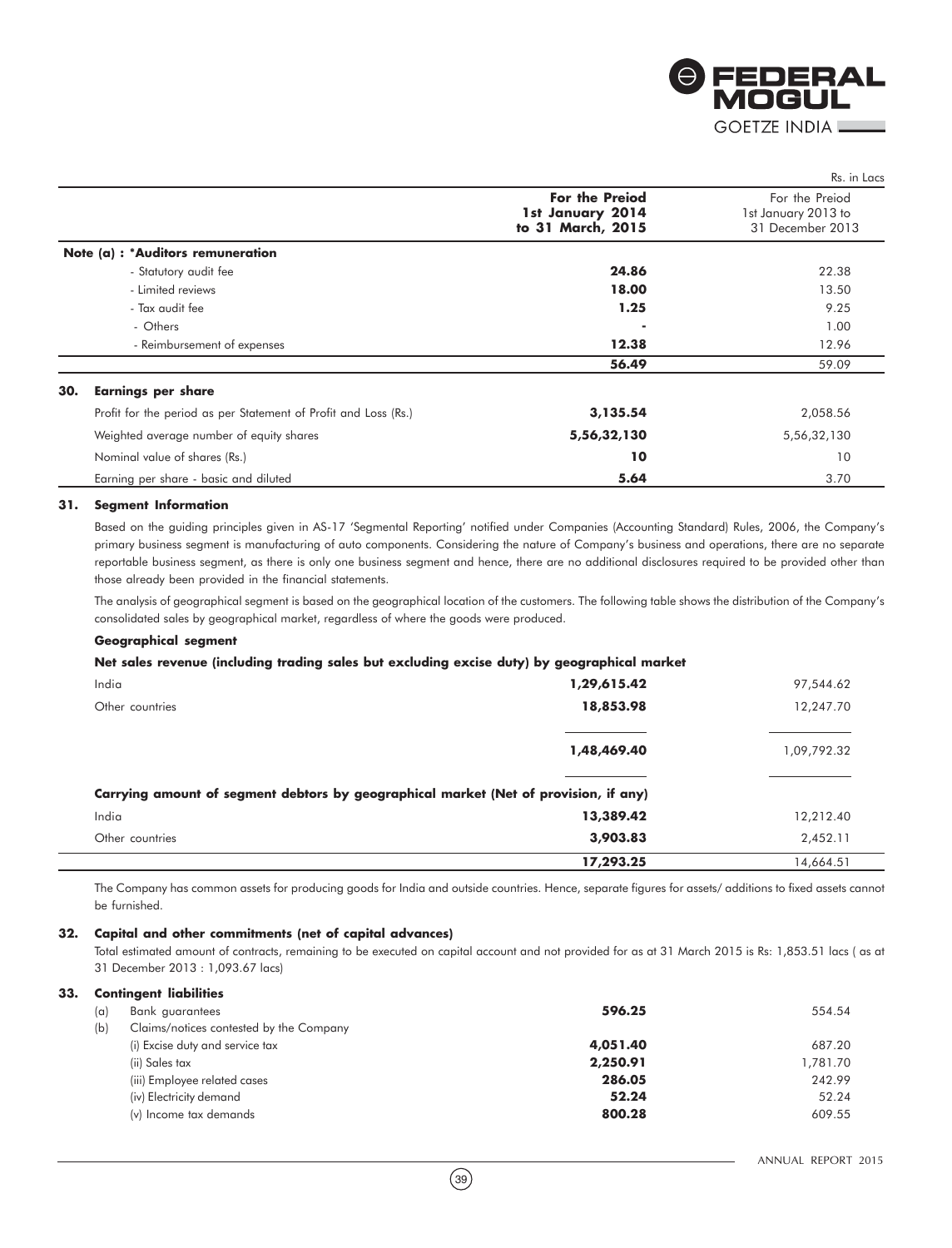

|     |                                                                 |                                                                | Rs. in Lacs                                               |
|-----|-----------------------------------------------------------------|----------------------------------------------------------------|-----------------------------------------------------------|
|     |                                                                 | <b>For the Preiod</b><br>1st January 2014<br>to 31 March, 2015 | For the Preiod<br>1st January 2013 to<br>31 December 2013 |
|     | Note (a) : *Auditors remuneration                               |                                                                |                                                           |
|     | - Statutory audit fee                                           | 24.86                                                          | 22.38                                                     |
|     | - Limited reviews                                               | 18.00                                                          | 13.50                                                     |
|     | - Tax audit fee                                                 | 1.25                                                           | 9.25                                                      |
|     | - Others                                                        |                                                                | 1.00                                                      |
|     | - Reimbursement of expenses                                     | 12.38                                                          | 12.96                                                     |
|     |                                                                 | 56.49                                                          | 59.09                                                     |
| 30. | <b>Earnings per share</b>                                       |                                                                |                                                           |
|     | Profit for the period as per Statement of Profit and Loss (Rs.) | 3,135.54                                                       | 2,058.56                                                  |
|     | Weighted average number of equity shares                        | 5,56,32,130                                                    | 5,56,32,130                                               |
|     | Nominal value of shares (Rs.)                                   | 10                                                             | 10                                                        |
|     | Earning per share - basic and diluted                           | 5.64                                                           | 3.70                                                      |

### **31. Segment Information**

Based on the guiding principles given in AS-17 'Segmental Reporting' notified under Companies (Accounting Standard) Rules, 2006, the Company's primary business segment is manufacturing of auto components. Considering the nature of Company's business and operations, there are no separate reportable business segment, as there is only one business segment and hence, there are no additional disclosures required to be provided other than those already been provided in the financial statements.

The analysis of geographical segment is based on the geographical location of the customers. The following table shows the distribution of the Company's consolidated sales by geographical market, regardless of where the goods were produced.

### **Geographical segment**

### **Net sales revenue (including trading sales but excluding excise duty) by geographical market**

| India                                                                                | 1,29,615.42 | 97,544.62   |
|--------------------------------------------------------------------------------------|-------------|-------------|
| Other countries                                                                      | 18,853.98   | 12,247.70   |
|                                                                                      | 1,48,469.40 | 1,09,792.32 |
| Carrying amount of segment debtors by geographical market (Net of provision, if any) |             |             |
| India                                                                                | 13,389.42   | 12,212.40   |
| Other countries                                                                      | 3,903.83    | 2,452.11    |
|                                                                                      | 17,293.25   | 14,664.51   |

The Company has common assets for producing goods for India and outside countries. Hence, separate figures for assets/ additions to fixed assets cannot be furnished.

### **32. Capital and other commitments (net of capital advances)**

Total estimated amount of contracts, remaining to be executed on capital account and not provided for as at 31 March 2015 is Rs: 1,853.51 lacs ( as at 31 December 2013 : 1,093.67 lacs)

| 33. |            | <b>Contingent liabilities</b>           |          |          |
|-----|------------|-----------------------------------------|----------|----------|
|     | $(\alpha)$ | Bank guarantees                         | 596.25   | 554.54   |
|     | (b)        | Claims/notices contested by the Company |          |          |
|     |            | (i) Excise duty and service tax         | 4,051.40 | 687.20   |
|     |            | (ii) Sales tax                          | 2,250.91 | 1,781.70 |
|     |            | (iii) Employee related cases            | 286.05   | 242.99   |
|     |            | (iv) Electricity demand                 | 52.24    | 52.24    |
|     |            | (v) Income tax demands                  | 800.28   | 609.55   |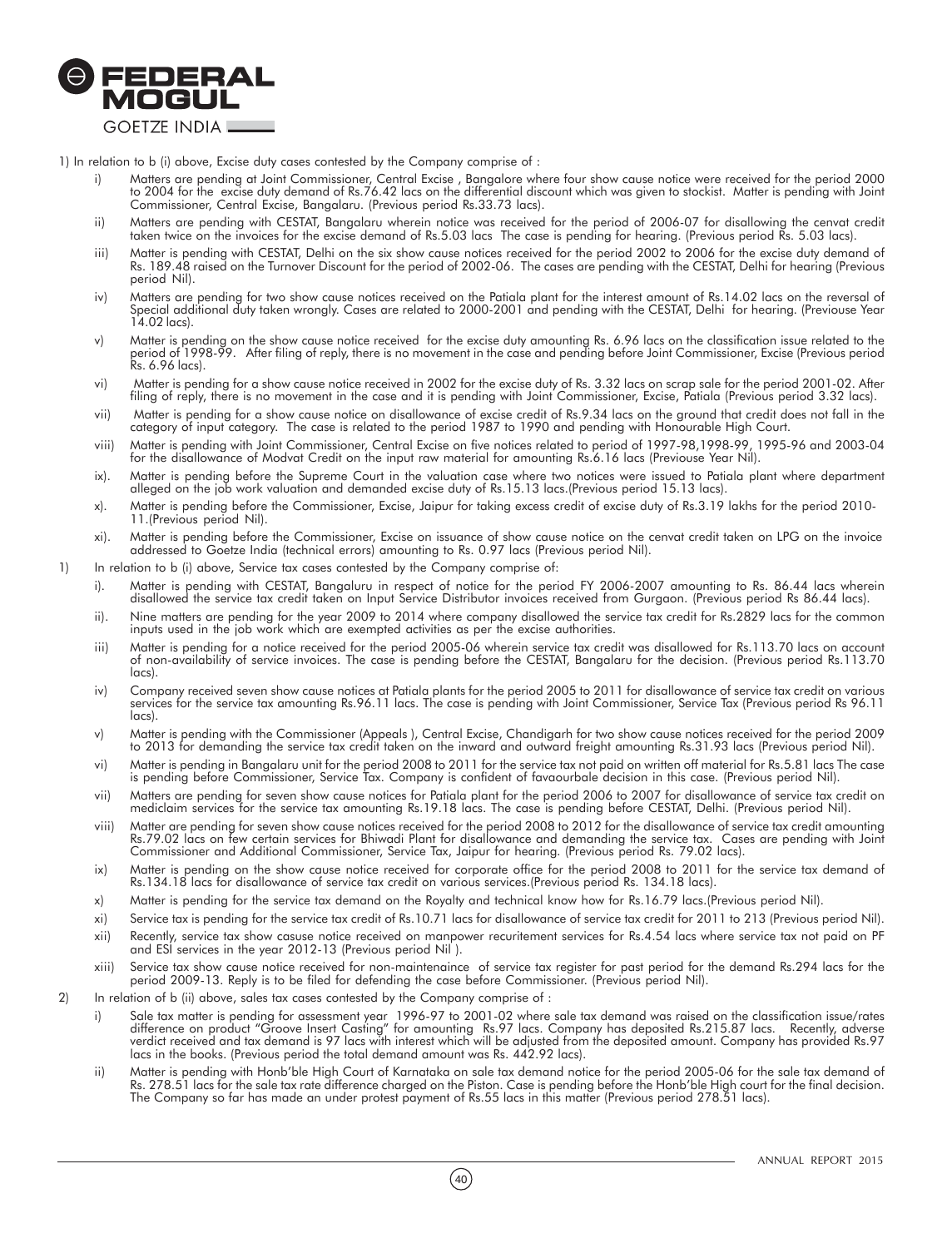

1) In relation to b (i) above, Excise duty cases contested by the Company comprise of :

- i) Matters are pending at Joint Commissioner, Central Excise , Bangalore where four show cause notice were received for the period 2000<br>to 2004 for the excise duty demand of Rs.76.42 lacs on the differential discount which Commissioner, Central Excise, Bangalaru. (Previous period Rs.33.73 lacs).
- ii) Matters are pending with CESTAT, Bangalaru wherein notice was received for the period of 2006-07 for disallowing the cenvat credit taken twice on the invoices for the excise demand of Rs.5.03 lacs The case is pending for hearing. (Previous period Rs. 5.03 lacs).
- iii) Matter is pending with CESTAT, Delhi on the six show cause notices received for the period 2002 to 2006 for the excise duty demand of Rs. 189.48 raised on the Turnover Discount for the period of 2002-06. The cases are pending with the CESTAT, Delhi for hearing (Previous period Nil).
- iv) Matters are pending for two show cause notices received on the Patiala plant for the interest amount of Rs.14.02 lacs on the reversal of Special additional duty taken wrongly. Cases are related to 2000-2001 and pending with the CESTAT, Delhi for hearing. (Previouse Year 14.02 lacs).
- v) Matter is pending on the show cause notice received for the excise duty amounting Rs. 6.96 lacs on the classification issue related to the period of 1998-99. After filing of reply, there is no movement in the case and pending before Joint Commissioner, Excise (Previous period Rs. 6.96 lacs).
- vi) Matter is pending for a show cause notice received in 2002 for the excise duty of Rs. 3.32 lacs on scrap sale for the period 2001-02. After<br>- filing of reply, there is no movement in the case and it is pending with Joi
- vii) Matter is pending for a show cause notice on disallowance of excise credit of Rs.9.34 lacs on the ground that credit does not fall in the category of input category. The case is related to the period 1987 to 1990 and pending with Honourable High Court.
- viii) Matter is pending with Joint Commissioner, Central Excise on five notices related to period of 1997-98,1998-99, 1995-96 and 2003-04 for the disallowance of Modvat Credit on the input raw material for amounting Rs.6.16 lacs (Previouse Year Nil).
- ix). Matter is pending before the Supreme Court in the valuation case where two notices were issued to Patiala plant where department<br>alleged on the job work valuation and demanded excise duty of Rs.15.13 lacs.(Previous pe
- x). Matter is pending before the Commissioner, Excise, Jaipur for taking excess credit of excise duty of Rs.3.19 lakhs for the period 2010- 11.(Previous period Nil).
- xi). Matter is pending before the Commissioner, Excise on issuance of show cause notice on the cenvat credit taken on LPG on the invoice addressed to Goetze India (technical errors) amounting to Rs. 0.97 lacs (Previous period Nil).
- 1) In relation to b (i) above, Service tax cases contested by the Company comprise of:
	- i). Matter is pending with CESTAT, Bangaluru in respect of notice for the period FY 2006-2007 amounting to Rs. 86.44 lacs wherein<br>disallowed the service tax credit taken on Input Service Distributor invoices received from
	- ii). Nine matters are pending for the year 2009 to 2014 where company disallowed the service tax credit for Rs.2829 lacs for the common inputs used in the job work which are exempted activities as per the excise authorities.
	- iii) Matter is pending for a notice received for the period 2005-06 wherein service tax credit was disallowed for Rs.113.70 lacs on account of non-availability of service invoices. The case is pending before the CESTAT, Bangalaru for the decision. (Previous period Rs.113.70 lacs).
	- iv) Company received seven show cause notices at Patiala plants for the period 2005 to 2011 for disallowance of service tax credit on various services for the service tax amounting Rs.96.11 lacs. The case is pending with Joint Commissioner, Service Tax (Previous period Rs 96.11 lacs).
	- v) Matter is pending with the Commissioner (Appeals ), Central Excise, Chandigarh for two show cause notices received for the period 2009 to 2013 for demanding the service tax credit taken on the inward and outward freight amounting Rs.31.93 lacs (Previous period Nil).
	- vi) Matter is pending in Bangalaru unit for the period 2008 to 2011 for the service tax not paid on written off material for Rs.5.81 lacs The case is pending before Commissioner, Service Tax. Company is confident of favaourbale decision in this case. (Previous period Nil).
	- vii) Matters are pending for seven show cause notices for Patiala plant for the period 2006 to 2007 for disallowance of service tax credit on<br>mediclaim services for the service tax amounting Rs.19.18 lacs. The case is pend
	- viii) Matter are pending for seven show cause notices received for the period 2008 to 2012 for the disallowance of service tax credit amounting Rs.79.02 lacs on few certain services for Bhiwadi Plant for disallowance and demanding the service tax. Cases are pending with Joint Commissioner and Additional Commissioner, Service Tax, Jaipur for hearing. (Previous period Rs. 79.02 lacs).
	- ix) Matter is pending on the show cause notice received for corporate office for the period 2008 to 2011 for the service tax demand of Rs.134.18 lacs for disallowance of service tax credit on various services.(Previous period Rs. 134.18 lacs).
	- x) Matter is pending for the service tax demand on the Royalty and technical know how for Rs.16.79 lacs.(Previous period Nil).
	- xi) Service tax is pending for the service tax credit of Rs.10.71 lacs for disallowance of service tax credit for 2011 to 213 (Previous period Nil).
	- xii) Recently, service tax show casuse notice received on manpower recuritement services for Rs.4.54 lacs where service tax not paid on PF and ESI services in the year 2012-13 (Previous period Nil).
	- xiii) Service tax show cause notice received for non-maintenaince of service tax register for past period for the demand Rs.294 lacs for the period 2009-13. Reply is to be filed for defending the case before Commissioner. (Previous period Nil).
- 2) In relation of b (ii) above, sales tax cases contested by the Company comprise of :
	- i) Sale tax matter is pending for assessment year 1996-97 to 2001-02 where sale tax demand was raised on the classification issue/rates<br>difference on product "Groove Insert Casting" for amounting Rs.97 lacs. Company has de verdict received and tax demand is 97 lacs with interest which will be adjusted from the deposited amount. Company has provided Rs.97 lacs in the books. (Previous period the total demand amount was Rs. 442.92 lacs).
	- ii) Matter is pending with Honb'ble High Court of Karnataka on sale tax demand notice for the period 2005-06 for the sale tax demand of<br>Rs. 278.51 lacs for the sale tax rate difference charged on the Piston. Case is pendin The Company so far has made an under protest payment of Rs.55 lacs in this matter (Previous period 278.51 lacs).

 $(40)$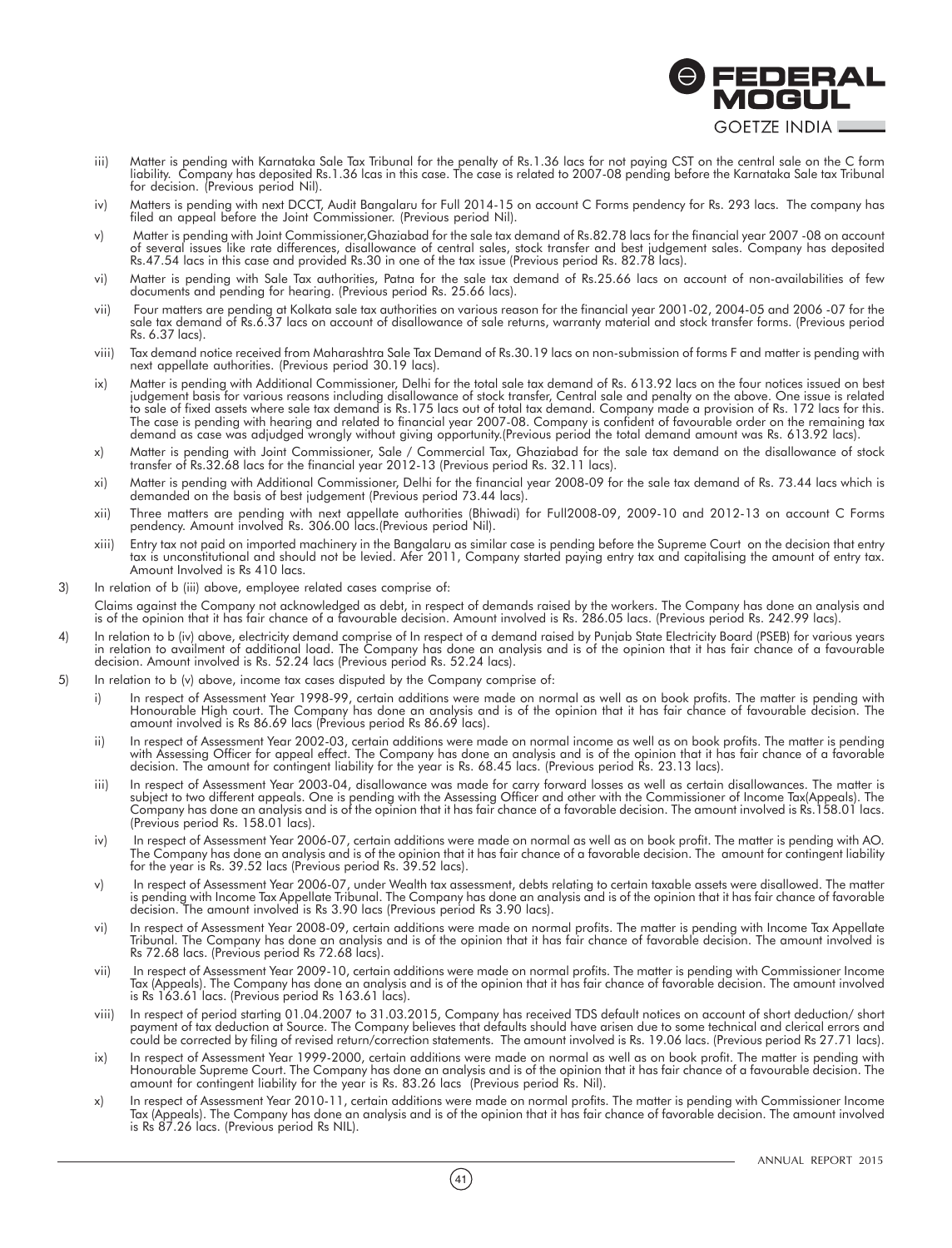- iii) Matter is pending with Karnataka Sale Tax Tribunal tor the penalty ot Rs.1.36 lacs tor not paying CST on the central sale on the C torm<br>liability. Company has deposited Rs.1.36 lcas in this case. The case is related t for decision. (Previous period Nil).
- iv) Matters is pending with next DCCT, Audit Bangalaru for Full 2014-15 on account C Forms pendency for Rs. 293 lacs. The company has filed an appeal before the Joint Commissioner. (Previous period Nil).
- v) Matter is pending with Joint Commissioner,Ghaziabad for the sale tax demand of Rs.82.78 lacs for the financial year 2007 -08 on account of several issues like rate differences, disallowance of central sales, stock transfer and best judgement sales. Company has deposited Rs.47.54 lacs in this case and provided Rs.30 in one of the tax issue (Previous period Rs. 82.78 lacs).
- vi) Matter is pending with Sale Tax authorities, Patna for the sale tax demand of Rs.25.66 lacs on account of non-availabilities of few documents and pending for hearing. (Previous period Rs. 25.66 lacs).
- vii) Four matters are pending at Kolkata sale tax authorities on various reason for the financial year 2001-02, 2004-05 and 2006 -07 for the<br>sale tax demand of Rs.6.37 lacs on account of disallowance of sale returns, warra Rs. 6.37 lacs).
- viii) Tax demand notice received from Maharashtra Sale Tax Demand of Rs.30.19 lacs on non-submission of forms F and matter is pending with next appellate authorities. (Previous period 30.19 lacs).
- ix) Matter is pending with Additional Commissioner, Delhi for the total sale tax demand of Rs. 613.92 lacs on the four notices issued on best<br>judgement basis for various reasons including disallowance of stock transfer, Ce to sale of fixed assets where sale tax demand is Rs.175 lacs out of total tax demand. Company made a provision of Rs. 172 lacs for this. The case is pending with hearing and related to financial year 2007-08. Company is confident of favourable order on the remaining tax<br>demand as case was adjudged wrongly without giving opportunity.(Previous period the tota
- x) Matter is pending with Joint Commissioner, Sale / Commercial Tax, Ghaziabad for the sale tax demand on the disallowance of stock transfer of Rs.32.68 lacs for the financial year 2012-13 (Previous period Rs. 32.11 lacs).
- xi) Matter is pending with Additional Commissioner, Delhi for the financial year 2008-09 for the sale tax demand of Rs. 73.44 lacs which is demanded on the basis of best judgement (Previous period 73.44 lacs).
- xii) Three matters are pending with next appellate authorities (Bhiwadi) for Full2008-09, 2009-10 and 2012-13 on account C Forms pendency. Amount involved Rs. 306.00 lacs.(Previous period Nil).
- xiii) Entry tax not paid on imported machinery in the Bangalaru as similar case is pending before the Supreme Court on the decision that entry tax is unconstitutional and should not be levied. Afer 2011, Company started paying entry tax and capitalising the amount of entry tax. Amount Involved is Rs 410 lacs.
- 3) In relation of b (iii) above, employee related cases comprise of:

Claims against the Company not acknowledged as debt, in respect of demands raised by the workers. The Company has done an analysis and<br>is of the opinion that it has fair chance of a favourable decision. Amount involved is

- 4) In relation to b (iv) above, electricity demand comprise of In respect of a demand raised by Punjab State Electricity Board (PSEB) for various years in relation to availment of additional load. The Company has done an analysis and is of the opinion that it has fair chance of a favourable<br>decision. Amount involved is Rs. 52.24 lacs (Previous period Rs. 52.24 lacs).
- 5) In relation to b (v) above, income tax cases disputed by the Company comprise of:
	- i) In respect of Assessment Year 1998-99, certain additions were made on normal as well as on book profits. The matter is pending with Honourable High court. The Company has done an analysis and is of the opinion that it has fair chance of favourable decision. The amount involved is Rs 86.69 lacs (Previous period Rs 86.69 lacs).
	- ii) In respect of Assessment Year 2002-03, certain additions were made on normal income as well as on book profits. The matter is pending<br>with Assessing Officer for appeal effect. The Company has done an analysis and is of decision. The amount for contingent liability for the year is Rs. 68.45 lacs. (Previous period Rs. 23.13 lacs).
	- iii) In respect of Assessment Year 2003-04, disallowance was made for carry forward losses as well as certain disallowances. The matter is subject to two different appeals. One is pending with the Assessing Officer and other with the Commissioner of Income Tax(Appeals). The<br>Company has done an analysis and is of the opinion that it has fair chance of a favora (Previous period Rs. 158.01 lacs).
	- iv) In respect of Assessment Year 2006-07, certain additions were made on normal as well as on book profit. The matter is pending with AO. The Company has done an analysis and is of the opinion that it has fair chance of a favorable decision. The amount for contingent liability for the year is Rs. 39.52 lacs (Previous period Rs. 39.52 lacs).
	- v) In respect of Assessment Year 2006-07, under Wealth tax assessment, debts relating to certain taxable assets were disallowed. The matter is pending with Income Tax Appellate Tribunal. The Company has done an analysis and is of the opinion that it has fair chance of favorable decision. The amount involved is Rs 3.90 lacs (Previous period Rs 3.90 lacs).
	- vi) In respect of Assessment Year 2008-09, certain additions were made on normal profits. The matter is pending with Income Tax Appellate Tribunal. The Company has done an analysis and is of the opinion that it has fair chance of favorable decision. The amount involved is Rs 72.68 lacs. (Previous period Rs 72.68 lacs).
	- vii) In respect of Assessment Year 2009-10, certain additions were made on normal profits. The matter is pending with Commissioner Income Tax (Appeals). The Company has done an analysis and is of the opinion that it has fair chance of favorable decision. The amount involved is Rs 163.61 lacs. (Previous period Rs 163.61 lacs).
	- viii) In respect of period starting 01.04.2007 to 31.03.2015, Company has received TDS default notices on account of short deduction/ short payment of tax deduction at Source. The Company believes that defaults should have arisen due to some technical and clerical errors and could be corrected by filing of revised return/correction statements. The amount involved is Rs. 19.06 lacs. (Previous period Rs 27.71 lacs).
	- ix) In respect of Assessment Year 1999-2000, certain additions were made on normal as well as on book profit. The matter is pending with<br>Honourable Supreme Court. The Company has done an analysis and is of the opinion that amount for contingent liability for the year is Rs. 83.26 lacs (Previous period Rs. Nil).
	- x) In respect of Assessment Year 2010-11, certain additions were made on normal profits. The matter is pending with Commissioner Income Tax (Appeals). The Company has done an analysis and is of the opinion that it has fair chance of favorable decision. The amount involved is Rs 87.26 lacs. (Previous period Rs NIL).

**O** FEDERAL<br>MOGUL

**GOETZE INDIA \_**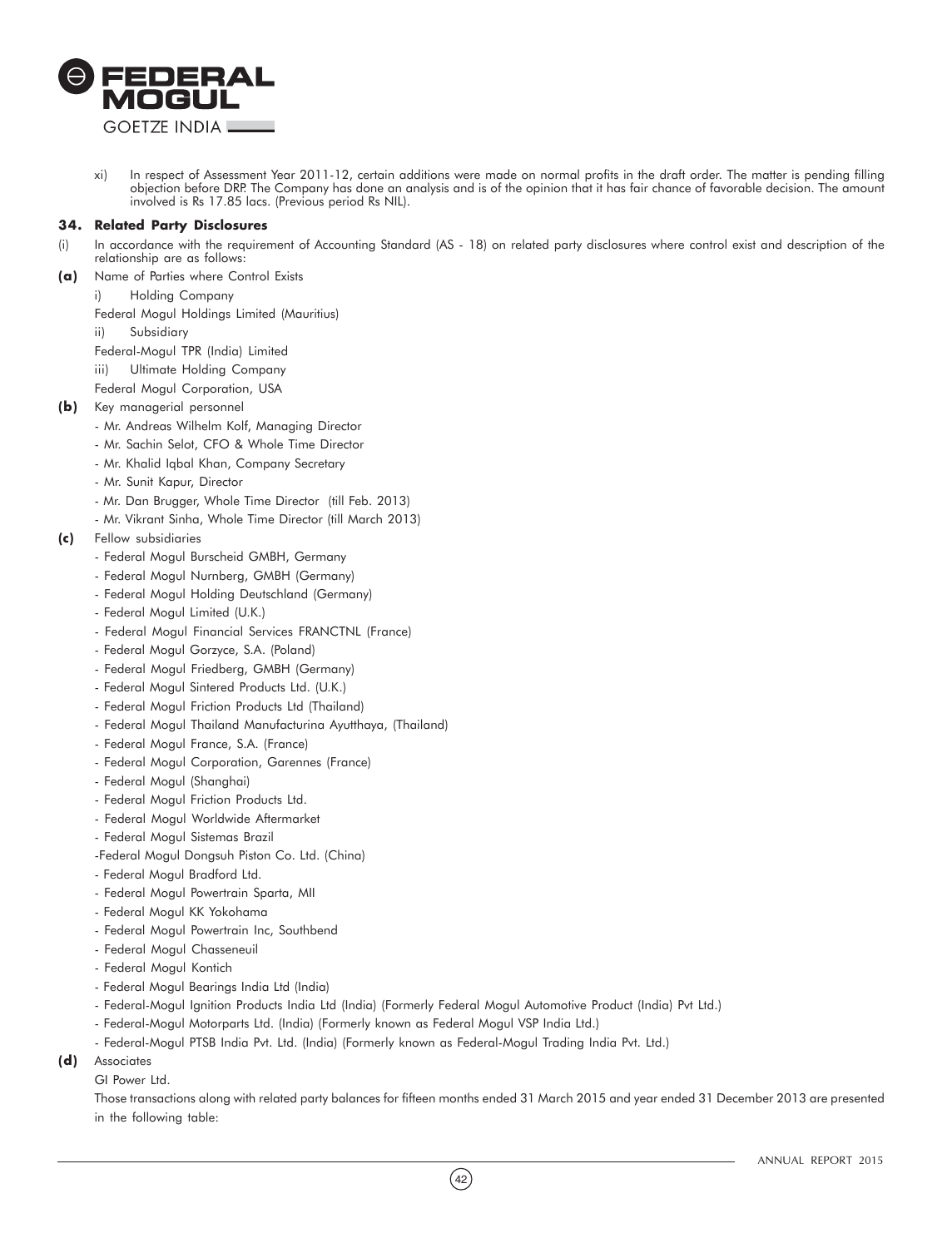

xi) In respect of Assessment Year 2011-12, certain additions were made on normal profits in the draft order. The matter is pending filling objection before DRP. The Company has done an analysis and is of the opinion that it has fair chance of favorable decision. The amount involved is Rs 17.85 lacs. (Previous period Rs NIL).

### **34. Related Party Disclosures**

- (i) In accordance with the requirement of Accounting Standard (AS 18) on related party disclosures where control exist and description of the relationship are as follows:
- **(a)** Name of Parties where Control Exists
	- i) Holding Company
	- Federal Mogul Holdings Limited (Mauritius)
	- ii) Subsidiary
	- Federal-Mogul TPR (India) Limited
	- iii) Ultimate Holding Company
	- Federal Mogul Corporation, USA
- **(b)** Key managerial personnel
	- Mr. Andreas Wilhelm Kolf, Managing Director
	- Mr. Sachin Selot, CFO & Whole Time Director
	- Mr. Khalid Iqbal Khan, Company Secretary
	- Mr. Sunit Kapur, Director
	- Mr. Dan Brugger, Whole Time Director (till Feb. 2013)
	- Mr. Vikrant Sinha, Whole Time Director (till March 2013)
- **(c)** Fellow subsidiaries
	- Federal Mogul Burscheid GMBH, Germany
	- Federal Mogul Nurnberg, GMBH (Germany)
	- Federal Mogul Holding Deutschland (Germany)
	- Federal Mogul Limited (U.K.)
	- Federal Mogul Financial Services FRANCTNL (France)
	- Federal Mogul Gorzyce, S.A. (Poland)
	- Federal Mogul Friedberg, GMBH (Germany)
	- Federal Mogul Sintered Products Ltd. (U.K.)
	- Federal Mogul Friction Products Ltd (Thailand)
	- Federal Mogul Thailand Manufacturina Ayutthaya, (Thailand)
	- Federal Mogul France, S.A. (France)
	- Federal Mogul Corporation, Garennes (France)
	- Federal Mogul (Shanghai)
	- Federal Mogul Friction Products Ltd.
	- Federal Mogul Worldwide Aftermarket
	- Federal Mogul Sistemas Brazil
	- -Federal Mogul Dongsuh Piston Co. Ltd. (China)
	- Federal Mogul Bradford Ltd.
	- Federal Mogul Powertrain Sparta, MII
	- Federal Mogul KK Yokohama
	- Federal Mogul Powertrain Inc, Southbend
	- Federal Mogul Chasseneuil
	- Federal Mogul Kontich
	- Federal Mogul Bearings India Ltd (India)
	- Federal-Mogul Ignition Products India Ltd (India) (Formerly Federal Mogul Automotive Product (India) Pvt Ltd.)
	- Federal-Mogul Motorparts Ltd. (India) (Formerly known as Federal Mogul VSP India Ltd.)
	- Federal-Mogul PTSB India Pvt. Ltd. (India) (Formerly known as Federal-Mogul Trading India Pvt. Ltd.)
- **(d)** Associates
	- GI Power Ltd.

Those transactions along with related party balances for fifteen months ended 31 March 2015 and year ended 31 December 2013 are presented in the following table: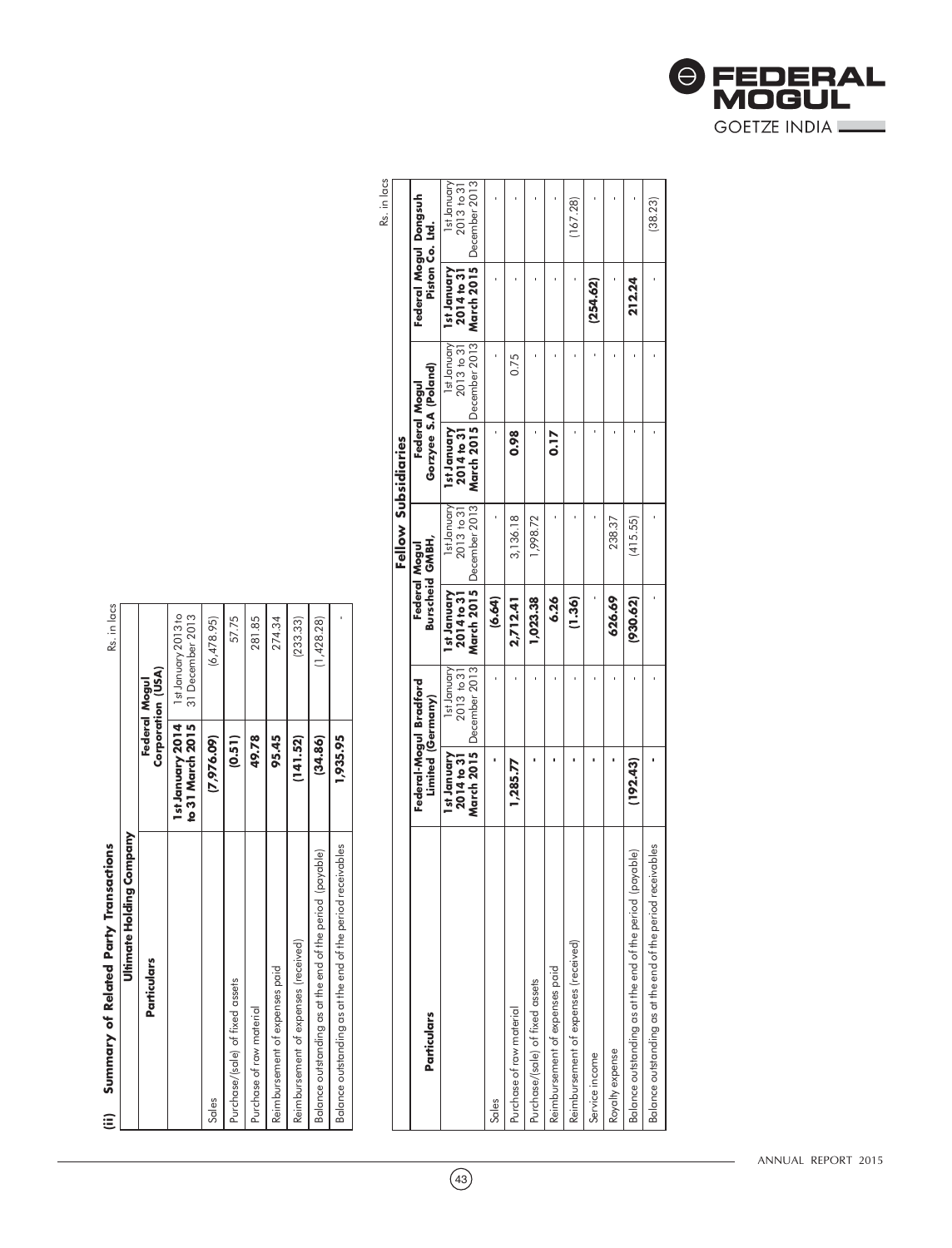

 $(38.23)$ 

212.24  $\bar{1}$ 

 $(254.62)$ 

 $\bar{1}$  $\bar{1}$  $\blacksquare$  $\bar{1}$ 

 $\overline{1}$  $\bar{1}$  $\overline{1}$  $\bar{1}$ 

> 238.37  $(415.55)$  $\bar{1}$

> > Î,  $(930.62)$

 $\overline{\phantom{a}}$  $(192.43)$ 

Balance outstanding as at the end of the period receivables Balance outstanding as at the end of the period (payable)

Royalty expense Service income

| Reimbursement of expenses paid                                | 95.45                     |                                             | 274.34                   |                                  |                           |                           |                                          |                                |
|---------------------------------------------------------------|---------------------------|---------------------------------------------|--------------------------|----------------------------------|---------------------------|---------------------------|------------------------------------------|--------------------------------|
| Reimbursement of expenses (received)                          | (141.52)                  |                                             | (233.33)                 |                                  |                           |                           |                                          |                                |
| oayable)<br>Balance outstanding as at the end of the period ( | (34.86)                   |                                             | (1,428.28)               |                                  |                           |                           |                                          |                                |
| Balance outstanding as at the end of the period receivables   | 1,935.95                  |                                             |                          |                                  |                           |                           |                                          |                                |
|                                                               |                           |                                             |                          |                                  |                           |                           |                                          |                                |
|                                                               |                           |                                             |                          |                                  |                           |                           |                                          | Rs. in lacs                    |
|                                                               |                           |                                             |                          | Fellow Subsidiaries              |                           |                           |                                          |                                |
| <b>Particulars</b>                                            |                           | Federal-Mogul Bradford<br>Limited (Germany) |                          | Burscheid GMBH,<br>Federal Mogul | Gorzyee S.A (Poland)      | Federal Mogul             | Federal Mogul Dongsuh<br>Piston Co. Ltd. |                                |
|                                                               | 1st January<br>2014 to 31 | 1st January<br>2013 to 31                   | st January<br>2014 to 31 | 1st January<br>2013 to 31        | 1st January<br>2014 to 31 | 1st January<br>2013 to 31 | Ist January<br>2014 to 31                | $\frac{1}{2013} \frac{1}{631}$ |
|                                                               |                           | March 2015 December 2013                    | March 2015               | December 2013                    | March 2015                | December 2013             | March 2015                               | December 2013                  |
| Sales                                                         |                           |                                             | (6.64)                   |                                  |                           |                           |                                          |                                |
| Purchase of raw material                                      | 1,285.77                  |                                             | 2,712.41                 | 3,136.18                         | 0.98                      | 0.75                      |                                          |                                |
| Purchase/(sale) of fixed assets                               |                           |                                             | 1,023.38                 | 1,998.72                         |                           |                           |                                          |                                |
| Reimbursement of expenses paid                                |                           |                                             | 6.26                     |                                  | 0.17                      |                           |                                          |                                |
| Reimbursement of expenses (received)                          |                           |                                             | (1.36)                   |                                  |                           |                           |                                          | (167.28)                       |

**Service income experience in the service income experience in the service income experience in the service income experience in the service of**  $\Omega$ Royalty expense **-** - **626.69** 238.37 - - - - Balance outstanding as at the end of the period (payable) **(192.43)** - **(930.62)** (415.55) - - **212.24** - Balance outstand outstand outstanding as at the period of the period of the period receivables outstanding as at the period receivable of the period receivable contract of the period receivable contract of the period of  $($ 

l, J.  $\bar{1}$  $\bar{1}$ 

J.  $\cdot$ 

 $\overline{\phantom{a}}$ 626.69

<sup>43</sup>

**Particulars**

Particulars

Sales **(7,976.09)** (6,478.95) Purchase/(sale) of fixed assets **(0.51)** 57.75 Purchase of raw material **49.78** 281.85

Purchase/(sale) of fixed assets Purchase of raw material

Sales

 $(7,976.09)$ 

**Ultimate Holding Company**

Ultimate Holding Company

**(ii) Summary of Related Party Transactions**

 $\widehat{\equiv}$ 

**Summary of Related Party Transactions** 

Rs. in lacs

Rs. in lacs

**Federal Mogul Corporation (USA)**

Federal Mogul<br>Corporation (USA)

**1st January 2014 to 31 March 2015**

1st January 2014<br>to 31 March 2015

1st January 2013 to 31 December 2013

1st January 2013 to<br>31 December 2013

57.75 281.85

 $(0.51)$ 49.78

 $(6,478.95)$ 

ANNUAL REPORT 2015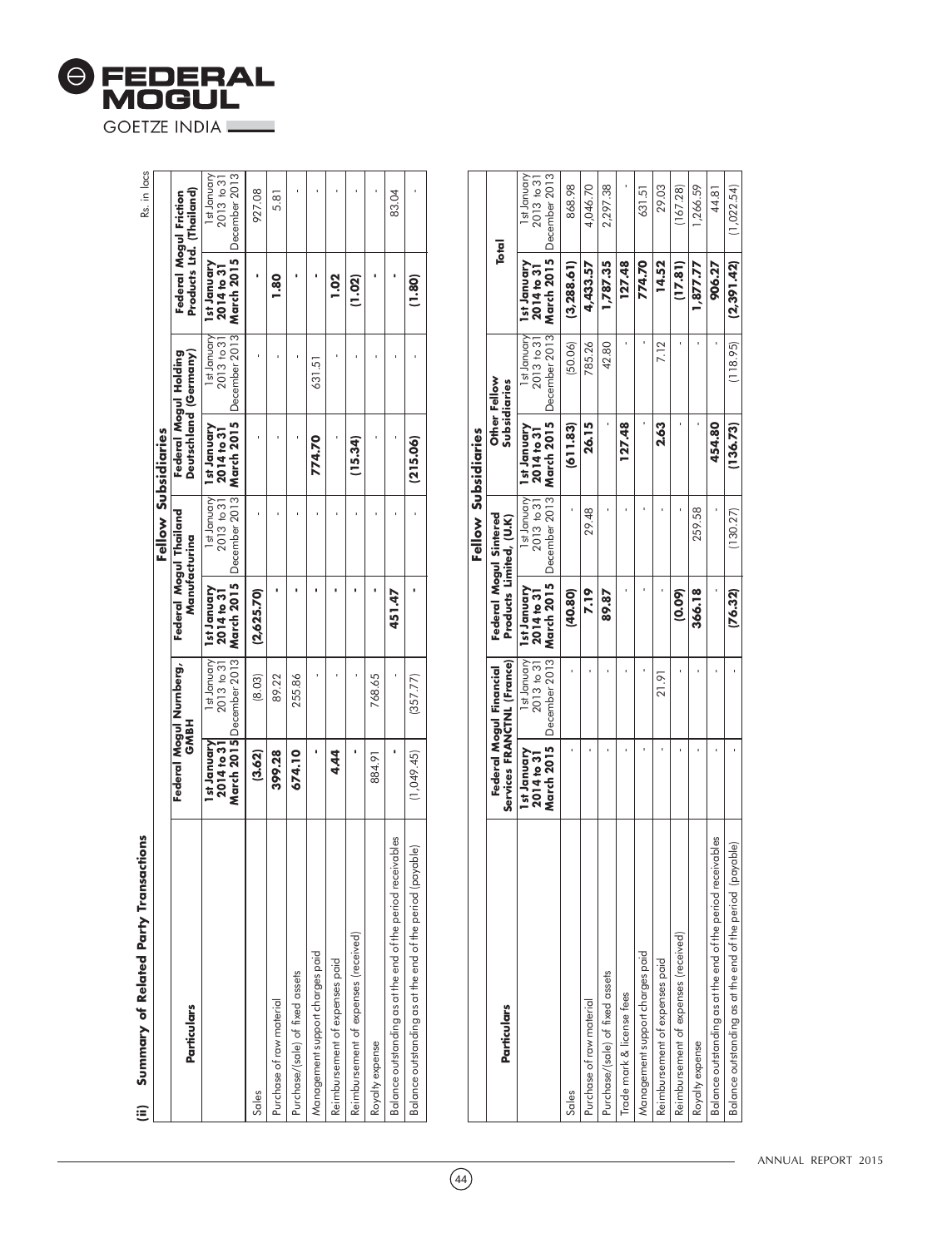| (ii) Summary of Related Party Transactions                  |                           |                                                       |                                         |                                         |                                         |                                                |                                         | Rs. in lacs                                        |
|-------------------------------------------------------------|---------------------------|-------------------------------------------------------|-----------------------------------------|-----------------------------------------|-----------------------------------------|------------------------------------------------|-----------------------------------------|----------------------------------------------------|
|                                                             |                           |                                                       |                                         | Fellow Subsidiaries                     |                                         |                                                |                                         |                                                    |
| Particulars                                                 | <b>Hawe</b>               | Federal Mogul Nurnberg,                               |                                         | Federal Mogul Thailand<br>Manufacturina |                                         | Federal Mogul Holding<br>Deutschland (Germany) |                                         | Products Ltd. (Thailand)<br>Federal Mogul Friction |
|                                                             | Ist January<br>2014 to 31 | 1st January<br>March 2015 December 2013<br>2013 to 31 | March 2015<br>1st January<br>2014 to 31 | 1st January<br>December 2013<br>2013631 | March 2015<br>1st January<br>2014 to 31 | 1st January<br>December 2013<br>2013 to 31     | March 2015<br>1st January<br>2014 to 31 | December 2013<br>1st January<br>2013 to 31         |
| Sales                                                       | (3.62)                    | (8.03)                                                | (2,625.70)                              |                                         |                                         |                                                |                                         | 927.08                                             |
| Purchase of raw material                                    | 399.28                    | 89.22                                                 |                                         |                                         |                                         |                                                | <b>80</b><br>-                          | 5.81                                               |
| Purchase/(sale) of fixed assets                             | 674.10                    | 255.86                                                |                                         |                                         |                                         |                                                |                                         |                                                    |
| Management support charges paid                             |                           |                                                       |                                         |                                         | 774.70                                  | 631.51                                         |                                         |                                                    |
| Reimbursement of expenses paid                              | 44                        |                                                       |                                         |                                         |                                         |                                                | <b>1.02</b>                             |                                                    |
| Reimbursement of expenses (received)                        |                           |                                                       |                                         |                                         | (15.34)                                 |                                                | (1.02)                                  |                                                    |
| Royalty expense                                             | 884.9                     | 768.65                                                |                                         |                                         |                                         |                                                |                                         |                                                    |
| Balance outstanding as at the end of the period receivables |                           |                                                       | 451.47                                  |                                         |                                         |                                                |                                         | 83.04                                              |
| Balance outstanding as at the end of the period (payable)   | (1,049.45)                | (357.77)                                              |                                         |                                         | (215.06)                                |                                                | (1.80)                                  |                                                    |
|                                                             |                           |                                                       |                                         |                                         |                                         |                                                |                                         |                                                    |

|                                                             |                                         |                                                       |                                         | Fellow Subsidiaries                               |                                         |                                            |                                         |                                            |
|-------------------------------------------------------------|-----------------------------------------|-------------------------------------------------------|-----------------------------------------|---------------------------------------------------|-----------------------------------------|--------------------------------------------|-----------------------------------------|--------------------------------------------|
| Particulars                                                 |                                         | Services FRANCTNL (France)<br>Federal Mogul Financial |                                         | Federal Mogul Sintered<br>Products Limited, (U.K) |                                         | Other Fellow<br>Subsidiaries               |                                         | <b>Total</b>                               |
|                                                             | March 2015<br>Ist January<br>2014 to 31 | 1st January<br>December 2013<br>2013 to 31            | March 2015<br>1st January<br>2014 to 31 | 1st January<br>December 2013<br>2013 to 31        | March 2015<br>1st January<br>2014 to 31 | 1st January<br>December 2013<br>2013 to 31 | March 2015<br>1st January<br>2014 to 31 | December 2013<br>1st January<br>2013 to 31 |
| Sales                                                       |                                         |                                                       | (40.80)                                 |                                                   | (611.83)                                | (50.06)                                    | (3, 288.61)                             | 868.98                                     |
| Purchase ot raw material                                    |                                         |                                                       | 7.19                                    | 29.48                                             | 26.15                                   | 785.26                                     | 4,433.57                                | 4,046.70                                   |
| Purchase/(sale) of fixed assets                             |                                         |                                                       | 89.87                                   |                                                   |                                         | 42.80                                      | 1,787.35                                | 2,297.38                                   |
| Trade mark & license fees                                   |                                         |                                                       |                                         |                                                   | 127.48                                  |                                            | 127.48                                  |                                            |
| Management support charges paid                             |                                         |                                                       |                                         |                                                   |                                         |                                            | 774.70                                  | 631.51                                     |
| Reimbursement of expenses paid                              |                                         | 21.91                                                 |                                         |                                                   | 2.63                                    | 7.12                                       | 14.52                                   | 29.03                                      |
| Reimbursement of expenses (received)                        |                                         |                                                       | (0.09)                                  |                                                   |                                         |                                            | (17.81)                                 | (167.28)                                   |
| Royalty expense                                             |                                         |                                                       | 366.18                                  | 259.58                                            |                                         |                                            | 1,877.77                                | 266.59                                     |
| Balance outstanding as at the end of the period receivables |                                         |                                                       |                                         |                                                   | 454.80                                  |                                            | 906.27                                  | 44.81                                      |
| Balance outstanding as at the end of the period (payable)   |                                         |                                                       | (76.32)                                 | (130.27)                                          | (136.73)                                | (118.95)                                   | (2, 391.42)                             | (1,022.54)                                 |





**GOETZE INDIA**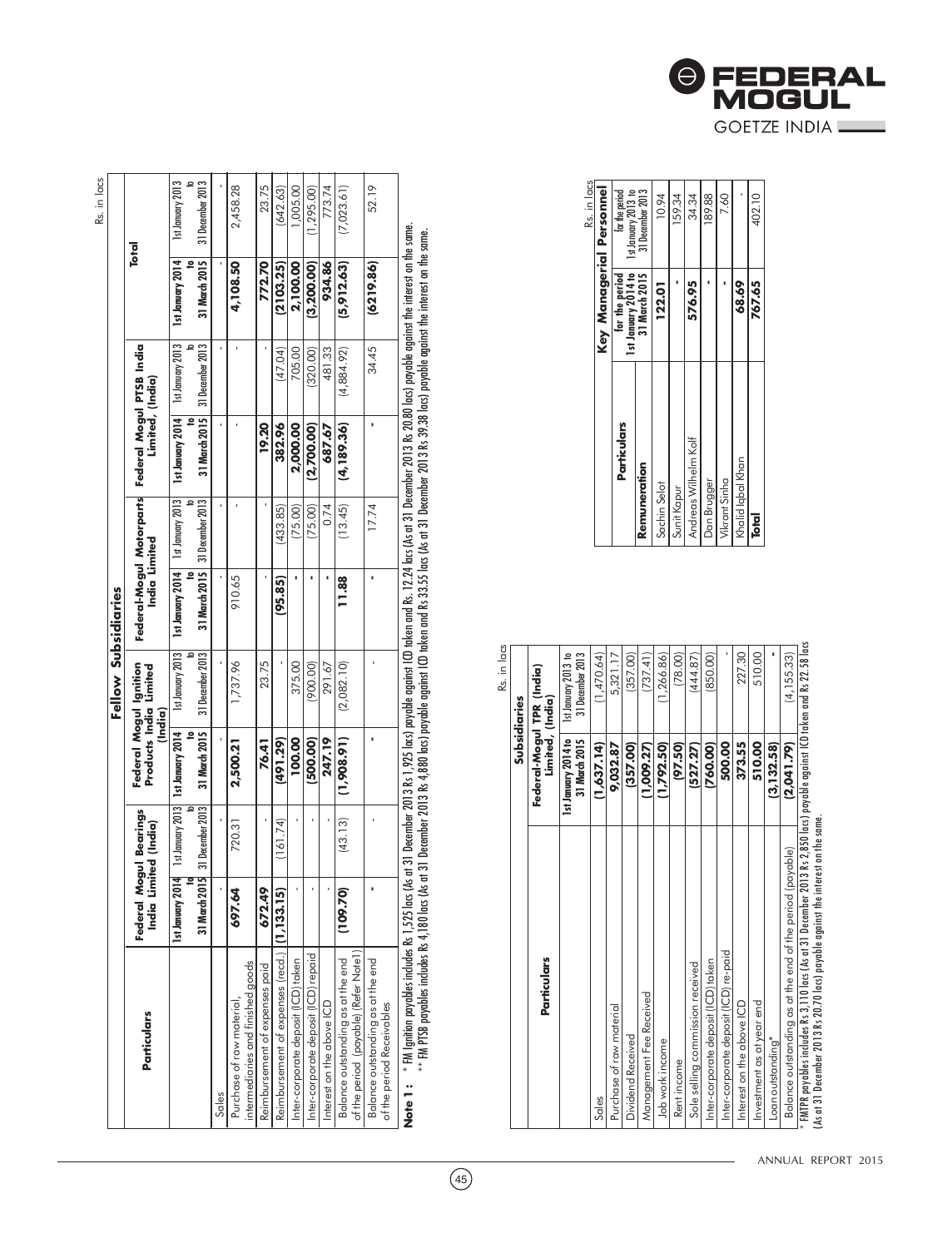|                                                                                                                                                                                                                                                                                                                 |                  |                                                 |                                                             | Fellow Subsidiaries |                                           |                                  |                                              |                                  |                                                                                                                                                                  |                  |
|-----------------------------------------------------------------------------------------------------------------------------------------------------------------------------------------------------------------------------------------------------------------------------------------------------------------|------------------|-------------------------------------------------|-------------------------------------------------------------|---------------------|-------------------------------------------|----------------------------------|----------------------------------------------|----------------------------------|------------------------------------------------------------------------------------------------------------------------------------------------------------------|------------------|
| <b>Particulars</b>                                                                                                                                                                                                                                                                                              |                  | Federal Mogul Bearings<br>India Limited (India) | Federal Mogul Ignition<br>Products India Limited<br>(India) |                     | Federal-Mogul Motorparts<br>India Limited |                                  | Federal Mogul PTSB India<br>Limited, (India) |                                  | Total                                                                                                                                                            |                  |
|                                                                                                                                                                                                                                                                                                                 | lst January 2014 |                                                 | 1st January 2013   1st January 2014                         | 1st January 2013    | 1st January 2014   1st January 2013       |                                  | 1st January 2014 $ $ 1st January 2013        |                                  | 1st January 2014                                                                                                                                                 | 1st January 2013 |
|                                                                                                                                                                                                                                                                                                                 | 31 March 2015    | 31 December 2013                                | 31 March 2015                                               | 31 December 2013    |                                           | 31 March 2015   31 December 2013 |                                              | 31 March 2015   31 December 2013 | 31 March 2015                                                                                                                                                    | 31 December 2013 |
| Sales                                                                                                                                                                                                                                                                                                           |                  |                                                 |                                                             |                     |                                           |                                  |                                              |                                  |                                                                                                                                                                  |                  |
| Purchase of raw material                                                                                                                                                                                                                                                                                        | 697.64           | 720.31                                          | 2,500.21                                                    | 1,737.96            | 910.65                                    |                                  |                                              |                                  | 4,108.50                                                                                                                                                         | 2,458.28         |
| intermediaries and finished goods                                                                                                                                                                                                                                                                               |                  |                                                 |                                                             |                     |                                           |                                  |                                              |                                  |                                                                                                                                                                  |                  |
| Reimbursement of expenses paid                                                                                                                                                                                                                                                                                  | 672.49           |                                                 | 76.41                                                       | 23.75               |                                           |                                  | 19.20                                        |                                  | 772.70                                                                                                                                                           | 23.75            |
| Reimbursement of expenses (recd.)                                                                                                                                                                                                                                                                               | (1,133.15)       | (161.74)                                        | (491.29)                                                    |                     | (95.85)                                   | (433.85)                         | 382.96                                       | (47.04)                          | (2103.25)                                                                                                                                                        | (642.63)         |
| Inter-corporate deposit (ICD) taken                                                                                                                                                                                                                                                                             |                  |                                                 | 100.00                                                      | 375.00              |                                           | (75.00)                          | 2,000.00                                     | 705.00                           | 2,100.00                                                                                                                                                         | 1,005.00         |
| Inter-corporate deposit (ICD) repaid                                                                                                                                                                                                                                                                            |                  |                                                 | (500.00)                                                    | (900.00)            |                                           | (75.00)                          | (2,700.00)                                   | (320.00)                         | (3, 200.00)                                                                                                                                                      | (1, 295.00)      |
| Interest on the above ICD                                                                                                                                                                                                                                                                                       |                  |                                                 | 247.19                                                      | 291.67              |                                           | 0.74                             | 687.67                                       | 481.33                           | 934.86                                                                                                                                                           | 773.74           |
| Balance outstanding as at the end                                                                                                                                                                                                                                                                               | (109.70)         | (43.13)                                         | (1,908.91)                                                  | (2,082.10)          | 11.88                                     | (13.45)                          | (4, 189.36)                                  | (4,884.92)                       | (5,912.63)                                                                                                                                                       | (7,023.61)       |
| of the period (payable) (Refer Note1                                                                                                                                                                                                                                                                            |                  |                                                 |                                                             |                     |                                           |                                  |                                              |                                  |                                                                                                                                                                  |                  |
| Balance outstanding as at the end<br>of the period Receivables                                                                                                                                                                                                                                                  |                  |                                                 |                                                             |                     |                                           | 17.74                            |                                              | 34.45                            | (6219.86)                                                                                                                                                        | 52.19            |
| * FM PTSB payables includes Rs 4,180 lacs (As at 31 December 2013 Rs 4,880 lacs) payable against ICD token and Rs 33.55 bas (As at 31 December 2013 Rs 39.38 lacs) payable against the interest on the same.<br>Note $\overline{\phantom{a}}$ : $\phantom{a}^*$ FM lgnition payables includes Rs 1,525 lacs (As |                  |                                                 |                                                             |                     |                                           |                                  |                                              |                                  | at 31 December 2013 Rs 1,925 lacs) payable against ICD taken and Rs. 12.24 lacs (As at 31 December 2013 Rs 20.80 lacs) payable against the interest on the same. |                  |

|  | Rs. in lacs |
|--|-------------|
|  |             |

|                                                                                                                                                                                                             |                                               | Subsidiaries                            |
|-------------------------------------------------------------------------------------------------------------------------------------------------------------------------------------------------------------|-----------------------------------------------|-----------------------------------------|
| Particulars                                                                                                                                                                                                 | Federal-Mogul TPR (India)<br>Limited, (India) |                                         |
|                                                                                                                                                                                                             | $1st$ January $2014$ to<br>31 March 2015      | 1st January 2013 to<br>31 December 2013 |
| Sales                                                                                                                                                                                                       | (1,637.14)                                    | (1,470.64)                              |
| Purchase of raw material                                                                                                                                                                                    | 9,032.87                                      | 5,321.17                                |
| Dividend Received                                                                                                                                                                                           | (357.00)                                      | (357.00)                                |
| Management Fee Received                                                                                                                                                                                     | (1,009.27)                                    | (737.41)                                |
| Job work income                                                                                                                                                                                             | (1,792.50)                                    | (1, 266.86)                             |
| Rent income                                                                                                                                                                                                 | (97.50)                                       | (78.00)                                 |
| Sole selling commission received                                                                                                                                                                            | (527.27)                                      | (444.87)                                |
| Inter-corporate deposit (ICD) taken                                                                                                                                                                         | (760.00)                                      | (850.00)                                |
| Inter-corporate deposit (ICD) re-paid                                                                                                                                                                       | 500.00                                        |                                         |
| Interest on the above ICD                                                                                                                                                                                   | 373.55                                        | 227.30                                  |
| Investment as at year end                                                                                                                                                                                   | 510.00                                        | 510.00                                  |
| Loan outstanding*                                                                                                                                                                                           | (3,132.58)                                    |                                         |
| Balance outstanding as at the end of the period (payable)                                                                                                                                                   | (2,041.79)                                    | (4, 155.33)                             |
| FMTPR payables includes Rs 3,110 lacs (As at 31 December 2013 Rs 2,850 lacs) payable against ICD taken and Rs 22.58 lacs<br>As at 31 December 2013 Rs 20.70 lacs) payable against the interest on the same. |                                               |                                         |

| Rs. in lacs                       |                          | for the period | 1st January 2013 to | 31 December 2013 | 10.94        | 159.34      | 34.34                | 189.88      | 7.60          |                   | 402.10 |  |
|-----------------------------------|--------------------------|----------------|---------------------|------------------|--------------|-------------|----------------------|-------------|---------------|-------------------|--------|--|
|                                   | Key Managerial Personnel | for the period | 1st January 2014 to | 31 March 2015    | 122.01       |             | 576.95               |             |               | 68.69             | 767.65 |  |
|                                   |                          | Particulars    |                     | Remuneration     | Sachin Selot | Sunit Kapur | Andreas Wilhelm Kolf | Dan Brugger | /ikrant Sinha | Khalid Iabal Khan | Total  |  |
|                                   |                          |                |                     |                  |              |             |                      |             |               |                   |        |  |
| 31 December 2013<br>$\frac{1}{2}$ | (1,470.64)               | 5,321.17       | (357.00)            | (737.41)         | (1, 266.86)  | (78.00)     | (444.87)             | (850.00)    |               | 227.30            | 510.00 |  |

 $\overline{1}$ 

 $\overline{1}$ 

 $\overline{ }$ 



ANNUAL REPORT 2015

45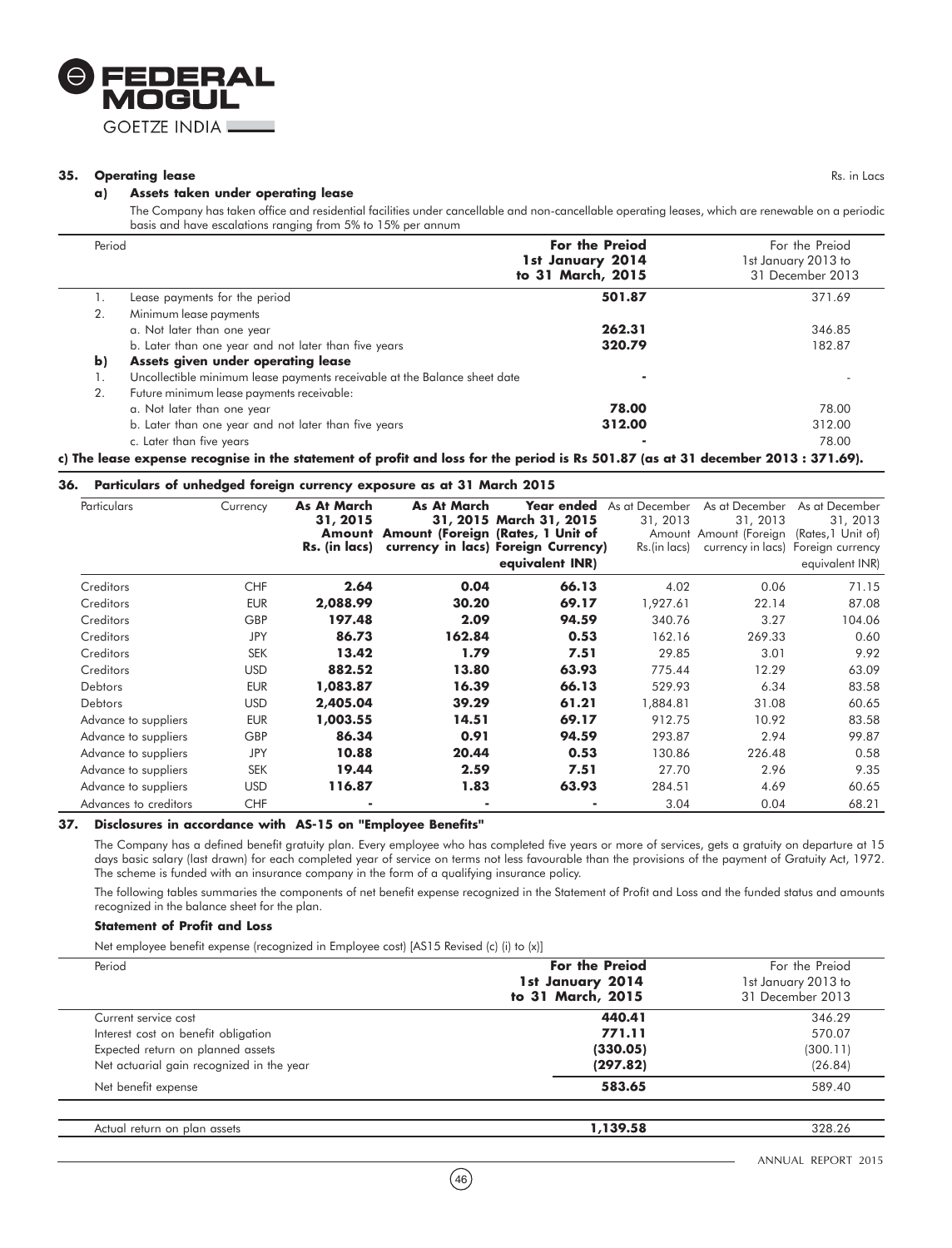

**35. Operating lease** Rs. in Lacs

### **a) Assets taken under operating lease**

The Company has taken office and residential facilities under cancellable and non-cancellable operating leases, which are renewable on a periodic basis and have escalations ranging from 5% to 15% per annum

| Period       |                                                                           | <b>For the Preiod</b><br>1st January 2014<br>to 31 March, 2015 | For the Preiod<br>1st January 2013 to<br>31 December 2013 |
|--------------|---------------------------------------------------------------------------|----------------------------------------------------------------|-----------------------------------------------------------|
|              | Lease payments for the period                                             | 501.87                                                         | 371.69                                                    |
| 2.           | Minimum lease payments                                                    |                                                                |                                                           |
|              | a. Not later than one year                                                | 262.31                                                         | 346.85                                                    |
|              | b. Later than one year and not later than five years                      | 320.79                                                         | 182.87                                                    |
| $\mathbf{b}$ | Assets given under operating lease                                        |                                                                |                                                           |
|              | Uncollectible minimum lease payments receivable at the Balance sheet date |                                                                |                                                           |
| 2.           | Future minimum lease payments receivable:                                 |                                                                |                                                           |
|              | a. Not later than one year                                                | 78.00                                                          | 78.00                                                     |
|              | b. Later than one year and not later than five years                      | 312.00                                                         | 312.00                                                    |
|              | c. Later than five years                                                  |                                                                | 78.00                                                     |

### **c) The lease expense recognise in the statement of profit and loss for the period is Rs 501.87 (as at 31 december 2013 : 371.69).**

### **36. Particulars of unhedged foreign currency exposure as at 31 March 2015**

| Particulars           | Currency   | As At March<br>31, 2015<br>Amount<br>Rs. (in lacs) | As At March<br>Amount (Foreign (Rates, 1 Unit of | Year ended<br>31, 2015 March 31, 2015<br>currency in lacs) Foreign Currency)<br>equivalent INR) | As at December<br>31, 2013<br>Rs.(in lacs) | As at December<br>31, 2013<br>Amount Amount (Foreign (Rates, I Unit of) | As at December<br>31, 2013<br>currency in lacs) Foreign currency<br>equivalent INR) |
|-----------------------|------------|----------------------------------------------------|--------------------------------------------------|-------------------------------------------------------------------------------------------------|--------------------------------------------|-------------------------------------------------------------------------|-------------------------------------------------------------------------------------|
| Creditors             | <b>CHF</b> | 2.64                                               | 0.04                                             | 66.13                                                                                           | 4.02                                       | 0.06                                                                    | 71.15                                                                               |
| Creditors             | <b>EUR</b> | 2,088.99                                           | 30.20                                            | 69.17                                                                                           | 1,927.61                                   | 22.14                                                                   | 87.08                                                                               |
| <b>Creditors</b>      | GBP        | 197.48                                             | 2.09                                             | 94.59                                                                                           | 340.76                                     | 3.27                                                                    | 104.06                                                                              |
| Creditors             | JPY        | 86.73                                              | 162.84                                           | 0.53                                                                                            | 162.16                                     | 269.33                                                                  | 0.60                                                                                |
| Creditors             | <b>SEK</b> | 13.42                                              | 1.79                                             | 7.51                                                                                            | 29.85                                      | 3.01                                                                    | 9.92                                                                                |
| Creditors             | <b>USD</b> | 882.52                                             | 13.80                                            | 63.93                                                                                           | 775.44                                     | 12.29                                                                   | 63.09                                                                               |
| <b>Debtors</b>        | <b>EUR</b> | 1,083.87                                           | 16.39                                            | 66.13                                                                                           | 529.93                                     | 6.34                                                                    | 83.58                                                                               |
| <b>Debtors</b>        | <b>USD</b> | 2,405.04                                           | 39.29                                            | 61.21                                                                                           | 1,884.81                                   | 31.08                                                                   | 60.65                                                                               |
| Advance to suppliers  | <b>EUR</b> | 1,003.55                                           | 14.51                                            | 69.17                                                                                           | 912.75                                     | 10.92                                                                   | 83.58                                                                               |
| Advance to suppliers  | GBP        | 86.34                                              | 0.91                                             | 94.59                                                                                           | 293.87                                     | 2.94                                                                    | 99.87                                                                               |
| Advance to suppliers  | JPY        | 10.88                                              | 20.44                                            | 0.53                                                                                            | 130.86                                     | 226.48                                                                  | 0.58                                                                                |
| Advance to suppliers  | <b>SEK</b> | 19.44                                              | 2.59                                             | 7.51                                                                                            | 27.70                                      | 2.96                                                                    | 9.35                                                                                |
| Advance to suppliers  | <b>USD</b> | 116.87                                             | 1.83                                             | 63.93                                                                                           | 284.51                                     | 4.69                                                                    | 60.65                                                                               |
| Advances to creditors | <b>CHF</b> |                                                    | ٠                                                |                                                                                                 | 3.04                                       | 0.04                                                                    | 68.21                                                                               |

### **37. Disclosures in accordance with AS-15 on "Employee Benefits"**

The Company has a defined benefit gratuity plan. Every employee who has completed five years or more of services, gets a gratuity on departure at 15 days basic salary (last drawn) for each completed year of service on terms not less favourable than the provisions of the payment of Gratuity Act, 1972. The scheme is funded with an insurance company in the form of a qualifying insurance policy.

The following tables summaries the components of net benefit expense recognized in the Statement of Profit and Loss and the funded status and amounts recognized in the balance sheet for the plan.

### **Statement of Profit and Loss**

Net employee benefit expense (recognized in Employee cost) [AS15 Revised (c) (i) to (x)]

| Period                                    | <b>For the Preiod</b><br>1st January 2014<br>to 31 March, 2015 | For the Preiod<br>1st January 2013 to<br>31 December 2013 |
|-------------------------------------------|----------------------------------------------------------------|-----------------------------------------------------------|
| Current service cost                      | 440.41                                                         | 346.29                                                    |
| Interest cost on benefit obligation       | 771.11                                                         | 570.07                                                    |
| Expected return on planned assets         | (330.05)                                                       | (300.11)                                                  |
| Net actuarial gain recognized in the year | (297.82)                                                       | (26.84)                                                   |
| Net benefit expense                       | 583.65                                                         | 589.40                                                    |
| Actual return on plan assets              | 1,139.58                                                       | 328.26                                                    |

ANNUAL REPORT 2015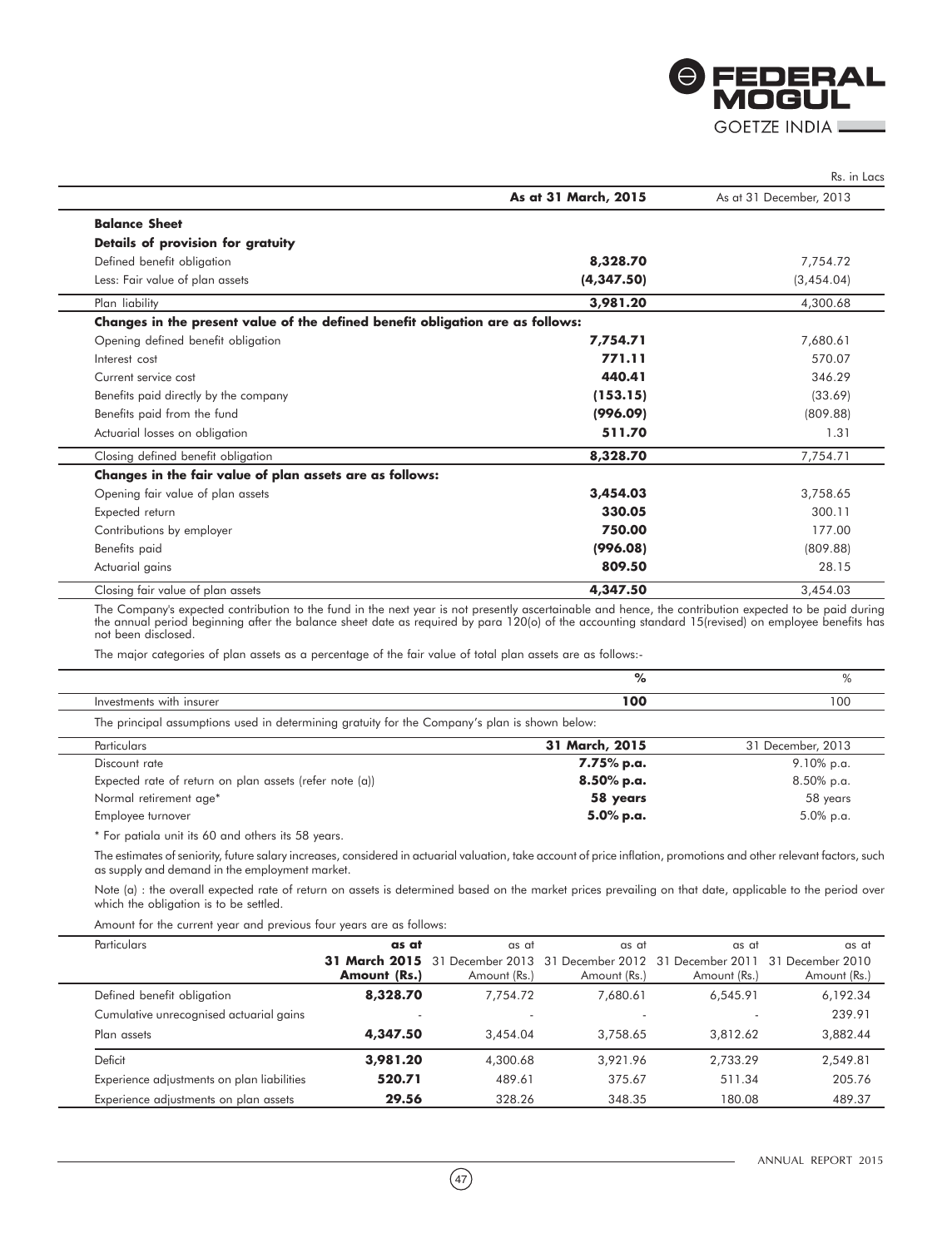**Balance Sheet Details of provision for gratuity** Defined benefit obligation **8,328.70** 7,754.72 Less: Fair value of plan assets **(4,347.50)** (3,454.04) Plan liability **3,981.20** 4,300.68 **Changes in the present value of the defined benefit obligation are as follows:** Opening defined benefit obligation **7,754.71** 7,680.61 Interest cost **771.11** 570.07 Current service cost **440.41** 346.29 Benefits paid directly by the company<br>Benefits paid from the fund<br>
(809.88)<br>
(996.09)<br>
(809.88) Benefits paid from the fund **(996.09)** (809.88) Actuarial losses on obligation **6. The contract of the contract of the contract of the contract of the contract of the contract of the contract of the contract of the contract of the contract of the contract of the contrac** Closing defined benefit obligation **8,328.70** 7,754.71 **Changes in the fair value of plan assets are as follows:** Opening fair value of plan assets **3,454.03** 3,758.65 Expected return **330.05** 300.11 Contributions by employer **750.00** 177.00 Benefits paid **(996.08)** (809.88) Actuarial gains **809.50** 28.15 Closing fair value of plan assets **4,347.50** 3,454.03 Rs. in Lacs **As at 31 March, 2015** As at 31 December, 2013

The Company's expected contribution to the fund in the next year is not presently ascertainable and hence, the contribution expected to be paid during the annual period beginning after the balance sheet date as required by para 120(o) of the accounting standard 15(revised) on employee benefits has not been disclosed.

The major categories of plan assets as a percentage of the fair value of total plan assets are as follows:-

| %              | ℅                                                                                             |
|----------------|-----------------------------------------------------------------------------------------------|
| 100            | 100                                                                                           |
|                |                                                                                               |
| 31 March, 2015 | 31 December, 2013                                                                             |
| 7.75% p.a.     | $9.10\%$ p.a.                                                                                 |
| 8.50% p.a.     | $8.50\%$ p.a.                                                                                 |
| 58 years       | 58 years                                                                                      |
| $5.0\%$ p.a.   | $5.0\%$ p.a.                                                                                  |
|                | The principal assumptions used in determining gratuity for the Company's plan is shown below: |

\* For patiala unit its 60 and others its 58 years.

The estimates of seniority, future salary increases, considered in actuarial valuation, take account of price inflation, promotions and other relevant factors, such as supply and demand in the employment market.

Note (a) : the overall expected rate of return on assets is determined based on the market prices prevailing on that date, applicable to the period over which the obligation is to be settled.

Amount for the current year and previous four years are as follows:

| <b>Particulars</b>                         | as at                    | as at                                                                                   | as at        | as at        | as at                            |
|--------------------------------------------|--------------------------|-----------------------------------------------------------------------------------------|--------------|--------------|----------------------------------|
|                                            | Amount (Rs.)             | <b>31 March 2015</b> 31 December 2013 31 December 2012 31 December 2011<br>Amount (Rs.) | Amount (Rs.) | Amount (Rs.) | 31 December 2010<br>Amount (Rs.) |
| Defined benefit obligation                 | 8,328.70                 | 7.754.72                                                                                | 7.680.61     | 6.545.91     | 6,192.34                         |
| Cumulative unrecognised actuarial gains    | $\overline{\phantom{a}}$ | $\overline{\phantom{a}}$                                                                |              |              | 239.91                           |
| Plan assets                                | 4,347.50                 | 3.454.04                                                                                | 3.758.65     | 3.812.62     | 3.882.44                         |
| Deficit                                    | 3,981.20                 | 4,300.68                                                                                | 3.921.96     | 2.733.29     | 2.549.81                         |
| Experience adjustments on plan liabilities | 520.71                   | 489.61                                                                                  | 375.67       | 511.34       | 205.76                           |
| Experience adjustments on plan assets      | 29.56                    | 328.26                                                                                  | 348.35       | 180.08       | 489.37                           |

**FEDERAL**<br>MOGUL

**GOETZE INDIA \_**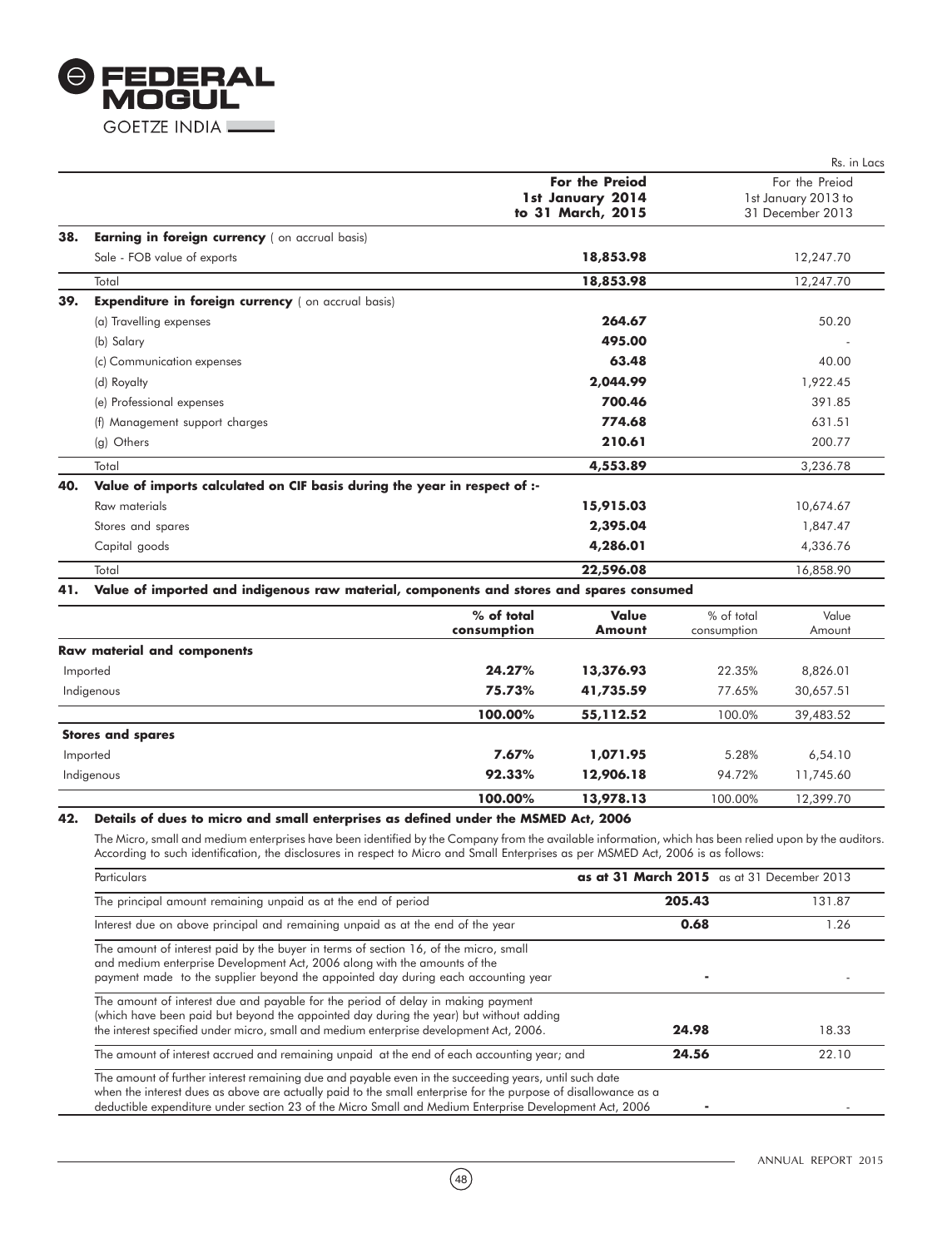

|     |                                                                                          |                             |                                                         |                           | Rs. in Lacs                                               |  |  |  |  |
|-----|------------------------------------------------------------------------------------------|-----------------------------|---------------------------------------------------------|---------------------------|-----------------------------------------------------------|--|--|--|--|
|     |                                                                                          |                             | For the Preiod<br>1st January 2014<br>to 31 March, 2015 |                           | For the Preiod<br>1st January 2013 to<br>31 December 2013 |  |  |  |  |
| 38. | Earning in foreign currency (on accrual basis)                                           |                             |                                                         |                           |                                                           |  |  |  |  |
|     | Sale - FOB value of exports                                                              |                             | 18,853.98                                               |                           | 12,247.70                                                 |  |  |  |  |
|     | Total                                                                                    |                             | 18,853.98                                               |                           | 12,247.70                                                 |  |  |  |  |
| 39. | <b>Expenditure in foreign currency</b> (on accrual basis)                                |                             |                                                         |                           |                                                           |  |  |  |  |
|     | (a) Travelling expenses                                                                  |                             | 264.67                                                  |                           | 50.20                                                     |  |  |  |  |
|     | (b) Salary                                                                               |                             | 495.00                                                  |                           |                                                           |  |  |  |  |
|     | (c) Communication expenses                                                               |                             | 63.48                                                   |                           | 40.00                                                     |  |  |  |  |
|     | (d) Royalty                                                                              |                             | 2,044.99                                                |                           | 1,922.45                                                  |  |  |  |  |
|     | (e) Professional expenses                                                                |                             | 700.46                                                  |                           | 391.85                                                    |  |  |  |  |
|     | (f) Management support charges                                                           |                             | 774.68                                                  |                           | 631.51                                                    |  |  |  |  |
|     | (g) Others                                                                               |                             | 210.61                                                  |                           | 200.77                                                    |  |  |  |  |
|     | Total                                                                                    |                             | 4,553.89                                                |                           | 3,236.78                                                  |  |  |  |  |
| 40. | Value of imports calculated on CIF basis during the year in respect of :-                |                             |                                                         |                           |                                                           |  |  |  |  |
|     | Raw materials                                                                            |                             | 15,915.03                                               |                           | 10,674.67                                                 |  |  |  |  |
|     | Stores and spares                                                                        |                             | 2,395.04                                                |                           | 1,847.47                                                  |  |  |  |  |
|     | Capital goods                                                                            |                             | 4,286.01                                                |                           | 4,336.76                                                  |  |  |  |  |
|     | Total                                                                                    |                             | 22,596.08                                               |                           | 16,858.90                                                 |  |  |  |  |
| 41. | Value of imported and indigenous raw material, components and stores and spares consumed |                             |                                                         |                           |                                                           |  |  |  |  |
|     |                                                                                          | $%$ of total<br>consumption | Value<br><b>Amount</b>                                  | % of total<br>consumption | Value<br>Amount                                           |  |  |  |  |
|     | <b>Raw material and components</b>                                                       |                             |                                                         |                           |                                                           |  |  |  |  |
|     | Imported                                                                                 | 24.27%                      | 13,376.93                                               | 22.35%                    | 8,826.01                                                  |  |  |  |  |
|     | Indigenous                                                                               | 75.73%                      | 41,735.59                                               | 77.65%                    | 30,657.51                                                 |  |  |  |  |
|     |                                                                                          | 100.00%                     | 55, 112.52                                              | 100.0%                    | 39,483.52                                                 |  |  |  |  |
|     | <b>Stores and spares</b>                                                                 |                             |                                                         |                           |                                                           |  |  |  |  |
|     | Imported                                                                                 | 7.67%                       | 1.071.95                                                | 5.28%                     | 6.54.10                                                   |  |  |  |  |

### **100.00% 13,978.13** 100.00% 12,399.70

**42. Details of dues to micro and small enterprises as defined under the MSMED Act, 2006**

The Micro, small and medium enterprises have been identified by the Company from the available information, which has been relied upon by the auditors. According to such identification, the disclosures in respect to Micro and Small Enterprises as per MSMED Act, 2006 is as follows:

Indigenous **92.33% 12,906.18** 94.72% 11,745.60

| Particulars                                                                                                                                                                                                                                                                                                                        |        | as at 31 March 2015 as at 31 December 2013 |
|------------------------------------------------------------------------------------------------------------------------------------------------------------------------------------------------------------------------------------------------------------------------------------------------------------------------------------|--------|--------------------------------------------|
| The principal amount remaining unpaid as at the end of period                                                                                                                                                                                                                                                                      | 205.43 | 131.87                                     |
| Interest due on above principal and remaining unpaid as at the end of the year                                                                                                                                                                                                                                                     | 0.68   | 1.26                                       |
| The amount of interest paid by the buyer in terms of section 16, of the micro, small<br>and medium enterprise Development Act, 2006 along with the amounts of the<br>payment made to the supplier beyond the appointed day during each accounting year                                                                             |        |                                            |
| The amount of interest due and payable for the period of delay in making payment<br>(which have been paid but beyond the appointed day during the year) but without adding<br>the interest specified under micro, small and medium enterprise development Act, 2006.                                                               | 24.98  | 18.33                                      |
| The amount of interest accrued and remaining unpaid at the end of each accounting year; and                                                                                                                                                                                                                                        | 24.56  | 22.10                                      |
| The amount of further interest remaining due and payable even in the succeeding years, until such date<br>when the interest dues as above are actually paid to the small enterprise for the purpose of disallowance as a<br>deductible expenditure under section 23 of the Micro Small and Medium Enterprise Development Act, 2006 |        |                                            |

48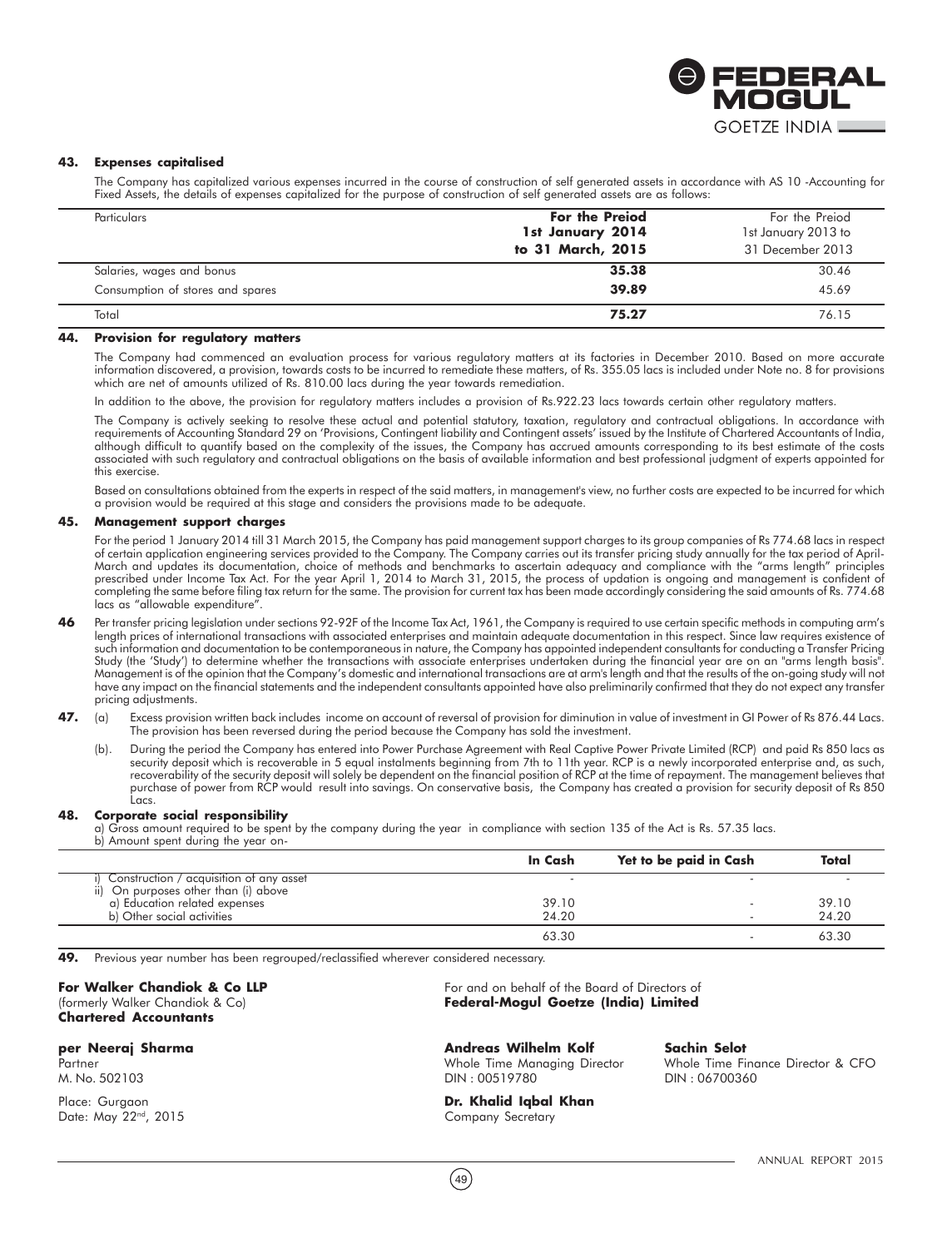

### **43. Expenses capitalised**

The Company has capitalized various expenses incurred in the course of construction of self generated assets in accordance with AS 10 -Accounting for Fixed Assets, the details of expenses capitalized for the purpose of construction of self generated assets are as follows:

| Particulars                      | <b>For the Preiod</b><br>1st January 2014<br>to 31 March, 2015 | For the Preiod<br>1st January 2013 to<br>31 December 2013 |
|----------------------------------|----------------------------------------------------------------|-----------------------------------------------------------|
| Salaries, wages and bonus        | 35.38                                                          | 30.46                                                     |
| Consumption of stores and spares | 39.89                                                          | 45.69                                                     |
| Total                            | 75.27                                                          | 76.15                                                     |

### **44. Provision for regulatory matters**

The Company had commenced an evaluation process for various regulatory matters at its factories in December 2010. Based on more accurate information discovered, a provision, towards costs to be incurred to remediate these matters, of Rs. 355.05 lacs is included under Note no. 8 for provisions which are net of amounts utilized of Rs. 810.00 lacs during the year towards remediation.

In addition to the above, the provision for regulatory matters includes a provision of Rs.922.23 lacs towards certain other regulatory matters.

The Company is actively seeking to resolve these actual and potential statutory, taxation, regulatory and contractual obligations. In accordance with requirements of Accounting Standard 29 on 'Provisions, Contingent liability and Contingent assets' issued by the Institute of Chartered Accountants of India, although difficult to quantify based on the complexity of the issues, the Company has accrued amounts corresponding to its best estimate of the costs associated with such regulatory and contractual obligations on the basis of available information and best professional judgment of experts appointed for this exercise.

Based on consultations obtained from the experts in respect of the said matters, in management's view, no further costs are expected to be incurred for which a provision would be required at this stage and considers the provisions made to be adequate.

### **45. Management support charges**

For the period 1 January 2014 till 31 March 2015, the Company has paid management support charges to its group companies of Rs 774.68 lacs in respect of certain application engineering services provided to the Company. The Company carries out its transfer pricing study annually for the tax period of April-March and updates its documentation, choice of methods and benchmarks to ascertain adequacy and compliance with the "arms length" principles prescribed under Income Tax Act. For the year April 1, 2014 to March 31, 2015, the process of updation is ongoing and management is confident of completing the same before filing tax return for the same. The provision for current tax has been made accordingly considering the said amounts of Rs. 774.68 lacs as "allowable expenditure".

- **46** Per transfer pricing legislation under sections 92-92F of the Income Tax Act, 1961, the Company is required to use certain specific methods in computing arm's length prices of international transactions with associated enterprises and maintain adequate documentation in this respect. Since law requires existence of such information and documentation to be contemporaneous in nature, the Company has appointed independent consultants for conducting a Transfer Pricing Study (the 'Study') to determine whether the transactions with associate enterprises undertaken during the financial year are on an "arms length basis". Management is of the opinion that the Company's domestic and international transactions are at arm's length and that the results of the on-going study will not have any impact on the financial statements and the independent consultants appointed have also preliminarily confirmed that they do not expect any transfer pricing adjustments.
- **47.** (a) Excess provision written back includes income on account of reversal of provision for diminution in value of investment in GI Power of Rs 876.44 Lacs. The provision has been reversed during the period because the Company has sold the investment.
	- (b). During the period the Company has entered into Power Purchase Agreement with Real Captive Power Private Limited (RCP) and paid Rs 850 lacs as security deposit which is recoverable in 5 equal instalments beginning from 7th to 11th year. RCP is a newly incorporated enterprise and, as such, recoverability of the security deposit will solely be dependent on the financial position of RCP at the time of repayment. The management believes that purchase of power from RCP would result into savings. On conservative basis, the Company has created a provision for security deposit of Rs 850 Lacs.

### **48. Corporate social responsibility**

a) Gross amount required to be spent by the company during the year in compliance with section 135 of the Act is Rs. 57.35 lacs.

b) Amount spent during the year on-

|                                         | In Cash | Yet to be paid in Cash | Total |
|-----------------------------------------|---------|------------------------|-------|
| Construction / acquisition of any asset |         |                        |       |
| ii) On purposes other than (i) above    |         |                        |       |
| a) Education related expenses           | 39.10   |                        | 39.10 |
| b) Other social activities              | 24.20   |                        | 24.20 |
|                                         | 63.30   |                        | 63.30 |

**49.** Previous year number has been regrouped/reclassified wherever considered necessary.

### **For Walker Chandiok & Co LLP** For and on behalf of the Board of Directors of (formerly Walker Chandiok & Co) **Federal-Mogul Goetze (India) Limited Chartered Accountants**

Date: May  $22<sup>nd</sup>$ , 2015

**Federal-Mogul Goetze (India) Limited** 

**per Neeraj Sharma Andreas Wilhelm Kolf Sachin Selot** Bartner (Sachin Selot) Bartner (Andreas Wilhelm Kolf Sachin Selot<br>Partner (Andreas Whole Time Managing Director (Andreas Partner) M. No. 502103 DIN : 00519780 DIN : 06700360

Partner Theory of the Managing Director and Mhole Time Managing Director and Mhole Time Finance Director & CFO<br>
DIN : 00519780 DIN : 00519780 DIN : 06700360

Place: Gurgaon **Dr. Khalid Iqbal Khan**<br>
Date: May 22<sup>nd</sup>, 2015 **Dr. Company Secretary**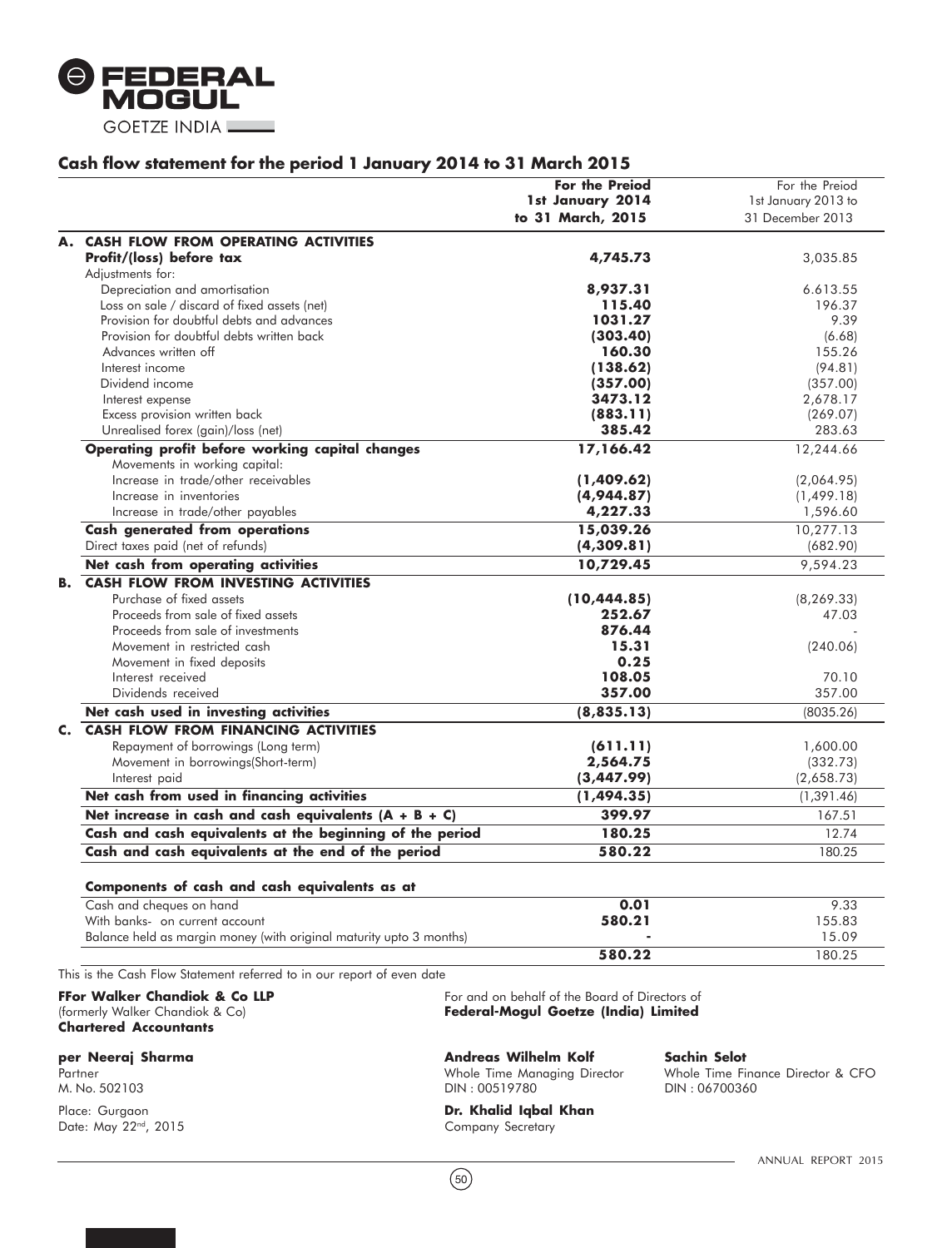

### **Cash flow statement for the period 1 January 2014 to 31 March 2015**

|                                                                        | <b>For the Preiod</b> | For the Preiod      |
|------------------------------------------------------------------------|-----------------------|---------------------|
|                                                                        | 1st January 2014      | 1st January 2013 to |
|                                                                        | to 31 March, 2015     | 31 December 2013    |
| A. CASH FLOW FROM OPERATING ACTIVITIES                                 |                       |                     |
| Profit/(loss) before tax                                               | 4,745.73              | 3,035.85            |
| Adjustments for:                                                       |                       |                     |
| Depreciation and amortisation                                          | 8,937.31              | 6.613.55            |
| Loss on sale / discard of fixed assets (net)                           | 115.40                | 196.37              |
| Provision for doubtful debts and advances                              | 1031.27               | 9.39                |
| Provision for doubtful debts written back                              | (303.40)              | (6.68)              |
| Advances written off                                                   | 160.30                | 155.26              |
| Interest income                                                        | (138.62)              | (94.81)             |
| Dividend income                                                        | (357.00)              | (357.00)            |
| Interest expense                                                       | 3473.12               | 2,678.17            |
| Excess provision written back                                          | (883.11)              | (269.07)            |
| Unrealised forex (gain)/loss (net)                                     | 385.42                | 283.63              |
| Operating profit before working capital changes                        | 17,166.42             | 12,244.66           |
| Movements in working capital:                                          |                       |                     |
| Increase in trade/other receivables                                    | (1,409.62)            | (2,064.95)          |
| Increase in inventories                                                | (4,944.87)            | (1, 499.18)         |
| Increase in trade/other payables                                       | 4,227.33              | 1,596.60            |
| Cash generated from operations                                         | 15,039.26             | 10,277.13           |
| Direct taxes paid (net of refunds)                                     | (4,309.81)            | (682.90)            |
| Net cash from operating activities                                     | 10,729.45             | 9,594.23            |
| <b>B. CASH FLOW FROM INVESTING ACTIVITIES</b>                          |                       |                     |
| Purchase of fixed assets                                               | (10, 444.85)          | (8, 269.33)         |
| Proceeds from sale of fixed assets                                     | 252.67                | 47.03               |
| Proceeds from sale of investments                                      | 876.44                |                     |
| Movement in restricted cash                                            | 15.31                 | (240.06)            |
| Movement in fixed deposits                                             | 0.25                  |                     |
| Interest received                                                      | 108.05                | 70.10               |
| Dividends received                                                     | 357.00                | 357.00              |
| Net cash used in investing activities                                  | (8,835.13)            | (8035.26)           |
| C. CASH FLOW FROM FINANCING ACTIVITIES                                 |                       |                     |
| Repayment of borrowings (Long term)                                    | (611.11)              | 1,600.00            |
| Movement in borrowings(Short-term)                                     | 2,564.75              | (332.73)            |
| Interest paid                                                          | (3,447.99)            | (2,658.73)          |
| Net cash from used in financing activities                             | (1,494.35)            | (1, 391.46)         |
| Net increase in cash and cash equivalents $(A + B + C)$                | 399.97                | 167.51              |
| Cash and cash equivalents at the beginning of the period               | 180.25                | 12.74               |
| Cash and cash equivalents at the end of the period                     | 580.22                | 180.25              |
|                                                                        |                       |                     |
| Components of cash and cash equivalents as at                          |                       |                     |
| Cash and cheques on hand                                               | 0.01                  | 9.33                |
| With banks- on current account                                         | 580.21                | 155.83              |
| Balance held as margin money (with original maturity upto 3 months)    |                       | 15.09               |
|                                                                        | 580.22                | 180.25              |
| This is the Cash Flow Statement referred to in our report of even date |                       |                     |

**Chartered Accountants**

Date: May 22<sup>nd</sup>, 2015

**FFor Walker Chandiok & Co LLP** For and on behalf of the Board of Directors of (formerly Walker Chandiok & Co) **Federal-Mogul Goetze (India) Limited Federal-Mogul Goetze (India) Limited** 

**per Neeraj Sharma Andreas Wilhelm Kolf Sachin Selot**<br>Partner **Andreas Wilhelm Kolf Sachin Selot**<br>Partner Whole Time Managing Director Whole Time Fir DIN : 00519780

Partner Whole Time Managing Director Whole Time Finance Director & CFO

Place: Gurgaon **Dr. Khalid Iqbal Khan**<br>
Date: May 22<sup>nd</sup>, 2015 **Dr. Company Secretary**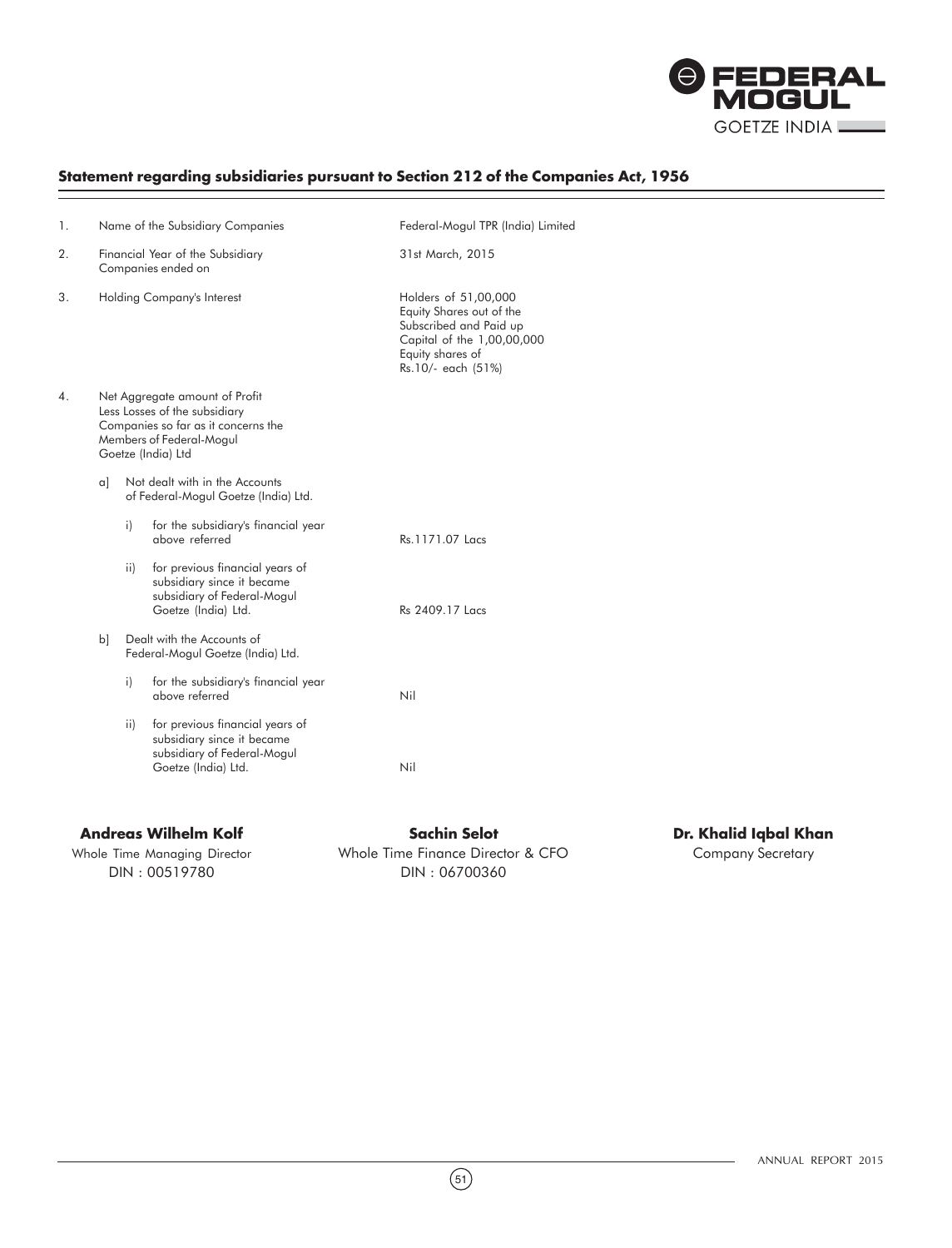

### **Statement regarding subsidiaries pursuant to Section 212 of the Companies Act, 1956**

| 1. |    |                 | Name of the Subsidiary Companies                                                                                                                         | Federal-Mogul TPR (India) Limited                                                                                                                  |
|----|----|-----------------|----------------------------------------------------------------------------------------------------------------------------------------------------------|----------------------------------------------------------------------------------------------------------------------------------------------------|
| 2. |    |                 | Financial Year of the Subsidiary<br>Companies ended on                                                                                                   | 31st March, 2015                                                                                                                                   |
| 3. |    |                 | Holding Company's Interest                                                                                                                               | Holders of 51,00,000<br>Equity Shares out of the<br>Subscribed and Paid up<br>Capital of the 1,00,00,000<br>Equity shares of<br>Rs.10/- each (51%) |
| 4. |    |                 | Net Aggregate amount of Profit<br>Less Losses of the subsidiary<br>Companies so far as it concerns the<br>Members of Federal-Mogul<br>Goetze (India) Ltd |                                                                                                                                                    |
|    | αl |                 | Not dealt with in the Accounts<br>of Federal-Mogul Goetze (India) Ltd.                                                                                   |                                                                                                                                                    |
|    |    | i)              | for the subsidiary's financial year<br>above referred                                                                                                    | Rs.1171.07 Lacs                                                                                                                                    |
|    |    | $\overline{ii}$ | for previous financial years of<br>subsidiary since it became<br>subsidiary of Federal-Mogul<br>Goetze (India) Ltd.                                      | Rs 2409.17 Lacs                                                                                                                                    |
|    | bl |                 | Dealt with the Accounts of<br>Federal-Mogul Goetze (India) Ltd.                                                                                          |                                                                                                                                                    |
|    |    | i)              | for the subsidiary's financial year<br>above referred                                                                                                    | Nil                                                                                                                                                |
|    |    | ii)             | for previous financial years of<br>subsidiary since it became<br>subsidiary of Federal-Mogul<br>Goetze (India) Ltd.                                      | Nil                                                                                                                                                |

Andreas Wilhelm Kolf **Sachin Selot** Dr. Khalid Iqbal Khan Whole Time Managing Director Mole Time Finance Director & CFO<br>DIN: 00519780 DIN: 06700360 DIN : 06700360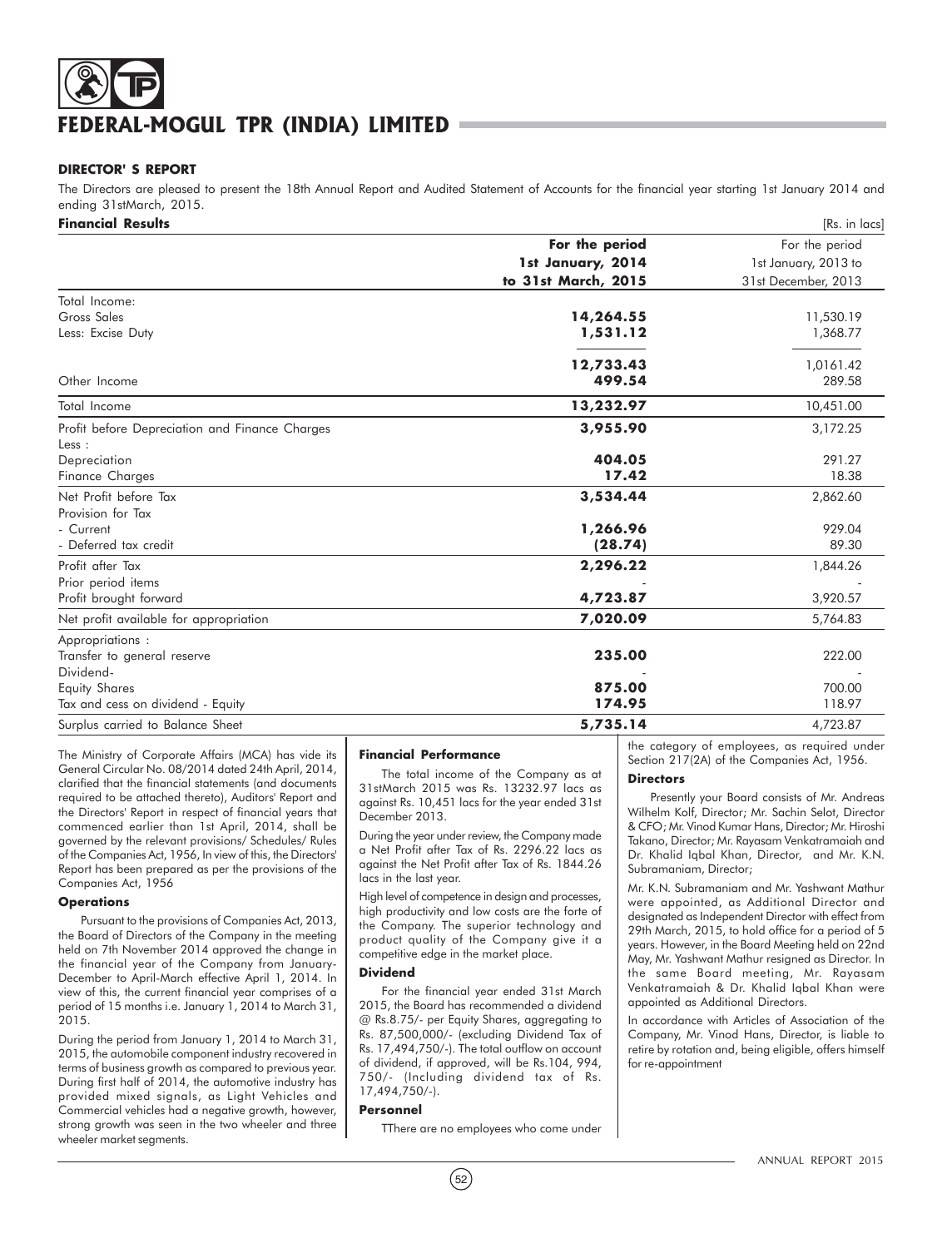### **DIRECTOR' S REPORT**

The Directors are pleased to present the 18th Annual Report and Audited Statement of Accounts for the financial year starting 1st January 2014 and ending 31stMarch, 2015.

| <b>Financial Results</b>                       |                     | [Rs. in lacs]        |
|------------------------------------------------|---------------------|----------------------|
|                                                | For the period      | For the period       |
|                                                | 1st January, 2014   | 1st January, 2013 to |
|                                                | to 31st March, 2015 | 31st December, 2013  |
| Total Income:                                  |                     |                      |
| <b>Gross Sales</b>                             | 14,264.55           | 11,530.19            |
| Less: Excise Duty                              | 1,531.12            | 1,368.77             |
|                                                | 12,733.43           | 1,0161.42            |
| Other Income                                   | 499.54              | 289.58               |
| Total Income                                   | 13,232.97           | 10,451.00            |
| Profit before Depreciation and Finance Charges | 3,955.90            | 3,172.25             |
| Less :                                         |                     |                      |
| Depreciation                                   | 404.05              | 291.27               |
| Finance Charges                                | 17.42               | 18.38                |
| Net Profit before Tax                          | 3,534.44            | 2,862.60             |
| Provision for Tax                              |                     |                      |
| - Current                                      | 1,266.96            | 929.04               |
| - Deferred tax credit                          | (28.74)             | 89.30                |
| Profit after Tax                               | 2,296.22            | 1,844.26             |
| Prior period items                             |                     |                      |
| Profit brought forward                         | 4,723.87            | 3,920.57             |
| Net profit available for appropriation         | 7,020.09            | 5,764.83             |
| Appropriations:                                |                     |                      |
| Transfer to general reserve                    | 235.00              | 222.00               |
| Dividend-                                      |                     |                      |
| <b>Equity Shares</b>                           | 875.00              | 700.00               |
| Tax and cess on dividend - Equity              | 174.95              | 118.97               |
| Surplus carried to Balance Sheet               | 5,735.14            | 4,723.87             |

The Ministry of Corporate Affairs (MCA) has vide its General Circular No. 08/2014 dated 24th April, 2014, clarified that the financial statements (and documents required to be attached thereto), Auditors' Report and the Directors' Report in respect of financial years that commenced earlier than 1st April, 2014, shall be governed by the relevant provisions/ Schedules/ Rules of the Companies Act, 1956, In view of this, the Directors' Report has been prepared as per the provisions of the Companies Act, 1956

### **Operations**

Pursuant to the provisions of Companies Act, 2013, the Board of Directors of the Company in the meeting held on 7th November 2014 approved the change in the financial year of the Company from January-December to April-March effective April 1, 2014. In view of this, the current financial year comprises of a period of 15 months i.e. January 1, 2014 to March 31, 2015.

During the period from January 1, 2014 to March 31, 2015, the automobile component industry recovered in terms of business growth as compared to previous year. During first half of 2014, the automotive industry has provided mixed signals, as Light Vehicles and Commercial vehicles had a negative growth, however, strong growth was seen in the two wheeler and three wheeler market segments.

### **Financial Performance**

The total income of the Company as at 31stMarch 2015 was Rs. 13232.97 lacs as against Rs. 10,451 lacs for the year ended 31st December 2013.

During the year under review, the Company made a Net Profit after Tax of Rs. 2296.22 lacs as against the Net Profit after Tax of Rs. 1844.26 lacs in the last year.

High level of competence in design and processes, high productivity and low costs are the forte of the Company. The superior technology and product quality of the Company give it a competitive edge in the market place.

### **Dividend**

For the financial year ended 31st March 2015, the Board has recommended a dividend @ Rs.8.75/- per Equity Shares, aggregating to Rs. 87,500,000/- (excluding Dividend Tax of Rs. 17,494,750/-). The total outflow on account of dividend, if approved, will be Rs.104, 994, 750/- (Including dividend tax of Rs. 17,494,750/-).

### **Personnel**

TThere are no employees who come under

the category of employees, as required under Section 217(2A) of the Companies Act, 1956.

### **Directors**

Presently your Board consists of Mr. Andreas Wilhelm Kolf, Director; Mr. Sachin Selot, Director & CFO; Mr. Vinod Kumar Hans, Director; Mr. Hiroshi Takano, Director; Mr. Rayasam Venkatramaiah and Dr. Khalid Iqbal Khan, Director, and Mr. K.N. Subramaniam, Director;

Mr. K.N. Subramaniam and Mr. Yashwant Mathur were appointed, as Additional Director and designated as Independent Director with effect from 29th March, 2015, to hold office for a period of 5 years. However, in the Board Meeting held on 22nd May, Mr. Yashwant Mathur resigned as Director. In the same Board meeting, Mr. Rayasam Venkatramaiah & Dr. Khalid Iqbal Khan were appointed as Additional Directors.

In accordance with Articles of Association of the Company, Mr. Vinod Hans, Director, is liable to retire by rotation and, being eligible, offers himself for re-appointment

 $(52)$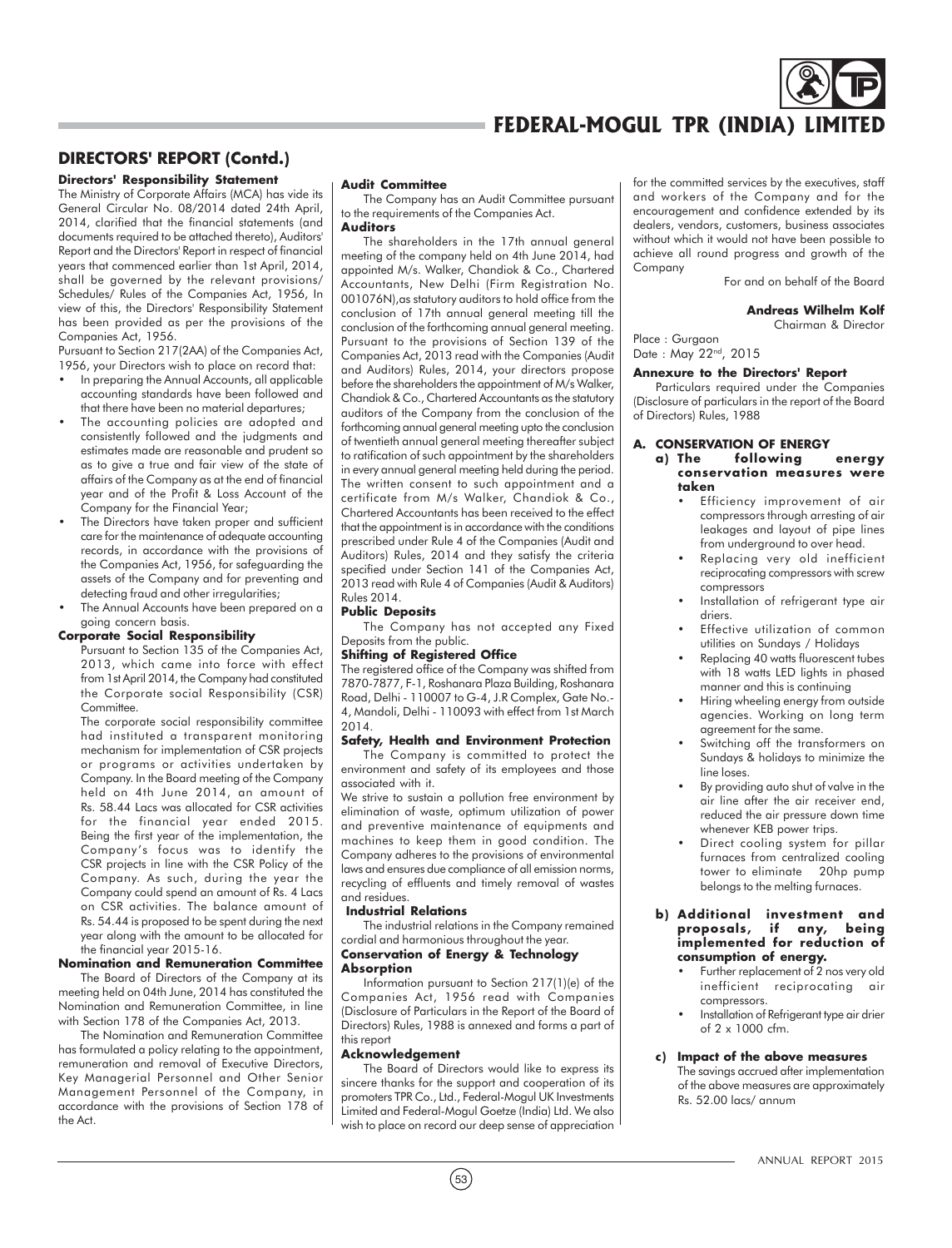### **DIRECTORS' REPORT (Contd.)**

### **Directors' Responsibility Statement**

The Ministry of Corporate Affairs (MCA) has vide its General Circular No. 08/2014 dated 24th April, 2014, clarified that the financial statements (and documents required to be attached thereto), Auditors' Report and the Directors' Report in respect of financial years that commenced earlier than 1st April, 2014, shall be governed by the relevant provisions/ Schedules/ Rules of the Companies Act, 1956, In view of this, the Directors' Responsibility Statement has been provided as per the provisions of the Companies Act, 1956.

Pursuant to Section 217(2AA) of the Companies Act, 1956, your Directors wish to place on record that:

- In preparing the Annual Accounts, all applicable accounting standards have been followed and that there have been no material departures;
- The accounting policies are adopted and consistently followed and the judgments and estimates made are reasonable and prudent so as to give a true and fair view of the state of affairs of the Company as at the end of financial year and of the Profit & Loss Account of the Company for the Financial Year;
- The Directors have taken proper and sufficient care for the maintenance of adequate accounting records, in accordance with the provisions of the Companies Act, 1956, for safeguarding the assets of the Company and for preventing and detecting fraud and other irregularities;
- The Annual Accounts have been prepared on a going concern basis.

### **Corporate Social Responsibility**

Pursuant to Section 135 of the Companies Act, 2013, which came into force with effect from 1st April 2014, the Company had constituted the Corporate social Responsibility (CSR) Committee.

The corporate social responsibility committee had instituted a transparent monitoring mechanism for implementation of CSR projects or programs or activities undertaken by Company. In the Board meeting of the Company held on 4th June 2014, an amount of Rs. 58.44 Lacs was allocated for CSR activities for the financial year ended 2015. Being the first year of the implementation, the Company's focus was to identify the CSR projects in line with the CSR Policy of the Company. As such, during the year the Company could spend an amount of Rs. 4 Lacs on CSR activities. The balance amount of Rs. 54.44 is proposed to be spent during the next year along with the amount to be allocated for the financial year 2015-16.

### **Nomination and Remuneration Committee**

The Board of Directors of the Company at its meeting held on 04th June, 2014 has constituted the Nomination and Remuneration Committee, in line with Section 178 of the Companies Act, 2013.

The Nomination and Remuneration Committee has formulated a policy relating to the appointment, remuneration and removal of Executive Directors, Key Managerial Personnel and Other Senior Management Personnel of the Company, in accordance with the provisions of Section 178 of the Act.

### **Audit Committee**

The Company has an Audit Committee pursuant to the requirements of the Companies Act. **Auditors**

The shareholders in the 17th annual general meeting of the company held on 4th June 2014, had appointed M/s. Walker, Chandiok & Co., Chartered Accountants, New Delhi (Firm Registration No. 001076N),as statutory auditors to hold office from the conclusion of 17th annual general meeting till the conclusion of the forthcoming annual general meeting. Pursuant to the provisions of Section 139 of the Companies Act, 2013 read with the Companies (Audit and Auditors) Rules, 2014, your directors propose before the shareholders the appointment of M/s Walker, Chandiok & Co., Chartered Accountants as the statutory auditors of the Company from the conclusion of the forthcoming annual general meeting upto the conclusion of twentieth annual general meeting thereafter subject to ratification of such appointment by the shareholders in every annual general meeting held during the period. The written consent to such appointment and a certificate from M/s Walker, Chandiok & Co., Chartered Accountants has been received to the effect that the appointment is in accordance with the conditions prescribed under Rule 4 of the Companies (Audit and Auditors) Rules, 2014 and they satisfy the criteria specified under Section 141 of the Companies Act, 2013 read with Rule 4 of Companies (Audit & Auditors) Rules 2014.

### **Public Deposits**

The Company has not accepted any Fixed Deposits from the public.

### **Shifting of Registered Office**

The registered office of the Company was shifted from 7870-7877, F-1, Roshanara Plaza Building, Roshanara Road, Delhi - 110007 to G-4, J.R Complex, Gate No.- 4, Mandoli, Delhi - 110093 with effect from 1st March 2014.

### **Safety, Health and Environment Protection**

The Company is committed to protect the environment and safety of its employees and those associated with it.

We strive to sustain a pollution free environment by elimination of waste, optimum utilization of power and preventive maintenance of equipments and machines to keep them in good condition. The Company adheres to the provisions of environmental laws and ensures due compliance of all emission norms, recycling of effluents and timely removal of wastes and residues.

### **Industrial Relations**

The industrial relations in the Company remained cordial and harmonious throughout the year.

### **Conservation of Energy & Technology Absorption**

Information pursuant to Section 217(1)(e) of the Companies Act, 1956 read with Companies (Disclosure of Particulars in the Report of the Board of Directors) Rules, 1988 is annexed and forms a part of this report

### **Acknowledgement**

The Board of Directors would like to express its sincere thanks for the support and cooperation of its promoters TPR Co., Ltd., Federal-Mogul UK Investments Limited and Federal-Mogul Goetze (India) Ltd. We also wish to place on record our deep sense of appreciation

for the committed services by the executives, staff and workers of the Company and for the encouragement and confidence extended by its dealers, vendors, customers, business associates without which it would not have been possible to achieve all round progress and growth of the Company

For and on behalf of the Board

**Andreas Wilhelm Kolf** Chairman & Director

Place : Gurgaon Date: May 22<sup>nd</sup>, 2015

### **Annexure to the Directors' Report**

Particulars required under the Companies (Disclosure of particulars in the report of the Board of Directors) Rules, 1988

## **A. CONSERVATION OF ENERGY**

- following energy **conservation measures were taken**
	- Efficiency improvement of air compressors through arresting of air leakages and layout of pipe lines from underground to over head.
	- Replacing very old inefficient reciprocating compressors with screw compressors
	- Installation of refrigerant type air driers.
	- Effective utilization of common utilities on Sundays / Holidays
	- Replacing 40 watts fluorescent tubes with 18 watts LED lights in phased manner and this is continuing
	- Hiring wheeling energy from outside agencies. Working on long term agreement for the same.
	- Switching off the transformers on Sundays & holidays to minimize the line loses.
	- By providing auto shut of valve in the air line after the air receiver end, reduced the air pressure down time whenever KEB power trips.
	- Direct cooling system for pillar furnaces from centralized cooling tower to eliminate 20hp pump belongs to the melting furnaces.
- **b) Additional investment and** proposals, if any, being **implemented for reduction of consumption of energy.**
	- Further replacement of 2 nos very old inefficient reciprocating air compressors.
	- Installation of Refrigerant type air drier of 2 x 1000 cfm.

### **c) Impact of the above measures**

The savings accrued after implementation of the above measures are approximately Rs. 52.00 lacs/ annum

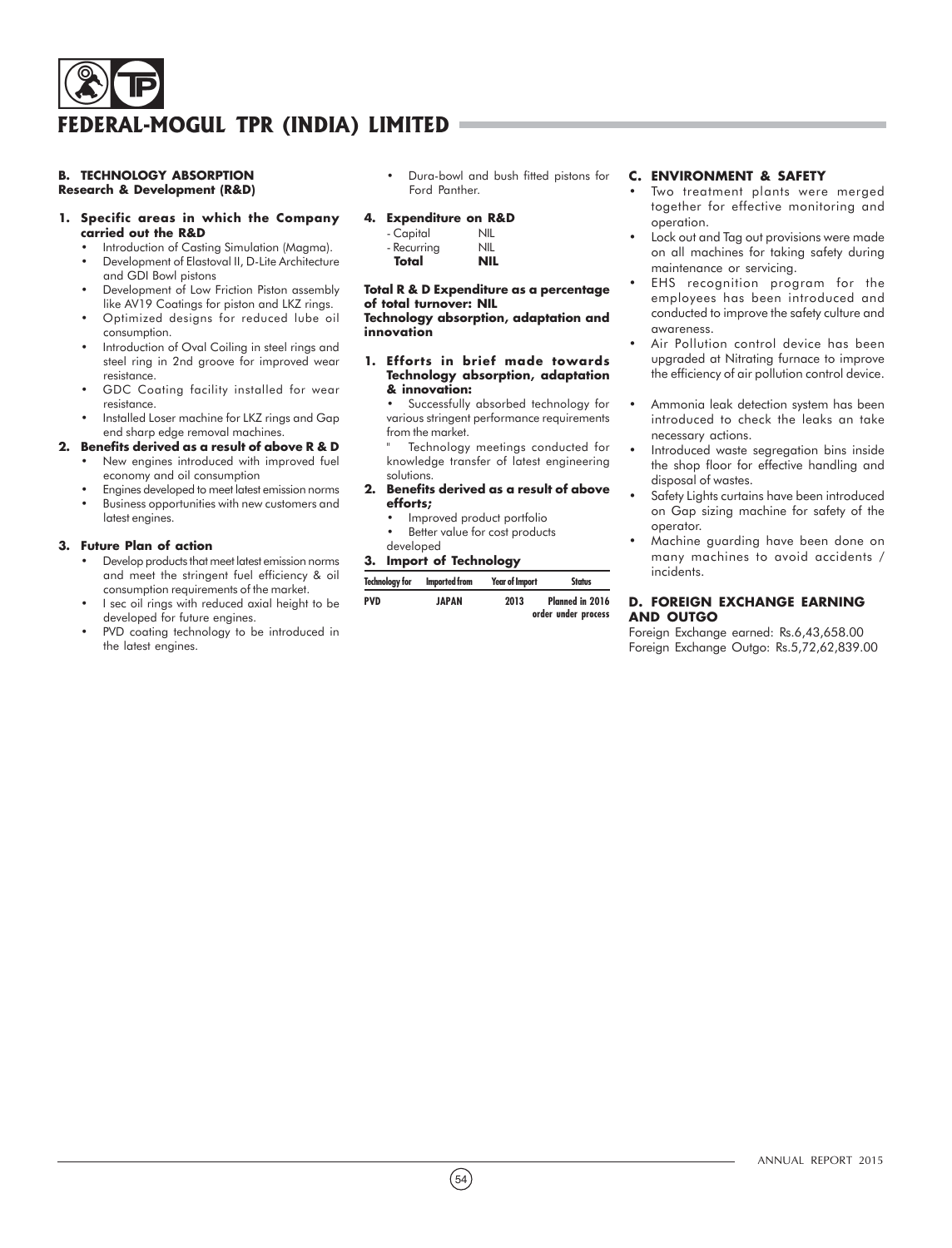### **B. TECHNOLOGY ABSORPTION Research & Development (R&D)**

### **1. Specific areas in which the Company carried out the R&D**

- Introduction of Casting Simulation (Magma). • Development of Elastoval II, D-Lite Architecture and GDI Bowl pistons
- Development of Low Friction Piston assembly like AV19 Coatings for piston and LKZ rings.
- Optimized designs for reduced lube oil consumption.
- Introduction of Oval Coiling in steel rings and steel ring in 2nd groove for improved wear resistance.
- GDC Coating facility installed for wear resistance.
- Installed Loser machine for LKZ rings and Gap end sharp edge removal machines.

### **2. Benefits derived as a result of above R & D**

- New engines introduced with improved fuel economy and oil consumption
- Engines developed to meet latest emission norms • Business opportunities with new customers and latest engines.

### **3. Future Plan of action**

- Develop products that meet latest emission norms and meet the stringent fuel efficiency & oil consumption requirements of the market.
- I sec oil rings with reduced axial height to be developed for future engines.
- PVD coating technology to be introduced in the latest engines.

• Dura-bowl and bush fitted pistons for Ford Panther.

## **4. Expenditure on R&D**<br>Capital NIL

- Capital NIL

- Recurring NIL<br>Total NIL **Total** 

**Total R & D Expenditure as a percentage of total turnover: NIL Technology absorption, adaptation and innovation**

1. Efforts in brief made towards **Technology absorption, adaptation & innovation:**

• Successfully absorbed technology for various stringent performance requirements from the market.

Technology meetings conducted for knowledge transfer of latest engineering solutions.

- **2. Benefits derived as a result of above efforts;**
	- Improved product portfolio
	- Better value for cost products
	- developed

### **3. Import of Technology**

| <b>Technology for</b> | Imported from | Year of Import | <b>Status</b>       |
|-----------------------|---------------|----------------|---------------------|
| <b>PVD</b>            | <b>JAPAN</b>  | 2013           | Planned in 2016     |
|                       |               |                | order under process |

### **C. ENVIRONMENT & SAFETY**

- Two treatment plants were merged together for effective monitoring and operation.
- Lock out and Tag out provisions were made on all machines for taking safety during maintenance or servicing.
- EHS recognition program for the employees has been introduced and conducted to improve the safety culture and awareness.
- Air Pollution control device has been upgraded at Nitrating furnace to improve the efficiency of air pollution control device.
- Ammonia leak detection system has been introduced to check the leaks an take necessary actions.
- Introduced waste segregation bins inside the shop floor for effective handling and disposal of wastes.
- Safety Lights curtains have been introduced on Gap sizing machine for safety of the operator.
- Machine guarding have been done on many machines to avoid accidents / incidents.

### **D. FOREIGN EXCHANGE EARNING AND OUTGO**

Foreign Exchange earned: Rs.6,43,658.00 Foreign Exchange Outgo: Rs.5,72,62,839.00

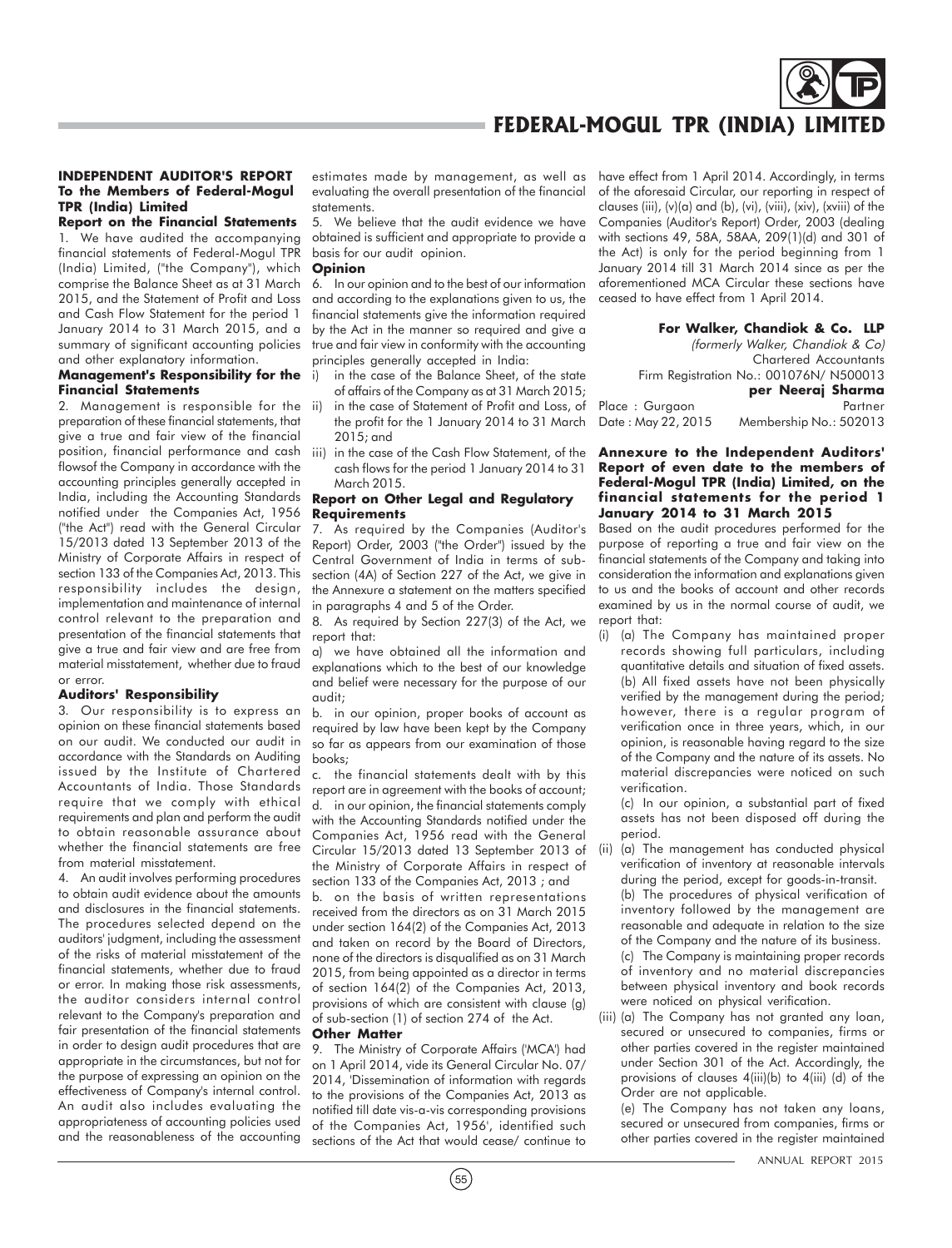### **INDEPENDENT AUDITOR'S REPORT To the Members of Federal-Mogul TPR (India) Limited**

**Report on the Financial Statements**

1. We have audited the accompanying financial statements of Federal-Mogul TPR (India) Limited, ("the Company"), which comprise the Balance Sheet as at 31 March 2015, and the Statement of Profit and Loss and Cash Flow Statement for the period 1 January 2014 to 31 March 2015, and a summary of significant accounting policies and other explanatory information.

### **Management's Responsibility for the Financial Statements**

2. Management is responsible for the preparation of these financial statements, that give a true and fair view of the financial flowsof the Company in accordance with the accounting principles generally accepted in India, including the Accounting Standards notified under the Companies Act, 1956 ("the Act") read with the General Circular 15/2013 dated 13 September 2013 of the Ministry of Corporate Affairs in respect of section 133 of the Companies Act, 2013. This responsibility includes the design, implementation and maintenance of internal control relevant to the preparation and presentation of the financial statements that give a true and fair view and are free from material misstatement, whether due to fraud or error.

### **Auditors' Responsibility**

3. Our responsibility is to express an opinion on these financial statements based on our audit. We conducted our audit in accordance with the Standards on Auditing issued by the Institute of Chartered Accountants of India. Those Standards require that we comply with ethical requirements and plan and perform the audit to obtain reasonable assurance about whether the financial statements are free from material misstatement.

4. An audit involves performing procedures to obtain audit evidence about the amounts and disclosures in the financial statements. The procedures selected depend on the auditors' judgment, including the assessment of the risks of material misstatement of the financial statements, whether due to fraud or error. In making those risk assessments, the auditor considers internal control relevant to the Company's preparation and fair presentation of the financial statements in order to design audit procedures that are appropriate in the circumstances, but not for the purpose of expressing an opinion on the effectiveness of Company's internal control. An audit also includes evaluating the appropriateness of accounting policies used and the reasonableness of the accounting estimates made by management, as well as evaluating the overall presentation of the financial statements.

5. We believe that the audit evidence we have obtained is sufficient and appropriate to provide a basis for our audit opinion.

### **Opinion**

6. In our opinion and to the best of our information and according to the explanations given to us, the financial statements give the information required by the Act in the manner so required and give a true and fair view in conformity with the accounting principles generally accepted in India:

- i) in the case of the Balance Sheet, of the state of affairs of the Company as at 31 March 2015;
- in the case of Statement of Profit and Loss, of the profit for the 1 January 2014 to 31 March 2015; and
- position, financial performance and cash iii) in the case of the Cash Flow Statement, of the cash flows for the period 1 January 2014 to 31 March 2015.

### **Report on Other Legal and Regulatory Requirements**

7. As required by the Companies (Auditor's Report) Order, 2003 ("the Order") issued by the Central Government of India in terms of subsection (4A) of Section 227 of the Act, we give in the Annexure a statement on the matters specified in paragraphs 4 and 5 of the Order.

8. As required by Section 227(3) of the Act, we report that:

a) we have obtained all the information and explanations which to the best of our knowledge and belief were necessary for the purpose of our audit;

b. in our opinion, proper books of account as required by law have been kept by the Company so far as appears from our examination of those books;

c. the financial statements dealt with by this report are in agreement with the books of account; d. in our opinion, the financial statements comply with the Accounting Standards notified under the Companies Act, 1956 read with the General Circular 15/2013 dated 13 September 2013 of (ii) the Ministry of Corporate Affairs in respect of section 133 of the Companies Act, 2013 ; and

b. on the basis of written representations received from the directors as on 31 March 2015 under section 164(2) of the Companies Act, 2013 and taken on record by the Board of Directors, none of the directors is disqualified as on 31 March 2015, from being appointed as a director in terms of section 164(2) of the Companies Act, 2013, provisions of which are consistent with clause (g) of sub-section (1) of section 274 of the Act.

#### **Other Matter**

9. The Ministry of Corporate Affairs ('MCA') had on 1 April 2014, vide its General Circular No. 07/ 2014, 'Dissemination of information with regards to the provisions of the Companies Act, 2013 as notified till date vis-a-vis corresponding provisions of the Companies Act, 1956', identified such sections of the Act that would cease/ continue to have effect from 1 April 2014. Accordingly, in terms of the aforesaid Circular, our reporting in respect of clauses (iii), (v)(a) and (b), (vi), (viii), (xiv), (xviii) of the Companies (Auditor's Report) Order, 2003 (dealing with sections 49, 58A, 58AA, 209(1)(d) and 301 of the Act) is only for the period beginning from 1 January 2014 till 31 March 2014 since as per the aforementioned MCA Circular these sections have ceased to have effect from 1 April 2014.

### **For Walker, Chandiok & Co. LLP**

(formerly Walker, Chandiok & Co) Chartered Accountants Firm Registration No.: 001076N/ N500013 **per Neeraj Sharma** Place : Gurgaon Partner Membership No.: 502013

### **Annexure to the Independent Auditors' Report of even date to the members of Federal-Mogul TPR (India) Limited, on the financial statements for the period 1 January 2014 to 31 March 2015**

Based on the audit procedures performed for the purpose of reporting a true and fair view on the financial statements of the Company and taking into consideration the information and explanations given to us and the books of account and other records examined by us in the normal course of audit, we report that:

(i) (a) The Company has maintained proper records showing full particulars, including quantitative details and situation of fixed assets. (b) All fixed assets have not been physically verified by the management during the period; however, there is a regular program of verification once in three years, which, in our opinion, is reasonable having regard to the size of the Company and the nature of its assets. No material discrepancies were noticed on such verification.

(c) In our opinion, a substantial part of fixed assets has not been disposed off during the period.

(a) The management has conducted physical verification of inventory at reasonable intervals during the period, except for goods-in-transit. (b) The procedures of physical verification of inventory followed by the management are reasonable and adequate in relation to the size

of the Company and the nature of its business. (c) The Company is maintaining proper records of inventory and no material discrepancies

between physical inventory and book records were noticed on physical verification.

(iii) (a) The Company has not granted any loan, secured or unsecured to companies, firms or other parties covered in the register maintained under Section 301 of the Act. Accordingly, the provisions of clauses 4(iii)(b) to 4(iii) (d) of the Order are not applicable.

(e) The Company has not taken any loans, secured or unsecured from companies, firms or other parties covered in the register maintained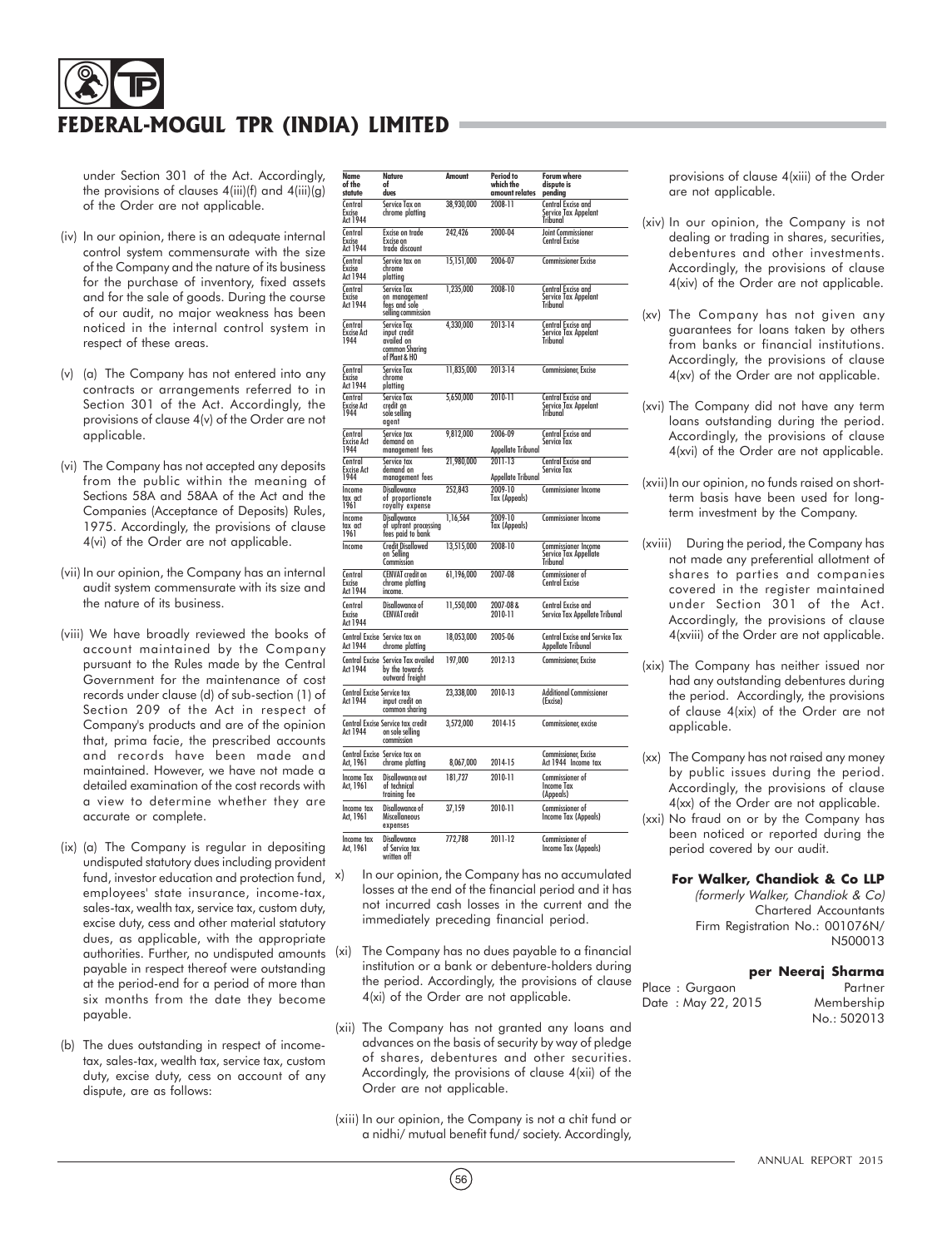under Section 301 of the Act. Accordingly, the provisions of clauses  $4(iii)(f)$  and  $4(iii)(g)$ of the Order are not applicable.

- (iv) In our opinion, there is an adequate internal control system commensurate with the size of the Company and the nature of its business for the purchase of inventory, fixed assets and for the sale of goods. During the course of our audit, no major weakness has been noticed in the internal control system in respect of these areas.
- (v) (a) The Company has not entered into any contracts or arrangements referred to in Section 301 of the Act. Accordingly, the provisions of clause 4(v) of the Order are not applicable.
- (vi) The Company has not accepted any deposits from the public within the meaning of Sections 58A and 58AA of the Act and the Companies (Acceptance of Deposits) Rules, 1975. Accordingly, the provisions of clause 4(vi) of the Order are not applicable.
- (vii) In our opinion, the Company has an internal audit system commensurate with its size and the nature of its business.
- (viii) We have broadly reviewed the books of account maintained by the Company pursuant to the Rules made by the Central Government for the maintenance of cost records under clause (d) of sub-section (1) of Section 209 of the Act in respect of Company's products and are of the opinion that, prima facie, the prescribed accounts and records have been made and maintained. However, we have not made a detailed examination of the cost records with a view to determine whether they are accurate or complete.
- (ix) (a) The Company is regular in depositing undisputed statutory dues including provident fund, investor education and protection fund,  $x$ ) employees' state insurance, income-tax, sales-tax, wealth tax, service tax, custom duty, excise duty, cess and other material statutory dues, as applicable, with the appropriate authorities. Further, no undisputed amounts  $(xi)$ payable in respect thereof were outstanding at the period-end for a period of more than six months from the date they become payable.
- (b) The dues outstanding in respect of incometax, sales-tax, wealth tax, service tax, custom duty, excise duty, cess on account of any dispute, are as follows:

| Name<br>of the<br>statute                     | Nature<br>of<br>dues                                                         | Amount     | Period to<br>which the<br>amount relates | Forum where<br>dispute is<br>pending                               |
|-----------------------------------------------|------------------------------------------------------------------------------|------------|------------------------------------------|--------------------------------------------------------------------|
| Central<br>Excise<br>Act 1944                 | Service Tax on<br>chrome platting                                            | 38.930.000 | 2008-11                                  | Central Excise and<br>Service Tax Appelant<br><b>Tribunal</b>      |
| Central<br>Excise<br>Act 1944                 | Excise on trade<br>Excise on<br>trade discount                               | 242,426    | 2000-04                                  | <b>Joint Commissioner</b><br><b>Central Excise</b>                 |
| Central<br><b>Excise</b><br>Act 1944          | Service tax on<br>chrome<br>platting                                         | 15,151,000 | 2006-07                                  | <b>Commissioner Excise</b>                                         |
| Central<br>Excise<br>Act 1944                 | Service Tax<br>on management<br>fees and sole<br>selling commission          | 1,235,000  | 2008-10                                  | Central Excise and<br>Service Tax Appelant<br>Tribunal             |
| Central<br>Excise Act<br>1944                 | Service Tax<br>input credit<br>availed on<br>common Sharing<br>of Plant & HO | 4,330,000  | 2013-14                                  | Central Excise and<br>Service Tax Appelant<br><b>Tribunal</b>      |
| Central<br><b>Excise</b><br>Act 1944          | Service Tax<br>chrome<br>platting                                            | 11,835,000 | 2013-14                                  | <b>Commissioner, Excise</b>                                        |
| Central<br><b>Excise Act</b><br>1944          | Service Tax<br>credit on<br>sole sellina<br>agent                            | 5,650,000  | 2010-11                                  | Central Excise and<br>Service Tax Appelant<br>Tribunal             |
| Central<br><b>Excise Act</b>                  | Service tax<br>demand on                                                     | 9,812,000  | 2006-09                                  | <b>Central Excise and</b><br>Service Tax                           |
| 1944                                          | management fees                                                              |            | Appellate Tribunal                       |                                                                    |
| Central<br><b>Excise Act</b><br>1944          | Service tax<br>demand on<br>management fees                                  | 21,980,000 | 2011-13<br>Appellate Tribunal            | Central Excise and<br>Service Tax                                  |
| Income<br>tax act<br>1961                     | <b>Disallowance</b><br>of proportionate<br>royalty expense                   | 252,843    | 2009-10<br><b>Tax (Appeals)</b>          | <b>Commissioner Income</b>                                         |
| Income<br>tax act<br>1961                     | <b>Disallowance</b><br>of upfront processing<br>fees paid to bank            | 1,16,564   | 2009-10<br><b>Tax (Appeals)</b>          | <b>Commissioner Income</b>                                         |
| Income                                        | Credit Disallowed<br>on Selling<br>Commission                                | 13,515,000 | 2008-10                                  | Commissioner Income<br>Service Tax Appellate<br><b>Tribunal</b>    |
| Central<br>Excise<br>Act 1944                 | <b>CENVAT</b> credit on<br>chrome platting<br>income.                        | 61,196,000 | 2007-08                                  | Commissioner of<br>Central Excise                                  |
| Central<br><b>Excise</b><br>Act 1944          | Disallowance of<br><b>CENVAT credit</b>                                      | 11,550,000 | 2007-08 &<br>2010-11                     | Central Excise and<br>Service Tax Appellate Tribunal               |
| Central Excise<br>Act 1944                    | Service tax on<br>chrome platting                                            | 18,053,000 | 2005-06                                  | <b>Central Excise and Service Tax</b><br><b>Appellate Tribunal</b> |
| <b>Central Excise</b><br>Act 1944             | Service Tax availed<br>by the towards<br>outward freight                     | 197,000    | 2012-13                                  | Commissioner, Excise                                               |
| <b>Central Excise Service tax</b><br>Act 1944 | input credit on<br>common sharing                                            | 23,338,000 | 2010-13                                  | Additional Commissioner<br>(Excise)                                |
| Act 1944                                      | Central Excise Service tax credit<br>on sole sellina<br>commission           | 3,572,000  | 2014-15                                  | Commissioner, excise                                               |
| Act. 1961                                     | Central Excise Service tax on<br>chrome platting                             | 8,067,000  | 2014-15                                  | Commissioner, Excise<br>Act 1944 Income tax                        |
| <b>Income Tax</b><br>Act, 1961                | Disallowance out<br>of technical<br>training fee                             | 181,727    | 2010-11                                  | Commissioner of<br>Income Tax<br>(Appeals)                         |
| Income tax<br>Act, 1961                       | Disallowance of<br>Miscellaneous<br>expenses                                 | 37,159     | 2010-11                                  | Commissioner of<br>Income Tax (Appeals)                            |
| Income tax<br>Act, 1961                       | <b>Disallowance</b><br>of Service tax<br>written ofl                         | 772,788    | 2011-12                                  | Commissioner of<br>Income Tax (Appeals)                            |

- In our opinion, the Company has no accumulated losses at the end of the financial period and it has not incurred cash losses in the current and the immediately preceding financial period.
- The Company has no dues payable to a financial institution or a bank or debenture-holders during the period. Accordingly, the provisions of clause <sub>pl</sub> 4(xi) of the Order are not applicable.
- (xii) The Company has not granted any loans and advances on the basis of security by way of pledge of shares, debentures and other securities. Accordingly, the provisions of clause 4(xii) of the Order are not applicable.
- (xiii) In our opinion, the Company is not a chit fund or a nidhi/ mutual benefit fund/ society. Accordingly,

provisions of clause 4(xiii) of the Order are not applicable.

- (xiv) In our opinion, the Company is not dealing or trading in shares, securities, debentures and other investments. Accordingly, the provisions of clause 4(xiv) of the Order are not applicable.
- (xv) The Company has not given any guarantees for loans taken by others from banks or financial institutions. Accordingly, the provisions of clause 4(xv) of the Order are not applicable.
- (xvi) The Company did not have any term loans outstanding during the period. Accordingly, the provisions of clause 4(xvi) of the Order are not applicable.
- (xvii)In our opinion, no funds raised on shortterm basis have been used for longterm investment by the Company.
- (xviii) During the period, the Company has not made any preferential allotment of shares to parties and companies covered in the register maintained under Section 301 of the Act. Accordingly, the provisions of clause 4(xviii) of the Order are not applicable.
- (xix) The Company has neither issued nor had any outstanding debentures during the period. Accordingly, the provisions of clause 4(xix) of the Order are not applicable.
- (xx) The Company has not raised any money by public issues during the period. Accordingly, the provisions of clause 4(xx) of the Order are not applicable.
- (xxi) No fraud on or by the Company has been noticed or reported during the period covered by our audit.

### **For Walker, Chandiok & Co LLP**

(formerly Walker, Chandiok & Co) Chartered Accountants Firm Registration No.: 001076N/ N500013

### **per Neeraj Sharma**

| . .                | - - - - -   |
|--------------------|-------------|
| Place : Gurgaon    | Partner     |
| Date: May 22, 2015 | Membership  |
|                    | No.: 502013 |

 $(56)$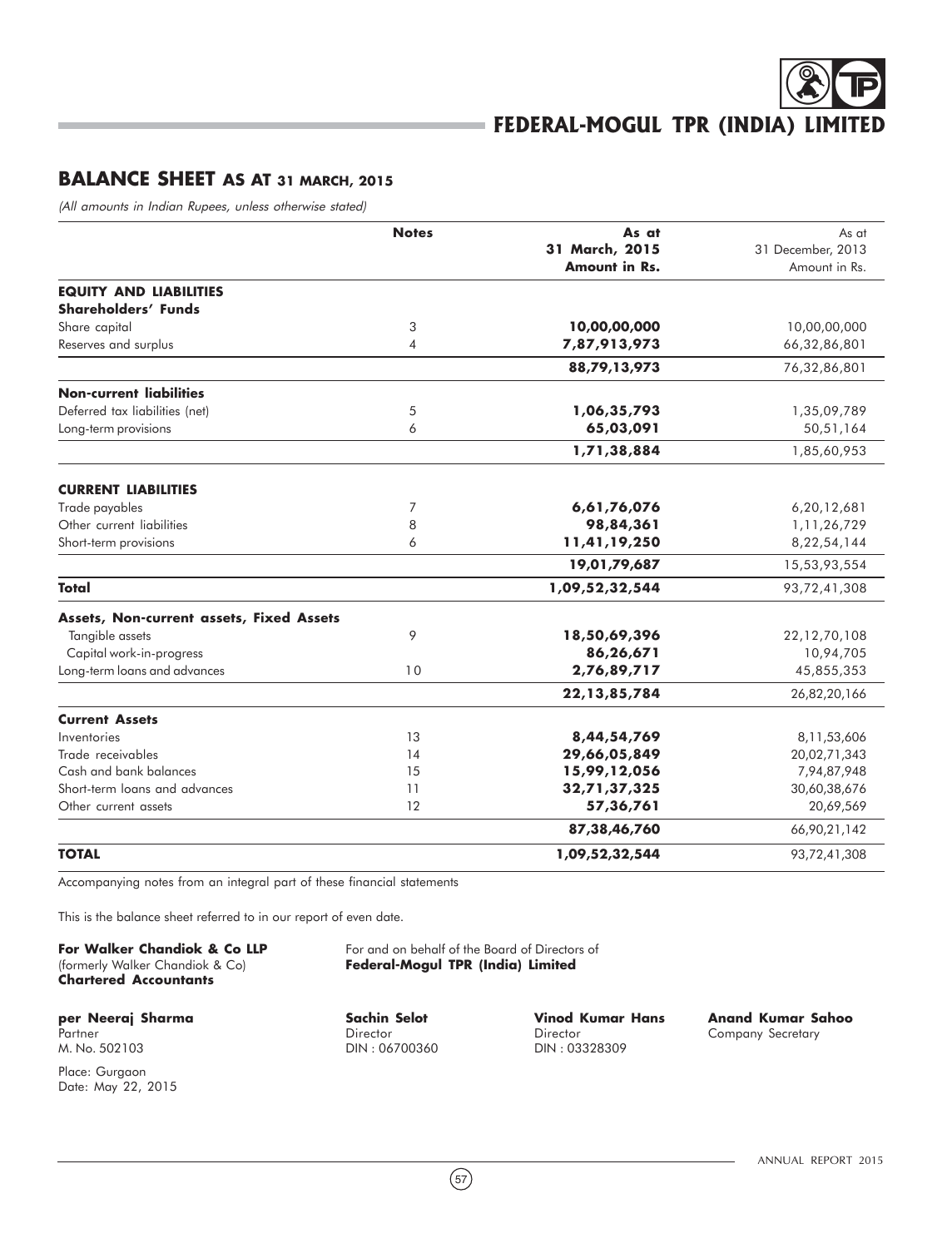### **BALANCE SHEET AS AT 31 MARCH, 2015**

(All amounts in Indian Rupees, unless otherwise stated)

|                                          | <b>Notes</b>   | As at                | As at             |
|------------------------------------------|----------------|----------------------|-------------------|
|                                          |                | 31 March, 2015       | 31 December, 2013 |
|                                          |                | <b>Amount in Rs.</b> | Amount in Rs.     |
| <b>EQUITY AND LIABILITIES</b>            |                |                      |                   |
| Shareholders' Funds                      |                |                      |                   |
| Share capital                            | 3              | 10,00,00,000         | 10,00,00,000      |
| Reserves and surplus                     | $\overline{4}$ | 7,87,913,973         | 66,32,86,801      |
|                                          |                | 88,79,13,973         | 76,32,86,801      |
| <b>Non-current liabilities</b>           |                |                      |                   |
| Deferred tax liabilities (net)           | 5              | 1,06,35,793          | 1,35,09,789       |
| Long-term provisions                     | 6              | 65,03,091            | 50,51,164         |
|                                          |                | 1,71,38,884          | 1,85,60,953       |
| <b>CURRENT LIABILITIES</b>               |                |                      |                   |
| Trade payables                           | 7              | 6,61,76,076          | 6,20,12,681       |
| Other current liabilities                | 8              | 98,84,361            | 1, 11, 26, 729    |
| Short-term provisions                    | 6              | 11,41,19,250         | 8,22,54,144       |
|                                          |                | 19,01,79,687         | 15,53,93,554      |
| Total                                    |                | 1,09,52,32,544       | 93,72,41,308      |
| Assets, Non-current assets, Fixed Assets |                |                      |                   |
| Tangible assets                          | 9              | 18,50,69,396         | 22, 12, 70, 108   |
| Capital work-in-progress                 |                | 86,26,671            | 10,94,705         |
| Long-term loans and advances             | 10             | 2,76,89,717          | 45,855,353        |
|                                          |                | 22, 13, 85, 784      | 26,82,20,166      |
| <b>Current Assets</b>                    |                |                      |                   |
| Inventories                              | 13             | 8,44,54,769          | 8,11,53,606       |
| Trade receivables                        | 14             | 29,66,05,849         | 20,02,71,343      |
| Cash and bank balances                   | 15             | 15,99,12,056         | 7,94,87,948       |
| Short-term loans and advances            | 11             | 32,71,37,325         | 30,60,38,676      |
| Other current assets                     | 12             | 57,36,761            | 20,69,569         |
|                                          |                | 87,38,46,760         | 66,90,21,142      |
| <b>TOTAL</b>                             |                | 1,09,52,32,544       | 93,72,41,308      |

Accompanying notes from an integral part of these financial statements

This is the balance sheet referred to in our report of even date.

Place: Gurgaon Date: May 22, 2015

| For Walker Chandiok & Co LLP<br>(formerly Walker Chandiok & Co)<br><b>Chartered Accountants</b> | For and on behalf of the Board of Directors of<br>Federal-Mogul TPR (India) Limited |                  |                       |
|-------------------------------------------------------------------------------------------------|-------------------------------------------------------------------------------------|------------------|-----------------------|
| per Neeraj Sharma                                                                               | Sachin Selot                                                                        | Vinod Kumar Hans | <b>Anand Kumar So</b> |
| Partner                                                                                         | Director                                                                            | Director         | Company Secretary     |
| M. No. 502103                                                                                   | DIN: 06700360                                                                       | DIN: 03328309    |                       |

**per Neeraj Sharma Sachin Selot Vinod Kumar Hans Anand Kumar Sahoo**

 $\binom{57}{ }$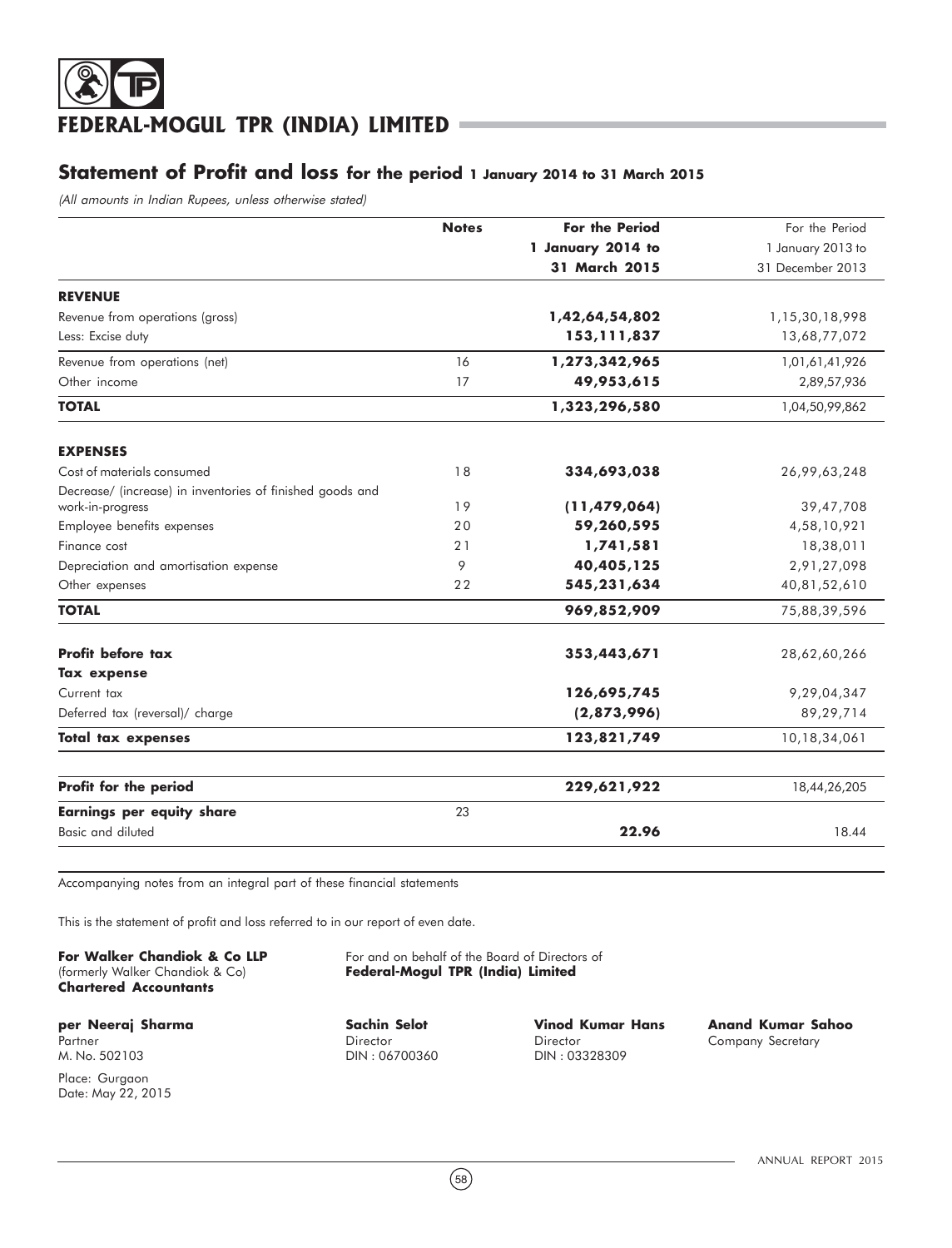### **Statement of Profit and loss for the period 1 January 2014 to 31 March 2015**

(All amounts in Indian Rupees, unless otherwise stated)

|                                                                               | <b>Notes</b> | <b>For the Period</b> | For the Period    |
|-------------------------------------------------------------------------------|--------------|-----------------------|-------------------|
|                                                                               |              | 1 January 2014 to     | 1 January 2013 to |
|                                                                               |              | 31 March 2015         | 31 December 2013  |
| <b>REVENUE</b>                                                                |              |                       |                   |
| Revenue from operations (gross)                                               |              | 1,42,64,54,802        | 1,15,30,18,998    |
| Less: Excise duty                                                             |              | 153, 111, 837         | 13,68,77,072      |
| Revenue from operations (net)                                                 | 16           | 1,273,342,965         | 1,01,61,41,926    |
| Other income                                                                  | 17           | 49,953,615            | 2,89,57,936       |
| <b>TOTAL</b>                                                                  |              | 1,323,296,580         | 1,04,50,99,862    |
| <b>EXPENSES</b>                                                               |              |                       |                   |
| Cost of materials consumed                                                    | 18           | 334,693,038           | 26,99,63,248      |
| Decrease/ (increase) in inventories of finished goods and<br>work-in-progress | 19           | (11, 479, 064)        | 39,47,708         |
| Employee benefits expenses                                                    | 20           | 59,260,595            | 4,58,10,921       |
| Finance cost                                                                  | 21           | 1,741,581             | 18,38,011         |
| Depreciation and amortisation expense                                         | 9            | 40,405,125            | 2,91,27,098       |
| Other expenses                                                                | 22           | 545,231,634           | 40,81,52,610      |
| <b>TOTAL</b>                                                                  |              | 969,852,909           | 75,88,39,596      |
| Profit before tax                                                             |              | 353,443,671           | 28,62,60,266      |
| Tax expense                                                                   |              |                       |                   |
| Current tax                                                                   |              | 126,695,745           | 9,29,04,347       |
| Deferred tax (reversal)/ charge                                               |              | (2,873,996)           | 89,29,714         |
| Total tax expenses                                                            |              | 123,821,749           | 10,18,34,061      |
| Profit for the period                                                         |              | 229,621,922           | 18,44,26,205      |
| <b>Earnings per equity share</b>                                              | 23           |                       |                   |
| <b>Basic and diluted</b>                                                      |              | 22.96                 | 18.44             |

Accompanying notes from an integral part of these financial statements

This is the statement of profit and loss referred to in our report of even date.

**Chartered Accountants**

Place: Gurgaon Date: May 22, 2015

**For Walker Chandiok & Co LLP** For and on behalf of the Board of Directors of (formerly Walker Chandiok & Co) **Federal-Mogul TPR (India) Limited Federal-Mogul TPR (India) Limited** 

 $(58)$ 

DIN : 06700360

Partner Director Director Company Secretary

**per Neeraj Sharma Sachin Selot Vinod Kumar Hans Anand Kumar Sahoo**<br>Partner Company Secretary **Director** Director Director Company Secretary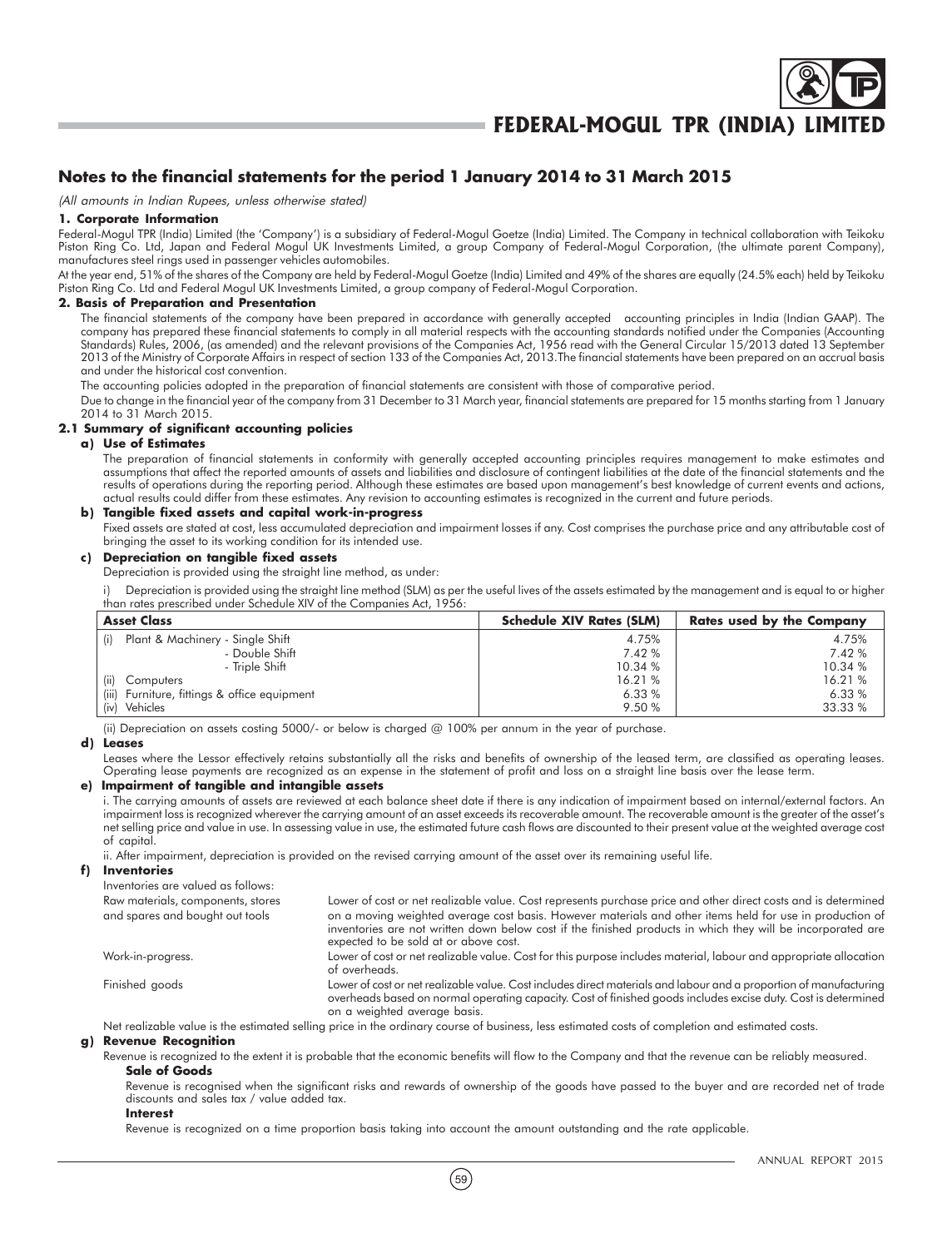### **Notes to the financial statements for the period 1 January 2014 to 31 March 2015**

(All amounts in Indian Rupees, unless otherwise stated)

### **1. Corporate Information**

Federal-Mogul TPR (India) Limited (the 'Company') is a subsidiary of Federal-Mogul Goetze (India) Limited. The Company in technical collaboration with Teikoku Piston Ring Co. Ltd, Japan and Federal Mogul UK Investments Limited, a group Company of Federal-Mogul Corporation, (the ultimate parent Company), manufactures steel rings used in passenger vehicles automobiles.

At the year end, 51% of the shares of the Company are held by Federal-Mogul Goetze (India) Limited and 49% of the shares are equally (24.5% each) held by Teikoku Piston Ring Co. Ltd and Federal Mogul UK Investments Limited, a group company of Federal-Mogul Corporation.

### **2. Basis of Preparation and Presentation**

The financial statements of the company have been prepared in accordance with generally accepted accounting principles in India (Indian GAAP). The company has prepared these financial statements to comply in all material respects with the accounting standards notified under the Companies (Accounting Standards) Rules, 2006, (as amended) and the relevant provisions of the Companies Act, 1956 read with the General Circular 15/2013 dated 13 September 2013 of the Ministry of Corporate Affairs in respect of section 133 of the Companies Act, 2013.The financial statements have been prepared on an accrual basis and under the historical cost convention.

The accounting policies adopted in the preparation of financial statements are consistent with those of comparative period.

Due to change in the financial year of the company from 31 December to 31 March year, financial statements are prepared for 15 months starting from 1 January 2014 to 31 March 2015.

### **2.1 Summary of significant accounting policies**

### **a) Use of Estimates**

The preparation of financial statements in conformity with generally accepted accounting principles requires management to make estimates and assumptions that affect the reported amounts of assets and liabilities and disclosure of contingent liabilities at the date of the financial statements and the results of operations during the reporting period. Although these estimates are based upon management's best knowledge of current events and actions, actual results could differ from these estimates. Any revision to accounting estimates is recognized in the current and future periods.

### **b) Tangible fixed assets and capital work-in-progress**

Fixed assets are stated at cost, less accumulated depreciation and impairment losses if any. Cost comprises the purchase price and any attributable cost of bringing the asset to its working condition for its intended use.

### **c) Depreciation on tangible fixed assets**

Depreciation is provided using the straight line method, as under:

Depreciation is provided using the straight line method (SLM) as per the useful lives of the assets estimated by the management and is equal to or higher than rates prescribed under Schedule XIV of the Companies Act, 1956:

| <b>Asset Class</b>                           | <b>Schedule XIV Rates (SLM)</b> | Rates used by the Company |
|----------------------------------------------|---------------------------------|---------------------------|
| Plant & Machinery - Single Shift<br>(i)      | 4.75%                           | 4.75%                     |
| - Double Shift                               | 7.42 %                          | 7.42 %                    |
| - Triple Shift                               | 10.34 %                         | 10.34 %                   |
| Computers<br>(ii)                            | 16.21%                          | 16.21 %                   |
| (iii) Furniture, fittings & office equipment | 6.33%                           | 6.33%                     |
| Vehicles<br>(iv)                             | 9.50%                           | 33.33 %                   |

(ii) Depreciation on assets costing 5000/- or below is charged @ 100% per annum in the year of purchase.

### **d) Leases**

Leases where the Lessor effectively retains substantially all the risks and benefits of ownership of the leased term, are classified as operating leases. Operating lease payments are recognized as an expense in the statement of profit and loss on a straight line basis over the lease term.

### **e) Impairment of tangible and intangible assets**

i. The carrying amounts of assets are reviewed at each balance sheet date if there is any indication of impairment based on internal/external factors. An impairment loss is recognized wherever the carrying amount of an asset exceeds its recoverable amount. The recoverable amount is the greater of the asset's net selling price and value in use. In assessing value in use, the estimated future cash flows are discounted to their present value at the weighted average cost of capital.

ii. After impairment, depreciation is provided on the revised carrying amount of the asset over its remaining useful life.

### **f) Inventories**

| Inventories are valued as follows:                                   |                                                                                                                                                                                                                                                                                                                                                                                    |
|----------------------------------------------------------------------|------------------------------------------------------------------------------------------------------------------------------------------------------------------------------------------------------------------------------------------------------------------------------------------------------------------------------------------------------------------------------------|
| Raw materials, components, stores<br>and spares and bought out tools | Lower of cost or net realizable value. Cost represents purchase price and other direct costs and is determined<br>on a moving weighted average cost basis. However materials and other items held for use in production of<br>inventories are not written down below cost if the finished products in which they will be incorporated are<br>expected to be sold at or above cost. |
| Work-in-progress.                                                    | Lower of cost or net realizable value. Cost for this purpose includes material, labour and appropriate allocation<br>of overheads.                                                                                                                                                                                                                                                 |
| Finished goods                                                       | Lower of cost or net realizable value. Cost includes direct materials and labour and a proportion of manufacturing<br>overheads based on normal operating capacity. Cost of finished goods includes excise duty. Cost is determined<br>on a weighted average basis.                                                                                                                |

Net realizable value is the estimated selling price in the ordinary course of business, less estimated costs of completion and estimated costs.

### **g) Revenue Recognition**

Revenue is recognized to the extent it is probable that the economic benefits will flow to the Company and that the revenue can be reliably measured. **Sale of Goods**

Revenue is recognised when the significant risks and rewards of ownership of the goods have passed to the buyer and are recorded net of trade discounts and sales tax / value added tax.

#### **Interest**

Revenue is recognized on a time proportion basis taking into account the amount outstanding and the rate applicable.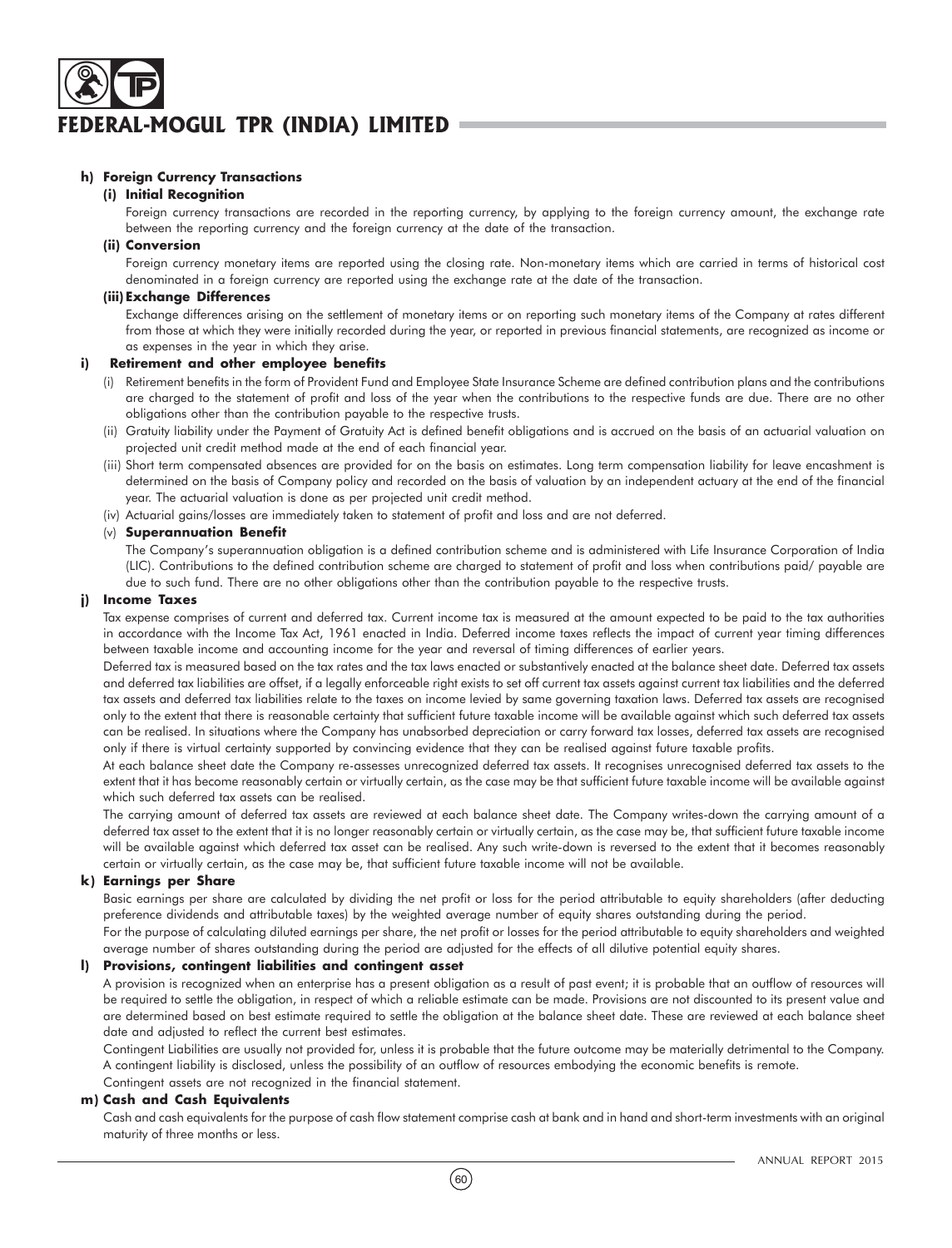### **h) Foreign Currency Transactions**

### **(i) Initial Recognition**

Foreign currency transactions are recorded in the reporting currency, by applying to the foreign currency amount, the exchange rate between the reporting currency and the foreign currency at the date of the transaction.

### **(ii) Conversion**

Foreign currency monetary items are reported using the closing rate. Non-monetary items which are carried in terms of historical cost denominated in a foreign currency are reported using the exchange rate at the date of the transaction.

### **(iii) Exchange Differences**

Exchange differences arising on the settlement of monetary items or on reporting such monetary items of the Company at rates different from those at which they were initially recorded during the year, or reported in previous financial statements, are recognized as income or as expenses in the year in which they arise.

### **i) Retirement and other employee benefits**

- (i) Retirement benefits in the form of Provident Fund and Employee State Insurance Scheme are defined contribution plans and the contributions are charged to the statement of profit and loss of the year when the contributions to the respective funds are due. There are no other obligations other than the contribution payable to the respective trusts.
- (ii) Gratuity liability under the Payment of Gratuity Act is defined benefit obligations and is accrued on the basis of an actuarial valuation on projected unit credit method made at the end of each financial year.
- (iii) Short term compensated absences are provided for on the basis on estimates. Long term compensation liability for leave encashment is determined on the basis of Company policy and recorded on the basis of valuation by an independent actuary at the end of the financial year. The actuarial valuation is done as per projected unit credit method.
- (iv) Actuarial gains/losses are immediately taken to statement of profit and loss and are not deferred.

### (v) **Superannuation Benefit**

The Company's superannuation obligation is a defined contribution scheme and is administered with Life Insurance Corporation of India (LIC). Contributions to the defined contribution scheme are charged to statement of profit and loss when contributions paid/ payable are due to such fund. There are no other obligations other than the contribution payable to the respective trusts.

### **j) Income Taxes**

Tax expense comprises of current and deferred tax. Current income tax is measured at the amount expected to be paid to the tax authorities in accordance with the Income Tax Act, 1961 enacted in India. Deferred income taxes reflects the impact of current year timing differences between taxable income and accounting income for the year and reversal of timing differences of earlier years.

Deferred tax is measured based on the tax rates and the tax laws enacted or substantively enacted at the balance sheet date. Deferred tax assets and deferred tax liabilities are offset, if a legally enforceable right exists to set off current tax assets against current tax liabilities and the deferred tax assets and deferred tax liabilities relate to the taxes on income levied by same governing taxation laws. Deferred tax assets are recognised only to the extent that there is reasonable certainty that sufficient future taxable income will be available against which such deferred tax assets can be realised. In situations where the Company has unabsorbed depreciation or carry forward tax losses, deferred tax assets are recognised only if there is virtual certainty supported by convincing evidence that they can be realised against future taxable profits.

At each balance sheet date the Company re-assesses unrecognized deferred tax assets. It recognises unrecognised deferred tax assets to the extent that it has become reasonably certain or virtually certain, as the case may be that sufficient future taxable income will be available against which such deferred tax assets can be realised.

The carrying amount of deferred tax assets are reviewed at each balance sheet date. The Company writes-down the carrying amount of a deferred tax asset to the extent that it is no longer reasonably certain or virtually certain, as the case may be, that sufficient future taxable income will be available against which deferred tax asset can be realised. Any such write-down is reversed to the extent that it becomes reasonably certain or virtually certain, as the case may be, that sufficient future taxable income will not be available.

### **k) Earnings per Share**

Basic earnings per share are calculated by dividing the net profit or loss for the period attributable to equity shareholders (after deducting preference dividends and attributable taxes) by the weighted average number of equity shares outstanding during the period.

For the purpose of calculating diluted earnings per share, the net profit or losses for the period attributable to equity shareholders and weighted average number of shares outstanding during the period are adjusted for the effects of all dilutive potential equity shares.

### **l) Provisions, contingent liabilities and contingent asset**

A provision is recognized when an enterprise has a present obligation as a result of past event; it is probable that an outflow of resources will be required to settle the obligation, in respect of which a reliable estimate can be made. Provisions are not discounted to its present value and are determined based on best estimate required to settle the obligation at the balance sheet date. These are reviewed at each balance sheet date and adjusted to reflect the current best estimates.

Contingent Liabilities are usually not provided for, unless it is probable that the future outcome may be materially detrimental to the Company. A contingent liability is disclosed, unless the possibility of an outflow of resources embodying the economic benefits is remote.

### Contingent assets are not recognized in the financial statement. **m) Cash and Cash Equivalents**

Cash and cash equivalents for the purpose of cash flow statement comprise cash at bank and in hand and short-term investments with an original maturity of three months or less.

 $(60)$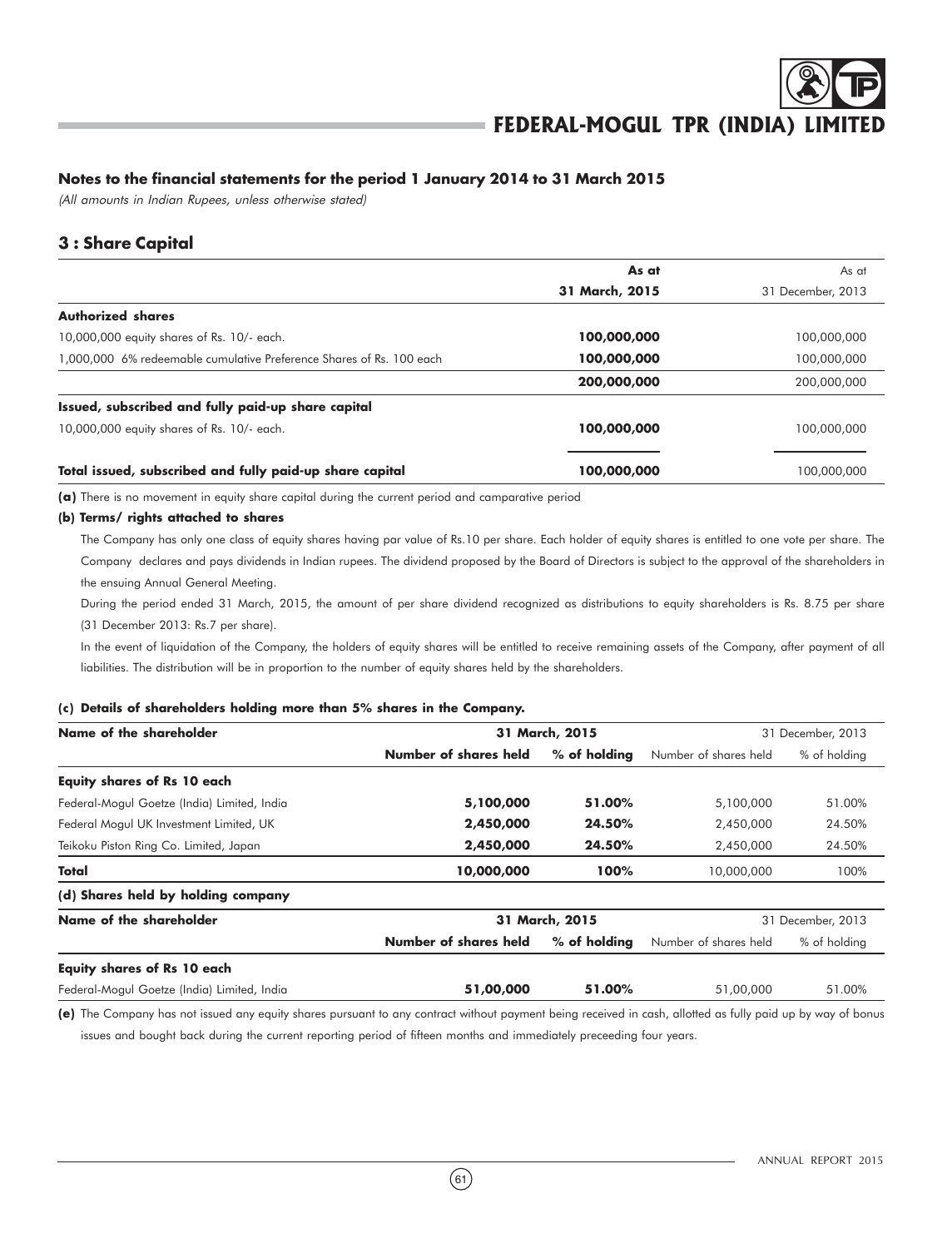### **Notes to the financial statements for the period 1 January 2014 to 31 March 2015**

(All amounts in Indian Rupees, unless otherwise stated)

### **3 : Share Capital**

|                                                                      | As at          | As at             |
|----------------------------------------------------------------------|----------------|-------------------|
|                                                                      | 31 March, 2015 | 31 December, 2013 |
| <b>Authorized shares</b>                                             |                |                   |
| 10,000,000 equity shares of Rs. 10/- each.                           | 100,000,000    | 100,000,000       |
| 1,000,000 6% redeemable cumulative Preference Shares of Rs. 100 each | 100,000,000    | 100,000,000       |
|                                                                      | 200,000,000    | 200,000,000       |
| Issued, subscribed and fully paid-up share capital                   |                |                   |
| 10,000,000 equity shares of Rs. 10/- each.                           | 100,000,000    | 100,000,000       |
| Total issued, subscribed and fully paid-up share capital             | 100,000,000    | 100,000,000       |

**(a)** There is no movement in equity share capital during the current period and camparative period

### **(b) Terms/ rights attached to shares**

The Company has only one class of equity shares having par value of Rs.10 per share. Each holder of equity shares is entitled to one vote per share. The Company declares and pays dividends in Indian rupees. The dividend proposed by the Board of Directors is subject to the approval of the shareholders in the ensuing Annual General Meeting.

During the period ended 31 March, 2015, the amount of per share dividend recognized as distributions to equity shareholders is Rs. 8.75 per share (31 December 2013: Rs.7 per share).

In the event of liquidation of the Company, the holders of equity shares will be entitled to receive remaining assets of the Company, after payment of all liabilities. The distribution will be in proportion to the number of equity shares held by the shareholders.

### **(c) Details of shareholders holding more than 5% shares in the Company.**

| Name of the shareholder                     | 31 March, 2015        |                | 31 December, 2013     |                   |
|---------------------------------------------|-----------------------|----------------|-----------------------|-------------------|
|                                             | Number of shares held | % of holding   | Number of shares held | % of holding      |
| <b>Equity shares of Rs 10 each</b>          |                       |                |                       |                   |
| Federal-Mogul Goetze (India) Limited, India | 5,100,000             | 51.00%         | 5,100,000             | 51.00%            |
| Federal Mogul UK Investment Limited, UK     | 2,450,000             | 24.50%         | 2,450,000             | 24.50%            |
| Teikoku Piston Ring Co. Limited, Japan      | 2,450,000             | 24.50%         | 2,450,000             | 24.50%            |
| Total                                       | 10,000,000            | 100%           | 10,000,000            | 100%              |
| (d) Shares held by holding company          |                       |                |                       |                   |
| Name of the shareholder                     |                       | 31 March, 2015 |                       | 31 December, 2013 |
|                                             | Number of shares held | % of holding   | Number of shares held | % of holding      |
| <b>Equity shares of Rs 10 each</b>          |                       |                |                       |                   |
| Federal-Mogul Goetze (India) Limited, India | 51,00,000             | 51.00%         | 51,00,000             | 51.00%            |

**(e)** The Company has not issued any equity shares pursuant to any contract without payment being received in cash, allotted as fully paid up by way of bonus issues and bought back during the current reporting period of fifteen months and immediately preceeding four years.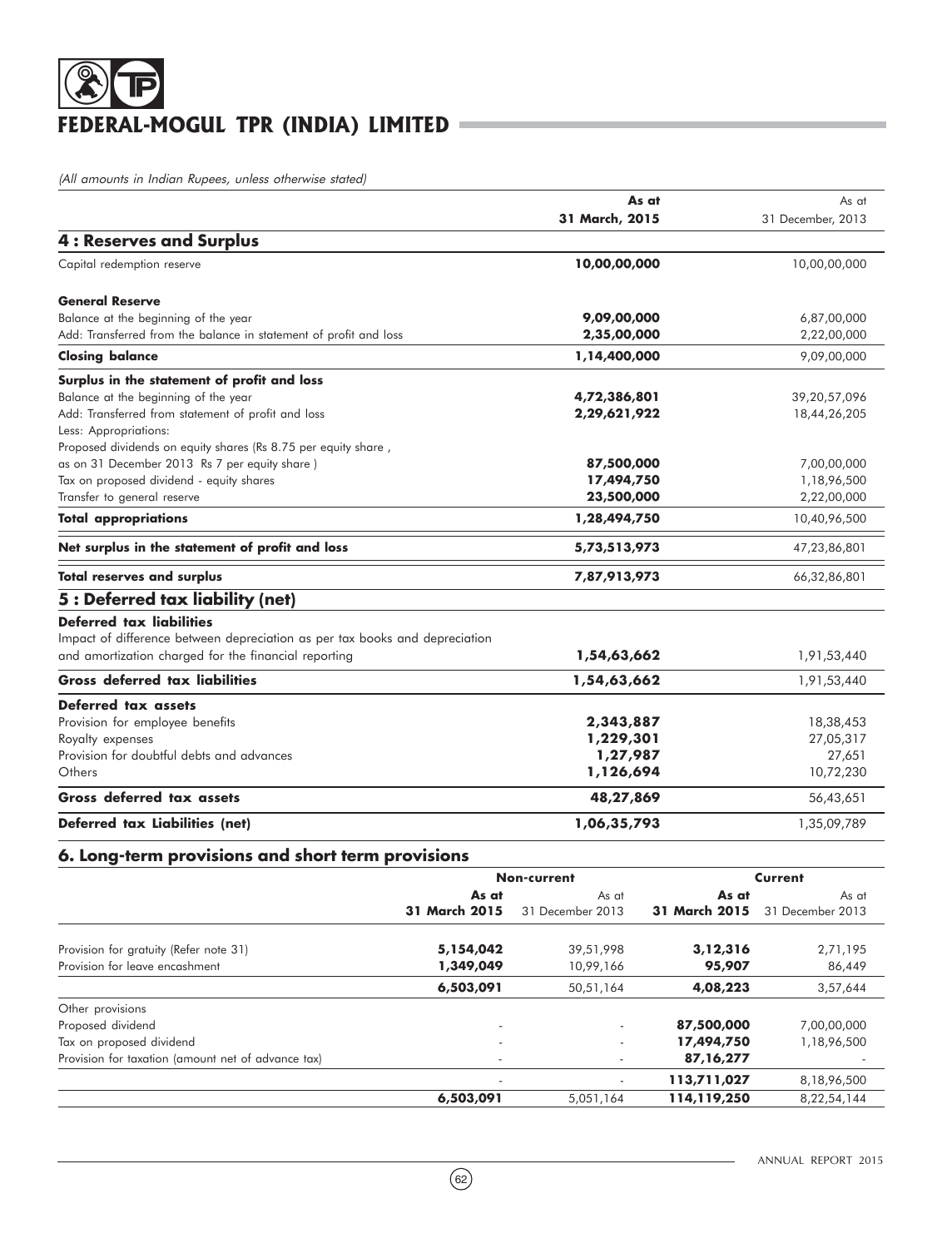(All amounts in Indian Rupees, unless otherwise stated)

|                                                                             | As at          | As at             |
|-----------------------------------------------------------------------------|----------------|-------------------|
|                                                                             | 31 March, 2015 | 31 December, 2013 |
| <b>4 : Reserves and Surplus</b>                                             |                |                   |
| Capital redemption reserve                                                  | 10,00,00,000   | 10,00,00,000      |
| <b>General Reserve</b>                                                      |                |                   |
| Balance at the beginning of the year                                        | 9,09,00,000    | 6,87,00,000       |
| Add: Transferred from the balance in statement of profit and loss           | 2,35,00,000    | 2,22,00,000       |
| <b>Closing balance</b>                                                      | 1,14,400,000   | 9,09,00,000       |
| Surplus in the statement of profit and loss                                 |                |                   |
| Balance at the beginning of the year                                        | 4,72,386,801   | 39,20,57,096      |
| Add: Transferred from statement of profit and loss                          | 2,29,621,922   | 18,44,26,205      |
| Less: Appropriations:                                                       |                |                   |
| Proposed dividends on equity shares (Rs 8.75 per equity share,              |                |                   |
| as on 31 December 2013 Rs 7 per equity share)                               | 87,500,000     | 7,00,00,000       |
| Tax on proposed dividend - equity shares                                    | 17,494,750     | 1,18,96,500       |
| Transfer to general reserve                                                 | 23,500,000     | 2,22,00,000       |
| <b>Total appropriations</b>                                                 | 1,28,494,750   | 10,40,96,500      |
| Net surplus in the statement of profit and loss                             | 5,73,513,973   | 47,23,86,801      |
| <b>Total reserves and surplus</b>                                           | 7,87,913,973   | 66,32,86,801      |
| 5 : Deferred tax liability (net)                                            |                |                   |
| <b>Deferred tax liabilities</b>                                             |                |                   |
| Impact of difference between depreciation as per tax books and depreciation |                |                   |
| and amortization charged for the financial reporting                        | 1,54,63,662    | 1,91,53,440       |
| <b>Gross deferred tax liabilities</b>                                       | 1,54,63,662    | 1,91,53,440       |
| Deferred tax assets                                                         |                |                   |
| Provision for employee benefits                                             | 2,343,887      | 18,38,453         |
| Royalty expenses                                                            | 1,229,301      | 27,05,317         |
| Provision for doubtful debts and advances                                   | 1,27,987       | 27,651            |
| Others                                                                      | 1,126,694      | 10,72,230         |
| Gross deferred tax assets                                                   | 48,27,869      | 56,43,651         |
| Deferred tax Liabilities (net)                                              | 1,06,35,793    | 1,35,09,789       |
| $\bullet\quad\bullet$                                                       |                |                   |

### **6. Long-term provisions and short term provisions**

|                                                    |                          | Non-current              |               | Current          |
|----------------------------------------------------|--------------------------|--------------------------|---------------|------------------|
|                                                    | As at                    | As at                    | As at         | As at            |
|                                                    | 31 March 2015            | 31 December 2013         | 31 March 2015 | 31 December 2013 |
| Provision for gratuity (Refer note 31)             | 5,154,042                | 39,51,998                | 3,12,316      | 2,71,195         |
| Provision for leave encashment                     | 1,349,049                | 10,99,166                | 95,907        | 86,449           |
|                                                    | 6,503,091                | 50,51,164                | 4,08,223      | 3,57,644         |
| Other provisions                                   |                          |                          |               |                  |
| Proposed dividend                                  | $\overline{\phantom{a}}$ | $\overline{\phantom{0}}$ | 87,500,000    | 7,00,00,000      |
| Tax on proposed dividend                           |                          |                          | 17,494,750    | 1,18,96,500      |
| Provision for taxation (amount net of advance tax) |                          |                          | 87, 16, 277   |                  |
|                                                    | $\overline{\phantom{a}}$ | $\overline{\phantom{a}}$ | 113,711,027   | 8,18,96,500      |
|                                                    | 6,503,091                | 5,051,164                | 114,119,250   | 8,22,54,144      |

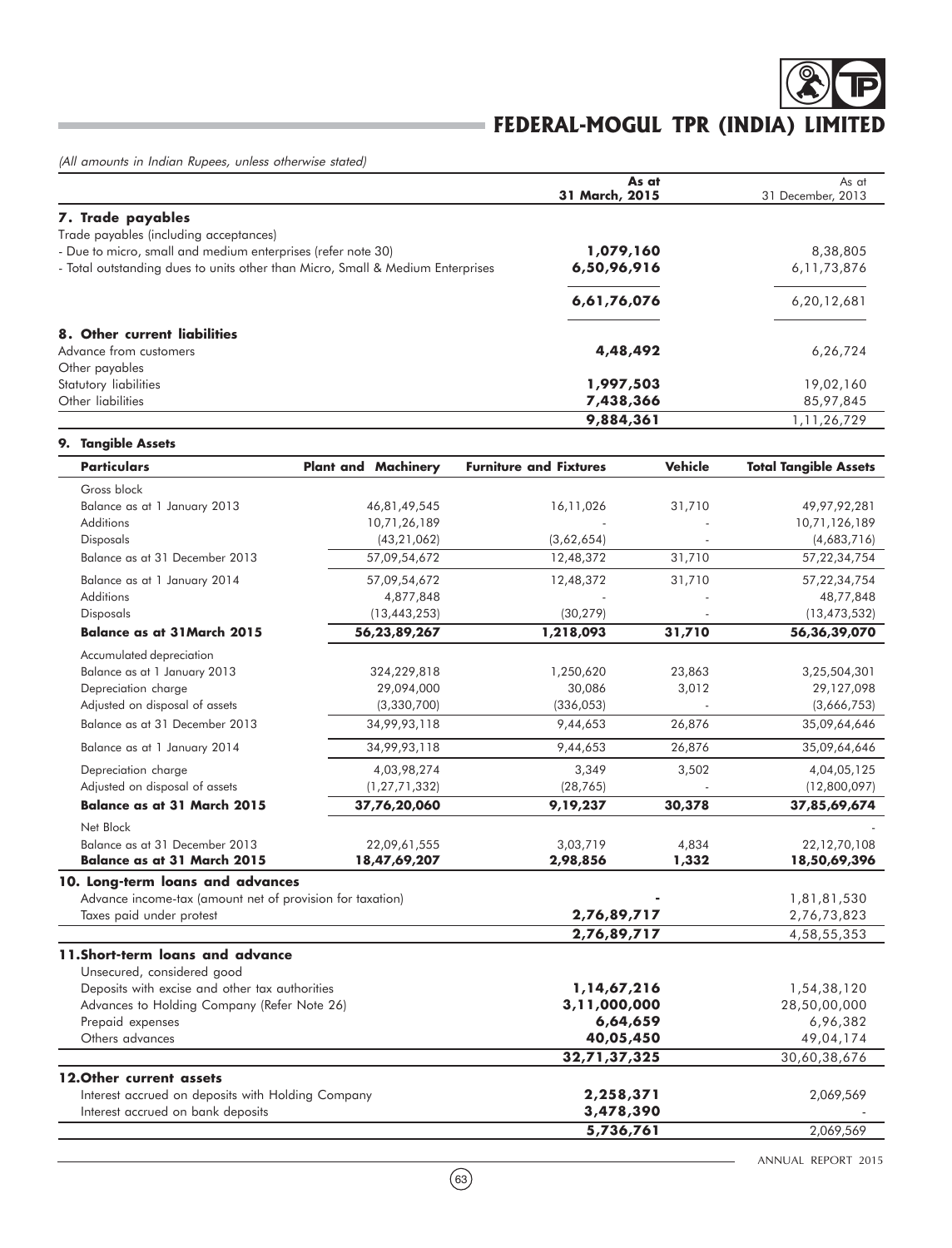(All amounts in Indian Rupees, unless otherwise stated)

|                                                                                | As at          | As at             |
|--------------------------------------------------------------------------------|----------------|-------------------|
|                                                                                | 31 March, 2015 | 31 December, 2013 |
| 7. Trade payables                                                              |                |                   |
| Trade payables (including acceptances)                                         |                |                   |
| - Due to micro, small and medium enterprises (refer note 30)                   | 1,079,160      | 8,38,805          |
| - Total outstanding dues to units other than Micro, Small & Medium Enterprises | 6,50,96,916    | 6, 11, 73, 876    |
|                                                                                | 6,61,76,076    | 6,20,12,681       |
| 8. Other current liabilities                                                   |                |                   |
| Advance from customers                                                         | 4,48,492       | 6,26,724          |
| Other payables                                                                 |                |                   |
| Statutory liabilities                                                          | 1,997,503      | 19,02,160         |
| Other liabilities                                                              | 7,438,366      | 85,97,845         |
|                                                                                | 9,884,361      | 1, 11, 26, 729    |

### **9. Tangible Assets**

| <b>Particulars</b>                                        | <b>Plant and Machinery</b> | <b>Furniture and Fixtures</b> | <b>Vehicle</b> | <b>Total Tangible Assets</b> |
|-----------------------------------------------------------|----------------------------|-------------------------------|----------------|------------------------------|
| Gross block                                               |                            |                               |                |                              |
| Balance as at 1 January 2013                              | 46,81,49,545               | 16,11,026                     | 31,710         | 49,97,92,281                 |
| Additions                                                 | 10,71,26,189               |                               |                | 10,71,126,189                |
| <b>Disposals</b>                                          | (43, 21, 062)              | (3,62,654)                    |                | (4,683,716)                  |
| Balance as at 31 December 2013                            | 57,09,54,672               | 12,48,372                     | 31,710         | 57, 22, 34, 754              |
| Balance as at 1 January 2014                              | 57,09,54,672               | 12,48,372                     | 31,710         | 57, 22, 34, 754              |
| Additions                                                 | 4,877,848                  |                               |                | 48,77,848                    |
| <b>Disposals</b>                                          | (13, 443, 253)             | (30, 279)                     |                | (13, 473, 532)               |
| <b>Balance as at 31 March 2015</b>                        | 56,23,89,267               | 1,218,093                     | 31,710         | 56,36,39,070                 |
| Accumulated depreciation                                  |                            |                               |                |                              |
| Balance as at 1 January 2013                              | 324,229,818                | 1,250,620                     | 23,863         | 3,25,504,301                 |
| Depreciation charge                                       | 29,094,000                 | 30,086                        | 3,012          | 29,127,098                   |
| Adjusted on disposal of assets                            | (3,330,700)                | (336, 053)                    |                | (3,666,753)                  |
| Balance as at 31 December 2013                            | 34,99,93,118               | 9,44,653                      | 26,876         | 35,09,64,646                 |
| Balance as at 1 January 2014                              | 34,99,93,118               | 9,44,653                      | 26,876         | 35,09,64,646                 |
| Depreciation charge                                       | 4,03,98,274                | 3,349                         | 3,502          | 4,04,05,125                  |
| Adjusted on disposal of assets                            | (1, 27, 71, 332)           | (28, 765)                     |                | (12,800,097)                 |
| <b>Balance as at 31 March 2015</b>                        | 37,76,20,060               | 9,19,237                      | 30,378         | 37,85,69,674                 |
| Net Block                                                 |                            |                               |                |                              |
| Balance as at 31 December 2013                            | 22,09,61,555               | 3,03,719                      | 4,834          | 22, 12, 70, 108              |
| Balance as at 31 March 2015                               | 18,47,69,207               | 2,98,856                      | 1,332          | 18,50,69,396                 |
| 10. Long-term loans and advances                          |                            |                               |                |                              |
| Advance income-tax (amount net of provision for taxation) |                            |                               |                | 1,81,81,530                  |
| Taxes paid under protest                                  |                            | 2,76,89,717                   |                | 2,76,73,823                  |
|                                                           |                            | 2,76,89,717                   |                | 4,58,55,353                  |
| 11.Short-term loans and advance                           |                            |                               |                |                              |
| Unsecured, considered good                                |                            |                               |                |                              |
| Deposits with excise and other tax authorities            |                            | 1,14,67,216                   |                | 1,54,38,120                  |
| Advances to Holding Company (Refer Note 26)               |                            | 3,11,000,000                  |                | 28,50,00,000                 |
| Prepaid expenses                                          |                            | 6,64,659                      |                | 6,96,382                     |
| Others advances                                           |                            | 40,05,450                     |                | 49,04,174                    |
|                                                           |                            | 32,71,37,325                  |                | 30,60,38,676                 |
| 12.Other current assets                                   |                            |                               |                |                              |
| Interest accrued on deposits with Holding Company         |                            | 2,258,371                     |                | 2,069,569                    |
| Interest accrued on bank deposits                         |                            | 3,478,390                     |                |                              |
|                                                           |                            | 5,736,761                     |                | 2,069,569                    |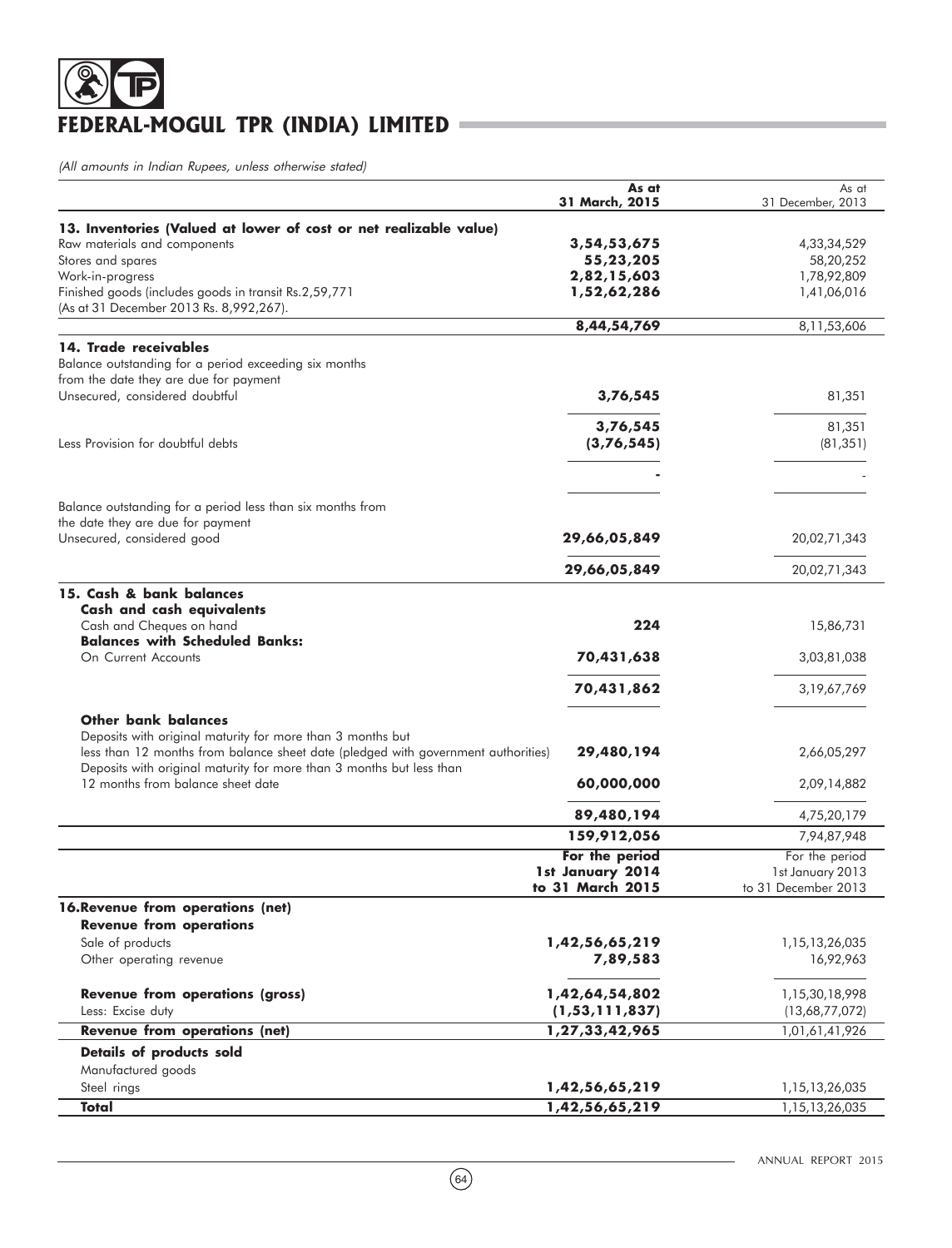(All amounts in Indian Rupees, unless otherwise stated)

|                                                                                                  | As at<br>31 March, 2015 | As at<br>31 December, 2013 |
|--------------------------------------------------------------------------------------------------|-------------------------|----------------------------|
| 13. Inventories (Valued at lower of cost or net realizable value)                                |                         |                            |
| Raw materials and components                                                                     | 3,54,53,675             | 4,33,34,529                |
| Stores and spares                                                                                | 55,23,205               | 58,20,252                  |
| Work-in-progress                                                                                 | 2,82,15,603             | 1,78,92,809                |
| Finished goods (includes goods in transit Rs.2,59,771<br>(As at 31 December 2013 Rs. 8,992,267). | 1,52,62,286             | 1,41,06,016                |
|                                                                                                  | 8,44,54,769             | 8,11,53,606                |
| 14. Trade receivables                                                                            |                         |                            |
| Balance outstanding for a period exceeding six months                                            |                         |                            |
| from the date they are due for payment                                                           |                         |                            |
| Unsecured, considered doubtful                                                                   | 3,76,545                | 81,351                     |
|                                                                                                  | 3,76,545                | 81,351                     |
| Less Provision for doubtful debts                                                                | (3,76,545)              | (81, 351)                  |
|                                                                                                  |                         |                            |
|                                                                                                  |                         |                            |
| Balance outstanding for a period less than six months from                                       |                         |                            |
| the date they are due for payment                                                                |                         |                            |
| Unsecured, considered good                                                                       | 29,66,05,849            | 20,02,71,343               |
|                                                                                                  | 29,66,05,849            | 20,02,71,343               |
| 15. Cash & bank balances                                                                         |                         |                            |
| Cash and cash equivalents                                                                        |                         |                            |
| Cash and Cheques on hand                                                                         | 224                     | 15,86,731                  |
| <b>Balances with Scheduled Banks:</b>                                                            |                         |                            |
| On Current Accounts                                                                              | 70,431,638              | 3,03,81,038                |
|                                                                                                  | 70,431,862              | 3, 19, 67, 769             |
| Other bank balances                                                                              |                         |                            |
| Deposits with original maturity for more than 3 months but                                       |                         |                            |
| less than 12 months from balance sheet date (pledged with government authorities)                | 29,480,194              | 2,66,05,297                |
| Deposits with original maturity for more than 3 months but less than                             |                         |                            |
| 12 months from balance sheet date                                                                | 60,000,000              | 2,09,14,882                |
|                                                                                                  | 89,480,194              | 4,75,20,179                |
|                                                                                                  | 159,912,056             | 7,94,87,948                |
|                                                                                                  | For the period          | For the period             |
|                                                                                                  | 1st January 2014        | 1st January 2013           |
|                                                                                                  | to 31 March 2015        | to 31 December 2013        |
| 16. Revenue from operations (net)                                                                |                         |                            |
| <b>Revenue from operations</b>                                                                   |                         |                            |
| Sale of products                                                                                 | 1,42,56,65,219          | 1, 15, 13, 26, 035         |
| Other operating revenue                                                                          | 7,89,583                | 16,92,963                  |
| Revenue from operations (gross)                                                                  | 1,42,64,54,802          | 1,15,30,18,998             |
| Less: Excise duty                                                                                | (1, 53, 111, 837)       | (13,68,77,072)             |
| Revenue from operations (net)                                                                    | 1,27,33,42,965          | 1,01,61,41,926             |
| Details of products sold                                                                         |                         |                            |
| Manufactured goods                                                                               |                         |                            |
| Steel rings                                                                                      | 1,42,56,65,219          | 1, 15, 13, 26, 035         |
| Total                                                                                            | 1,42,56,65,219          | 1, 15, 13, 26, 035         |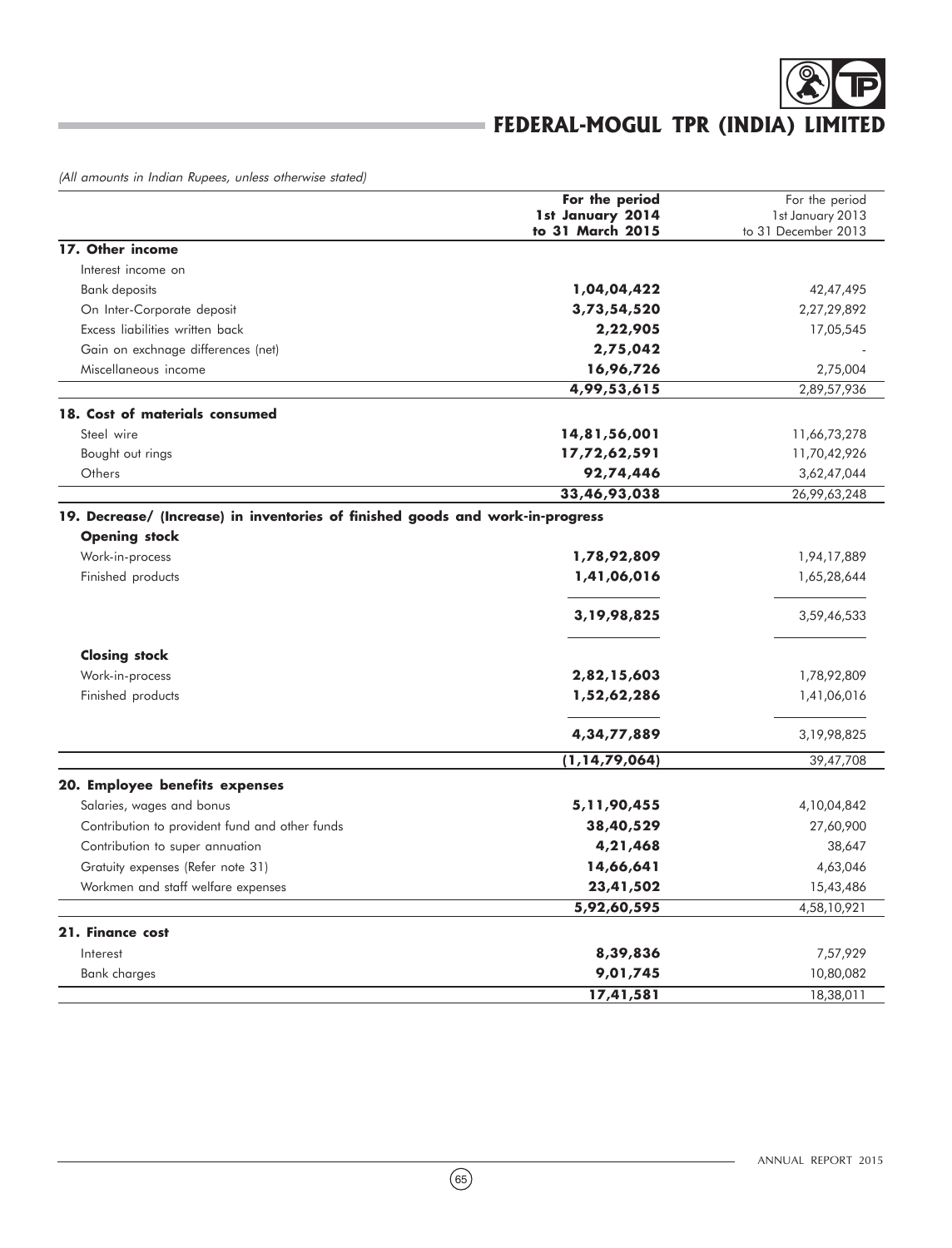(All amounts in Indian Rupees, unless otherwise stated)

|                                                                                | For the period   | For the period      |
|--------------------------------------------------------------------------------|------------------|---------------------|
|                                                                                | 1st January 2014 | 1st January 2013    |
|                                                                                | to 31 March 2015 | to 31 December 2013 |
| 17. Other income                                                               |                  |                     |
| Interest income on                                                             |                  |                     |
| <b>Bank</b> deposits                                                           | 1,04,04,422      | 42,47,495           |
| On Inter-Corporate deposit                                                     | 3,73,54,520      | 2,27,29,892         |
| Excess liabilities written back                                                | 2,22,905         | 17,05,545           |
| Gain on exchnage differences (net)                                             | 2,75,042         |                     |
| Miscellaneous income                                                           | 16,96,726        | 2,75,004            |
|                                                                                | 4,99,53,615      | 2,89,57,936         |
| 18. Cost of materials consumed                                                 |                  |                     |
| Steel wire                                                                     | 14,81,56,001     | 11,66,73,278        |
| Bought out rings                                                               | 17,72,62,591     | 11,70,42,926        |
| Others                                                                         | 92,74,446        | 3,62,47,044         |
|                                                                                | 33,46,93,038     | 26,99,63,248        |
| 19. Decrease/ (Increase) in inventories of finished goods and work-in-progress |                  |                     |
| <b>Opening stock</b>                                                           |                  |                     |
| Work-in-process                                                                | 1,78,92,809      | 1,94,17,889         |
| Finished products                                                              | 1,41,06,016      | 1,65,28,644         |
|                                                                                |                  |                     |
|                                                                                | 3,19,98,825      | 3,59,46,533         |
|                                                                                |                  |                     |
| <b>Closing stock</b>                                                           |                  |                     |
| Work-in-process                                                                | 2,82,15,603      | 1,78,92,809         |
| Finished products                                                              | 1,52,62,286      | 1,41,06,016         |
|                                                                                |                  |                     |
|                                                                                | 4,34,77,889      | 3,19,98,825         |
|                                                                                | (1,14,79,064)    | 39,47,708           |
| 20. Employee benefits expenses                                                 |                  |                     |
| Salaries, wages and bonus                                                      | 5, 11, 90, 455   | 4,10,04,842         |
| Contribution to provident fund and other funds                                 | 38,40,529        | 27,60,900           |
| Contribution to super annuation                                                | 4,21,468         | 38,647              |
| Gratuity expenses (Refer note 31)                                              | 14,66,641        | 4,63,046            |
| Workmen and staff welfare expenses                                             | 23,41,502        | 15,43,486           |
|                                                                                | 5,92,60,595      | 4,58,10,921         |
|                                                                                |                  |                     |
| 21. Finance cost                                                               |                  |                     |
| Interest                                                                       | 8,39,836         | 7,57,929            |
| <b>Bank</b> charges                                                            | 9,01,745         | 10,80,082           |
|                                                                                | 17,41,581        | 18,38,011           |

65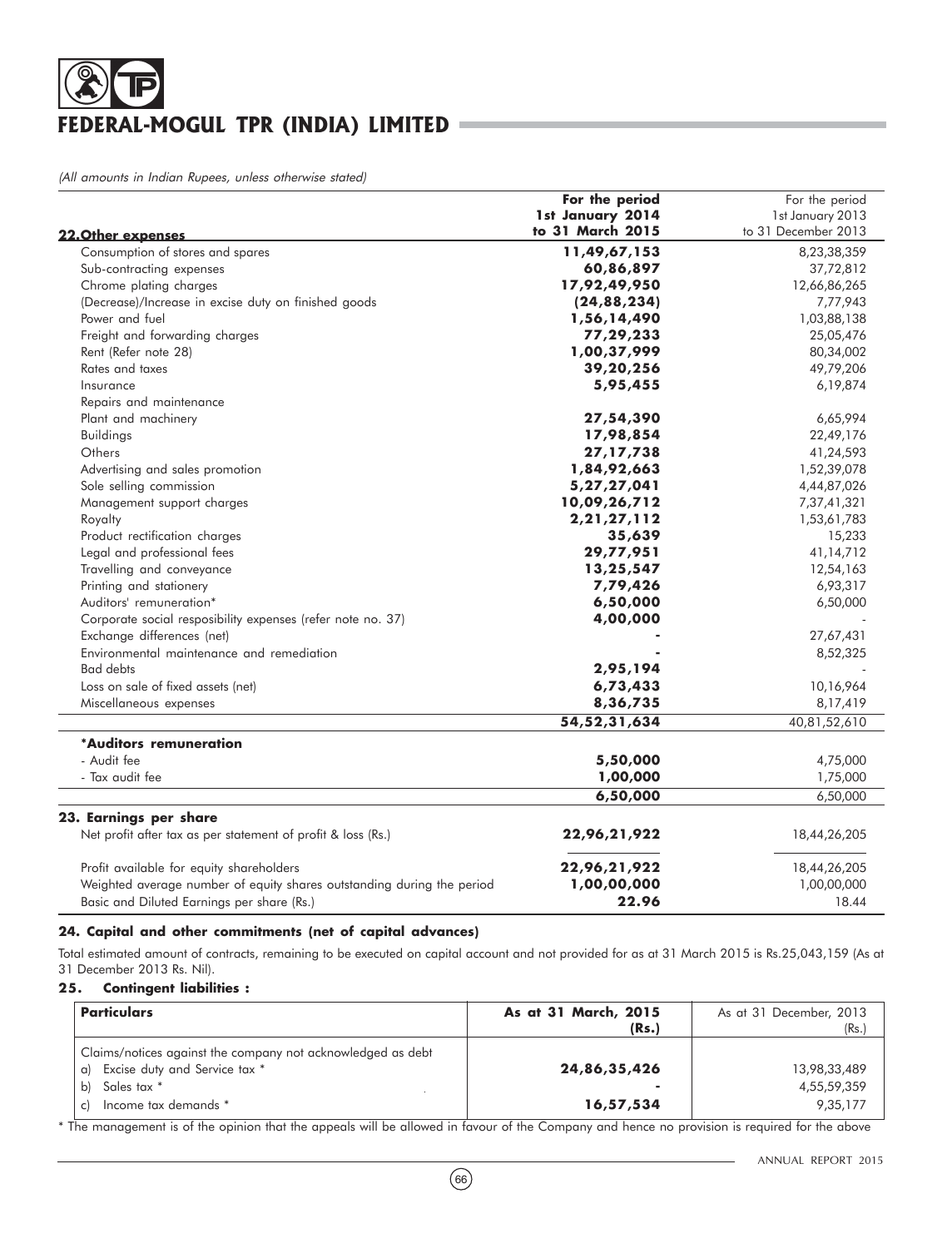(All amounts in Indian Rupees, unless otherwise stated)

|                                                                        | For the period   | For the period      |
|------------------------------------------------------------------------|------------------|---------------------|
|                                                                        | 1st January 2014 | 1st January 2013    |
| 22. Other expenses                                                     | to 31 March 2015 | to 31 December 2013 |
| Consumption of stores and spares                                       | 11,49,67,153     | 8,23,38,359         |
| Sub-contracting expenses                                               | 60,86,897        | 37,72,812           |
| Chrome plating charges                                                 | 17,92,49,950     | 12,66,86,265        |
| (Decrease)/Increase in excise duty on finished goods                   | (24, 88, 234)    | 7,77,943            |
| Power and fuel                                                         | 1,56,14,490      | 1,03,88,138         |
| Freight and forwarding charges                                         | 77,29,233        | 25,05,476           |
| Rent (Refer note 28)                                                   | 1,00,37,999      | 80,34,002           |
| Rates and taxes                                                        | 39,20,256        | 49,79,206           |
| Insurance                                                              | 5,95,455         | 6,19,874            |
| Repairs and maintenance                                                |                  |                     |
| Plant and machinery                                                    | 27,54,390        | 6,65,994            |
| <b>Buildings</b>                                                       | 17,98,854        | 22,49,176           |
| Others                                                                 | 27, 17, 738      | 41,24,593           |
| Advertising and sales promotion                                        | 1,84,92,663      | 1,52,39,078         |
| Sole selling commission                                                | 5,27,27,041      | 4,44,87,026         |
| Management support charges                                             | 10,09,26,712     | 7, 37, 41, 321      |
| Royalty                                                                | 2,21,27,112      | 1,53,61,783         |
| Product rectification charges                                          | 35,639           | 15,233              |
| Legal and professional fees                                            | 29,77,951        | 41,14,712           |
| Travelling and conveyance                                              | 13,25,547        | 12,54,163           |
| Printing and stationery                                                | 7,79,426         | 6,93,317            |
| Auditors' remuneration*                                                | 6,50,000         | 6,50,000            |
| Corporate social resposibility expenses (refer note no. 37)            | 4,00,000         |                     |
| Exchange differences (net)                                             |                  | 27,67,431           |
| Environmental maintenance and remediation                              |                  | 8,52,325            |
| <b>Bad debts</b>                                                       | 2,95,194         |                     |
| Loss on sale of fixed assets (net)                                     | 6,73,433         | 10,16,964           |
| Miscellaneous expenses                                                 | 8,36,735         | 8,17,419            |
|                                                                        | 54, 52, 31, 634  | 40,81,52,610        |
| *Auditors remuneration                                                 |                  |                     |
| - Audit fee                                                            | 5,50,000         | 4,75,000            |
| - Tax audit fee                                                        | 1,00,000         | 1,75,000            |
|                                                                        | 6,50,000         | 6,50,000            |
| 23. Earnings per share                                                 |                  |                     |
| Net profit after tax as per statement of profit & loss (Rs.)           | 22,96,21,922     | 18,44,26,205        |
| Profit available for equity shareholders                               | 22,96,21,922     | 18,44,26,205        |
| Weighted average number of equity shares outstanding during the period | 1,00,00,000      | 1,00,00,000         |
| Basic and Diluted Earnings per share (Rs.)                             | 22.96            | 18.44               |

### **24. Capital and other commitments (net of capital advances)**

Total estimated amount of contracts, remaining to be executed on capital account and not provided for as at 31 March 2015 is Rs.25,043,159 (As at 31 December 2013 Rs. Nil).

### **25. Contingent liabilities :**

| <b>Particulars</b>                                                                                                                                    | As at 31 March, 2015<br>(Rs.)  | As at 31 December, 2013<br>(Rs.)        |
|-------------------------------------------------------------------------------------------------------------------------------------------------------|--------------------------------|-----------------------------------------|
| Claims/notices against the company not acknowledged as debt<br>Excise duty and Service tax *<br>a)<br>Sales tax *<br>b)<br>Income tax demands *<br>c) | 24,86,35,426<br>۰<br>16,57,534 | 13,98,33,489<br>4,55,59,359<br>9,35,177 |

\* The management is of the opinion that the appeals will be allowed in favour of the Company and hence no provision is required for the above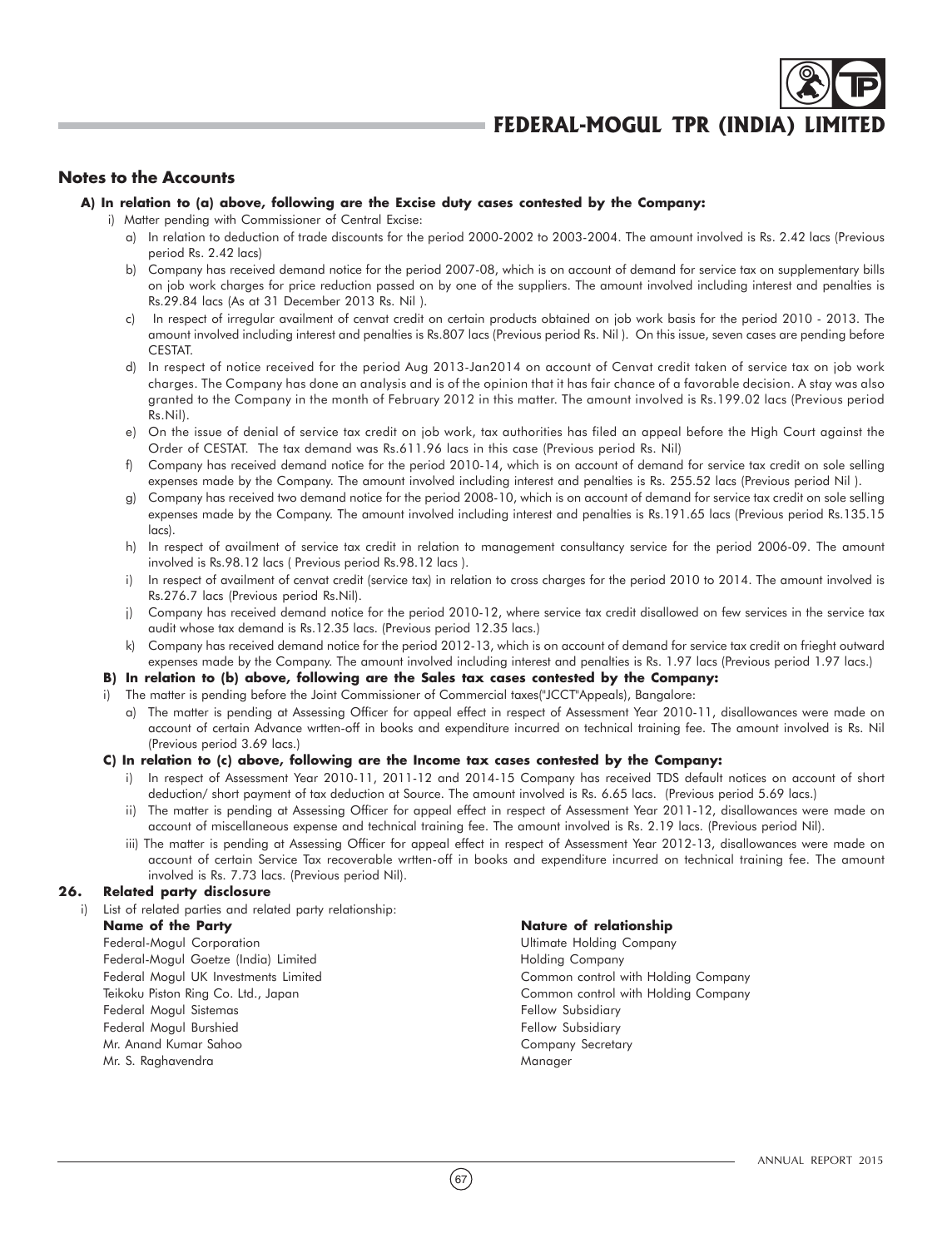### **Notes to the Accounts**

### **A) In relation to (a) above, following are the Excise duty cases contested by the Company:**

- i) Matter pending with Commissioner of Central Excise:
	- a) In relation to deduction of trade discounts for the period 2000-2002 to 2003-2004. The amount involved is Rs. 2.42 lacs (Previous period Rs. 2.42 lacs)
	- b) Company has received demand notice for the period 2007-08, which is on account of demand for service tax on supplementary bills on job work charges for price reduction passed on by one of the suppliers. The amount involved including interest and penalties is Rs.29.84 lacs (As at 31 December 2013 Rs. Nil ).
	- c) In respect of irregular availment of cenvat credit on certain products obtained on job work basis for the period 2010 2013. The amount involved including interest and penalties is Rs.807 lacs (Previous period Rs. Nil ). On this issue, seven cases are pending before CESTAT.
	- d) In respect of notice received for the period Aug 2013-Jan2014 on account of Cenvat credit taken of service tax on job work charges. The Company has done an analysis and is of the opinion that it has fair chance of a favorable decision. A stay was also granted to the Company in the month of February 2012 in this matter. The amount involved is Rs.199.02 lacs (Previous period Rs.Nil).
	- e) On the issue of denial of service tax credit on job work, tax authorities has filed an appeal before the High Court against the Order of CESTAT. The tax demand was Rs.611.96 lacs in this case (Previous period Rs. Nil)
	- f) Company has received demand notice for the period 2010-14, which is on account of demand for service tax credit on sole selling expenses made by the Company. The amount involved including interest and penalties is Rs. 255.52 lacs (Previous period Nil ).
	- g) Company has received two demand notice for the period 2008-10, which is on account of demand for service tax credit on sole selling expenses made by the Company. The amount involved including interest and penalties is Rs.191.65 lacs (Previous period Rs.135.15 lacs).
	- h) In respect of availment of service tax credit in relation to management consultancy service for the period 2006-09. The amount involved is Rs.98.12 lacs ( Previous period Rs.98.12 lacs ).
	- i) In respect of availment of cenvat credit (service tax) in relation to cross charges for the period 2010 to 2014. The amount involved is Rs.276.7 lacs (Previous period Rs.Nil).
	- j) Company has received demand notice for the period 2010-12, where service tax credit disallowed on few services in the service tax audit whose tax demand is Rs.12.35 lacs. (Previous period 12.35 lacs.)
	- k) Company has received demand notice for the period 2012-13, which is on account of demand for service tax credit on frieght outward expenses made by the Company. The amount involved including interest and penalties is Rs. 1.97 lacs (Previous period 1.97 lacs.)

### **B) In relation to (b) above, following are the Sales tax cases contested by the Company:**

- The matter is pending before the Joint Commissioner of Commercial taxes("JCCT"Appeals), Bangalore:
	- a) The matter is pending at Assessing Officer for appeal effect in respect of Assessment Year 2010-11, disallowances were made on account of certain Advance wrtten-off in books and expenditure incurred on technical training fee. The amount involved is Rs. Nil (Previous period 3.69 lacs.)

### **C) In relation to (c) above, following are the Income tax cases contested by the Company:**

- i) In respect of Assessment Year 2010-11, 2011-12 and 2014-15 Company has received TDS default notices on account of short deduction/ short payment of tax deduction at Source. The amount involved is Rs. 6.65 lacs. (Previous period 5.69 lacs.)
- ii) The matter is pending at Assessing Officer for appeal effect in respect of Assessment Year 2011-12, disallowances were made on account of miscellaneous expense and technical training fee. The amount involved is Rs. 2.19 lacs. (Previous period Nil).
- iii) The matter is pending at Assessing Officer for appeal effect in respect of Assessment Year 2012-13, disallowances were made on account of certain Service Tax recoverable wrtten-off in books and expenditure incurred on technical training fee. The amount involved is Rs. 7.73 lacs. (Previous period Nil).

### **26. Related party disclosure**

i) List of related parties and related party relationship:

Federal-Mogul Corporation Ultimate Holding Company Federal-Mogul Goetze (India) Limited **Francisco Company** Holding Company Federal Mogul Sistemas Fellow Subsidiary Federal Mogul Burshied **Fellow Subsidiary** Fellow Subsidiary Mr. Anand Kumar Sahoo Company Secretary Mr. S. Raghavendra Manager (Manager Manager Manager Manager Manager Manager Manager Manager Manager Manager (Ma

### **Name of the Party Nature of relationship**

Federal Mogul UK Investments Limited Common control with Holding Company Teikoku Piston Ring Co. Ltd., Japan Common control with Holding Company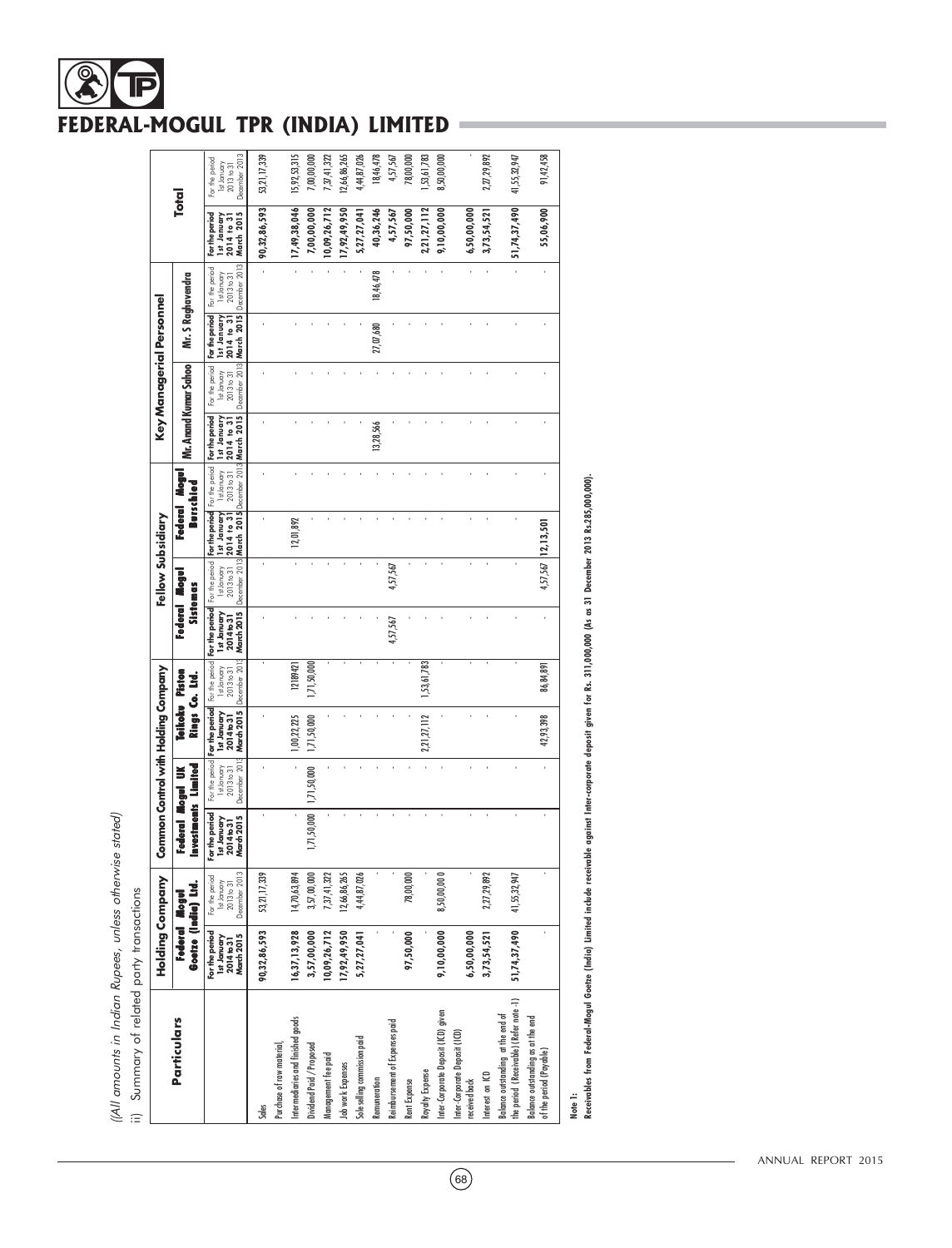((All amounts in Indian Rupees, unless otherwise stated)<br>ii) Summary of related party transactions ((All amounts in Indian Rupees, unless otherwise stated)

| <b>NAMY</b><br>-<br>3<br>2 |
|----------------------------|
| related                    |
|                            |
| ummary of                  |
|                            |

|                                                                             |                                                           | <b>Holding Company</b>                                       |                                                                |                                                           | Common Control with Holding Company                                                 |                                            |                                                                                     | Fellow Subsidiary         |                                                                                                                 |                                   |                                                 | Key Managerial Personnel                                     |                                                                         |                                             |                                                           |                                                              |
|-----------------------------------------------------------------------------|-----------------------------------------------------------|--------------------------------------------------------------|----------------------------------------------------------------|-----------------------------------------------------------|-------------------------------------------------------------------------------------|--------------------------------------------|-------------------------------------------------------------------------------------|---------------------------|-----------------------------------------------------------------------------------------------------------------|-----------------------------------|-------------------------------------------------|--------------------------------------------------------------|-------------------------------------------------------------------------|---------------------------------------------|-----------------------------------------------------------|--------------------------------------------------------------|
| Particulars                                                                 |                                                           | Goetze (India) Ltd.<br>Federal Mogul                         | nvestments Limited<br>Federal Mogul UK                         |                                                           | Rings Co. Ltd.                                                                      | Teikoku Piston                             |                                                                                     | Federal Mogul<br>Sistemas |                                                                                                                 | Federal Mogul<br><b>Burschied</b> | Mr. Anand Kumar Sahoo                           |                                                              |                                                                         | Mr. S Raghavendra                           | Total                                                     |                                                              |
|                                                                             | For the period<br>March 2015<br>1st January<br>2014 to 31 | December 2013<br>For the period<br>1st January<br>2013 to 31 | For the period<br>1st January<br>March 2015<br><b>2014to31</b> | For the period<br>December 2013<br>1st January<br>2013631 | For the period For the period<br>March 2015<br>Ist January<br>2014 <sub>to</sub> 31 | December 2013<br>1st January<br>2013 to 31 | For the period For the period<br>March 2015<br>1st January<br>2014 <sub>to</sub> 31 | 1st January<br>2013 to 31 | December 2013 March 2015 December 2013 March 2015<br>For the period For the period<br>1st January<br>2014 to 31 | 1st January<br>2013 to 31         | For the period<br>1st January<br>$2014$ to $31$ | December 2013<br>For the period<br>2013 to 31<br>1st January | March 2015 December 2013<br>For the period<br>1st January<br>2014 to 31 | For the period<br>1st January<br>2013 to 31 | March 2015<br>For the period<br>1st January<br>2014 to 31 | December 2013<br>For the period<br>1st January<br>2013 to 31 |
| Sales                                                                       | 90,32,86,593                                              | 53,21,17,339                                                 |                                                                |                                                           |                                                                                     |                                            |                                                                                     |                           |                                                                                                                 |                                   |                                                 |                                                              |                                                                         |                                             | 90,32,86,593                                              | 53,21,17,339                                                 |
| Purchase of raw material                                                    | 16,37,13,928                                              | 14,70,63,894                                                 |                                                                |                                                           | ,00,22,225                                                                          | 12189421                                   |                                                                                     |                           | 12,01,892                                                                                                       |                                   |                                                 |                                                              |                                                                         |                                             | 17,49,38,046                                              | 15,92,53,315                                                 |
| Intermediaries and finished goods<br>Dividend Paid / Proposed               | 3,57,00,000                                               | 3,57,00,000                                                  | $1,71,50,000$   $1,71,50,000$                                  |                                                           | 1,71,50,000                                                                         | 1,71,50,000                                |                                                                                     |                           |                                                                                                                 |                                   |                                                 |                                                              |                                                                         |                                             | 7,00,00,000                                               | 7,00,00,000                                                  |
| Management fee paid                                                         | 10,09,26,712                                              | 7,37,41,322                                                  |                                                                |                                                           |                                                                                     |                                            |                                                                                     |                           |                                                                                                                 |                                   |                                                 |                                                              |                                                                         |                                             | 10,09,26,712                                              | 7,37,41,322                                                  |
| Job work Expenses                                                           | 17,92,49,950                                              | 12,66,86,265                                                 |                                                                |                                                           |                                                                                     |                                            |                                                                                     |                           |                                                                                                                 |                                   |                                                 |                                                              |                                                                         |                                             | 17,92,49,950                                              | 12,66,86,265                                                 |
| Sole selling commission paid                                                | 5,27,27,041                                               | 4,44,87,026                                                  |                                                                |                                                           |                                                                                     |                                            |                                                                                     |                           |                                                                                                                 |                                   |                                                 |                                                              |                                                                         |                                             | 5,27,27,041                                               | 4,44,87,026                                                  |
| <b>Remuneration</b>                                                         |                                                           |                                                              |                                                                |                                                           |                                                                                     |                                            |                                                                                     |                           |                                                                                                                 |                                   | 13,28,566                                       |                                                              | 27,07,680                                                               | 18,46,478                                   | 40,36,246                                                 | 18,46,478                                                    |
| Reimbursement of Expenses paid                                              |                                                           |                                                              |                                                                |                                                           |                                                                                     |                                            | 4,57,567                                                                            | 4,57,567                  |                                                                                                                 |                                   |                                                 |                                                              |                                                                         |                                             | 4,57,567                                                  | 4,57,567                                                     |
| Rent Expense                                                                | 97,50,000                                                 | 78,00,000                                                    |                                                                |                                                           |                                                                                     |                                            |                                                                                     |                           |                                                                                                                 |                                   |                                                 |                                                              |                                                                         |                                             | 97,50,000                                                 | 78,00,000                                                    |
| Royalty Expense                                                             |                                                           |                                                              |                                                                |                                                           | 2, 21, 27, 112                                                                      | 1,53,61,783                                |                                                                                     |                           |                                                                                                                 |                                   |                                                 |                                                              |                                                                         |                                             | 2, 21, 27, 112                                            | 53,61,783                                                    |
| Inter-Corporate Deposit (ICD) given                                         | 9,10,00,000                                               | 8,50,00,000                                                  |                                                                |                                                           |                                                                                     |                                            |                                                                                     |                           |                                                                                                                 |                                   |                                                 |                                                              |                                                                         |                                             | 9,10,00,000                                               | 8,50,00,000                                                  |
| Inter-Corporate Deposit (ICD)<br>received back                              | 6,50,00,000                                               |                                                              |                                                                |                                                           |                                                                                     |                                            |                                                                                     |                           |                                                                                                                 |                                   |                                                 |                                                              |                                                                         |                                             | 6,50,00,000                                               |                                                              |
| Interest on ICD                                                             | 3,73,54,521                                               | 2,27,29,892                                                  |                                                                |                                                           |                                                                                     |                                            |                                                                                     |                           |                                                                                                                 |                                   |                                                 |                                                              |                                                                         |                                             | 3,73,54,521                                               | 2,27,29,892                                                  |
| the period (Receivable) (Refer note-1)<br>Balance outstanding at the end of | 51,74,37,490                                              | 41,55,32,947                                                 |                                                                |                                                           |                                                                                     |                                            |                                                                                     |                           |                                                                                                                 |                                   |                                                 |                                                              |                                                                         |                                             | 51,74,37,490                                              | 41,55,32,947                                                 |
| Balance outstanding as at the end<br>of the period (Payable)                |                                                           |                                                              |                                                                |                                                           | 42,93,398                                                                           | 86,84,891                                  |                                                                                     |                           | 4,57,567 12,13,501                                                                                              |                                   |                                                 |                                                              |                                                                         |                                             | 55,06,900                                                 | 91,42,458                                                    |
|                                                                             |                                                           |                                                              |                                                                |                                                           |                                                                                     |                                            |                                                                                     |                           |                                                                                                                 |                                   |                                                 |                                                              |                                                                         |                                             |                                                           |                                                              |

Note 1:<br>Receivables from Federal-Mogul Goetze (India) Limited include receivable against Inter-corporate deposit given for Rs. 311,000,000 (As as 31 December 2013 Rs.285,000,000). Receivables from Federal-Mogul Goetze (India) Limited include receivable against Inter-corporate deposit given for Rs. 311,000,000 (As as 31 December 2013 Rs.285,000,000).

## FEDERAL-MOGUL TPR (INDIA) LIMITED =

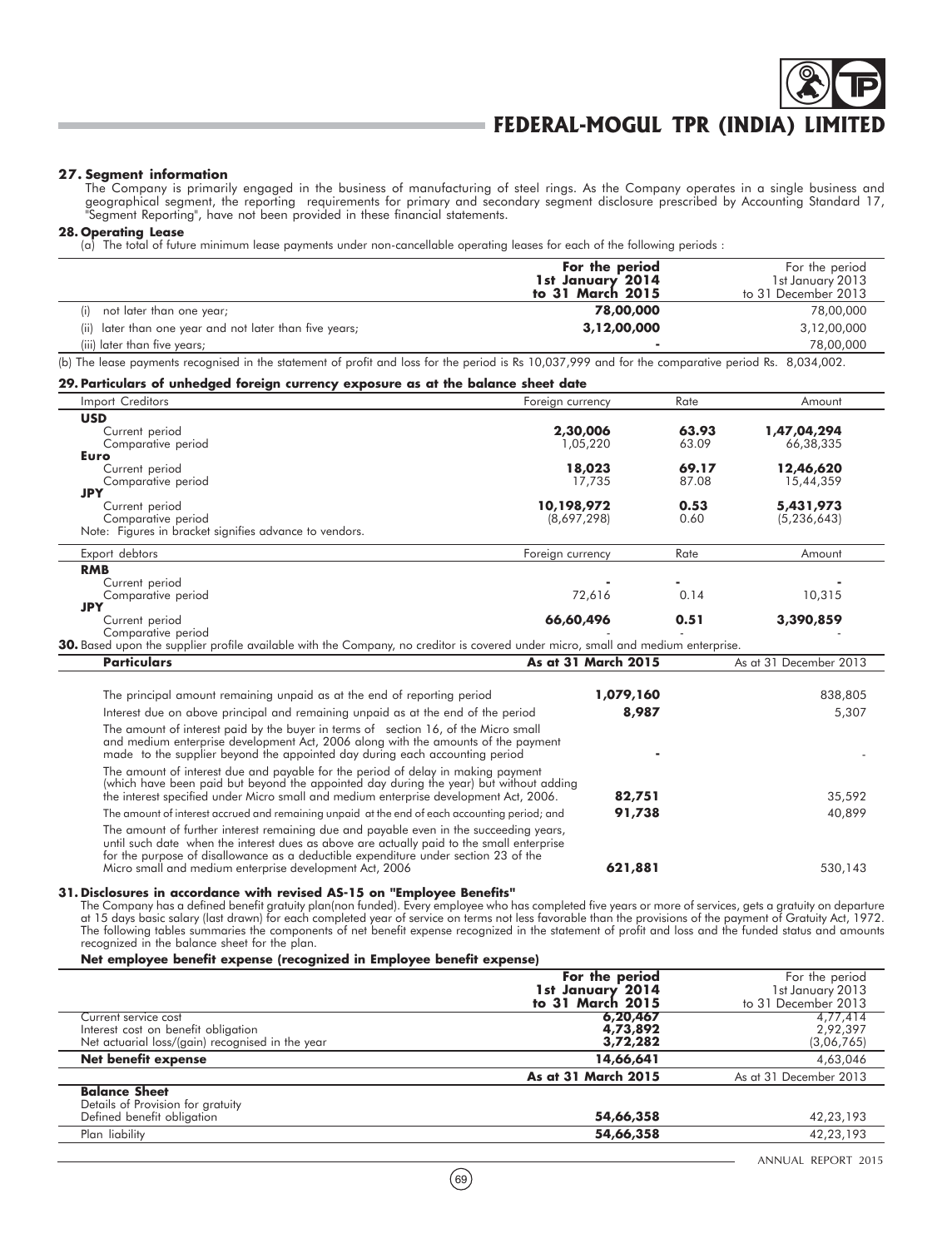### **27. Segment information**

The Company is primarily engaged in the business of manufacturing of steel rings. As the Company operates in a single business and geographical segment, the reporting requirements for primary and secondary segment disclosure prescribed by Accounting Standard 17, "Segment Reporting", have not been provided in these financial statements.

### **28. Operating Lease**

(a) The total of future minimum lease payments under non-cancellable operating leases for each of the following periods :

|                                                         | For the period<br>1st January 2014<br>to 31 March 2015 | For the period<br>1st January 2013<br>to 31 December 2013 |
|---------------------------------------------------------|--------------------------------------------------------|-----------------------------------------------------------|
| not later than one year;<br>(i)                         | 78,00,000                                              | 78,00,000                                                 |
| (ii) later than one year and not later than five years; | 3,12,00,000                                            | 3,12,00,000                                               |
| (iii) later than five years;                            |                                                        | 78,00,000                                                 |

(b) The lease payments recognised in the statement of profit and loss for the period is Rs 10,037,999 and for the comparative period Rs. 8,034,002.

**29. Particulars of unhedged foreign currency exposure as at the balance sheet date**

| Import Creditors                                                                                                                 | Foreign currency    | Rate  | Amount                 |
|----------------------------------------------------------------------------------------------------------------------------------|---------------------|-------|------------------------|
| <b>USD</b>                                                                                                                       |                     |       |                        |
| Current period                                                                                                                   | 2,30,006            | 63.93 | 1,47,04,294            |
| Comparative period                                                                                                               | 1,05,220            | 63.09 | 66,38,335              |
| Euro                                                                                                                             |                     |       |                        |
| Current period                                                                                                                   | 18,023              | 69.17 | 12,46,620              |
| Comparative period                                                                                                               | 17,735              | 87.08 | 15,44,359              |
| <b>JPY</b>                                                                                                                       |                     |       |                        |
| Current period                                                                                                                   | 10,198,972          | 0.53  | 5,431,973              |
| Comparative period                                                                                                               | (8,697,298)         | 0.60  | (5, 236, 643)          |
| Note: Figures in bracket signifies advance to vendors.                                                                           |                     |       |                        |
| Export debtors                                                                                                                   | Foreign currency    | Rate  | Amount                 |
| <b>RMB</b>                                                                                                                       |                     |       |                        |
| Current period                                                                                                                   |                     |       |                        |
| Comparative period                                                                                                               | 72,616              | 0.14  | 10,315                 |
| <b>JPY</b>                                                                                                                       |                     |       |                        |
| Current period                                                                                                                   | 66,60,496           | 0.51  | 3,390,859              |
| Comparative period                                                                                                               |                     |       |                        |
| 30. Based upon the supplier profile available with the Company, no creditor is covered under micro, small and medium enterprise. |                     |       |                        |
| <b>Particulars</b>                                                                                                               | As at 31 March 2015 |       | As at 31 December 2013 |

| The principal amount remaining unpaid as at the end of reporting period                                                                                                                                                                                                    | 1,079,160 | 838,805 |
|----------------------------------------------------------------------------------------------------------------------------------------------------------------------------------------------------------------------------------------------------------------------------|-----------|---------|
| Interest due on above principal and remaining unpaid as at the end of the period                                                                                                                                                                                           | 8,987     | 5,307   |
| The amount of interest paid by the buyer in terms of section 16, of the Micro small<br>and medium enterprise development Act, 2006 along with the amounts of the payment<br>made to the supplier beyond the appointed day during each accounting period                    |           |         |
| The amount of interest due and payable for the period of delay in making payment<br>(which have been paid but beyond the appointed day during the year) but without adding<br>the interest specified under Micro small and medium enterprise development Act, 2006.        | 82,751    | 35,592  |
| The amount of interest accrued and remaining unpaid at the end of each accounting period; and                                                                                                                                                                              | 91,738    | 40,899  |
| The amount of further interest remaining due and payable even in the succeeding years,<br>until such date when the interest dues as above are actually paid to the small enterprise<br>for the purpose of disallowance as a deductible expenditure under section 23 of the |           |         |
| Micro small and medium enterprise development Act, 2006                                                                                                                                                                                                                    | 621,881   | 530,143 |

### **31. Disclosures in accordance with revised AS-15 on "Employee Benefits"**

The Company has a defined benefit gratuity plan(non funded). Every employee who has completed five years or more of services, gets a gratuity on departure at 15 days basic salary (last drawn) for each completed year of service on terms not less favorable than the provisions of the payment of Gratuity Act, 1972. The following tables summaries the components of net benefit expense recognized in the statement of profit and loss and the funded status and amounts recognized in the balance sheet for the plan.

#### **Net employee benefit expense (recognized in Employee benefit expense)**

|                                                                                                                 | For the period<br>1st January 2014 | For the period<br>1st January 2013 |
|-----------------------------------------------------------------------------------------------------------------|------------------------------------|------------------------------------|
|                                                                                                                 | to 31 March 2015                   | to 31 December 2013                |
| Current service cost<br>Interest cost on benefit obligation<br>Net actuarial loss/(gain) recognised in the year | 6,20,467<br>4,73,892<br>3,72,282   | 4,77,414<br>2,92,397<br>(3,06,765) |
| Net benefit expense                                                                                             | 14,66,641                          | 4,63,046                           |
|                                                                                                                 | As at 31 March 2015                | As at 31 December 2013             |
| <b>Balance Sheet</b><br>Details of Provision for gratuity<br>Defined benefit obligation                         | 54,66,358                          | 42,23,193                          |
| Plan liability                                                                                                  | 54,66,358                          | 42,23,193                          |

ANNUAL REPORT 2015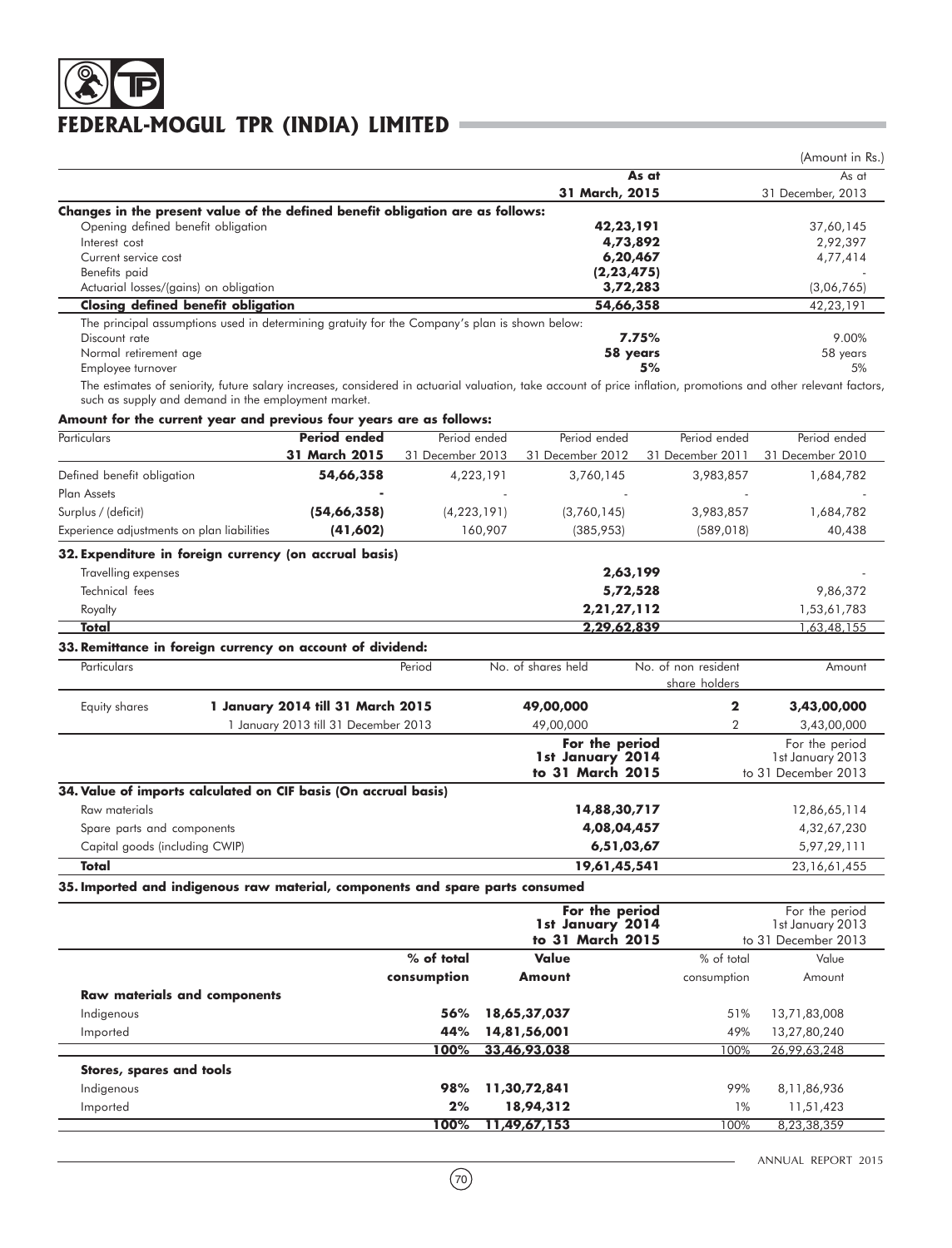|                                                                                                                                                                             |                | (Amount in Rs.)   |
|-----------------------------------------------------------------------------------------------------------------------------------------------------------------------------|----------------|-------------------|
|                                                                                                                                                                             | As at          | As at             |
|                                                                                                                                                                             | 31 March, 2015 | 31 December, 2013 |
| Changes in the present value of the defined benefit obligation are as follows:                                                                                              |                |                   |
| Opening defined benefit obligation                                                                                                                                          | 42,23,191      | 37,60,145         |
| Interest cost                                                                                                                                                               | 4,73,892       | 2.92.397          |
| Current service cost                                                                                                                                                        | 6,20,467       | 4,77,414          |
| Benefits paid                                                                                                                                                               | (2, 23, 475)   |                   |
| Actuarial losses/(gains) on obligation                                                                                                                                      | 3,72,283       | (3,06,765)        |
| Closing defined benefit obligation                                                                                                                                          | 54,66,358      | 42,23,191         |
| The principal assumptions used in determining gratuity for the Company's plan is shown below:                                                                               |                |                   |
| Discount rate                                                                                                                                                               | 7.75%          | 9.00%             |
| Normal retirement age                                                                                                                                                       | 58 years       | 58 years          |
| Employee turnover                                                                                                                                                           | 5%             | 5%                |
| The estimates of conjects, future calgo, increases, considered in estuarial unlustion, take only established inflation, accounting acquisitions and other relaxant factors. |                |                   |

The estimates of seniority, future salary increases, considered in actuarial valuation, take account of price inflation, promotions and other relevant factors, such as supply and demand in the employment market.

## **Amount for the current year and previous four years are as follows:**<br>Particulars **Period ended** Period end

| Particulars                                                                      | <b>Period ended</b>                  | Period ended     |           | Period ended       | Period ended        | Period ended        |
|----------------------------------------------------------------------------------|--------------------------------------|------------------|-----------|--------------------|---------------------|---------------------|
|                                                                                  | 31 March 2015                        | 31 December 2013 |           | 31 December 2012   | 31 December 2011    | 31 December 2010    |
| Defined benefit obligation                                                       | 54,66,358                            |                  | 4,223,191 | 3,760,145          | 3,983,857           | 1,684,782           |
| <b>Plan Assets</b>                                                               |                                      |                  |           |                    |                     |                     |
| Surplus / (deficit)                                                              | (54, 66, 358)                        | (4, 223, 191)    |           | (3,760,145)        | 3,983,857           | 1,684,782           |
| Experience adjustments on plan liabilities                                       | (41,602)                             |                  | 160,907   | (385, 953)         | (589, 018)          | 40,438              |
| 32. Expenditure in foreign currency (on accrual basis)                           |                                      |                  |           |                    |                     |                     |
| Travelling expenses                                                              |                                      |                  |           | 2,63,199           |                     |                     |
| Technical fees                                                                   |                                      |                  |           | 5,72,528           |                     | 9,86,372            |
| Royalty                                                                          |                                      |                  |           | 2,21,27,112        |                     | 1,53,61,783         |
| Total                                                                            |                                      |                  |           | 2,29,62,839        |                     | 1,63,48,155         |
| 33. Remittance in foreign currency on account of dividend:                       |                                      |                  |           |                    |                     |                     |
| Particulars                                                                      |                                      | Period           |           | No. of shares held | No. of non resident | Amount              |
|                                                                                  |                                      |                  |           |                    | share holders       |                     |
| Equity shares                                                                    | 1 January 2014 till 31 March 2015    |                  |           | 49,00,000          | $\mathbf{2}$        | 3,43,00,000         |
|                                                                                  | 1 January 2013 till 31 December 2013 |                  |           | 49,00,000          | $\overline{2}$      | 3,43,00,000         |
|                                                                                  |                                      |                  |           | For the period     |                     | For the period      |
|                                                                                  |                                      |                  |           | 1st January 2014   |                     | 1st January 2013    |
|                                                                                  |                                      |                  |           | to 31 March 2015   |                     | to 31 December 2013 |
| 34. Value of imports calculated on CIF basis (On accrual basis)<br>Raw materials |                                      |                  |           |                    |                     |                     |
|                                                                                  |                                      |                  |           | 14,88,30,717       |                     | 12,86,65,114        |
| Spare parts and components                                                       |                                      |                  |           | 4,08,04,457        |                     | 4,32,67,230         |
| Capital goods (including CWIP)                                                   |                                      |                  |           | 6,51,03,67         |                     | 5,97,29,111         |
| Total                                                                            |                                      |                  |           | 19,61,45,541       |                     | 23, 16, 61, 455     |
| 35. Imported and indigenous raw material, components and spare parts consumed    |                                      |                  |           |                    |                     |                     |
|                                                                                  |                                      |                  |           | For the period     |                     | For the period      |
|                                                                                  |                                      |                  |           | 1st January 2014   |                     | 1st January 2013    |
|                                                                                  |                                      |                  |           | to 31 March 2015   |                     | to 31 December 2013 |
|                                                                                  |                                      | % of total       |           | Value              | % of total          | Value               |
|                                                                                  |                                      | consumption      |           | Amount             | consumption         | Amount              |
| <b>Raw materials and components</b>                                              |                                      | 56%              |           |                    |                     |                     |
| Indigenous                                                                       |                                      | 44%              |           | 18,65,37,037       | 51%                 | 13,71,83,008        |
| Imported                                                                         |                                      | 100%             |           | 14,81,56,001       | 49%                 | 13,27,80,240        |
|                                                                                  |                                      |                  |           | 33,46,93,038       | 100%                | 26,99,63,248        |
| Stores, spares and tools                                                         |                                      |                  |           |                    |                     |                     |
| Indigenous                                                                       |                                      | 98%              |           | 11,30,72,841       | 99%                 | 8,11,86,936         |
| Imported                                                                         |                                      | 2%               |           | 18,94,312          | 1%                  | 11,51,423           |

**100% 11,49,67,153** 100% 8,23,38,359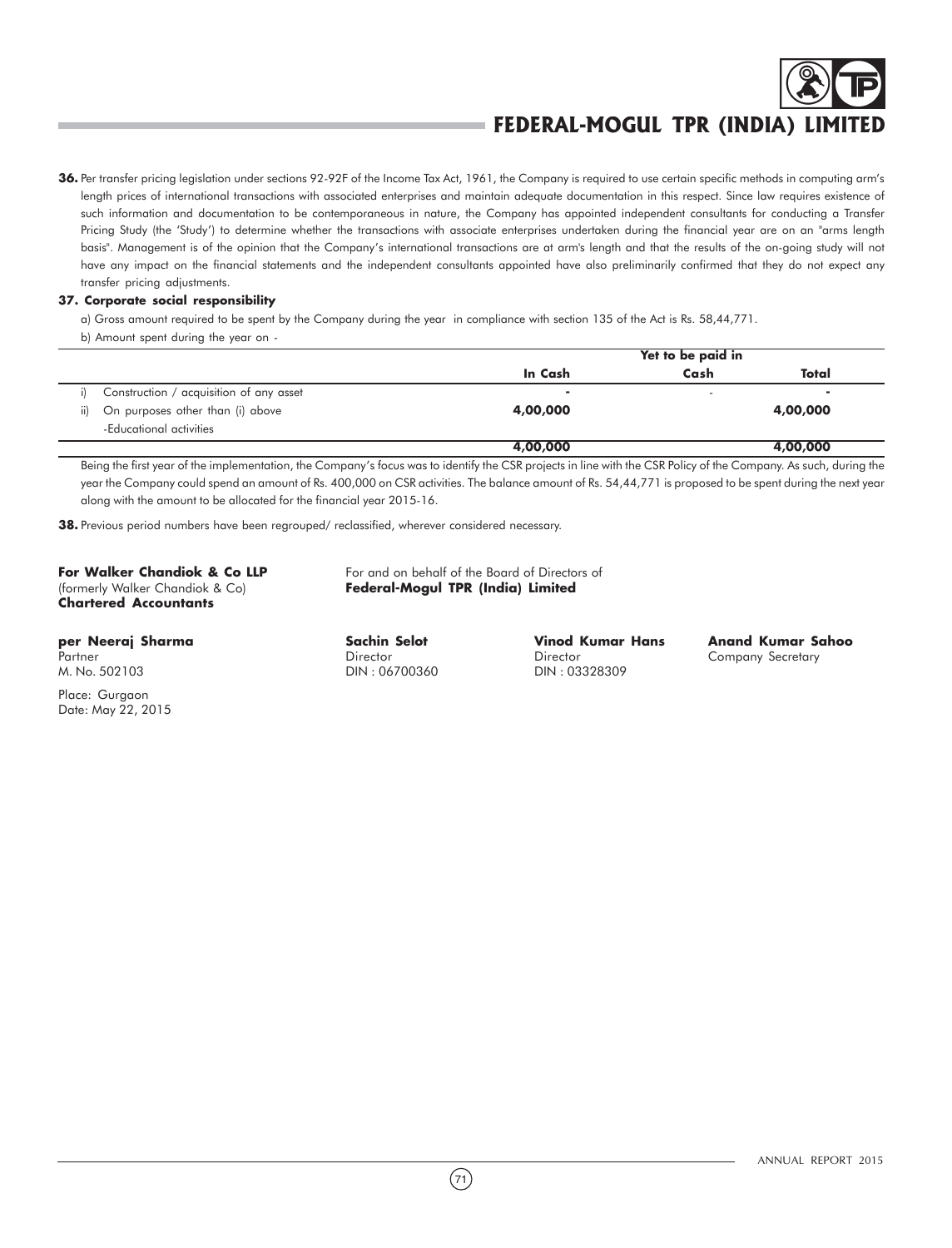**36.** Per transfer pricing legislation under sections 92-92F of the Income Tax Act, 1961, the Company is required to use certain specific methods in computing arm's length prices of international transactions with associated enterprises and maintain adequate documentation in this respect. Since law requires existence of such information and documentation to be contemporaneous in nature, the Company has appointed independent consultants for conducting a Transfer Pricing Study (the 'Study') to determine whether the transactions with associate enterprises undertaken during the financial year are on an "arms length basis". Management is of the opinion that the Company's international transactions are at arm's length and that the results of the on-going study will not have any impact on the financial statements and the independent consultants appointed have also preliminarily confirmed that they do not expect any transfer pricing adjustments.

### **37. Corporate social responsibility**

a) Gross amount required to be spent by the Company during the year in compliance with section 135 of the Act is Rs. 58,44,771.

b) Amount spent during the year on -

|     |                                         | Yet to be paid in |                          |          |
|-----|-----------------------------------------|-------------------|--------------------------|----------|
|     |                                         | In Cash           | Cash                     | Total    |
| i)  | Construction / acquisition of any asset | ۰                 | $\overline{\phantom{0}}$ | ۰        |
| ii) | On purposes other than (i) above        | 4,00,000          |                          | 4,00,000 |
|     | -Educational activities                 |                   |                          |          |
|     |                                         | 4,00,000          |                          | 4,00,000 |

Being the first year of the implementation, the Company's focus was to identify the CSR projects in line with the CSR Policy of the Company. As such, during the year the Company could spend an amount of Rs. 400,000 on CSR activities. The balance amount of Rs. 54,44,771 is proposed to be spent during the next year along with the amount to be allocated for the financial year 2015-16.

**Federal-Mogul TPR (India) Limited** 

**38.** Previous period numbers have been regrouped/ reclassified, wherever considered necessary.

**For Walker Chandiok & Co LLP** For and on behalf of the Board of Directors of (formerly Walker Chandiok & Co) **Federal-Mogul TPR (India) Limited Chartered Accountants**

**per Neeraj Sharma Sachin Selot Vinod Kumar Hans Anand Kumar Sahoo** Partner Director Director Company Secretary

Place: Gurgaon Date: May 22, 2015

DIN : 03328309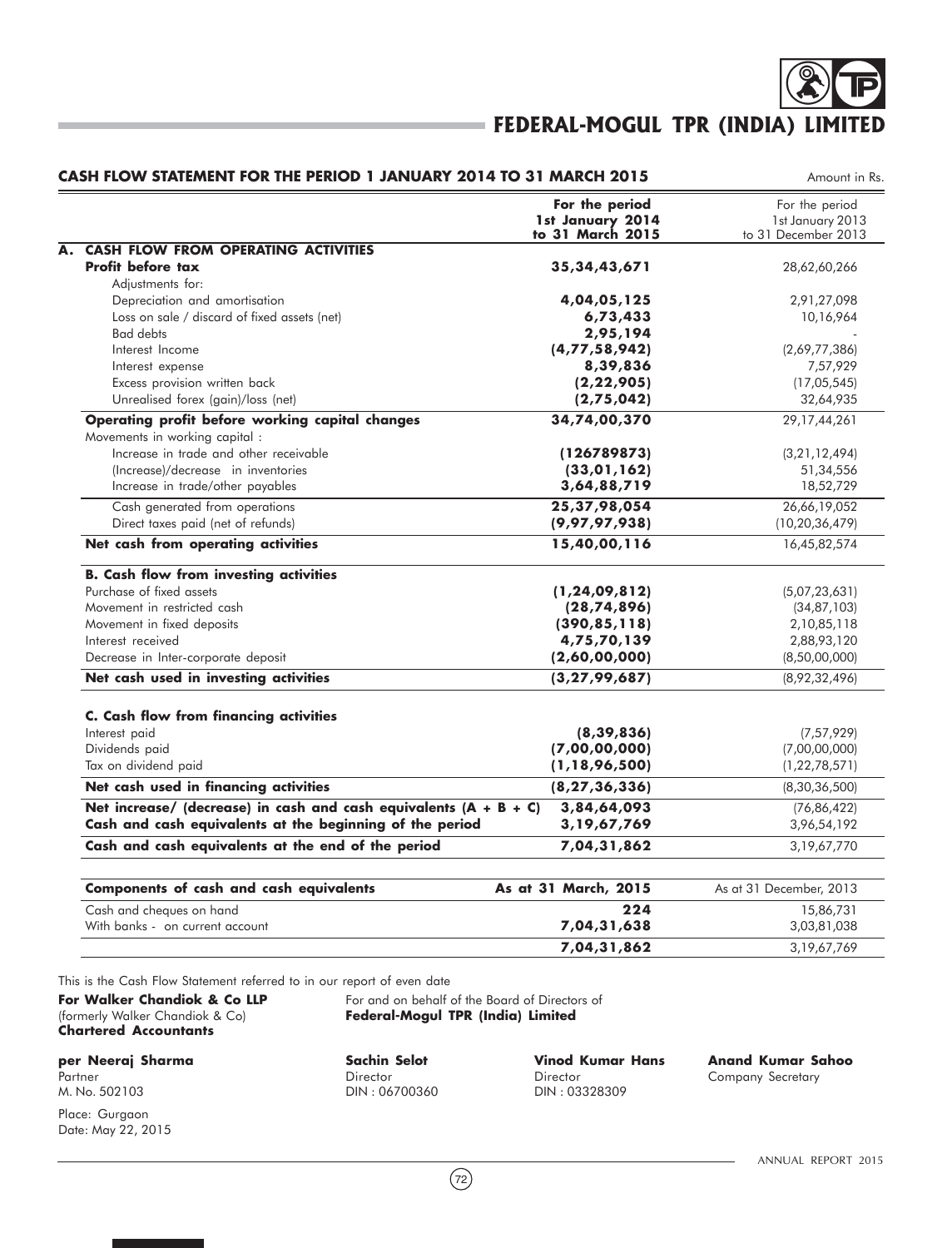|  | ٠ | . . |  |
|--|---|-----|--|

| CASH FLOW STATEMENT FOR THE PERIOD 1 JANUARY 2014 TO 31 MARCH 2015                | Amount in Rs.                                          |                                                           |
|-----------------------------------------------------------------------------------|--------------------------------------------------------|-----------------------------------------------------------|
|                                                                                   | For the period<br>1st January 2014<br>to 31 March 2015 | For the period<br>1st January 2013<br>to 31 December 2013 |
| <b>CASH FLOW FROM OPERATING ACTIVITIES</b>                                        |                                                        |                                                           |
| Profit before tax                                                                 | 35, 34, 43, 671                                        | 28,62,60,266                                              |
| Adjustments for:                                                                  |                                                        |                                                           |
| Depreciation and amortisation                                                     | 4,04,05,125                                            | 2,91,27,098                                               |
| Loss on sale / discard of fixed assets (net)                                      | 6,73,433                                               | 10,16,964                                                 |
| <b>Bad debts</b>                                                                  | 2,95,194                                               |                                                           |
| Interest Income<br>Interest expense                                               | (4,77,58,942)<br>8,39,836                              | (2,69,77,386)<br>7,57,929                                 |
| Excess provision written back                                                     | (2, 22, 905)                                           |                                                           |
| Unrealised forex (gain)/loss (net)                                                | (2,75,042)                                             | (17, 05, 545)<br>32,64,935                                |
|                                                                                   |                                                        |                                                           |
| Operating profit before working capital changes<br>Movements in working capital : | 34,74,00,370                                           | 29, 17, 44, 261                                           |
| Increase in trade and other receivable                                            | (126789873)                                            | (3, 21, 12, 494)                                          |
| (Increase)/decrease in inventories                                                | (33, 01, 162)                                          | 51,34,556                                                 |
| Increase in trade/other payables                                                  | 3,64,88,719                                            | 18,52,729                                                 |
| Cash generated from operations                                                    | 25, 37, 98, 054                                        | 26,66,19,052                                              |
| Direct taxes paid (net of refunds)                                                | (9, 97, 97, 938)                                       | (10, 20, 36, 479)                                         |
| Net cash from operating activities                                                | 15,40,00,116                                           | 16,45,82,574                                              |
| <b>B. Cash flow from investing activities</b>                                     |                                                        |                                                           |
| Purchase of fixed assets                                                          | (1, 24, 09, 812)                                       | (5,07,23,631)                                             |
| Movement in restricted cash                                                       | (28, 74, 896)                                          | (34, 87, 103)                                             |
| Movement in fixed deposits                                                        | (390, 85, 118)                                         | 2,10,85,118                                               |
| Interest received                                                                 | 4,75,70,139                                            | 2,88,93,120                                               |
| Decrease in Inter-corporate deposit                                               | (2,60,00,000)                                          | (8,50,00,000)                                             |
| Net cash used in investing activities                                             | (3, 27, 99, 687)                                       | (8,92,32,496)                                             |
| <b>C. Cash flow from financing activities</b>                                     |                                                        |                                                           |
| Interest paid                                                                     | (8, 39, 836)                                           | (7, 57, 929)                                              |
| Dividends paid                                                                    | (7,00,00,000)                                          | (7,00,00,000)                                             |
| Tax on dividend paid                                                              | (1, 18, 96, 500)                                       | (1, 22, 78, 571)                                          |
| Net cash used in financing activities                                             | (8, 27, 36, 336)                                       | (8,30,36,500)                                             |
| Net increase/ (decrease) in cash and cash equivalents $(A + B + C)$               | 3,84,64,093                                            | (76, 86, 422)                                             |
| Cash and cash equivalents at the beginning of the period                          | 3, 19, 67, 769                                         | 3,96,54,192                                               |
| Cash and cash equivalents at the end of the period                                | 7,04,31,862                                            | 3, 19, 67, 770                                            |
| Components of cash and cash equivalents                                           | As at 31 March, 2015                                   | As at 31 December, 2013                                   |
| Cash and cheques on hand                                                          | 224                                                    | 15,86,731                                                 |
| With banks - on current account                                                   | 7,04,31,638                                            | 3,03,81,038                                               |
|                                                                                   | 7,04,31,862                                            | 3,19,67,769                                               |

This is the Cash Flow Statement referred to in our report of even date

**For Walker Chandiok & Co LLP** For and on behalf of the Board of Directors of (formerly Walker Chandiok & Co) **Federal-Mogul TPR (India) Limited Chartered Accountants**

**Federal-Mogul TPR (India) Limited** 

M. No. 502103 DIN : 06700360 DIN : 03328309

Place: Gurgaon Date: May 22, 2015

**per Neeraj Sharma Sachin Selot Vinod Kumar Hans Anand Kumar Sahoo** Partner Director Director Company Secretary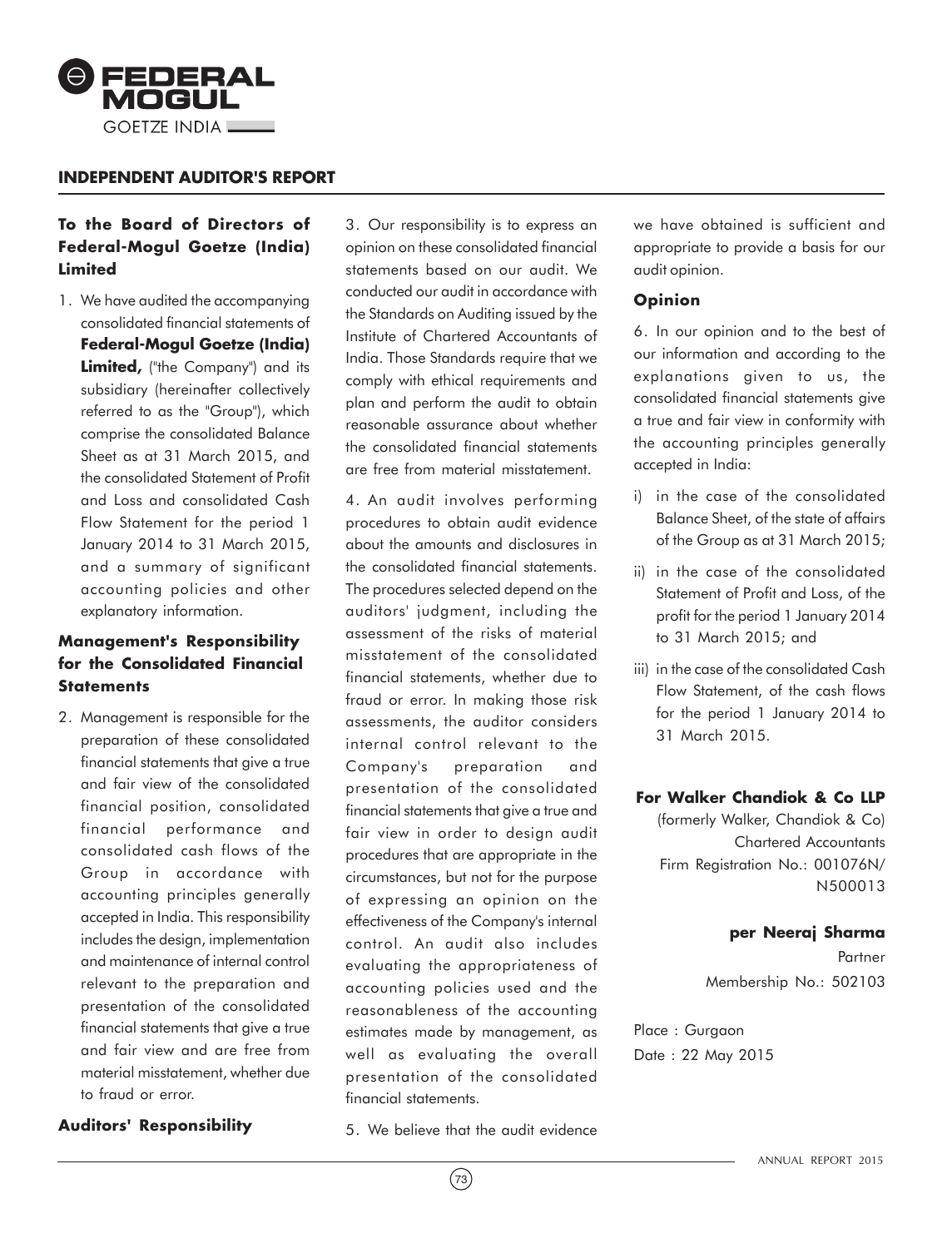

#### **INDEPENDENT AUDITOR'S REPORT**

## **To the Board of Directors of Federal-Mogul Goetze (India) Limited**

1. We have audited the accompanying consolidated financial statements of **Federal-Mogul Goetze (India) Limited,** ("the Company") and its subsidiary (hereinafter collectively referred to as the "Group"), which comprise the consolidated Balance Sheet as at 31 March 2015, and the consolidated Statement of Profit and Loss and consolidated Cash Flow Statement for the period 1 January 2014 to 31 March 2015, and a summary of significant accounting policies and other explanatory information.

### **Management's Responsibility for the Consolidated Financial Statements**

2. Management is responsible for the preparation of these consolidated financial statements that give a true and fair view of the consolidated financial position, consolidated financial performance and consolidated cash flows of the Group in accordance with accounting principles generally accepted in India. This responsibility includes the design, implementation and maintenance of internal control relevant to the preparation and presentation of the consolidated financial statements that give a true and fair view and are free from material misstatement, whether due to fraud or error.

#### **Auditors' Responsibility**

3. Our responsibility is to express an opinion on these consolidated financial statements based on our audit. We conducted our audit in accordance with the Standards on Auditing issued by the Institute of Chartered Accountants of India. Those Standards require that we comply with ethical requirements and plan and perform the audit to obtain reasonable assurance about whether the consolidated financial statements are free from material misstatement.

4. An audit involves performing procedures to obtain audit evidence about the amounts and disclosures in the consolidated financial statements. The procedures selected depend on the auditors' judgment, including the assessment of the risks of material misstatement of the consolidated financial statements, whether due to fraud or error. In making those risk assessments, the auditor considers internal control relevant to the Company's preparation and presentation of the consolidated financial statements that give a true and fair view in order to design audit procedures that are appropriate in the circumstances, but not for the purpose of expressing an opinion on the effectiveness of the Company's internal control. An audit also includes evaluating the appropriateness of accounting policies used and the reasonableness of the accounting estimates made by management, as well as evaluating the overall presentation of the consolidated financial statements.

5. We believe that the audit evidence

we have obtained is sufficient and appropriate to provide a basis for our audit opinion.

#### **Opinion**

6. In our opinion and to the best of our information and according to the explanations given to us, the consolidated financial statements give a true and fair view in conformity with the accounting principles generally accepted in India:

- i) in the case of the consolidated Balance Sheet, of the state of affairs of the Group as at 31 March 2015;
- ii) in the case of the consolidated Statement of Profit and Loss, of the profit for the period 1 January 2014 to 31 March 2015; and
- iii) in the case of the consolidated Cash Flow Statement, of the cash flows for the period 1 January 2014 to 31 March 2015.

#### **For Walker Chandiok & Co LLP**

(formerly Walker, Chandiok & Co) Chartered Accountants Firm Registration No.: 001076N/ N500013

#### **per Neeraj Sharma**

Partner Membership No.: 502103

Place : Gurgaon Date : 22 May 2015

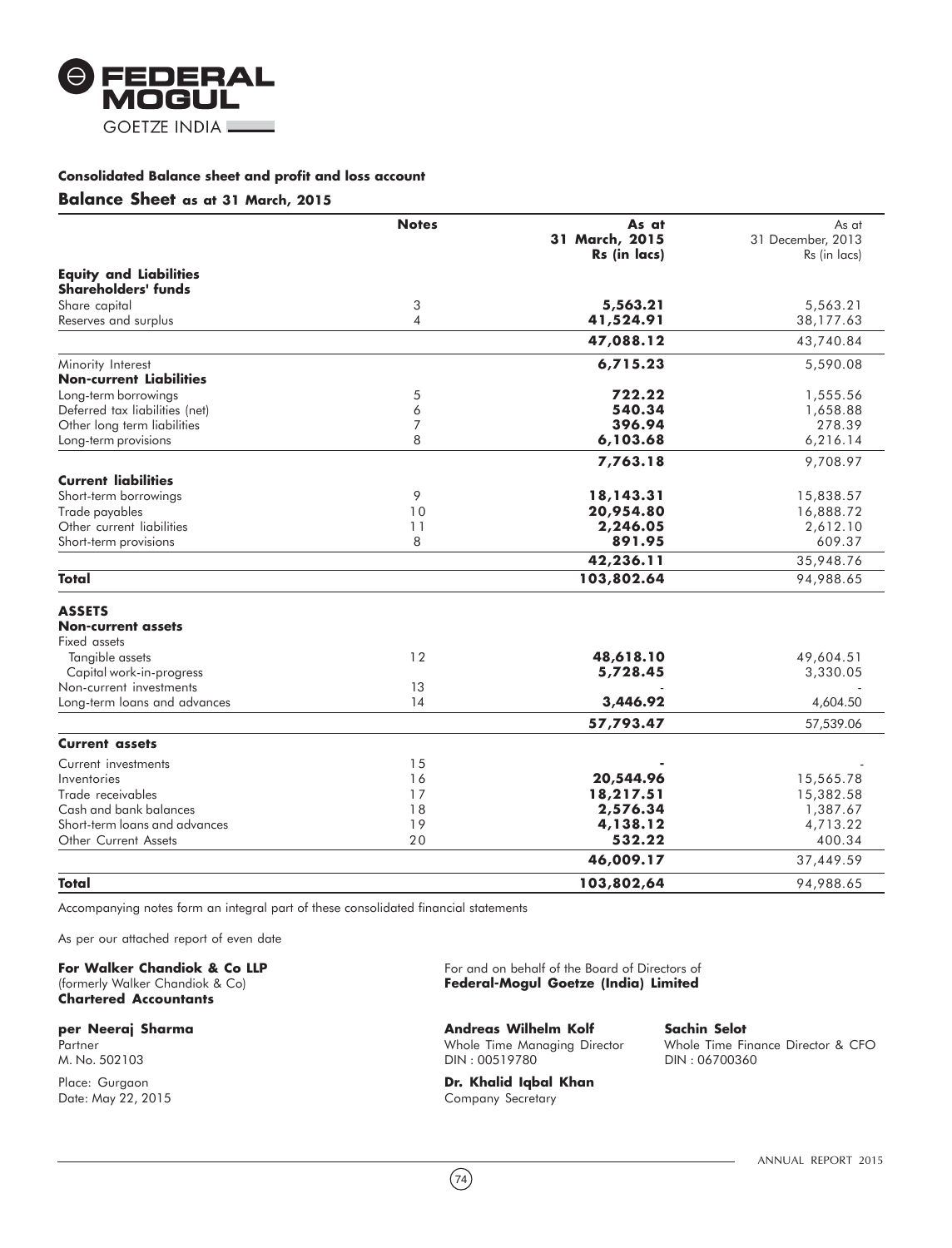

#### **Consolidated Balance sheet and profit and loss account**

#### **Balance Sheet as at 31 March, 2015**

|                                                             | <b>Notes</b> | As at<br>31 March, 2015<br>Rs (in lacs) | As at<br>31 December, 2013<br>Rs (in lacs) |
|-------------------------------------------------------------|--------------|-----------------------------------------|--------------------------------------------|
| <b>Equity and Liabilities</b><br><b>Shareholders' funds</b> |              |                                         |                                            |
| Share capital                                               | 3            | 5,563.21                                | 5,563.21                                   |
| Reserves and surplus                                        | 4            | 41,524.91                               | 38,177.63                                  |
|                                                             |              | 47,088.12                               | 43,740.84                                  |
| Minority Interest<br><b>Non-current Liabilities</b>         |              | 6,715.23                                | 5,590.08                                   |
| Long-term borrowings                                        | 5            | 722.22                                  | 1,555.56                                   |
| Deferred tax liabilities (net)                              | 6            | 540.34                                  | 1,658.88                                   |
| Other long term liabilities                                 | 7            | 396.94                                  | 278.39                                     |
| Long-term provisions                                        | 8            | 6,103.68                                | 6,216.14                                   |
|                                                             |              | 7,763.18                                | 9,708.97                                   |
| <b>Current liabilities</b>                                  |              |                                         |                                            |
| Short-term borrowings                                       | 9            | 18,143.31                               | 15,838.57                                  |
| Trade payables                                              | 10           | 20,954.80                               | 16,888.72                                  |
| Other current liabilities                                   | 11           | 2,246.05                                | 2,612.10                                   |
| Short-term provisions                                       | 8            | 891.95                                  | 609.37                                     |
|                                                             |              | 42,236.11                               | 35,948.76                                  |
| Total                                                       |              | 103,802.64                              | 94,988.65                                  |
| <b>ASSETS</b>                                               |              |                                         |                                            |
| <b>Non-current assets</b>                                   |              |                                         |                                            |
| Fixed assets                                                |              |                                         |                                            |
| Tangible assets                                             | 12           | 48,618.10                               | 49,604.51                                  |
| Capital work-in-progress                                    |              | 5,728.45                                | 3,330.05                                   |
| Non-current investments                                     | 13           |                                         |                                            |
| Long-term loans and advances                                | 14           | 3,446.92                                | 4,604.50                                   |
|                                                             |              | 57,793.47                               | 57,539.06                                  |
| <b>Current assets</b>                                       |              |                                         |                                            |
| Current investments                                         | 15           |                                         |                                            |
| Inventories                                                 | 16           | 20,544.96                               | 15,565.78                                  |
| Trade receivables                                           | 17           | 18,217.51                               | 15,382.58                                  |
| Cash and bank balances                                      | 18           | 2,576.34                                | 1,387.67                                   |
| Short-term loans and advances                               | 19           | 4,138.12                                | 4,713.22                                   |
| Other Current Assets                                        | 20           | 532.22                                  | 400.34                                     |
|                                                             |              | 46,009.17                               | 37,449.59                                  |
| Total                                                       |              | 103,802,64                              | 94,988.65                                  |

Accompanying notes form an integral part of these consolidated financial statements

As per our attached report of even date

**Chartered Accountants**

Place: Gurgaon<br>Date: May 22, 2015

**For Walker Chandiok & Co LLP** For and on behalf of the Board of Directors of (formerly Walker Chandiok & Co) **Federal-Mogul Goetze (India) Limited Federal-Mogul Goetze (India) Limited** 

**per Neeraj Sharma Andreas Wilhelm Kolf Sachin Selot**<br>Partner **Andreas Wilhelm Kolf Sachin Selot**<br>Partner Whole Time Managing Director Whole Time Fir DIN : 00519780

**Dr. Khalid Iqbal Khan**<br>Company Secretary

Partner The Control of the Managing Director and the Managing Director Whole Time Finance Director & CFO<br>
2 DIN: 00519780 DIN: 00519780 DIN: 06700360

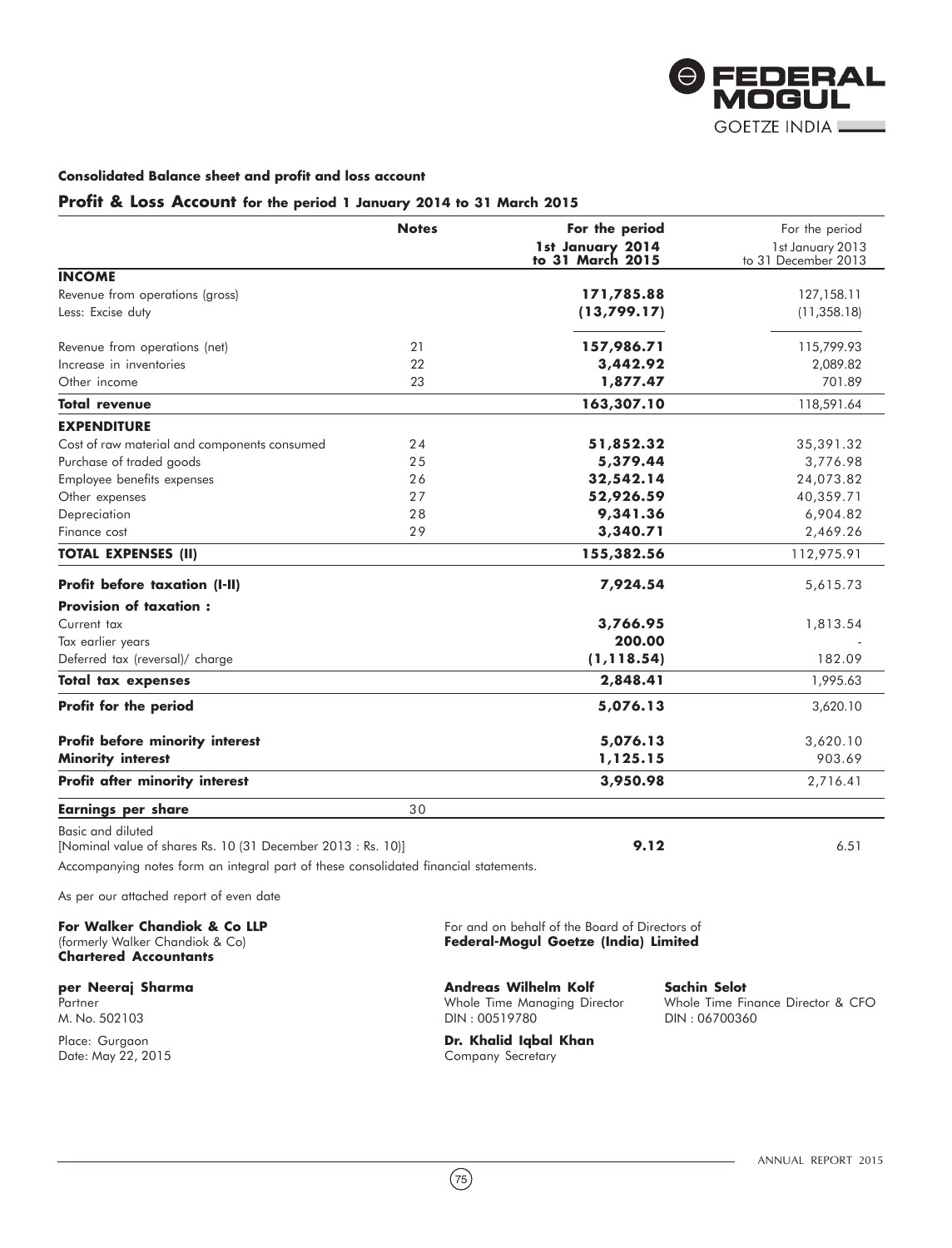

#### **Consolidated Balance sheet and profit and loss account**

#### **Profit & Loss Account for the period 1 January 2014 to 31 March 2015**

|                                                                                                 | <b>Notes</b> | For the period                                                                         | For the period                                                     |
|-------------------------------------------------------------------------------------------------|--------------|----------------------------------------------------------------------------------------|--------------------------------------------------------------------|
|                                                                                                 |              | 1st January 2014<br>to 31 March 2015                                                   | 1st January 2013<br>to 31 December 2013                            |
| <b>INCOME</b>                                                                                   |              |                                                                                        |                                                                    |
| Revenue from operations (gross)                                                                 |              | 171,785.88                                                                             | 127,158.11                                                         |
| Less: Excise duty                                                                               |              | (13, 799.17)                                                                           | (11, 358.18)                                                       |
| Revenue from operations (net)                                                                   | 21           | 157,986.71                                                                             | 115,799.93                                                         |
| Increase in inventories                                                                         | 22           | 3,442.92                                                                               | 2,089.82                                                           |
| Other income                                                                                    | 23           | 1,877.47                                                                               | 701.89                                                             |
| <b>Total revenue</b>                                                                            |              | 163,307.10                                                                             | 118,591.64                                                         |
| <b>EXPENDITURE</b>                                                                              |              |                                                                                        |                                                                    |
| Cost of raw material and components consumed                                                    | 24           | 51,852.32                                                                              | 35,391.32                                                          |
| Purchase of traded goods                                                                        | 25           | 5,379.44                                                                               | 3,776.98                                                           |
| Employee benefits expenses                                                                      | 26           | 32,542.14                                                                              | 24,073.82                                                          |
| Other expenses                                                                                  | 27           | 52,926.59                                                                              | 40,359.71                                                          |
| Depreciation                                                                                    | 28           | 9,341.36                                                                               | 6,904.82                                                           |
| Finance cost                                                                                    | 29           | 3,340.71                                                                               | 2,469.26                                                           |
| <b>TOTAL EXPENSES (II)</b>                                                                      |              | 155,382.56                                                                             | 112,975.91                                                         |
| <b>Profit before taxation (I-II)</b>                                                            |              | 7,924.54                                                                               | 5,615.73                                                           |
| <b>Provision of taxation:</b>                                                                   |              |                                                                                        |                                                                    |
| Current tax                                                                                     |              | 3,766.95                                                                               | 1,813.54                                                           |
| Tax earlier years                                                                               |              | 200.00                                                                                 |                                                                    |
| Deferred tax (reversal)/ charge                                                                 |              | (1, 118.54)                                                                            | 182.09                                                             |
| Total tax expenses                                                                              |              | 2,848.41                                                                               | 1,995.63                                                           |
| Profit for the period                                                                           |              | 5,076.13                                                                               | 3,620.10                                                           |
| <b>Profit before minority interest</b>                                                          |              | 5,076.13                                                                               | 3,620.10                                                           |
| <b>Minority interest</b>                                                                        |              | 1,125.15                                                                               | 903.69                                                             |
| Profit after minority interest                                                                  |              | 3,950.98                                                                               | 2,716.41                                                           |
|                                                                                                 | 30           |                                                                                        |                                                                    |
| <b>Earnings per share</b><br>Basic and diluted                                                  |              |                                                                                        |                                                                    |
| [Nominal value of shares Rs. 10 (31 December 2013 : Rs. 10)]                                    |              | 9.12                                                                                   | 6.51                                                               |
| Accompanying notes form an integral part of these consolidated financial statements.            |              |                                                                                        |                                                                    |
| As per our attached report of even date                                                         |              |                                                                                        |                                                                    |
| For Walker Chandiok & Co LLP<br>(formerly Walker Chandiok & Co)<br><b>Chartered Accountants</b> |              | For and on behalf of the Board of Directors of<br>Federal-Mogul Goetze (India) Limited |                                                                    |
|                                                                                                 |              |                                                                                        |                                                                    |
| per Neeraj Sharma<br>Partner<br>M. No. 502103                                                   |              | Andreas Wilhelm Kolf<br>Whole Time Managing Director<br>DIN: 00519780                  | Sachin Selot<br>Whole Time Finance Director & CFO<br>DIN: 06700360 |
| Place: Gurgaon<br>Date: May 22, 2015                                                            |              | Dr. Khalid Iqbal Khan<br><b>Company Secretary</b>                                      |                                                                    |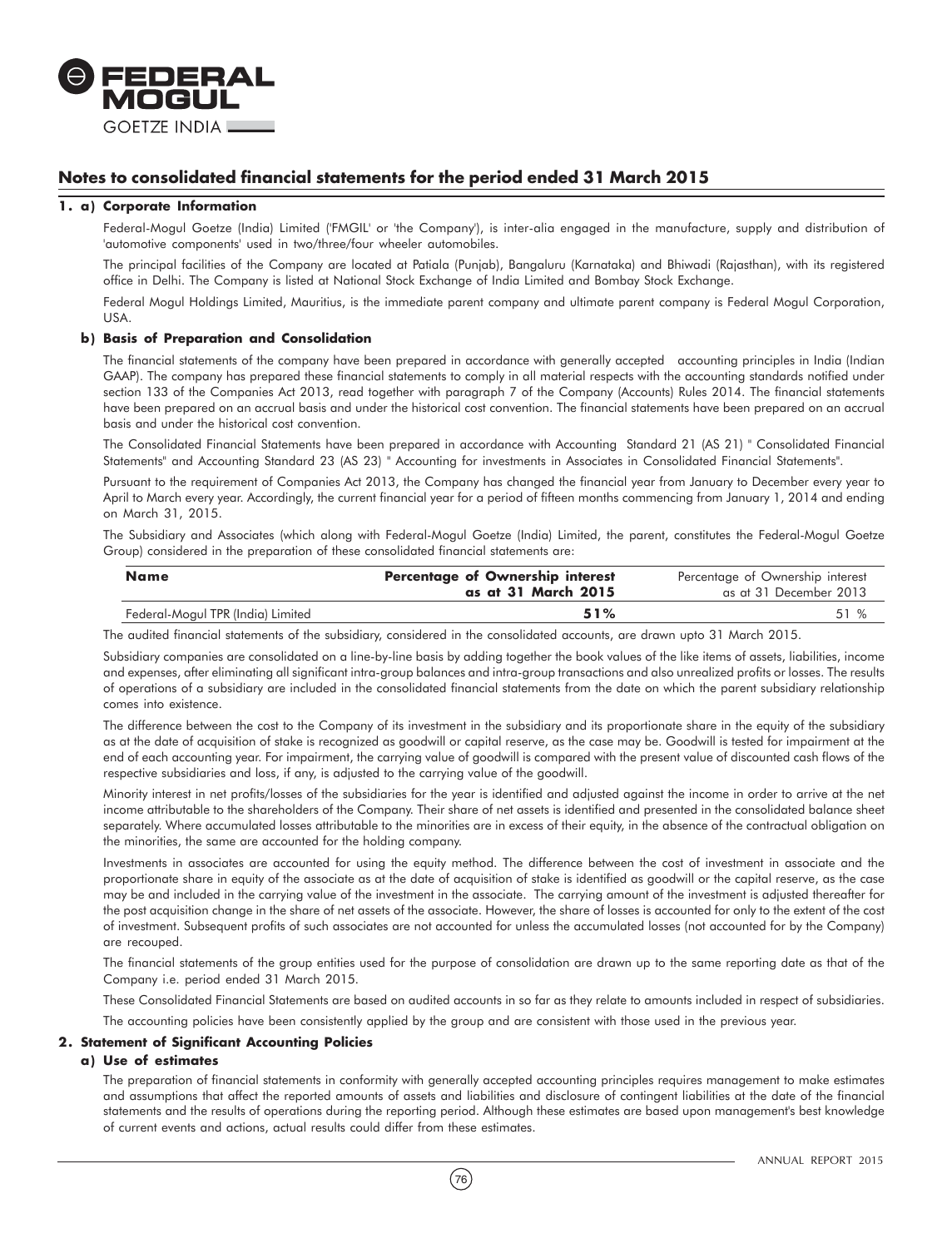

#### **Notes to consolidated financial statements for the period ended 31 March 2015**

#### **1 . a) Corporate Information**

Federal-Mogul Goetze (India) Limited ('FMGIL' or 'the Company'), is inter-alia engaged in the manufacture, supply and distribution of 'automotive components' used in two/three/four wheeler automobiles.

The principal facilities of the Company are located at Patiala (Punjab), Bangaluru (Karnataka) and Bhiwadi (Rajasthan), with its registered office in Delhi. The Company is listed at National Stock Exchange of India Limited and Bombay Stock Exchange.

Federal Mogul Holdings Limited, Mauritius, is the immediate parent company and ultimate parent company is Federal Mogul Corporation, USA.

#### **b ) Basis of Preparation and Consolidation**

The financial statements of the company have been prepared in accordance with generally accepted accounting principles in India (Indian GAAP). The company has prepared these financial statements to comply in all material respects with the accounting standards notified under section 133 of the Companies Act 2013, read together with paragraph 7 of the Company (Accounts) Rules 2014. The financial statements have been prepared on an accrual basis and under the historical cost convention. The financial statements have been prepared on an accrual basis and under the historical cost convention.

The Consolidated Financial Statements have been prepared in accordance with Accounting Standard 21 (AS 21) " Consolidated Financial Statements" and Accounting Standard 23 (AS 23) " Accounting for investments in Associates in Consolidated Financial Statements".

Pursuant to the requirement of Companies Act 2013, the Company has changed the financial year from January to December every year to April to March every year. Accordingly, the current financial year for a period of fifteen months commencing from January 1, 2014 and ending on March 31, 2015.

The Subsidiary and Associates (which along with Federal-Mogul Goetze (India) Limited, the parent, constitutes the Federal-Mogul Goetze Group) considered in the preparation of these consolidated financial statements are:

| Name                              | Percentage of Ownership interest | Percentage of Ownership interest |
|-----------------------------------|----------------------------------|----------------------------------|
|                                   | as at 31 March 2015              | as at 31 December 2013           |
| Federal-Mogul TPR (India) Limited | 51%                              | 51 %                             |

The audited financial statements of the subsidiary, considered in the consolidated accounts, are drawn upto 31 March 2015.

Subsidiary companies are consolidated on a line-by-line basis by adding together the book values of the like items of assets, liabilities, income and expenses, after eliminating all significant intra-group balances and intra-group transactions and also unrealized profits or losses. The results of operations of a subsidiary are included in the consolidated financial statements from the date on which the parent subsidiary relationship comes into existence.

The difference between the cost to the Company of its investment in the subsidiary and its proportionate share in the equity of the subsidiary as at the date of acquisition of stake is recognized as goodwill or capital reserve, as the case may be. Goodwill is tested for impairment at the end of each accounting year. For impairment, the carrying value of goodwill is compared with the present value of discounted cash flows of the respective subsidiaries and loss, if any, is adjusted to the carrying value of the goodwill.

Minority interest in net profits/losses of the subsidiaries for the year is identified and adjusted against the income in order to arrive at the net income attributable to the shareholders of the Company. Their share of net assets is identified and presented in the consolidated balance sheet separately. Where accumulated losses attributable to the minorities are in excess of their equity, in the absence of the contractual obligation on the minorities, the same are accounted for the holding company.

Investments in associates are accounted for using the equity method. The difference between the cost of investment in associate and the proportionate share in equity of the associate as at the date of acquisition of stake is identified as goodwill or the capital reserve, as the case may be and included in the carrying value of the investment in the associate. The carrying amount of the investment is adjusted thereafter for the post acquisition change in the share of net assets of the associate. However, the share of losses is accounted for only to the extent of the cost of investment. Subsequent profits of such associates are not accounted for unless the accumulated losses (not accounted for by the Company) are recouped.

The financial statements of the group entities used for the purpose of consolidation are drawn up to the same reporting date as that of the Company i.e. period ended 31 March 2015.

These Consolidated Financial Statements are based on audited accounts in so far as they relate to amounts included in respect of subsidiaries.

The accounting policies have been consistently applied by the group and are consistent with those used in the previous year.

#### **2 . Statement of Significant Accounting Policies**

#### **a) Use of estimates**

The preparation of financial statements in conformity with generally accepted accounting principles requires management to make estimates and assumptions that affect the reported amounts of assets and liabilities and disclosure of contingent liabilities at the date of the financial statements and the results of operations during the reporting period. Although these estimates are based upon management's best knowledge of current events and actions, actual results could differ from these estimates.

 $(76)$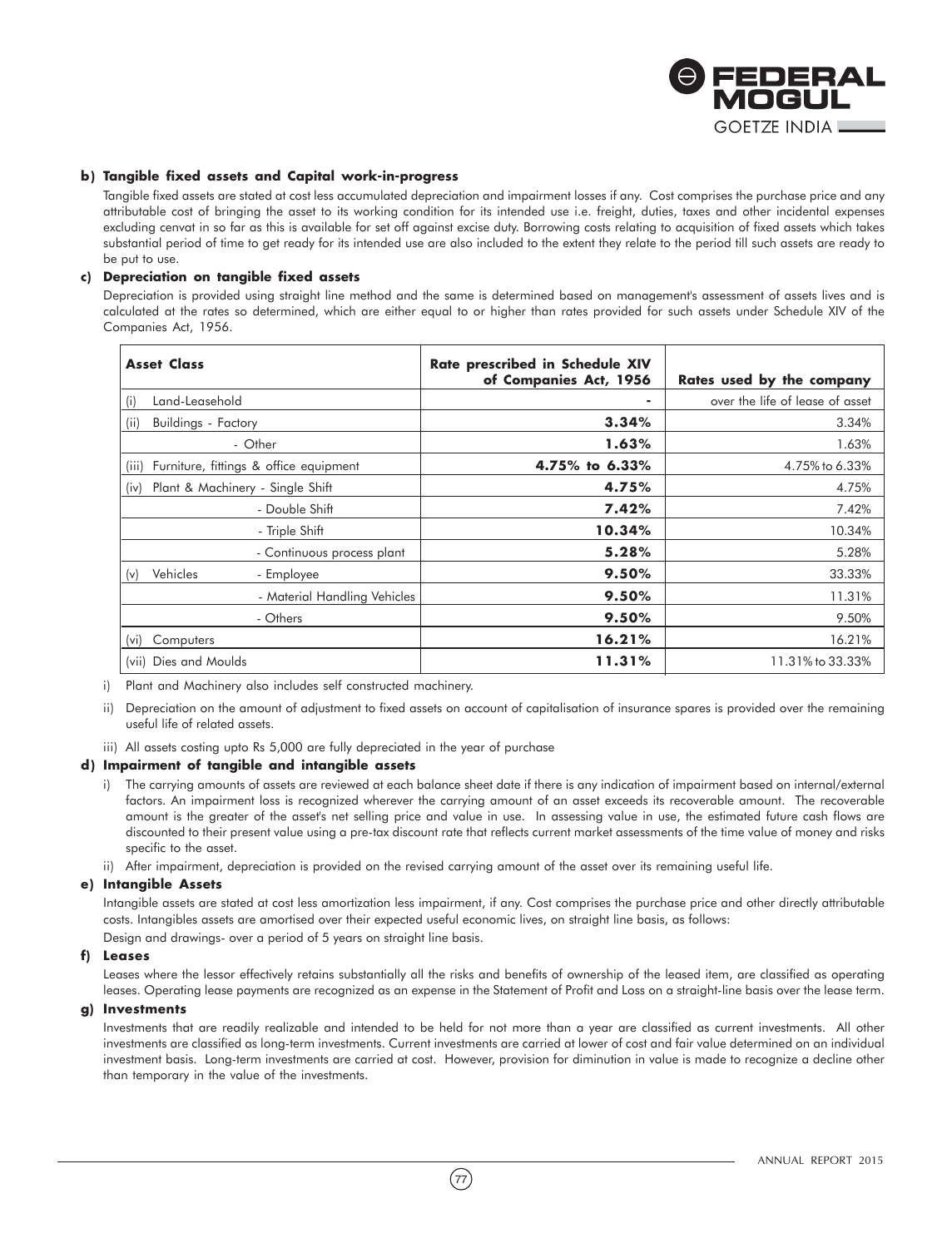

#### **b ) Tangible fixed assets and Capital work-in-progress**

Tangible fixed assets are stated at cost less accumulated depreciation and impairment losses if any. Cost comprises the purchase price and any attributable cost of bringing the asset to its working condition for its intended use i.e. freight, duties, taxes and other incidental expenses excluding cenvat in so far as this is available for set off against excise duty. Borrowing costs relating to acquisition of fixed assets which takes substantial period of time to get ready for its intended use are also included to the extent they relate to the period till such assets are ready to be put to use.

#### **c) Depreciation on tangible fixed assets**

Depreciation is provided using straight line method and the same is determined based on management's assessment of assets lives and is calculated at the rates so determined, which are either equal to or higher than rates provided for such assets under Schedule XIV of the Companies Act, 1956.

| <b>Asset Class</b>                              | Rate prescribed in Schedule XIV<br>of Companies Act, 1956 | Rates used by the company       |
|-------------------------------------------------|-----------------------------------------------------------|---------------------------------|
| Land-Leasehold<br>(i)                           |                                                           | over the life of lease of asset |
| (i)<br><b>Buildings - Factory</b>               | 3.34%                                                     | 3.34%                           |
| - Other                                         | 1.63%                                                     | 1.63%                           |
| Furniture, fittings & office equipment<br>(iii) | 4.75% to 6.33%                                            | 4.75% to 6.33%                  |
| Plant & Machinery - Single Shift<br>(iv)        | 4.75%                                                     | 4.75%                           |
| - Double Shift                                  | 7.42%                                                     | 7.42%                           |
| - Triple Shift                                  | 10.34%                                                    | 10.34%                          |
| - Continuous process plant                      | 5.28%                                                     | 5.28%                           |
| Vehicles<br>- Employee<br>(v)                   | 9.50%                                                     | 33.33%                          |
| - Material Handling Vehicles                    | 9.50%                                                     | 11.31%                          |
| - Others                                        | 9.50%                                                     | 9.50%                           |
| Computers<br>$(v_i)$                            | 16.21%                                                    | 16.21%                          |
| Dies and Moulds<br>(vii)                        | 11.31%                                                    | 11.31% to 33.33%                |

i) Plant and Machinery also includes self constructed machinery.

- ii) Depreciation on the amount of adjustment to fixed assets on account of capitalisation of insurance spares is provided over the remaining useful life of related assets.
- iii) All assets costing upto Rs 5,000 are fully depreciated in the year of purchase

#### **d) Impairment of tangible and intangible assets**

- i) The carrying amounts of assets are reviewed at each balance sheet date if there is any indication of impairment based on internal/external factors. An impairment loss is recognized wherever the carrying amount of an asset exceeds its recoverable amount. The recoverable amount is the greater of the asset's net selling price and value in use. In assessing value in use, the estimated future cash flows are discounted to their present value using a pre-tax discount rate that reflects current market assessments of the time value of money and risks specific to the asset.
- ii) After impairment, depreciation is provided on the revised carrying amount of the asset over its remaining useful life.

#### **e) Intangible Assets**

Intangible assets are stated at cost less amortization less impairment, if any. Cost comprises the purchase price and other directly attributable costs. Intangibles assets are amortised over their expected useful economic lives, on straight line basis, as follows:

Design and drawings- over a period of 5 years on straight line basis.

#### **f) Leases**

Leases where the lessor effectively retains substantially all the risks and benefits of ownership of the leased item, are classified as operating leases. Operating lease payments are recognized as an expense in the Statement of Profit and Loss on a straight-line basis over the lease term.

#### **g) Investments**

Investments that are readily realizable and intended to be held for not more than a year are classified as current investments. All other investments are classified as long-term investments. Current investments are carried at lower of cost and fair value determined on an individual investment basis. Long-term investments are carried at cost. However, provision for diminution in value is made to recognize a decline other than temporary in the value of the investments.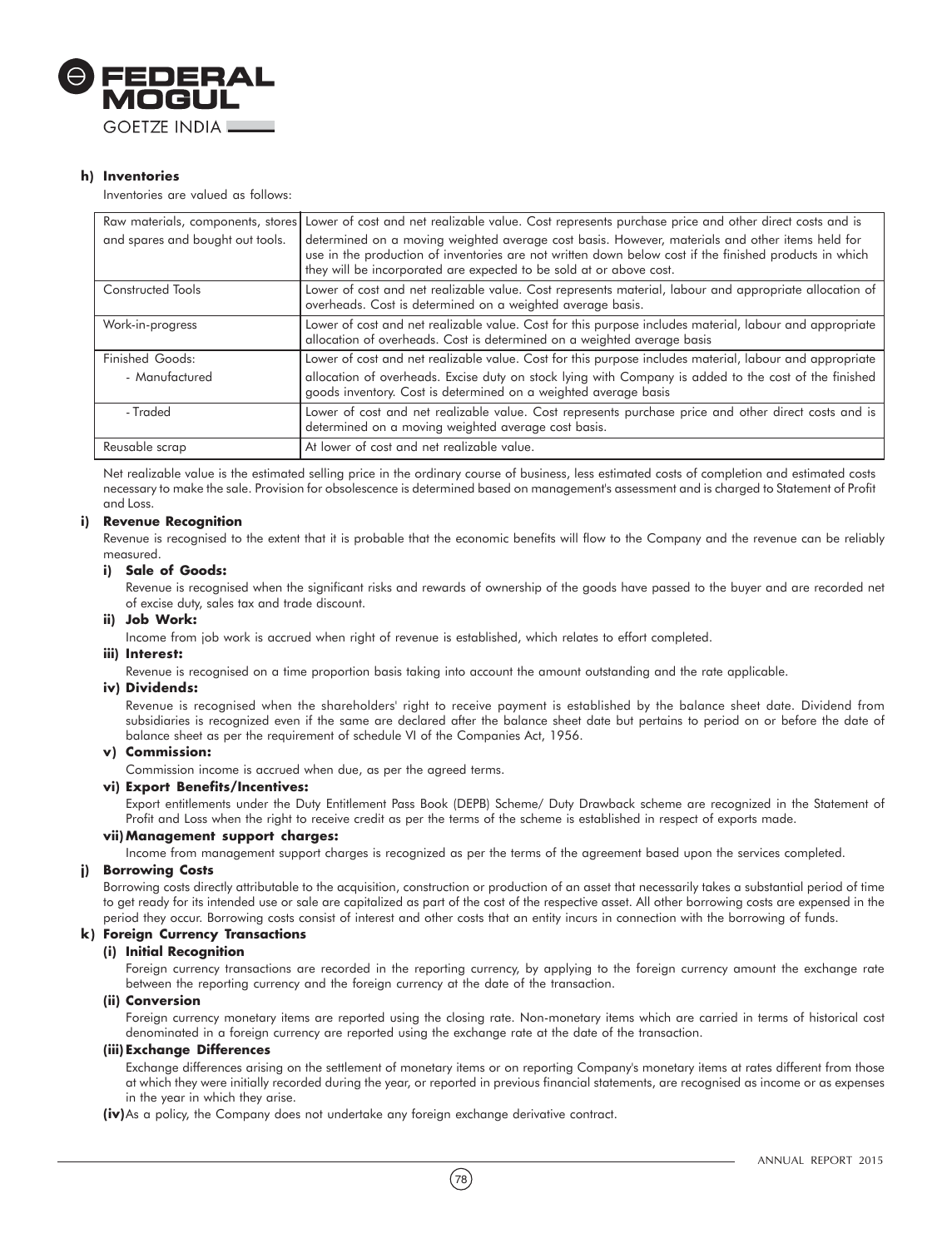

#### **h) Inventories**

Inventories are valued as follows:

| Raw materials, components, stores | Lower of cost and net realizable value. Cost represents purchase price and other direct costs and is                                                                                                                                                                             |
|-----------------------------------|----------------------------------------------------------------------------------------------------------------------------------------------------------------------------------------------------------------------------------------------------------------------------------|
| and spares and bought out tools.  | determined on a moving weighted average cost basis. However, materials and other items held for<br>use in the production of inventories are not written down below cost if the finished products in which<br>they will be incorporated are expected to be sold at or above cost. |
| <b>Constructed Tools</b>          | Lower of cost and net realizable value. Cost represents material, labour and appropriate allocation of<br>overheads. Cost is determined on a weighted average basis.                                                                                                             |
| Work-in-progress                  | Lower of cost and net realizable value. Cost for this purpose includes material, labour and appropriate<br>allocation of overheads. Cost is determined on a weighted average basis                                                                                               |
| Finished Goods:                   | Lower of cost and net realizable value. Cost for this purpose includes material, labour and appropriate                                                                                                                                                                          |
| - Manufactured                    | allocation of overheads. Excise duty on stock lying with Company is added to the cost of the finished<br>goods inventory. Cost is determined on a weighted average basis                                                                                                         |
| - Traded                          | Lower of cost and net realizable value. Cost represents purchase price and other direct costs and is<br>determined on a moving weighted average cost basis.                                                                                                                      |
| Reusable scrap                    | At lower of cost and net realizable value.                                                                                                                                                                                                                                       |

Net realizable value is the estimated selling price in the ordinary course of business, less estimated costs of completion and estimated costs necessary to make the sale. Provision for obsolescence is determined based on management's assessment and is charged to Statement of Profit and Loss.

#### **i) Revenue Recognition**

Revenue is recognised to the extent that it is probable that the economic benefits will flow to the Company and the revenue can be reliably measured.

#### **i) Sale of Goods:**

Revenue is recognised when the significant risks and rewards of ownership of the goods have passed to the buyer and are recorded net of excise duty, sales tax and trade discount.

#### **ii) Job Work:**

Income from job work is accrued when right of revenue is established, which relates to effort completed.

#### **iii) Interest:**

Revenue is recognised on a time proportion basis taking into account the amount outstanding and the rate applicable.

#### **iv) Dividends:**

Revenue is recognised when the shareholders' right to receive payment is established by the balance sheet date. Dividend from subsidiaries is recognized even if the same are declared after the balance sheet date but pertains to period on or before the date of balance sheet as per the requirement of schedule VI of the Companies Act, 1956.

#### **v) Commission:**

Commission income is accrued when due, as per the agreed terms.

#### **vi) Export Benefits/Incentives:**

Export entitlements under the Duty Entitlement Pass Book (DEPB) Scheme/ Duty Drawback scheme are recognized in the Statement of Profit and Loss when the right to receive credit as per the terms of the scheme is established in respect of exports made.

#### **vii) Management support charges:**

Income from management support charges is recognized as per the terms of the agreement based upon the services completed.

#### **j) Borrowing Costs**

Borrowing costs directly attributable to the acquisition, construction or production of an asset that necessarily takes a substantial period of time to get ready for its intended use or sale are capitalized as part of the cost of the respective asset. All other borrowing costs are expensed in the period they occur. Borrowing costs consist of interest and other costs that an entity incurs in connection with the borrowing of funds.

#### **k) Foreign Currency Transactions**

#### **(i) Initial Recognition**

Foreign currency transactions are recorded in the reporting currency, by applying to the foreign currency amount the exchange rate between the reporting currency and the foreign currency at the date of the transaction.

#### **(ii) Conversion**

Foreign currency monetary items are reported using the closing rate. Non-monetary items which are carried in terms of historical cost denominated in a foreign currency are reported using the exchange rate at the date of the transaction.

#### **(iii) Exchange Differences**

Exchange differences arising on the settlement of monetary items or on reporting Company's monetary items at rates different from those at which they were initially recorded during the year, or reported in previous financial statements, are recognised as income or as expenses in the year in which they arise.

**(iv)**As a policy, the Company does not undertake any foreign exchange derivative contract.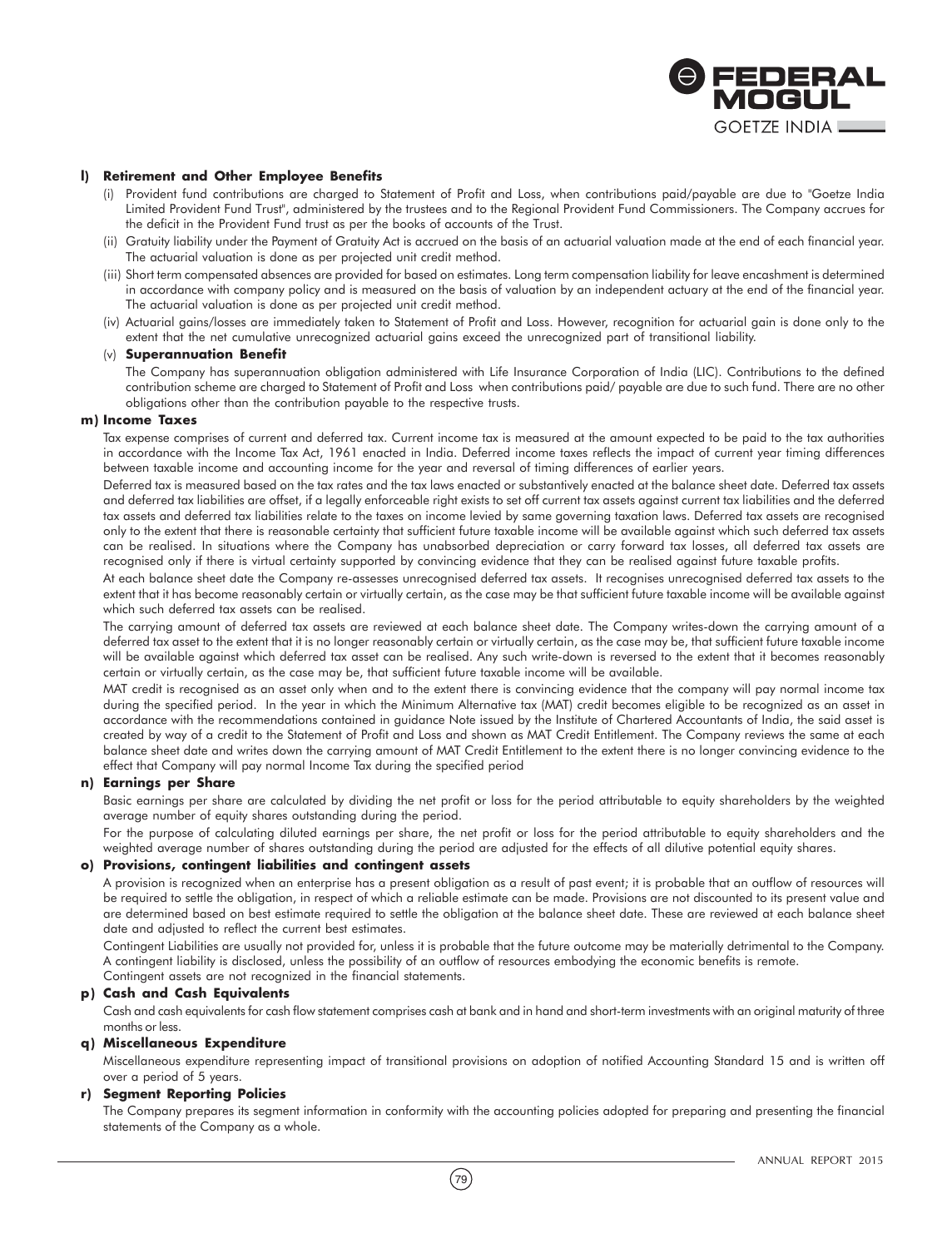

#### **l) Retirement and Other Employee Benefits**

- (i) Provident fund contributions are charged to Statement of Profit and Loss, when contributions paid/payable are due to "Goetze India Limited Provident Fund Trust", administered by the trustees and to the Regional Provident Fund Commissioners. The Company accrues for the deficit in the Provident Fund trust as per the books of accounts of the Trust.
- (ii) Gratuity liability under the Payment of Gratuity Act is accrued on the basis of an actuarial valuation made at the end of each financial year. The actuarial valuation is done as per projected unit credit method.
- (iii) Short term compensated absences are provided for based on estimates. Long term compensation liability for leave encashment is determined in accordance with company policy and is measured on the basis of valuation by an independent actuary at the end of the financial year. The actuarial valuation is done as per projected unit credit method.
- (iv) Actuarial gains/losses are immediately taken to Statement of Profit and Loss. However, recognition for actuarial gain is done only to the extent that the net cumulative unrecognized actuarial gains exceed the unrecognized part of transitional liability.

#### (v) **Superannuation Benefit**

The Company has superannuation obligation administered with Life Insurance Corporation of India (LIC). Contributions to the defined contribution scheme are charged to Statement of Profit and Loss when contributions paid/ payable are due to such fund. There are no other obligations other than the contribution payable to the respective trusts.

#### **m) Income Taxes**

Tax expense comprises of current and deferred tax. Current income tax is measured at the amount expected to be paid to the tax authorities in accordance with the Income Tax Act, 1961 enacted in India. Deferred income taxes reflects the impact of current year timing differences between taxable income and accounting income for the year and reversal of timing differences of earlier years.

Deferred tax is measured based on the tax rates and the tax laws enacted or substantively enacted at the balance sheet date. Deferred tax assets and deferred tax liabilities are offset, if a legally enforceable right exists to set off current tax assets against current tax liabilities and the deferred tax assets and deferred tax liabilities relate to the taxes on income levied by same governing taxation laws. Deferred tax assets are recognised only to the extent that there is reasonable certainty that sufficient future taxable income will be available against which such deferred tax assets can be realised. In situations where the Company has unabsorbed depreciation or carry forward tax losses, all deferred tax assets are recognised only if there is virtual certainty supported by convincing evidence that they can be realised against future taxable profits.

At each balance sheet date the Company re-assesses unrecognised deferred tax assets. It recognises unrecognised deferred tax assets to the extent that it has become reasonably certain or virtually certain, as the case may be that sufficient future taxable income will be available against which such deferred tax assets can be realised.

The carrying amount of deferred tax assets are reviewed at each balance sheet date. The Company writes-down the carrying amount of a deferred tax asset to the extent that it is no longer reasonably certain or virtually certain, as the case may be, that sufficient future taxable income will be available against which deferred tax asset can be realised. Any such write-down is reversed to the extent that it becomes reasonably certain or virtually certain, as the case may be, that sufficient future taxable income will be available.

MAT credit is recognised as an asset only when and to the extent there is convincing evidence that the company will pay normal income tax during the specified period. In the year in which the Minimum Alternative tax (MAT) credit becomes eligible to be recognized as an asset in accordance with the recommendations contained in guidance Note issued by the Institute of Chartered Accountants of India, the said asset is created by way of a credit to the Statement of Profit and Loss and shown as MAT Credit Entitlement. The Company reviews the same at each balance sheet date and writes down the carrying amount of MAT Credit Entitlement to the extent there is no longer convincing evidence to the effect that Company will pay normal Income Tax during the specified period

#### **n) Earnings per Share**

Basic earnings per share are calculated by dividing the net profit or loss for the period attributable to equity shareholders by the weighted average number of equity shares outstanding during the period.

For the purpose of calculating diluted earnings per share, the net profit or loss for the period attributable to equity shareholders and the weighted average number of shares outstanding during the period are adjusted for the effects of all dilutive potential equity shares.

#### **o) Provisions, contingent liabilities and contingent assets**

A provision is recognized when an enterprise has a present obligation as a result of past event; it is probable that an outflow of resources will be required to settle the obligation, in respect of which a reliable estimate can be made. Provisions are not discounted to its present value and are determined based on best estimate required to settle the obligation at the balance sheet date. These are reviewed at each balance sheet date and adjusted to reflect the current best estimates.

Contingent Liabilities are usually not provided for, unless it is probable that the future outcome may be materially detrimental to the Company. A contingent liability is disclosed, unless the possibility of an outflow of resources embodying the economic benefits is remote. Contingent assets are not recognized in the financial statements.

#### **p) Cash and Cash Equivalents**

Cash and cash equivalents for cash flow statement comprises cash at bank and in hand and short-term investments with an original maturity of three months or less.

#### **q) Miscellaneous Expenditure**

Miscellaneous expenditure representing impact of transitional provisions on adoption of notified Accounting Standard 15 and is written off over a period of 5 years.

#### **r) Segment Reporting Policies**

The Company prepares its segment information in conformity with the accounting policies adopted for preparing and presenting the financial statements of the Company as a whole.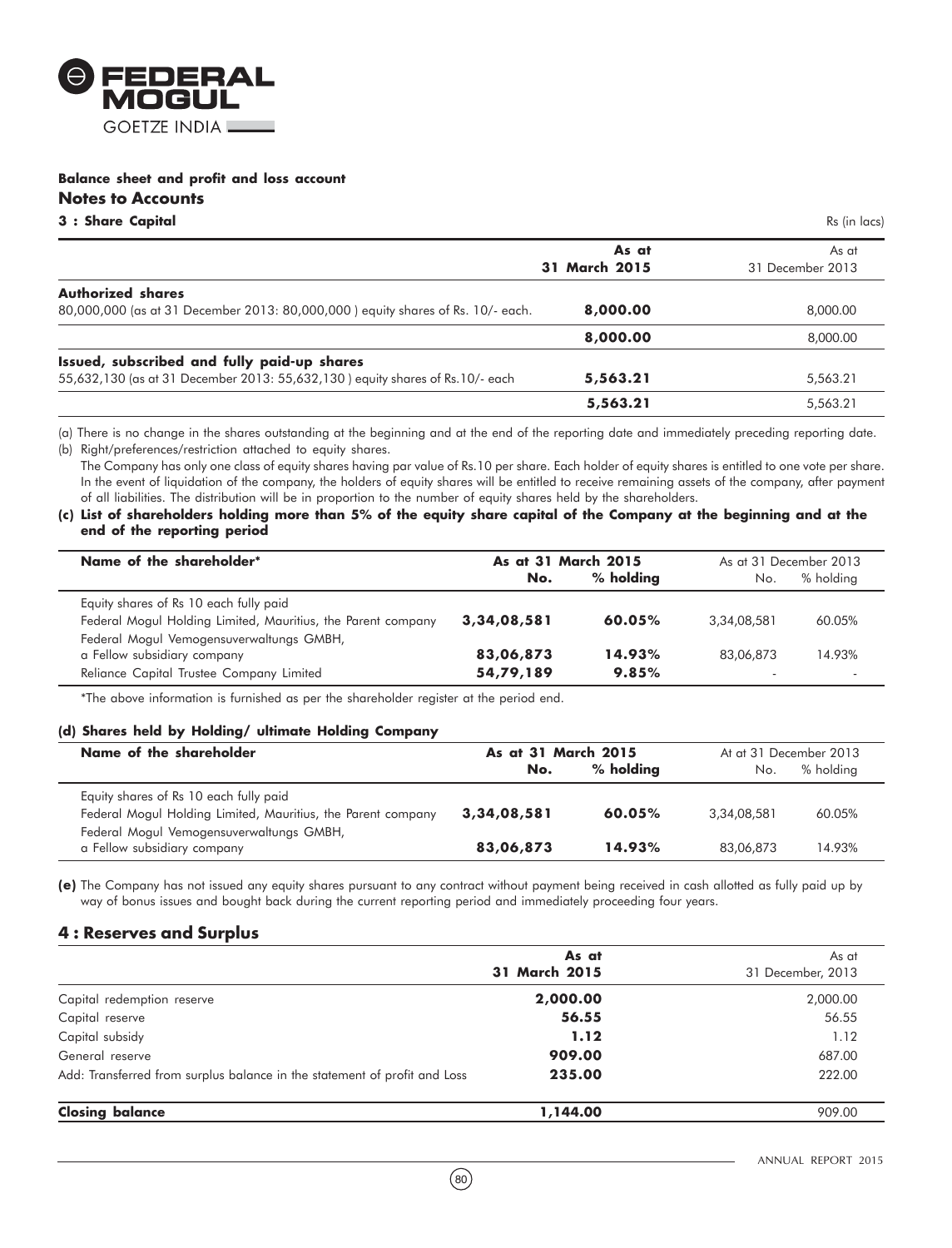

#### **Balance sheet and profit and loss account**

#### **Notes to Accounts**

| 3 : Share Capital                                                               |               | Rs (in lacs)     |
|---------------------------------------------------------------------------------|---------------|------------------|
|                                                                                 | As at         | As at            |
|                                                                                 | 31 March 2015 | 31 December 2013 |
| <b>Authorized shares</b>                                                        |               |                  |
| 80,000,000 (as at 31 December 2013: 80,000,000) equity shares of Rs. 10/- each. | 8,000.00      | 8,000.00         |
|                                                                                 | 8,000.00      | 8,000.00         |
| Issued, subscribed and fully paid-up shares                                     |               |                  |
| 55,632,130 (as at 31 December 2013: 55,632,130) equity shares of Rs.10/- each   | 5,563.21      | 5,563.21         |
|                                                                                 | 5,563.21      | 5,563.21         |
|                                                                                 |               |                  |

(a) There is no change in the shares outstanding at the beginning and at the end of the reporting date and immediately preceding reporting date.

(b) Right/preferences/restriction attached to equity shares.

The Company has only one class of equity shares having par value of Rs.10 per share. Each holder of equity shares is entitled to one vote per share. In the event of liquidation of the company, the holders of equity shares will be entitled to receive remaining assets of the company, after payment of all liabilities. The distribution will be in proportion to the number of equity shares held by the shareholders.

#### **(c) List of shareholders holding more than 5% of the equity share capital of the Company at the beginning and at the end of the reporting period**

| Name of the shareholder*                                                                                                                           | As at 31 March 2015<br>No. | $%$ holdina     | No.                                   | As at 31 December 2013<br>% holding |
|----------------------------------------------------------------------------------------------------------------------------------------------------|----------------------------|-----------------|---------------------------------------|-------------------------------------|
| Equity shares of Rs 10 each fully paid<br>Federal Mogul Holding Limited, Mauritius, the Parent company<br>Federal Mogul Vemogensuverwaltungs GMBH, | 3,34,08,581                | 60.05%          | 3.34.08.581                           | 60.05%                              |
| a Fellow subsidiary company<br>Reliance Capital Trustee Company Limited                                                                            | 83,06,873<br>54,79,189     | 14.93%<br>9.85% | 83,06,873<br>$\overline{\phantom{a}}$ | 14.93%                              |

\*The above information is furnished as per the shareholder register at the period end.

#### **(d) Shares held by Holding/ ultimate Holding Company**

| Name of the shareholder                                                                                                                            | As at 31 March 2015<br>No. | $%$ holdina | No.         | At at 31 December 2013<br>% holding |
|----------------------------------------------------------------------------------------------------------------------------------------------------|----------------------------|-------------|-------------|-------------------------------------|
| Equity shares of Rs 10 each fully paid<br>Federal Mogul Holding Limited, Mauritius, the Parent company<br>Federal Mogul Vemogensuverwaltungs GMBH, | 3,34,08,581                | 60.05%      | 3.34.08.581 | 60.05%                              |
| a Fellow subsidiary company                                                                                                                        | 83,06,873                  | 14.93%      | 83,06,873   | 14.93%                              |

**(e)** The Company has not issued any equity shares pursuant to any contract without payment being received in cash allotted as fully paid up by way of bonus issues and bought back during the current reporting period and immediately proceeding four years.

#### **4 : Reserves and Surplus**

|                                                                           | As at<br>31 March 2015 | As at<br>31 December, 2013 |
|---------------------------------------------------------------------------|------------------------|----------------------------|
| Capital redemption reserve                                                | 2,000.00               | 2,000.00                   |
| Capital reserve                                                           | 56.55                  | 56.55                      |
| Capital subsidy                                                           | 1.12                   | 1.12                       |
| General reserve                                                           | 909.00                 | 687.00                     |
| Add: Transferred from surplus balance in the statement of profit and Loss | 235.00                 | 222.00                     |
| <b>Closing balance</b>                                                    | 1,144.00               | 909.00                     |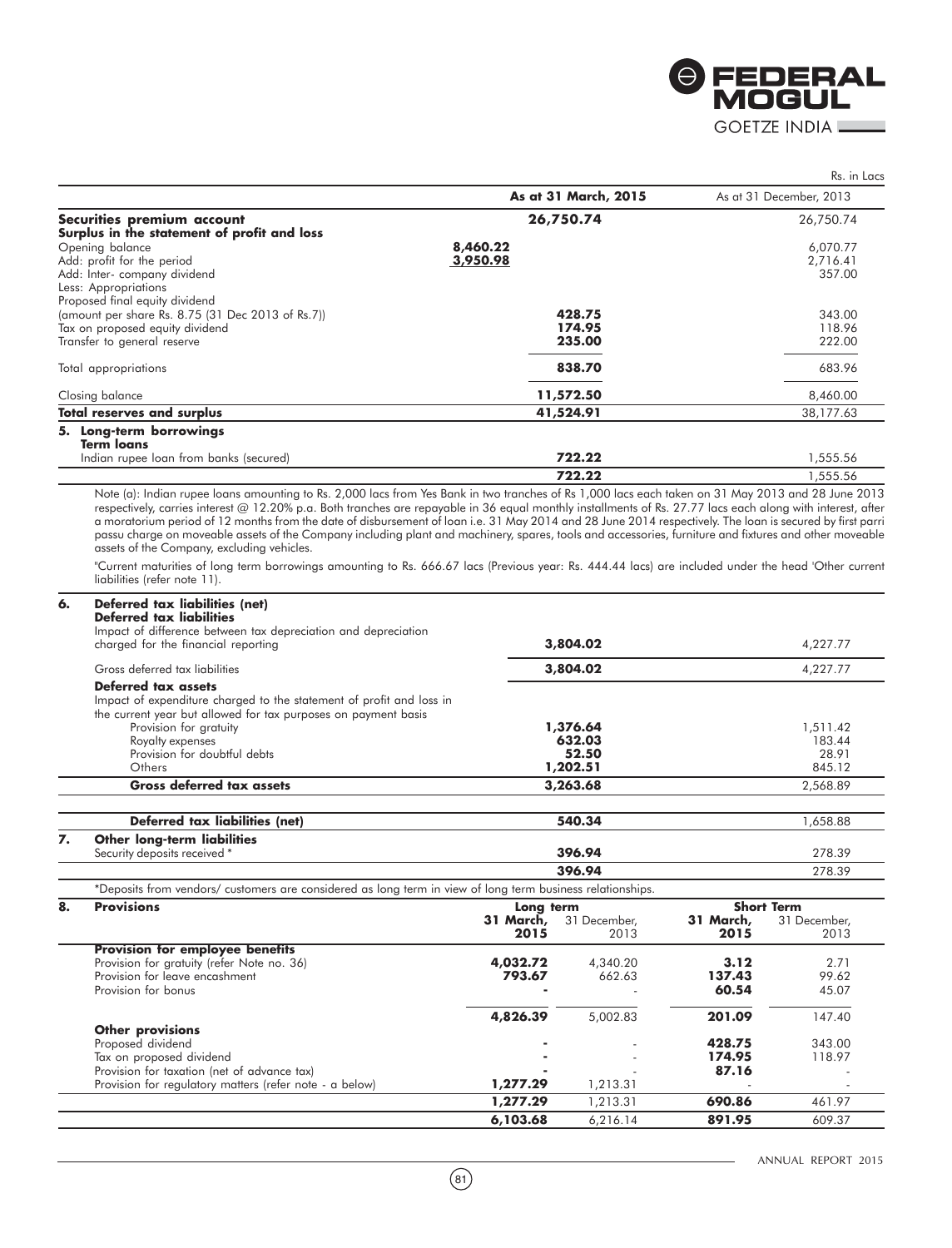

|                                                                                        |                      | Rs. in Lacs             |
|----------------------------------------------------------------------------------------|----------------------|-------------------------|
|                                                                                        | As at 31 March, 2015 | As at 31 December, 2013 |
| Securities premium account<br>Surplus in the statement of profit and loss              | 26,750.74            | 26,750.74               |
| Opening balance                                                                        | 8,460.22             | 6,070.77                |
| Add: profit for the period                                                             | 3,950.98             | 2,716.41                |
| Add: Inter- company dividend<br>Less: Appropriations<br>Proposed final equity dividend |                      | 357.00                  |
| (amount per share Rs. 8.75 (31 Dec 2013 of Rs.7))                                      | 428.75               | 343.00                  |
| Tax on proposed equity dividend                                                        | 174.95               | 118.96                  |
| Transfer to general reserve                                                            | 235.00               | 222.00                  |
| Total appropriations                                                                   | 838.70               | 683.96                  |
| Closing balance                                                                        | 11,572.50            | 8,460.00                |
| <b>Total reserves and surplus</b>                                                      | 41,524.91            | 38,177.63               |
| 5. Long-term borrowings                                                                |                      |                         |
| <b>Term loans</b>                                                                      |                      |                         |
| Indian rupee loan from banks (secured)                                                 | 722.22               | 1,555.56                |
|                                                                                        | 722.22               | 1,555.56                |

Note (a): Indian rupee loans amounting to Rs. 2,000 lacs from Yes Bank in two tranches of Rs 1,000 lacs each taken on 31 May 2013 and 28 June 2013 respectively, carries interest @ 12.20% p.a. Both tranches are repayable in 36 equal monthly installments of Rs. 27.77 lacs each along with interest, after a moratorium period of 12 months from the date of disbursement of loan i.e. 31 May 2014 and 28 June 2014 respectively. The loan is secured by first parri passu charge on moveable assets of the Company including plant and machinery, spares, tools and accessories, furniture and fixtures and other moveable assets of the Company, excluding vehicles.

"Current maturities of long term borrowings amounting to Rs. 666.67 lacs (Previous year: Rs. 444.44 lacs) are included under the head 'Other current liabilities (refer note 11).

| 6. | Deferred tax liabilities (net)<br><b>Deferred tax liabilities</b>                                                                                                                                                                                     |                                         |                                       |
|----|-------------------------------------------------------------------------------------------------------------------------------------------------------------------------------------------------------------------------------------------------------|-----------------------------------------|---------------------------------------|
|    | Impact of difference between tax depreciation and depreciation<br>charged for the financial reporting                                                                                                                                                 | 3,804.02                                | 4.227.77                              |
|    | Gross deferred tax liabilities                                                                                                                                                                                                                        | 3,804.02                                | 4,227.77                              |
|    | Deferred tax assets<br>Impact of expenditure charged to the statement of profit and loss in<br>the current year but allowed for tax purposes on payment basis<br>Provision for gratuity<br>Royalty expenses<br>Provision for doubtful debts<br>Others | 1,376.64<br>632.03<br>52.50<br>1,202.51 | 1.511.42<br>183.44<br>28.91<br>845.12 |
|    | <b>Gross deferred tax assets</b>                                                                                                                                                                                                                      | 3,263.68                                | 2,568.89                              |
|    | Deferred tax liabilities (net)                                                                                                                                                                                                                        | 540.34                                  | 1.658.88                              |
| 7. | Other long-term liabilities<br>Security deposits received *                                                                                                                                                                                           | 396.94                                  | 278.39                                |
|    |                                                                                                                                                                                                                                                       | 396.94                                  | 278.39                                |

\*Deposits from vendors/ customers are considered as long term in view of long term business relationships.

| <b>Provisions</b>                                       |                   | Long term            |                   | <b>Short Term</b>    |  |
|---------------------------------------------------------|-------------------|----------------------|-------------------|----------------------|--|
|                                                         | 31 March,<br>2015 | 31 December,<br>2013 | 31 March,<br>2015 | 31 December,<br>2013 |  |
| <b>Provision for employee benefits</b>                  |                   |                      |                   |                      |  |
| Provision for gratuity (refer Note no. 36)              | 4,032.72          | 4,340.20             | 3.12              | 2.71                 |  |
| Provision for leave encashment                          | 793.67            | 662.63               | 137.43            | 99.62                |  |
| Provision for bonus                                     |                   |                      | 60.54             | 45.07                |  |
|                                                         | 4,826.39          | 5.002.83             | 201.09            | 147.40               |  |
| Other provisions                                        |                   |                      |                   |                      |  |
| Proposed dividend                                       |                   |                      | 428.75            | 343.00               |  |
| Tax on proposed dividend                                |                   |                      | 174.95            | 118.97               |  |
| Provision for taxation (net of advance tax)             |                   |                      | 87.16             |                      |  |
| Provision for regulatory matters (refer note - a below) | 1,277.29          | 1,213.31             |                   |                      |  |
|                                                         | 1,277.29          | 1.213.31             | 690.86            | 461.97               |  |
|                                                         | 6,103.68          | 6,216.14             | 891.95            | 609.37               |  |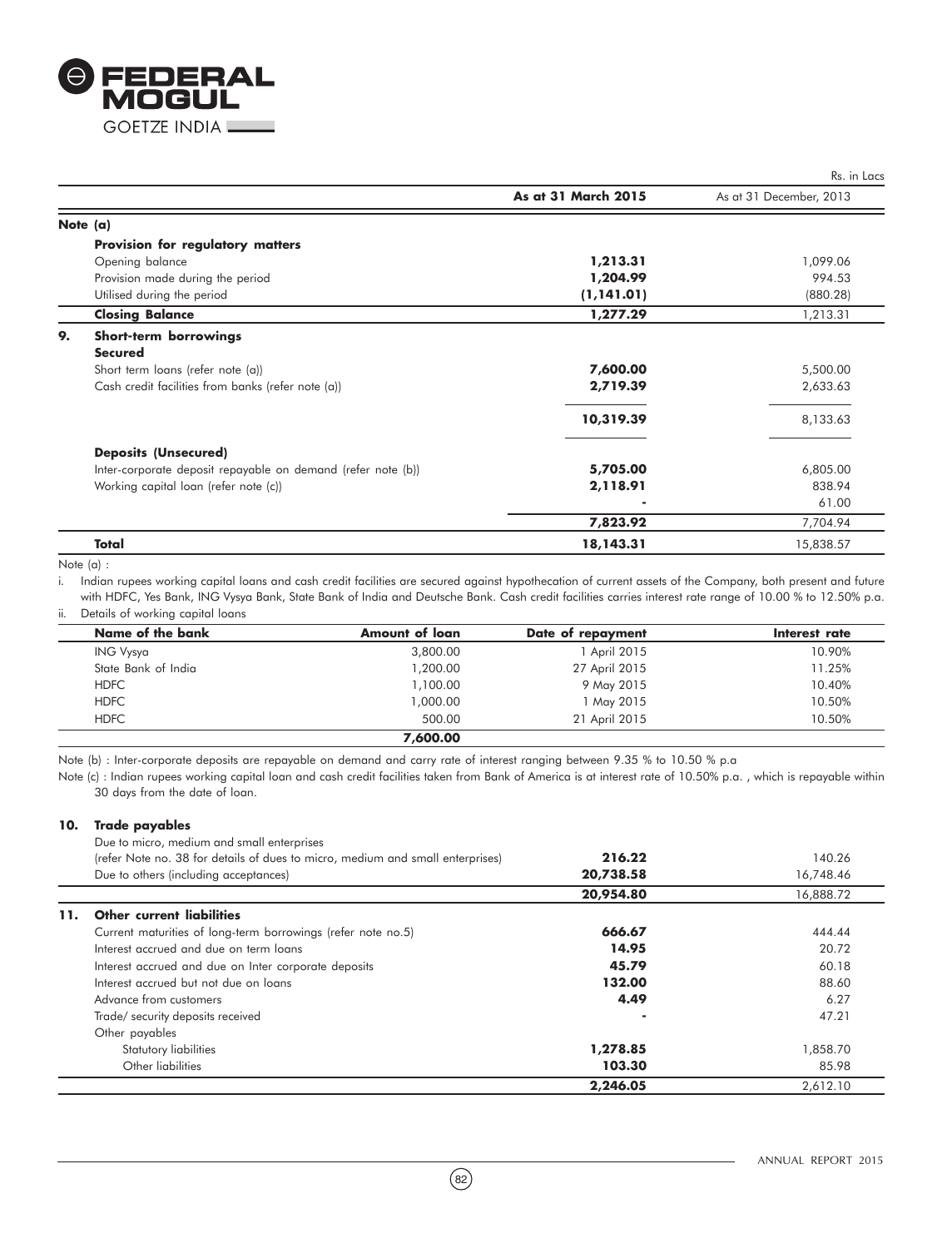

|    |                                                              |                     | Rs. in Lacs             |
|----|--------------------------------------------------------------|---------------------|-------------------------|
|    |                                                              | As at 31 March 2015 | As at 31 December, 2013 |
|    | Note (a)                                                     |                     |                         |
|    | <b>Provision for regulatory matters</b>                      |                     |                         |
|    | Opening balance                                              | 1,213.31            | 1,099.06                |
|    | Provision made during the period                             | 1,204.99            | 994.53                  |
|    | Utilised during the period                                   | (1, 141.01)         | (880.28)                |
|    | <b>Closing Balance</b>                                       | 1,277.29            | 1,213.31                |
| 9. | Short-term borrowings                                        |                     |                         |
|    | <b>Secured</b>                                               |                     |                         |
|    | Short term loans (refer note (a))                            | 7,600.00            | 5,500.00                |
|    | Cash credit facilities from banks (refer note (a))           | 2,719.39            | 2,633.63                |
|    |                                                              | 10,319.39           | 8,133.63                |
|    | <b>Deposits (Unsecured)</b>                                  |                     |                         |
|    | Inter-corporate deposit repayable on demand (refer note (b)) | 5,705.00            | 6,805.00                |
|    | Working capital loan (refer note (c))                        | 2,118.91            | 838.94                  |
|    |                                                              |                     | 61.00                   |
|    |                                                              | 7,823.92            | 7,704.94                |
|    | Total                                                        | 18,143.31           | 15,838.57               |

Note (a) :

i. Indian rupees working capital loans and cash credit facilities are secured against hypothecation of current assets of the Company, both present and future with HDFC, Yes Bank, ING Vysya Bank, State Bank of India and Deutsche Bank. Cash credit facilities carries interest rate range of 10.00 % to 12.50% p.a. ii. Details of working capital loans

| Name of the bank    | Amount of loan | Date of repayment | Interest rate |
|---------------------|----------------|-------------------|---------------|
| ING Vysya           | 3,800.00       | 1 April 2015      | 10.90%        |
| State Bank of India | 200.00, ۱      | 27 April 2015     | 11.25%        |
| <b>HDFC</b>         | 1,100.00       | 9 May 2015        | 10.40%        |
| <b>HDFC</b>         | 00.000, I      | 1 May 2015        | 10.50%        |
| <b>HDFC</b>         | 500.00         | 21 April 2015     | 10.50%        |
|                     | 7,600.00       |                   |               |

Note (b) : Inter-corporate deposits are repayable on demand and carry rate of interest ranging between 9.35 % to 10.50 % p.a

Note (c) : Indian rupees working capital loan and cash credit facilities taken from Bank of America is at interest rate of 10.50% p.a., which is repayable within 30 days from the date of loan.

#### **10. Trade payables**

|     | Due to micro, medium and small enterprises                                     |           |           |
|-----|--------------------------------------------------------------------------------|-----------|-----------|
|     | (refer Note no. 38 for details of dues to micro, medium and small enterprises) | 216.22    | 140.26    |
|     | Due to others (including acceptances)                                          | 20,738.58 | 16,748.46 |
|     |                                                                                | 20,954.80 | 16,888.72 |
| 11. | Other current liabilities                                                      |           |           |
|     | Current maturities of long-term borrowings (refer note no.5)                   | 666.67    | 444.44    |
|     | Interest accrued and due on term loans                                         | 14.95     | 20.72     |
|     | Interest accrued and due on Inter corporate deposits                           | 45.79     | 60.18     |
|     | Interest accrued but not due on loans                                          | 132.00    | 88.60     |
|     | Advance from customers                                                         | 4.49      | 6.27      |
|     | Trade/ security deposits received                                              |           | 47.21     |
|     | Other payables                                                                 |           |           |
|     | Statutory liabilities                                                          | 1,278.85  | 1,858.70  |
|     | Other liabilities                                                              | 103.30    | 85.98     |
|     |                                                                                | 2,246.05  | 2,612.10  |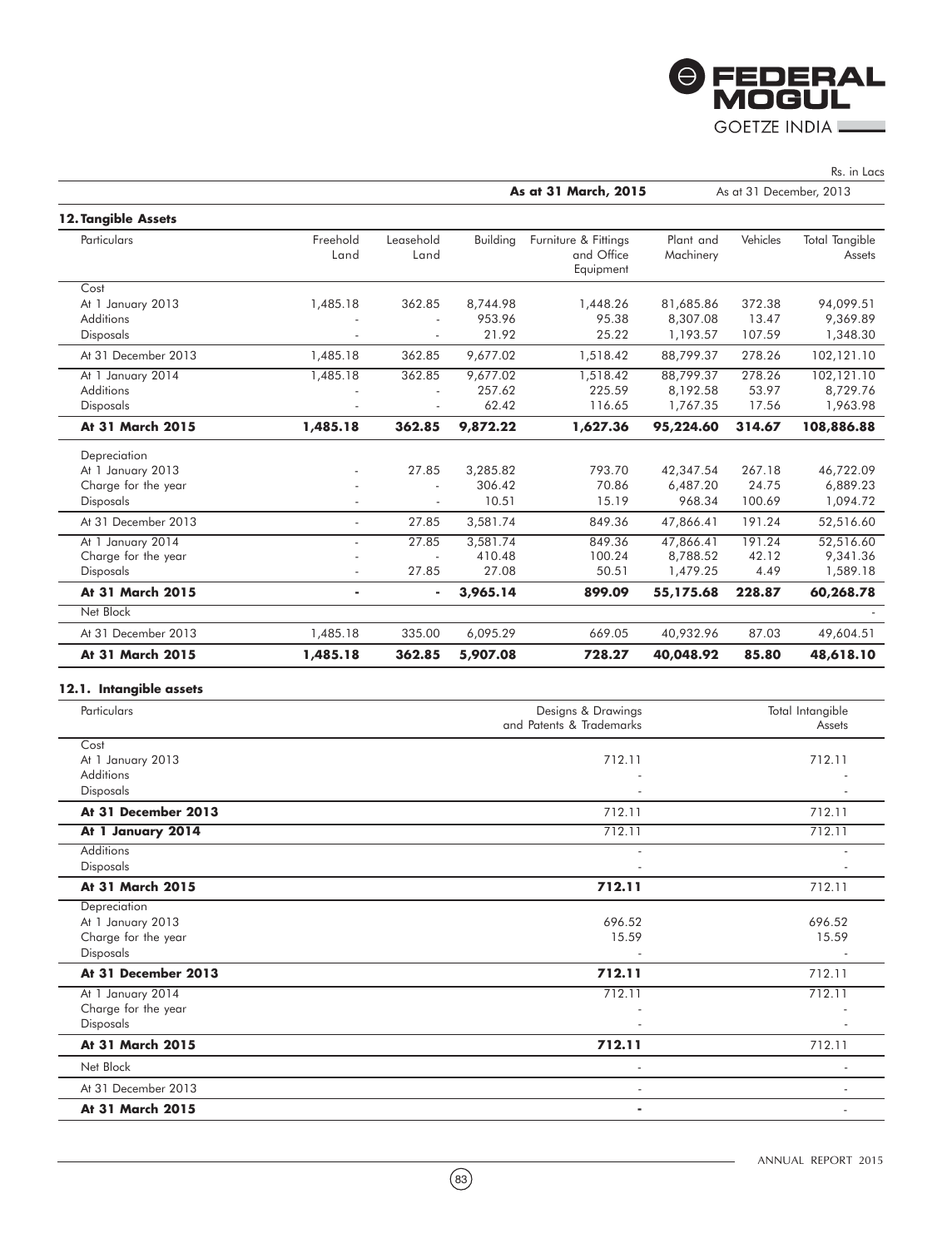**O** FEDERAL<br>MOGUL

As at 31 March, 2015 As at 31 December, 2013

**GOETZE INDIA** 

|  |  | Rs. in Lacs |
|--|--|-------------|
|--|--|-------------|

| 12. Tangible Assets |                          |                   |                 |                                                 |                        |          |                                 |
|---------------------|--------------------------|-------------------|-----------------|-------------------------------------------------|------------------------|----------|---------------------------------|
| Particulars         | Freehold<br>Land         | Leasehold<br>Land | <b>Building</b> | Furniture & Fittings<br>and Office<br>Equipment | Plant and<br>Machinery | Vehicles | <b>Total Tangible</b><br>Assets |
| Cost                |                          |                   |                 |                                                 |                        |          |                                 |
| At 1 January 2013   | 1,485.18                 | 362.85            | 8,744.98        | 1.448.26                                        | 81,685.86              | 372.38   | 94,099.51                       |
| <b>Additions</b>    |                          |                   | 953.96          | 95.38                                           | 8,307.08               | 13.47    | 9.369.89                        |
| <b>Disposals</b>    |                          |                   | 21.92           | 25.22                                           | 1,193.57               | 107.59   | 1,348.30                        |
| At 31 December 2013 | 1,485.18                 | 362.85            | 9,677.02        | 1,518.42                                        | 88,799.37              | 278.26   | 102,121.10                      |
| At 1 January 2014   | 1,485.18                 | 362.85            | 9,677.02        | 1,518.42                                        | 88,799.37              | 278.26   | 102,121.10                      |
| <b>Additions</b>    |                          |                   | 257.62          | 225.59                                          | 8.192.58               | 53.97    | 8.729.76                        |
| <b>Disposals</b>    |                          |                   | 62.42           | 116.65                                          | 1,767.35               | 17.56    | 1,963.98                        |
| At 31 March 2015    | 1,485.18                 | 362.85            | 9,872.22        | 1,627.36                                        | 95,224.60              | 314.67   | 108,886.88                      |
| Depreciation        |                          |                   |                 |                                                 |                        |          |                                 |
| At 1 January 2013   |                          | 27.85             | 3,285.82        | 793.70                                          | 42,347.54              | 267.18   | 46,722.09                       |
| Charge for the year |                          |                   | 306.42          | 70.86                                           | 6,487.20               | 24.75    | 6,889.23                        |
| <b>Disposals</b>    | $\overline{\phantom{a}}$ | $\sim$            | 10.51           | 15.19                                           | 968.34                 | 100.69   | 1.094.72                        |
| At 31 December 2013 | $\overline{a}$           | 27.85             | 3,581.74        | 849.36                                          | 47,866.41              | 191.24   | 52,516.60                       |
| At 1 January 2014   | $\overline{\phantom{a}}$ | 27.85             | 3.581.74        | 849.36                                          | 47,866.41              | 191.24   | 52,516.60                       |
| Charge for the year |                          |                   | 410.48          | 100.24                                          | 8.788.52               | 42.12    | 9.341.36                        |
| <b>Disposals</b>    | $\overline{a}$           | 27.85             | 27.08           | 50.51                                           | 1,479.25               | 4.49     | 1,589.18                        |
| At 31 March 2015    | ٠                        | ٠                 | 3,965.14        | 899.09                                          | 55,175.68              | 228.87   | 60,268.78                       |
| Net Block           |                          |                   |                 |                                                 |                        |          |                                 |
| At 31 December 2013 | 1,485.18                 | 335.00            | 6,095.29        | 669.05                                          | 40,932.96              | 87.03    | 49,604.51                       |
| At 31 March 2015    | 1,485.18                 | 362.85            | 5,907.08        | 728.27                                          | 40,048.92              | 85.80    | 48,618.10                       |

#### **12.1. Intangible assets**

| Particulars         | Designs & Drawings<br>and Patents & Trademarks | Total Intangible<br>Assets |
|---------------------|------------------------------------------------|----------------------------|
| Cost                |                                                |                            |
| At 1 January 2013   | 712.11                                         | 712.11                     |
| Additions           |                                                |                            |
| Disposals           |                                                |                            |
| At 31 December 2013 | 712.11                                         | 712.11                     |
| At 1 January 2014   | 712.11                                         | 712.11                     |
| <b>Additions</b>    | $\sim$                                         |                            |
| <b>Disposals</b>    |                                                |                            |
| At 31 March 2015    | 712.11                                         | 712.11                     |
| Depreciation        |                                                |                            |
| At 1 January 2013   | 696.52                                         | 696.52                     |
| Charge for the year | 15.59                                          | 15.59                      |
| Disposals           |                                                |                            |
| At 31 December 2013 | 712.11                                         | 712.11                     |
| At 1 January 2014   | 712.11                                         | 712.11                     |
| Charge for the year |                                                |                            |
| <b>Disposals</b>    |                                                |                            |
| At 31 March 2015    | 712.11                                         | 712.11                     |
| Net Block           | $\overline{\phantom{a}}$                       |                            |
| At 31 December 2013 | $\overline{\phantom{a}}$                       |                            |
| At 31 March 2015    | ٠                                              |                            |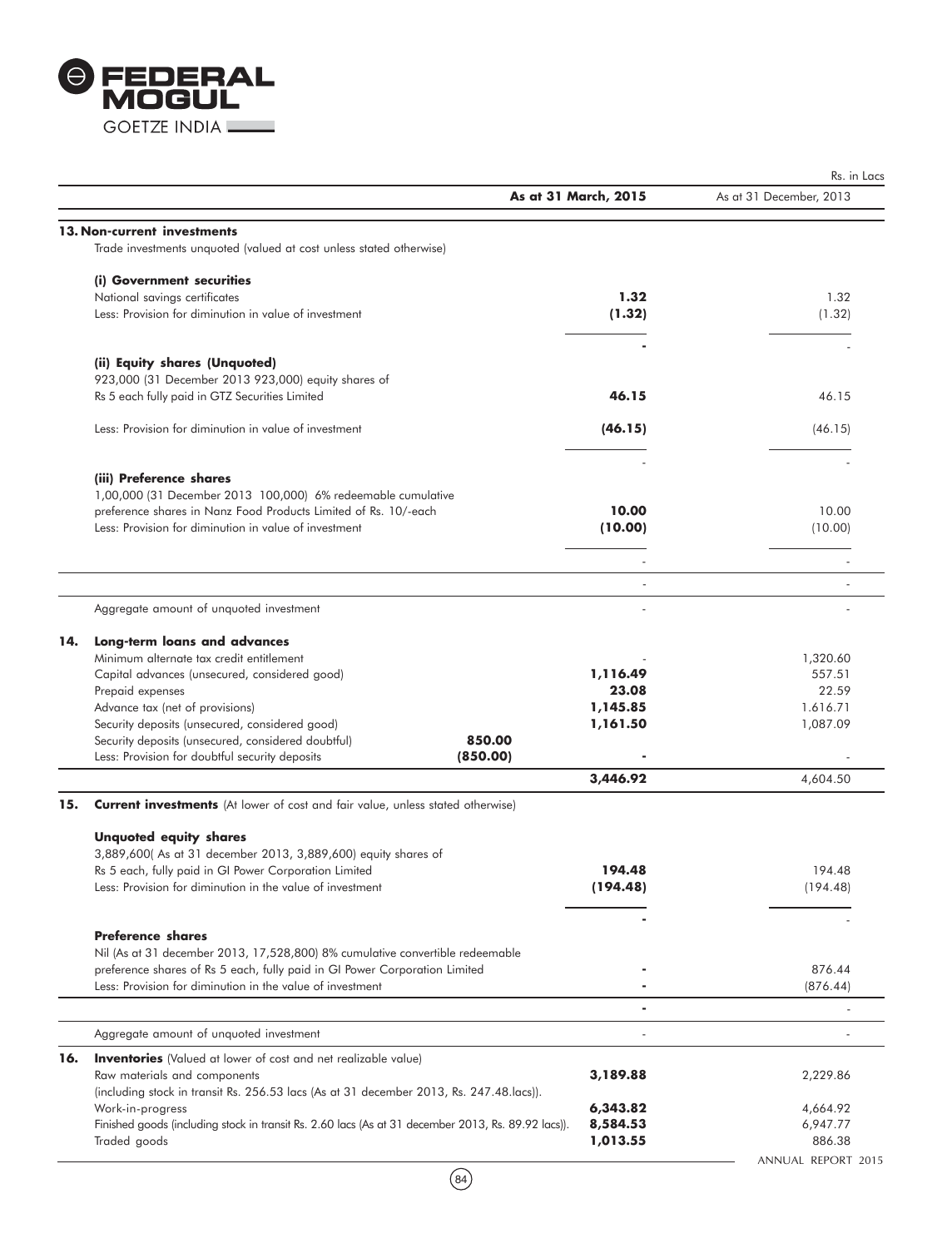

|     |                                                                                                     |                      | Rs. in Lacs             |
|-----|-----------------------------------------------------------------------------------------------------|----------------------|-------------------------|
|     |                                                                                                     | As at 31 March, 2015 | As at 31 December, 2013 |
|     | 13. Non-current investments                                                                         |                      |                         |
|     | Trade investments unquoted (valued at cost unless stated otherwise)                                 |                      |                         |
|     | (i) Government securities                                                                           |                      |                         |
|     | National savings certificates                                                                       | 1.32                 | 1.32                    |
|     | Less: Provision for diminution in value of investment                                               | (1.32)               | (1.32)                  |
|     |                                                                                                     |                      |                         |
|     | (ii) Equity shares (Unquoted)                                                                       |                      |                         |
|     | 923,000 (31 December 2013 923,000) equity shares of                                                 |                      |                         |
|     | Rs 5 each fully paid in GTZ Securities Limited                                                      | 46.15                | 46.15                   |
|     |                                                                                                     |                      |                         |
|     | Less: Provision for diminution in value of investment                                               | (46.15)              | (46.15)                 |
|     |                                                                                                     |                      |                         |
|     | (iii) Preference shares                                                                             |                      |                         |
|     | 1,00,000 (31 December 2013 100,000) 6% redeemable cumulative                                        |                      |                         |
|     | preference shares in Nanz Food Products Limited of Rs. 10/-each                                     | 10.00                | 10.00                   |
|     | Less: Provision for diminution in value of investment                                               | (10.00)              | (10.00)                 |
|     |                                                                                                     |                      |                         |
|     |                                                                                                     |                      |                         |
|     |                                                                                                     |                      |                         |
|     | Aggregate amount of unquoted investment                                                             |                      |                         |
| 14. | Long-term loans and advances                                                                        |                      |                         |
|     | Minimum alternate tax credit entitlement                                                            |                      | 1,320.60                |
|     | Capital advances (unsecured, considered good)                                                       | 1,116.49             | 557.51                  |
|     | Prepaid expenses                                                                                    | 23.08                | 22.59                   |
|     | Advance tax (net of provisions)                                                                     | 1,145.85             | 1.616.71                |
|     | Security deposits (unsecured, considered good)                                                      | 1,161.50             | 1,087.09                |
|     | Security deposits (unsecured, considered doubtful)<br>850.00                                        |                      |                         |
|     | (850.00)<br>Less: Provision for doubtful security deposits                                          |                      |                         |
|     |                                                                                                     | 3,446.92             | 4,604.50                |
| 15. | <b>Current investments</b> (At lower of cost and fair value, unless stated otherwise)               |                      |                         |
|     | Unquoted equity shares                                                                              |                      |                         |
|     | 3,889,600(As at 31 december 2013, 3,889,600) equity shares of                                       |                      |                         |
|     | Rs 5 each, fully paid in GI Power Corporation Limited                                               | 194.48               | 194.48                  |
|     | Less: Provision for diminution in the value of investment                                           | (194.48)             | (194.48)                |
|     |                                                                                                     |                      |                         |
|     | <b>Preference shares</b>                                                                            |                      |                         |
|     | Nil (As at 31 december 2013, 17,528,800) 8% cumulative convertible redeemable                       |                      |                         |
|     | preference shares of Rs 5 each, fully paid in GI Power Corporation Limited                          |                      | 876.44                  |
|     | Less: Provision for diminution in the value of investment                                           |                      | (876.44)                |
|     |                                                                                                     |                      |                         |
|     | Aggregate amount of unquoted investment                                                             |                      |                         |
| 16. | <b>Inventories</b> (Valued at lower of cost and net realizable value)                               |                      |                         |
|     | Raw materials and components                                                                        | 3,189.88             | 2,229.86                |
|     | (including stock in transit Rs. 256.53 lacs (As at 31 december 2013, Rs. 247.48.lacs)).             |                      |                         |
|     | Work-in-progress                                                                                    | 6,343.82             | 4,664.92                |
|     | Finished goods (including stock in transit Rs. 2.60 lacs (As at 31 december 2013, Rs. 89.92 lacs)). | 8,584.53             | 6,947.77                |
|     | Traded goods                                                                                        | 1,013.55             | 886.38                  |
|     |                                                                                                     |                      | ANNUAL REPORT 2015      |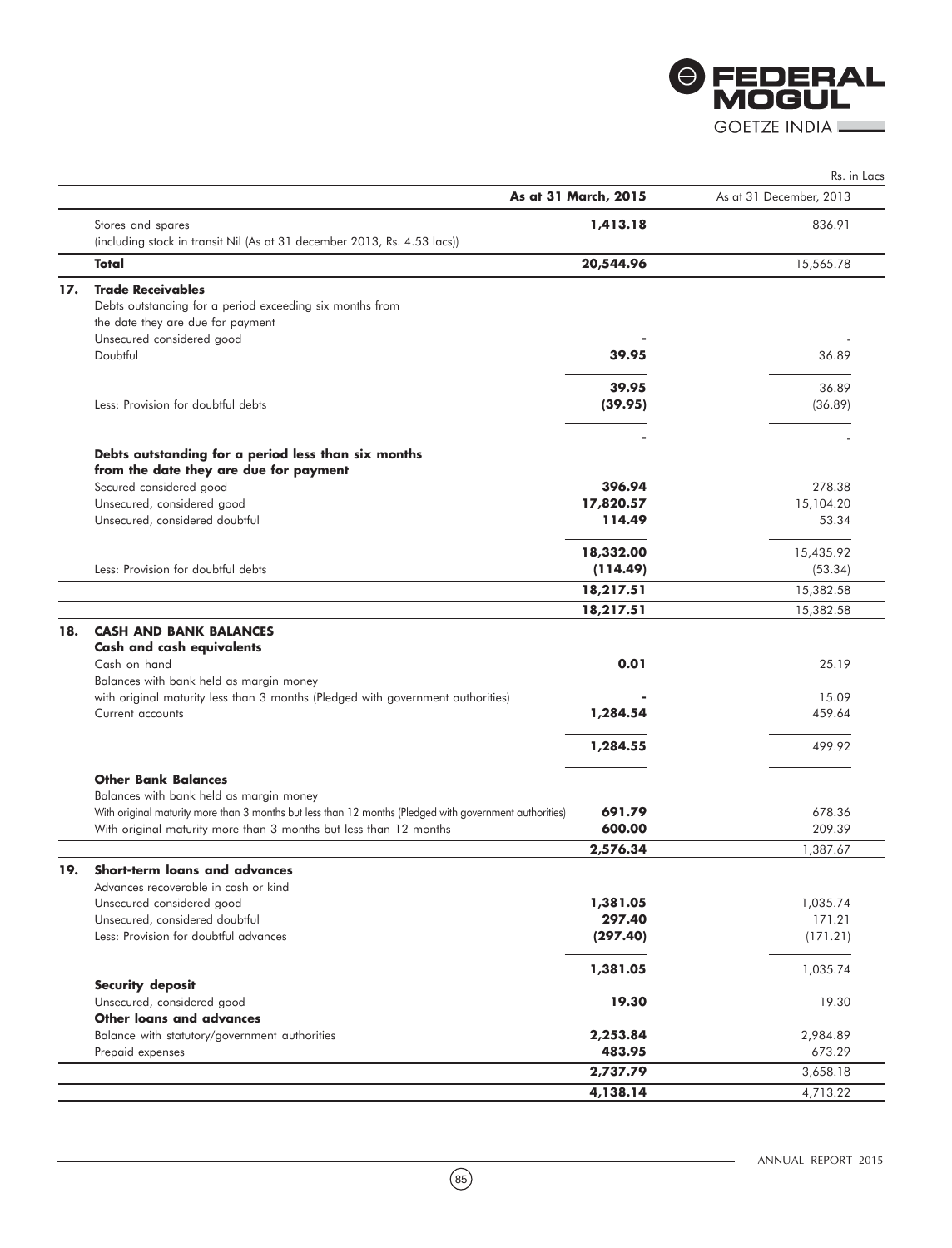**@FEDERAL GOETZE INDIA** 

|     |                                                                                                                                                                                                                                     |                       | Rs. in Lacs              |
|-----|-------------------------------------------------------------------------------------------------------------------------------------------------------------------------------------------------------------------------------------|-----------------------|--------------------------|
|     |                                                                                                                                                                                                                                     | As at 31 March, 2015  | As at 31 December, 2013  |
|     | Stores and spares<br>(including stock in transit Nil (As at 31 december 2013, Rs. 4.53 lacs))                                                                                                                                       | 1,413.18              | 836.91                   |
|     | Total                                                                                                                                                                                                                               | 20,544.96             | 15,565.78                |
| 17. | <b>Trade Receivables</b><br>Debts outstanding for a period exceeding six months from<br>the date they are due for payment<br>Unsecured considered good                                                                              |                       |                          |
|     | Doubtful                                                                                                                                                                                                                            | 39.95                 | 36.89                    |
|     |                                                                                                                                                                                                                                     | 39.95                 | 36.89                    |
|     | Less: Provision for doubtful debts                                                                                                                                                                                                  | (39.95)               | (36.89)                  |
|     | Debts outstanding for a period less than six months<br>from the date they are due for payment                                                                                                                                       |                       |                          |
|     | Secured considered good                                                                                                                                                                                                             | 396.94                | 278.38                   |
|     | Unsecured, considered good<br>Unsecured, considered doubtful                                                                                                                                                                        | 17,820.57<br>114.49   | 15,104.20<br>53.34       |
|     | Less: Provision for doubtful debts                                                                                                                                                                                                  | 18,332.00<br>(114.49) | 15,435.92<br>(53.34)     |
|     |                                                                                                                                                                                                                                     | 18,217.51             | 15,382.58                |
|     |                                                                                                                                                                                                                                     | 18,217.51             | 15,382.58                |
| 18. | <b>CASH AND BANK BALANCES</b><br><b>Cash and cash equivalents</b><br>Cash on hand<br>Balances with bank held as margin money<br>with original maturity less than 3 months (Pledged with government authorities)<br>Current accounts | 0.01<br>1,284.54      | 25.19<br>15.09<br>459.64 |
|     |                                                                                                                                                                                                                                     | 1,284.55              | 499.92                   |
|     | <b>Other Bank Balances</b><br>Balances with bank held as margin money<br>With original maturity more than 3 months but less than 12 months (Pledged with government authorities)                                                    | 691.79                | 678.36                   |
|     | With original maturity more than 3 months but less than 12 months                                                                                                                                                                   | 600.00                | 209.39                   |
|     |                                                                                                                                                                                                                                     | 2,576.34              | 1,387.67                 |
| 19. | Short-term loans and advances<br>Advances recoverable in cash or kind                                                                                                                                                               |                       |                          |
|     | Unsecured considered good<br>Unsecured, considered doubtful                                                                                                                                                                         | 1,381.05<br>297.40    | 1,035.74<br>171.21       |
|     | Less: Provision for doubtful advances                                                                                                                                                                                               | (297.40)              | (171.21)                 |
|     | Security deposit                                                                                                                                                                                                                    | 1,381.05              | 1,035.74                 |
|     | Unsecured, considered good<br>Other loans and advances                                                                                                                                                                              | 19.30                 | 19.30                    |
|     | Balance with statutory/government authorities                                                                                                                                                                                       | 2,253.84              | 2,984.89                 |
|     | Prepaid expenses                                                                                                                                                                                                                    | 483.95                | 673.29                   |
|     |                                                                                                                                                                                                                                     | 2,737.79              | 3,658.18                 |
|     |                                                                                                                                                                                                                                     | 4,138.14              | 4,713.22                 |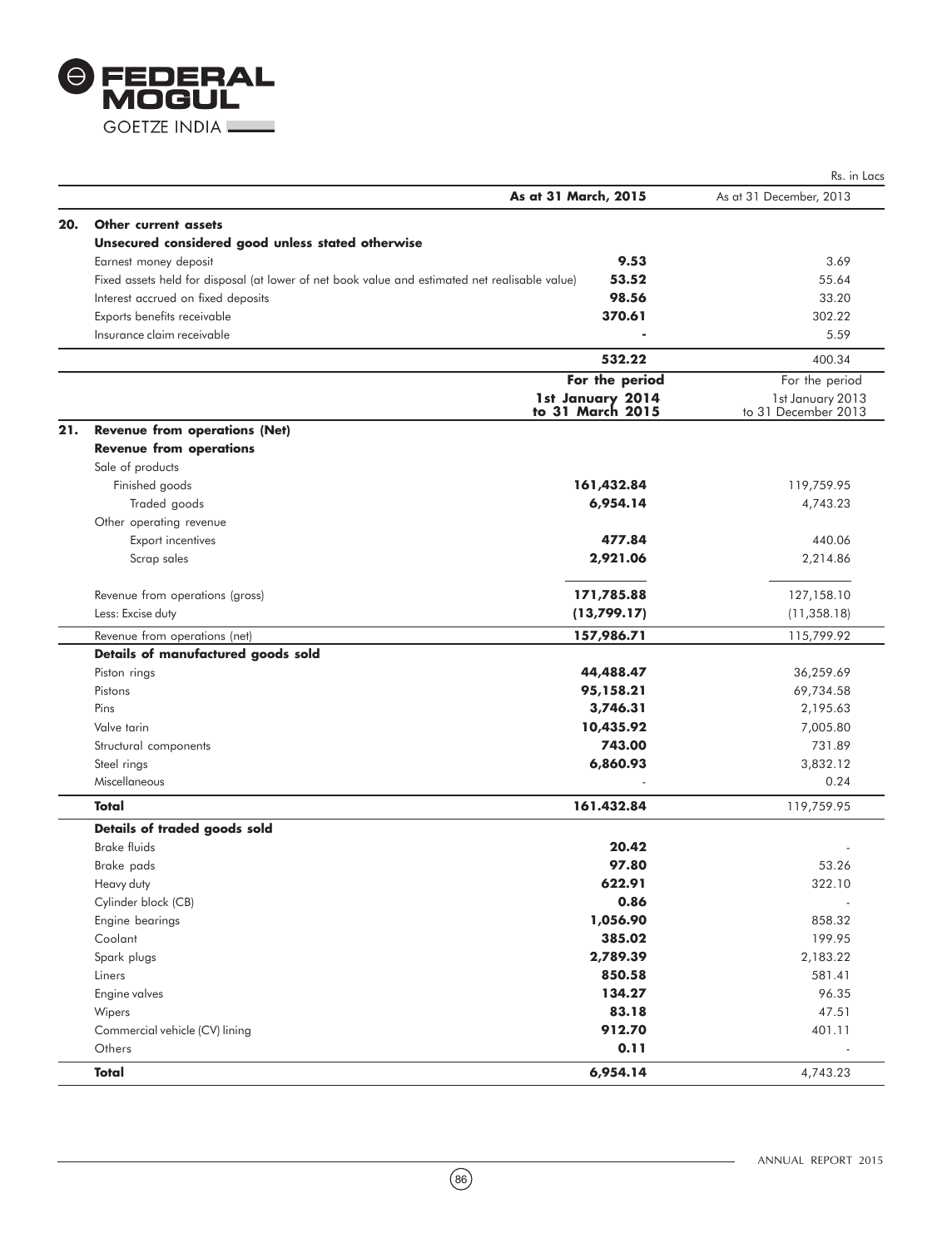

|     |                                                                                                |                                      | Rs. in Lacs                             |
|-----|------------------------------------------------------------------------------------------------|--------------------------------------|-----------------------------------------|
|     |                                                                                                | As at 31 March, 2015                 | As at 31 December, 2013                 |
| 20. | Other current assets                                                                           |                                      |                                         |
|     | Unsecured considered good unless stated otherwise                                              |                                      |                                         |
|     | Earnest money deposit                                                                          | 9.53                                 | 3.69                                    |
|     | Fixed assets held for disposal (at lower of net book value and estimated net realisable value) | 53.52                                | 55.64                                   |
|     | Interest accrued on fixed deposits                                                             | 98.56                                | 33.20                                   |
|     | Exports benefits receivable                                                                    | 370.61                               | 302.22                                  |
|     | Insurance claim receivable                                                                     |                                      | 5.59                                    |
|     |                                                                                                | 532.22                               | 400.34                                  |
|     |                                                                                                | For the period                       | For the period                          |
|     |                                                                                                | 1st January 2014<br>to 31 March 2015 | 1st January 2013<br>to 31 December 2013 |
| 21. | Revenue from operations (Net)                                                                  |                                      |                                         |
|     | <b>Revenue from operations</b>                                                                 |                                      |                                         |
|     | Sale of products                                                                               |                                      |                                         |
|     | Finished goods                                                                                 | 161,432.84                           | 119,759.95                              |
|     | Traded goods                                                                                   | 6,954.14                             | 4,743.23                                |
|     | Other operating revenue                                                                        |                                      |                                         |
|     | Export incentives                                                                              | 477.84                               | 440.06                                  |
|     | Scrap sales                                                                                    | 2,921.06                             | 2,214.86                                |
|     | Revenue from operations (gross)                                                                | 171,785.88                           | 127,158.10                              |
|     | Less: Excise duty                                                                              | (13,799.17)                          | (11, 358.18)                            |
|     | Revenue from operations (net)                                                                  | 157,986.71                           | 115,799.92                              |
|     | Details of manufactured goods sold                                                             |                                      |                                         |
|     | Piston rings                                                                                   | 44,488.47                            | 36,259.69                               |
|     | Pistons                                                                                        | 95,158.21                            | 69,734.58                               |
|     | Pins                                                                                           | 3,746.31                             | 2,195.63                                |
|     | Valve tarin                                                                                    | 10,435.92                            | 7,005.80                                |
|     | Structural components                                                                          | 743.00                               | 731.89                                  |
|     | Steel rings                                                                                    | 6,860.93                             | 3,832.12                                |
|     | Miscellaneous                                                                                  |                                      | 0.24                                    |
|     | Total                                                                                          | 161.432.84                           | 119,759.95                              |
|     | Details of traded goods sold                                                                   |                                      |                                         |
|     | <b>Brake fluids</b>                                                                            | 20.42                                |                                         |
|     | Brake pads                                                                                     | 97.80                                | 53.26                                   |
|     | Heavy duty                                                                                     | 622.91                               | 322.10                                  |
|     | Cylinder block (CB)                                                                            | 0.86                                 |                                         |
|     | Engine bearings                                                                                | 1,056.90                             | 858.32                                  |
|     | Coolant                                                                                        | 385.02                               | 199.95                                  |
|     | Spark plugs                                                                                    | 2,789.39                             | 2,183.22                                |
|     | Liners                                                                                         | 850.58                               | 581.41                                  |
|     | Engine valves                                                                                  | 134.27                               | 96.35                                   |
|     | Wipers                                                                                         | 83.18                                | 47.51                                   |
|     | Commercial vehicle (CV) lining                                                                 | 912.70                               | 401.11                                  |
|     | Others                                                                                         | 0.11                                 |                                         |
|     | Total                                                                                          | 6,954.14                             | 4,743.23                                |
|     |                                                                                                |                                      |                                         |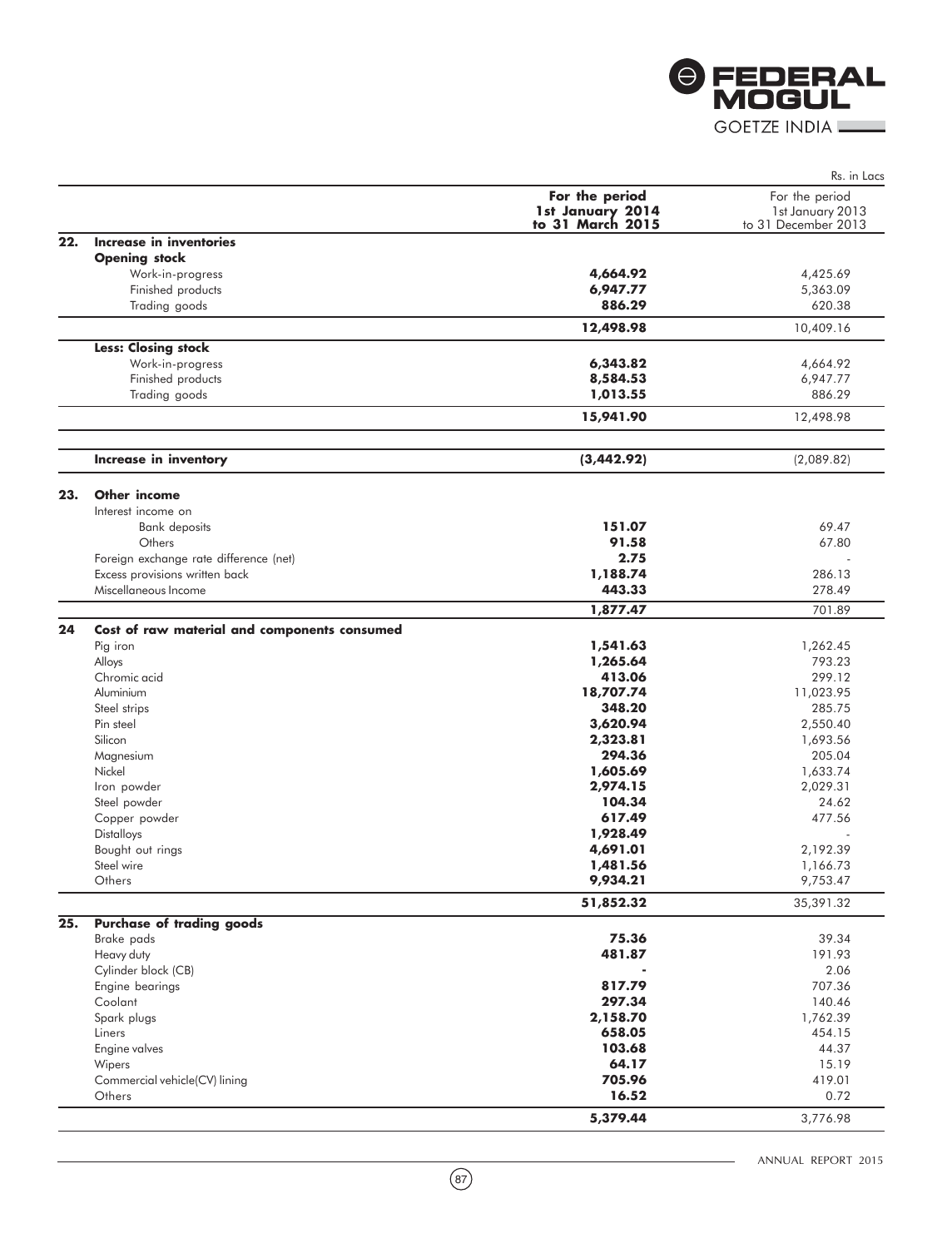

|     |                                              |                                                        | Rs. in Lacs                                               |  |
|-----|----------------------------------------------|--------------------------------------------------------|-----------------------------------------------------------|--|
|     |                                              | For the period<br>1st January 2014<br>to 31 March 2015 | For the period<br>1st January 2013<br>to 31 December 2013 |  |
| 22. | Increase in inventories                      |                                                        |                                                           |  |
|     | <b>Opening stock</b>                         |                                                        |                                                           |  |
|     | Work-in-progress                             | 4,664.92                                               | 4,425.69                                                  |  |
|     | Finished products                            | 6,947.77                                               | 5,363.09                                                  |  |
|     | Trading goods                                | 886.29                                                 | 620.38                                                    |  |
|     |                                              | 12,498.98                                              | 10,409.16                                                 |  |
|     | <b>Less: Closing stock</b>                   |                                                        |                                                           |  |
|     | Work-in-progress                             | 6,343.82                                               | 4,664.92                                                  |  |
|     | Finished products                            | 8,584.53                                               | 6,947.77                                                  |  |
|     | Trading goods                                | 1,013.55                                               | 886.29                                                    |  |
|     |                                              | 15,941.90                                              | 12,498.98                                                 |  |
|     | Increase in inventory                        | (3,442.92)                                             | (2,089.82)                                                |  |
| 23. | Other income                                 |                                                        |                                                           |  |
|     | Interest income on                           |                                                        |                                                           |  |
|     | <b>Bank deposits</b>                         | 151.07                                                 | 69.47                                                     |  |
|     | Others                                       | 91.58                                                  | 67.80                                                     |  |
|     | Foreign exchange rate difference (net)       | 2.75                                                   |                                                           |  |
|     | Excess provisions written back               | 1,188.74                                               | 286.13                                                    |  |
|     | Miscellaneous Income                         | 443.33                                                 | 278.49                                                    |  |
|     |                                              | 1,877.47                                               | 701.89                                                    |  |
| 24  | Cost of raw material and components consumed |                                                        |                                                           |  |
|     | Pig iron                                     | 1,541.63                                               | 1,262.45                                                  |  |
|     | Alloys                                       | 1,265.64                                               | 793.23                                                    |  |
|     | Chromic acid                                 | 413.06                                                 | 299.12                                                    |  |
|     | Aluminium                                    | 18,707.74                                              | 11,023.95                                                 |  |
|     | Steel strips                                 | 348.20                                                 | 285.75                                                    |  |
|     | Pin steel                                    | 3,620.94                                               | 2,550.40                                                  |  |
|     | Silicon                                      | 2,323.81                                               | 1,693.56                                                  |  |
|     | Magnesium                                    | 294.36                                                 | 205.04                                                    |  |
|     | Nickel                                       | 1,605.69                                               | 1,633.74                                                  |  |
|     | Iron powder                                  | 2,974.15                                               | 2,029.31                                                  |  |
|     | Steel powder                                 | 104.34                                                 | 24.62                                                     |  |
|     | Copper powder                                | 617.49                                                 | 477.56                                                    |  |
|     |                                              | 1,928.49                                               |                                                           |  |
|     | <b>Distalloys</b><br>Bought out rings        | 4,691.01                                               | 2,192.39                                                  |  |
|     | Steel wire                                   | 1,481.56                                               |                                                           |  |
|     | Others                                       | 9,934.21                                               | 1,166.73<br>9,753.47                                      |  |
|     |                                              | 51,852.32                                              | 35,391.32                                                 |  |
| 25. | Purchase of trading goods                    |                                                        |                                                           |  |
|     | Brake pads                                   | 75.36                                                  | 39.34                                                     |  |
|     | Heavy duty                                   | 481.87                                                 | 191.93                                                    |  |
|     | Cylinder block (CB)                          |                                                        | 2.06                                                      |  |
|     | Engine bearings                              | 817.79                                                 | 707.36                                                    |  |
|     | Coolant                                      | 297.34                                                 | 140.46                                                    |  |
|     | Spark plugs                                  | 2,158.70                                               | 1,762.39                                                  |  |
|     | Liners                                       | 658.05                                                 | 454.15                                                    |  |
|     |                                              | 103.68                                                 | 44.37                                                     |  |
|     | Engine valves                                |                                                        |                                                           |  |
|     | Wipers                                       | 64.17                                                  | 15.19                                                     |  |
|     | Commercial vehicle(CV) lining                | 705.96                                                 | 419.01                                                    |  |
|     | Others                                       | 16.52                                                  | 0.72                                                      |  |
|     |                                              | 5,379.44                                               | 3,776.98                                                  |  |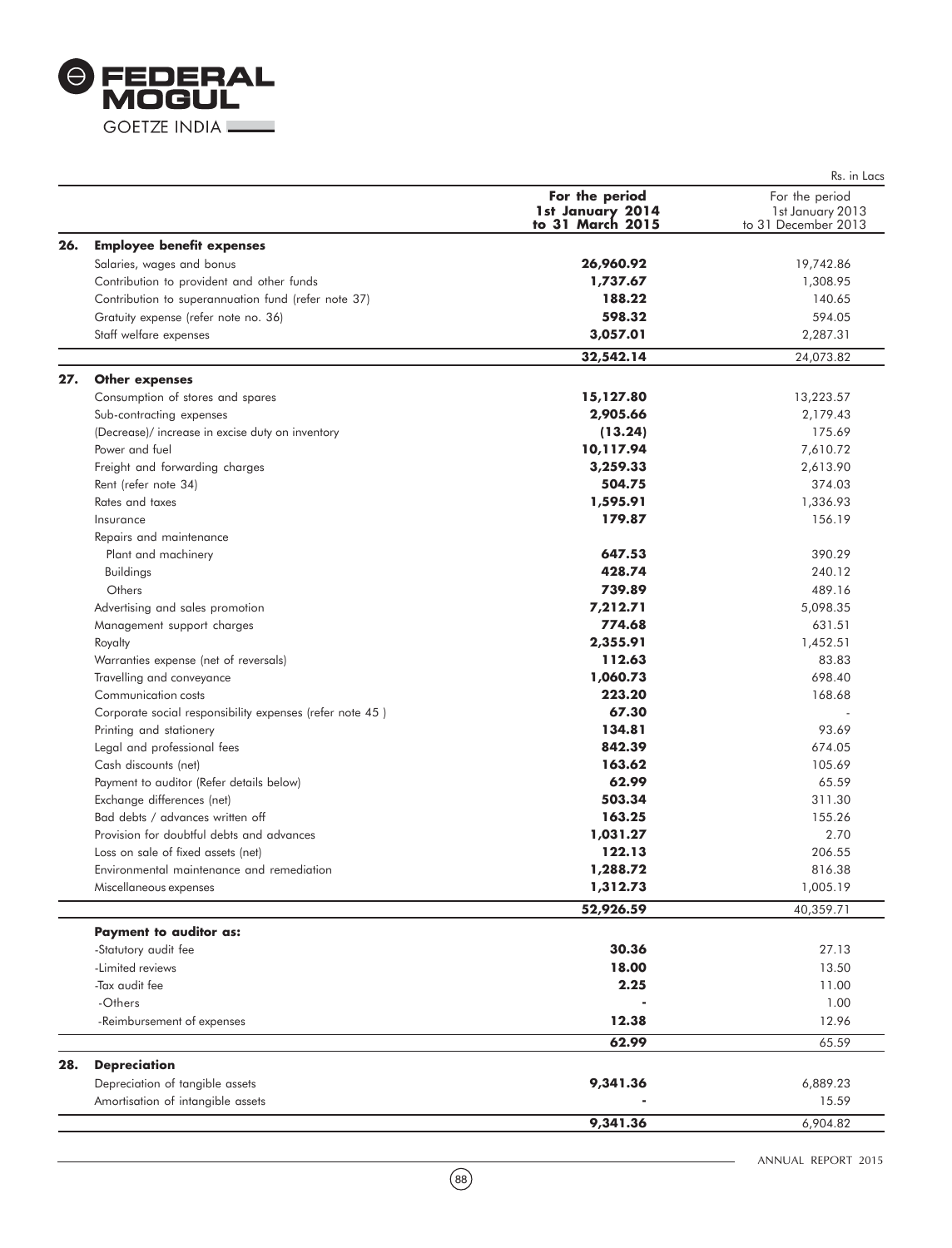

|     |                                                          |                                                        | Rs. in Lacs                                               |  |
|-----|----------------------------------------------------------|--------------------------------------------------------|-----------------------------------------------------------|--|
|     |                                                          | For the period<br>1st January 2014<br>to 31 March 2015 | For the period<br>1st January 2013<br>to 31 December 2013 |  |
| 26. | <b>Employee benefit expenses</b>                         |                                                        |                                                           |  |
|     | Salaries, wages and bonus                                | 26,960.92                                              | 19,742.86                                                 |  |
|     | Contribution to provident and other funds                | 1,737.67                                               | 1,308.95                                                  |  |
|     | Contribution to superannuation fund (refer note 37)      | 188.22                                                 | 140.65                                                    |  |
|     | Gratuity expense (refer note no. 36)                     | 598.32                                                 | 594.05                                                    |  |
|     | Staff welfare expenses                                   | 3,057.01                                               | 2,287.31                                                  |  |
|     |                                                          | 32,542.14                                              | 24,073.82                                                 |  |
| 27. | Other expenses                                           |                                                        |                                                           |  |
|     | Consumption of stores and spares                         | 15,127.80                                              | 13,223.57                                                 |  |
|     | Sub-contracting expenses                                 | 2,905.66                                               | 2,179.43                                                  |  |
|     | (Decrease)/ increase in excise duty on inventory         | (13.24)                                                | 175.69                                                    |  |
|     | Power and fuel                                           | 10,117.94                                              | 7,610.72                                                  |  |
|     | Freight and forwarding charges                           | 3,259.33                                               | 2,613.90                                                  |  |
|     | Rent (refer note 34)                                     | 504.75                                                 | 374.03                                                    |  |
|     | Rates and taxes                                          | 1,595.91                                               | 1,336.93                                                  |  |
|     | Insurance                                                | 179.87                                                 | 156.19                                                    |  |
|     | Repairs and maintenance                                  |                                                        |                                                           |  |
|     | Plant and machinery                                      | 647.53                                                 | 390.29                                                    |  |
|     | Buildings                                                | 428.74                                                 | 240.12                                                    |  |
|     | Others                                                   | 739.89                                                 | 489.16                                                    |  |
|     | Advertising and sales promotion                          | 7,212.71                                               | 5,098.35                                                  |  |
|     | Management support charges                               | 774.68                                                 | 631.51                                                    |  |
|     | Royalty                                                  | 2,355.91                                               | 1,452.51                                                  |  |
|     | Warranties expense (net of reversals)                    | 112.63                                                 | 83.83                                                     |  |
|     | Travelling and conveyance                                | 1,060.73                                               | 698.40                                                    |  |
|     | Communication costs                                      | 223.20                                                 | 168.68                                                    |  |
|     | Corporate social responsibility expenses (refer note 45) | 67.30                                                  |                                                           |  |
|     | Printing and stationery                                  | 134.81                                                 | 93.69                                                     |  |
|     | Legal and professional fees                              | 842.39                                                 | 674.05                                                    |  |
|     | Cash discounts (net)                                     | 163.62                                                 | 105.69                                                    |  |
|     | Payment to auditor (Refer details below)                 | 62.99                                                  | 65.59                                                     |  |
|     | Exchange differences (net)                               | 503.34                                                 | 311.30                                                    |  |
|     | Bad debts / advances written off                         | 163.25                                                 | 155.26                                                    |  |
|     | Provision for doubtful debts and advances                | 1,031.27                                               | 2.70                                                      |  |
|     | Loss on sale of fixed assets (net)                       | 122.13                                                 | 206.55                                                    |  |
|     | Environmental maintenance and remediation                | 1,288.72                                               | 816.38                                                    |  |
|     | Miscellaneous expenses                                   | 1,312.73                                               | 1,005.19                                                  |  |
|     |                                                          | 52,926.59                                              | 40,359.71                                                 |  |
|     | Payment to auditor as:                                   |                                                        |                                                           |  |
|     | -Statutory audit fee                                     | 30.36                                                  | 27.13                                                     |  |
|     | -Limited reviews                                         | 18.00                                                  | 13.50                                                     |  |
|     | -Tax audit fee                                           | 2.25                                                   |                                                           |  |
|     |                                                          |                                                        | 11.00                                                     |  |
|     | -Others                                                  |                                                        | 1.00                                                      |  |
|     | -Reimbursement of expenses                               | 12.38                                                  | 12.96                                                     |  |
|     |                                                          | 62.99                                                  | 65.59                                                     |  |
| 28. | <b>Depreciation</b>                                      |                                                        |                                                           |  |
|     | Depreciation of tangible assets                          | 9,341.36                                               | 6,889.23                                                  |  |
|     | Amortisation of intangible assets                        |                                                        | 15.59                                                     |  |
|     |                                                          | 9,341.36                                               | 6,904.82                                                  |  |

 $\overline{\phantom{0}}$ 

# 88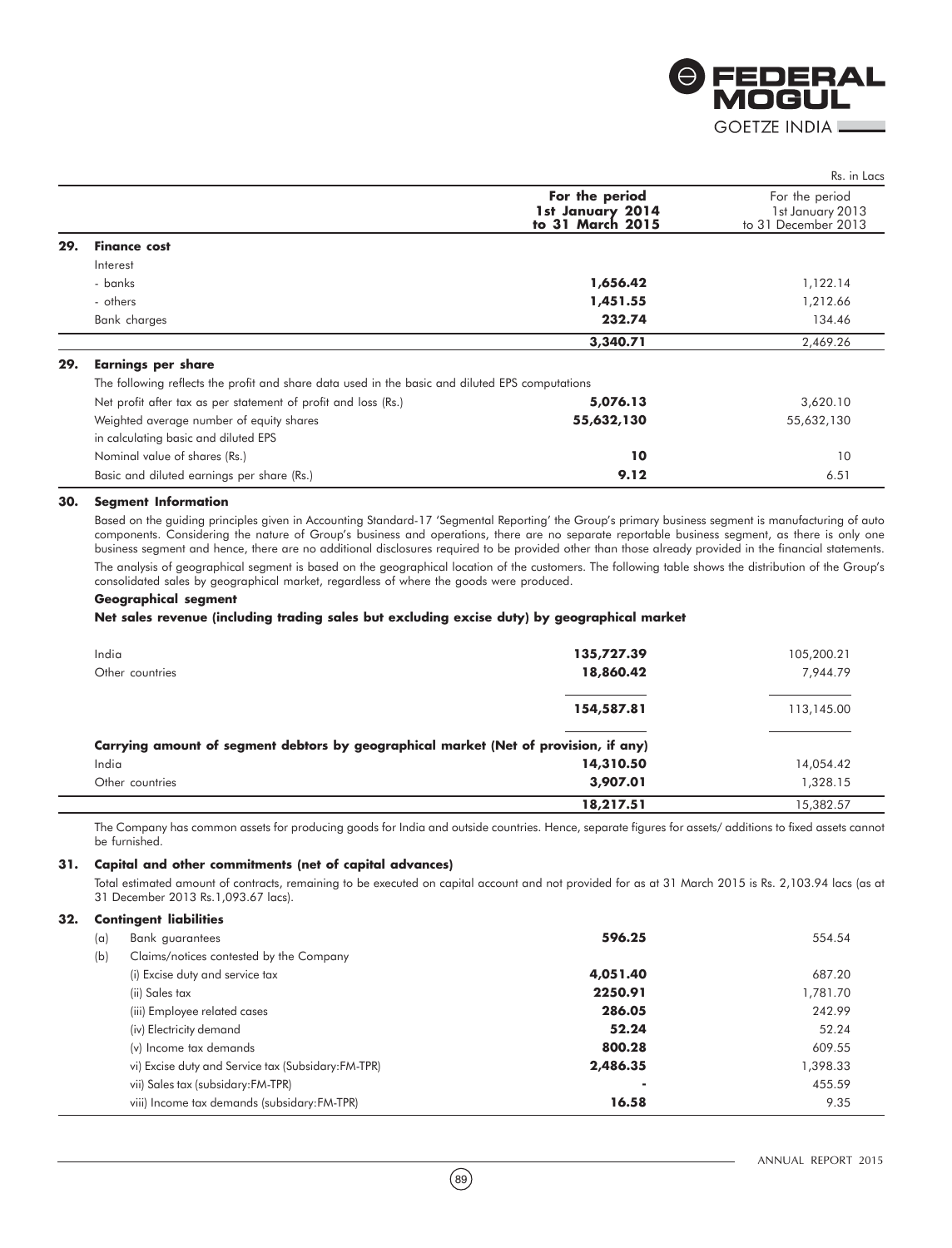

|     |                                                                                                 |                                                        | Rs. in Lacs                                               |
|-----|-------------------------------------------------------------------------------------------------|--------------------------------------------------------|-----------------------------------------------------------|
|     |                                                                                                 | For the period<br>1st January 2014<br>to 31 March 2015 | For the period<br>1st January 2013<br>to 31 December 2013 |
| 29. | <b>Finance cost</b>                                                                             |                                                        |                                                           |
|     | Interest                                                                                        |                                                        |                                                           |
|     | - banks                                                                                         | 1,656.42                                               | 1,122.14                                                  |
|     | - others                                                                                        | 1,451.55                                               | 1,212.66                                                  |
|     | Bank charges                                                                                    | 232.74                                                 | 134.46                                                    |
|     |                                                                                                 | 3,340.71                                               | 2,469.26                                                  |
| 29. | <b>Earnings per share</b>                                                                       |                                                        |                                                           |
|     | The following reflects the profit and share data used in the basic and diluted EPS computations |                                                        |                                                           |
|     | Net profit after tax as per statement of profit and loss (Rs.)                                  | 5,076.13                                               | 3,620.10                                                  |
|     | Weighted average number of equity shares                                                        | 55,632,130                                             | 55,632,130                                                |
|     | in calculating basic and diluted EPS                                                            |                                                        |                                                           |
|     | Nominal value of shares (Rs.)                                                                   | 10                                                     | 10                                                        |
|     | Basic and diluted earnings per share (Rs.)                                                      | 9.12                                                   | 6.51                                                      |

#### **30. Segment Information**

Based on the guiding principles given in Accounting Standard-17 'Segmental Reporting' the Group's primary business segment is manufacturing of auto components. Considering the nature of Group's business and operations, there are no separate reportable business segment, as there is only one business segment and hence, there are no additional disclosures required to be provided other than those already provided in the financial statements. The analysis of geographical segment is based on the geographical location of the customers. The following table shows the distribution of the Group's consolidated sales by geographical market, regardless of where the goods were produced.

#### **Geographical segment**

#### **Net sales revenue (including trading sales but excluding excise duty) by geographical market**

| India<br>Other countries                                                             | 135,727.39<br>18,860.42 | 105,200.21<br>7,944.79 |
|--------------------------------------------------------------------------------------|-------------------------|------------------------|
|                                                                                      | 154,587.81              | 113,145.00             |
| Carrying amount of segment debtors by geographical market (Net of provision, if any) |                         |                        |
| India                                                                                | 14,310.50               | 14,054.42              |
| Other countries                                                                      | 3,907.01                | 1,328.15               |
|                                                                                      | 18,217.51               | 15,382.57              |

The Company has common assets for producing goods for India and outside countries. Hence, separate figures for assets/ additions to fixed assets cannot be furnished.

#### **31. Capital and other commitments (net of capital advances)**

Total estimated amount of contracts, remaining to be executed on capital account and not provided for as at 31 March 2015 is Rs. 2,103.94 lacs (as at 31 December 2013 Rs.1,093.67 lacs).

#### **32. Contingent liabilities**

| (a)<br>Bank guarantees                              | 596.25   | 554.54   |
|-----------------------------------------------------|----------|----------|
| (b)<br>Claims/notices contested by the Company      |          |          |
| (i) Excise duty and service tax                     | 4,051.40 | 687.20   |
| (ii) Sales tax                                      | 2250.91  | 1,781.70 |
| (iii) Employee related cases                        | 286.05   | 242.99   |
| (iv) Electricity demand                             | 52.24    | 52.24    |
| (v) Income tax demands                              | 800.28   | 609.55   |
| vi) Excise duty and Service tax (Subsidary: FM-TPR) | 2,486.35 | 1,398.33 |
| vii) Sales tax (subsidary: FM-TPR)                  | ۰        | 455.59   |
| viii) Income tax demands (subsidary:FM-TPR)         | 16.58    | 9.35     |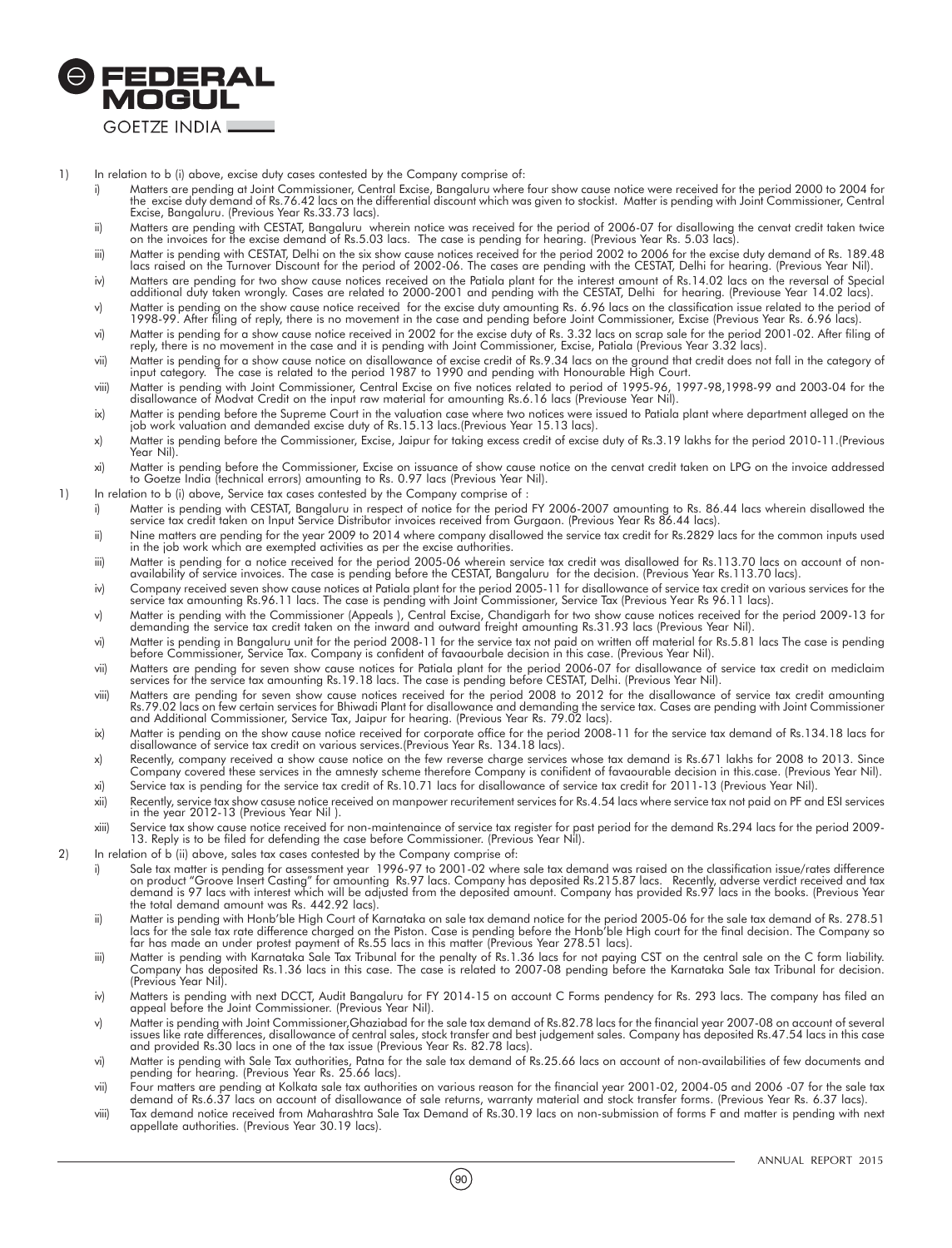

1) In relation to b (i) above, excise duty cases contested by the Company comprise of:

- i) Matters are pending at Joint Commissioner, Central Excise, Bangaluru where four show cause notice were received for the period 2000 to 2004 for the excise duty demand ot Rs.76.42 lacs on the ditterential discount which was given to stockist. Matter is pending with Joint Commissioner, Central<br>Excise, Bangaluru. (Previous Year Rs.33.73 lacs).
- ii) Matters are pending with CESTAT, Bangaluru wherein notice was received tor the period ot 2006-07 tor disallowing the cenvat credit taken twice<br>on the invoices for the excise demand of Rs.5.03 lacs. The case is pending
- iii) Matter is pending with CESTAT, Delhi on the six show cause notices received for the period 2002 to 2006 for the excise duty demand of Rs. 189.48 lacs raised on the Turnover Discount for the period of 2002-06. The cases are pending with the CESTAT, Delhi for hearing. (Previous Year Nil).
- iv) Matters are pending for two show cause notices received on the Patiala plant for the interest amount of Rs.14.02 lacs on the reversal of Special<br>. additional duty taken wrongly. Cases are related to 2000-2001 and pendi v) Matter is pending on the show cause notice received for the excise duty amounting Rs. 6.96 lacs on the classification issue related to the period of
- 1998-99. After filing of reply, there is no movement in the case and pending before Joint Commissioner, Excise (Previous Year Rs. 6.96 lacs).
- vi) Matter is pending for a show cause notice received in 2002 for the excise duty of Rs. 3.32 lacs on scrap sale for the period 2001-02. After filing of reply, there is no movement in the case and it is pending with Joint Commissioner, Excise, Patiala (Previous Year 3.32 lacs).
- vii) Matter is pending tor a show cause notice on disallowance ot excise credit ot Rs.9.34 lacs on the ground that credit does not tall in the category ot<br>input category. The case is related to the period 1987 to 1990 and
- viii) Matter is pending with Joint Commissioner, Central Excise on five notices related to period of 1995-96, 1997-98,1998-99 and 2003-04 for the<br>disallowance of Modvat Credit on the input raw material for amounting Rs.6.1
- ix) Matter is pending before the Supreme Court in the valuation case where two notices were issued to Patiala plant where department alleged on the<br>job work valuation and demanded excise duty of Rs.15.13 lacs.(Previous Yea
- x) Matter is pending before the Commissioner, Excise, Jaipur for taking excess credit of excise duty of Rs.3.19 lakhs for the period 2010-11.(Previous Year Nil).
- xi) Matter is pending betore the Commissioner, Excise on issuance ot show cause notice on the cenvat credit taken on LPG on the invoice addressed<br>to Goetze India (technical errors) amounting to Rs. 0.97 lacs (Previous Year
- 1) In relation to b (i) above, Service tax cases contested by the Company comprise of :
	- i) Matter is pending with CESTAT, Bangaluru in respect of notice for the period FY 2006-2007 amounting to Rs. 86.44 lacs wherein disallowed the<br>service tax credit taken on Input Service Distributor invoices received from G
	- ii) Nine matters are pending for the year 2009 to 2014 where company disallowed the service tax credit for Rs.2829 lacs for the common inputs used in the job work which are exempted activities as per the excise authorities.
	- iii) Matter is pending for a notice received for the period 2005-06 wherein service tax credit was disallowed for Rs.113.70 lacs on account of non-<br>availability of service invoices. The case is pending before the CESTAT, B
	- iv) Company received seven show cause notices at Patiala plant for the period 2005-11 for disallowance of service tax credit on various services for the service tax amounting Rs.96.11 lacs. The case is pending with Joint Commissioner, Service Tax (Previous Year Rs 96.11 lacs).
	- v) Matter is pending with the Commissioner (Appeals ), Central Excise, Chandigarh for two show cause notices received for the period 2009-13 for demanding the service tax credit taken on the inward and outward freight amounting Rs.31.93 lacs (Previous Year Nil).<br>Matter is pending in Bangaluru unit for the period 2008-11 for the service tax not paid on written off m
	- vi) Matter is pending in Bangaluru unit for the period 2008-11 for the service tax not paid on written off material for<br>before Commissioner, Service Tax. Company is confident of favaourbale decision in this case. (Previous
	- vii) Matters are pending for seven show cause notices for Patiala plant for the period 2006-07 for disallowance of service tax credit on mediclaim<br>services for the service tax amounting Rs.19.18 lacs. The case is pending b
	- viii) Matters are pending for seven show cause notices received for the period 2008 to 2012 for the disallowance of service tax credit amounting<br>Rs.79.02 lacs on few certain services for Bhiwadi Plant for disallowance and
	- ix) Matter is pending on the show cause notice received for corporate office for the period 2008-11 for the service tax demand of Rs.134.18 lacs for disallowance of service tax credit on various services.(Previous Year Rs. 134.18 lacs).
	- x) Recently, company received a show cause notice on the few reverse charge services whose tax demand is Rs.671 lakhs for 2008 to 2013. Since Company covered these services in the amnesty scheme therefore Company is conifident of favaourable decision in this.case. (Previous Year Nil).
	- xi) Service tax is pending for the service tax credit of Rs.10.71 lacs for disallowance of service tax credit for 2011-13 (Previous Year Nil).
	- xii) Recently, service tax show casuse notice received on manpower recuritement services for Rs.4.54 lacs where service tax not paid on PF and ESI services in the year 2012-13 (Previous Year Nil ).
	- xiii) Service tax show cause notice received for non-maintenaince of service tax register for past period for the demand Rs.294 lacs for the period 2009-<br>13. Reply is to be filed for defending the case before Commissioner.
- 2) In relation of b (ii) above, sales tax cases contested by the Company comprise of:
	- i) Sale tax matter is pending for assessment year 1996-97 to 2001-02 where sale tax demand was raised on the classification issue/rates difference<br>on product "Groove Insert Casting" for amounting Rs.97 lacs. Company has de the total demand amount was Rs. 442.92 lacs).
	- ii) Matter is pending with Honb'ble High Court of Karnataka on sale tax demand notice for the period 2005-06 for the sale tax demand of Rs. 278.51<br>lacs for the sale tax rate difference charged on the Piston. Case is pendin
	- iii) Matter is pending with Karnataka Sale Tax Tribunal for the penalty of Rs.1.36 lacs for not paying CST on the central sale on the C form liability.<br>Company has deposited Rs.1.36 lacs in this case. The case is related t (Previous Year Nil).
	- iv) Matters is pending with next DCCT, Audit Bangaluru for FY 2014-15 on account C Forms pendency for Rs. 293 lacs. The company has filed an appeal before the Joint Commissioner. (Previous Year Nil).
	- v) Matter is pending with Joint Commissioner,Ghaziabad for the sale tax demand of Rs.82.78 lacs for the financial year 2007-08 on account of several<br>issues like rate differences, disallowance of central sales, stock transf
	- vi) Matter is pending with Sale Tax authorities, Patna for the sale tax demand of Rs.25.66 lacs on account of non-availabilities of few documents and pending for hearing. (Previous Year Rs. 25.66 lacs).
	- vii) Four matters are pending at Kolkata sale tax authorities on various reason for the financial year 2001-02, 2004-05 and 2006 -07 for the sale tax<br>demand of Rs.6.37 lacs on account of disallowance of sale returns, warra
	- viii) Tax demand notice received from Maharashtra Sale Tax Demand of Rs.30.19 lacs on non-submission of forms F and matter is pending with next appellate authorities. (Previous Year 30.19 lacs).

 $(90)$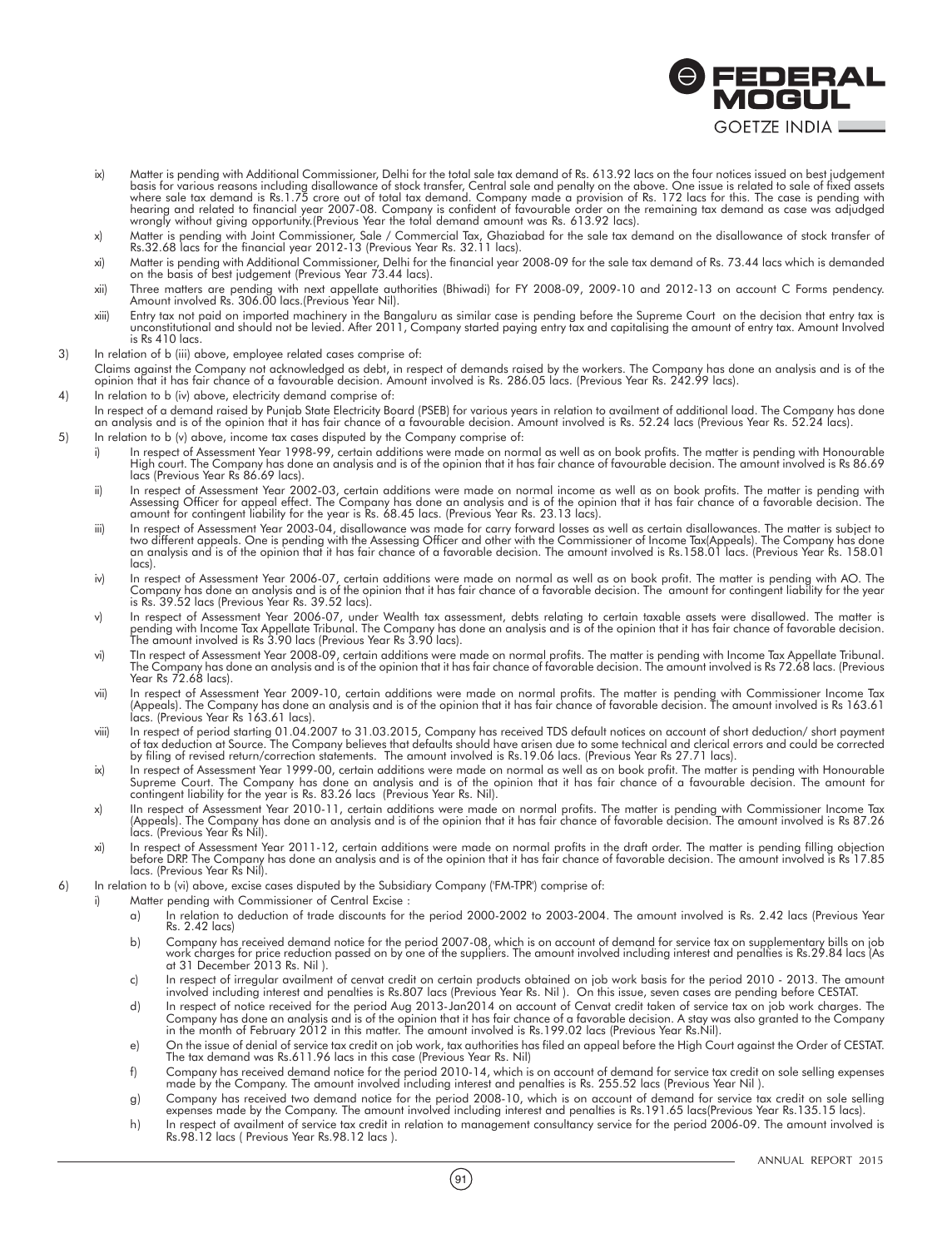- ix) Matter is pending with Additional Commissioner, Delhi for the total sale tax demand of Rs. 613.92 lacs on the four notices issued on best judgement basis for various reasons including disallowance of stock transter, Central sale and penalty on the above. One issue is related to sale of tixed assets<br>where sale tax demand is Rs.1.75 crore out of total tax demand. Compan
- x) Matter is pending with Joint Commissioner, Sale / Commercial Tax, Ghaziabad for the sale tax demand on the disallowance of stock transfer of Rs.32.68 lacs for the financial year 2012-13 (Previous Year Rs. 32.11 lacs).
- xi) Matter is pending with Additional Commissioner, Delhi for the financial year 2008-09 for the sale tax demand of Rs. 73.44 lacs which is demanded on the basis of best judgement (Previous Year 73.44 lacs).
- xii) Three matters are pending with next appellate authorities (Bhiwadi) for FY 2008-09, 2009-10 and 2012-13 on account C Forms pendency. Amount involved Rs. 306.00 lacs.(Previous Year Nil).
- xiii) Entry tax not paid on imported machinery in the Bangaluru as similar case is pending before the Supreme Court on the decision that entry tax is<br>unconstitutional and should not be levied. After 2011, Company started p is Rs 410 lacs.
- 3) In relation of b (iii) above, employee related cases comprise of:
- Claims against the Company not acknowledged as debt, in respect of demands raised by the workers. The Company has done an analysis and is of the opinion that it has fair chance of a favourable decision. Amount involved is Rs. 286.05 lacs. (Previous Year Rs. 242.99 lacs).
- 4) In relation to b (iv) above, electricity demand comprise of:<br>In respect of a demand raised by Punjab State Electricity Board (PSEB) for various years in relation to availment of additional load. The Company has done an analysis and is of the opinion that it has fair chance of a favourable decision. Amount involved is Rs. 52.24 lacs (Previous Year Rs. 52.24 lacs).
- 5) In relation to b (v) above, income tax cases disputed by the Company comprise of:
	- i) In respect of Assessment Year 1998-99, certain additions were made on normal as well as on book profits. The matter is pending with Honourable High court. The Company has done an analysis and is of the opinion that it has fair chance of favourable decision. The amount involved is Rs 86.69 lacs (Previous Year Rs 86.69 lacs).
	- ii) In respect of Assessment Year 2002-03, certain additions were made on normal income as well as on book profits. The matter is pending with<br>Assessing Officer for appeal effect. The Company has done an analysis and is of
	- iii) In respect of Assessment Year 2003-04, disallowance was made for carry forward losses as well as certain disallowances. The matter is subject to two different appeals. One is pending with the Assessing Officer and other with the Commissioner of Income Tax(Appeals). The Company has done an analysis and is of the opinion that it has fair chance of a favorable decision. The amount involved is Rs.158.01 lacs. (Previous Year Rs. 158.01 lacs).
	- iv) In respect of Assessment Year 2006-07, certain additions were made on normal as well as on book profit. The matter is pending with AO. The<br>Company has done an analysis and is of the opinion that it has fair chance of a is Rs. 39.52 lacs (Previous Year Rs. 39.52 lacs).
	- v) In respect of Assessment Year 2006-07, under Wealth tax assessment, debts relating to certain taxable assets were disallowed. The matter is<br>pending with Income Tax Appellate Tribunal. The Company has done an analysis an
	- vi) TIn respect of Assessment Year 2008-09, certain additions were made on normal profits. The matter is pending with Income Tax Appellate Tribunal.<br>The Company has done an analysis and is of the opinion that it has fair c Year Rs 72.68 lacs).
	- vii) In respect of Assessment Year 2009-10, certain additions were made on normal profits. The matter is pending with Commissioner Income Tax (Appeals). The Company has done an analysis and is of the opinion that it has fa lacs. (Previous Year Rs 163.61 lacs).
	- viii) In respect of period starting 01.04.2007 to 31.03.2015, Company has received TDS default notices on account of short deduction/ short payment of tax deduction at Source. The Company believes that defaults should have arisen due to some technical and clerical errors and could be corrected by filing of revised return/correction statements. The amount involved is Rs.19.06 lacs. (Previous Year Rs 27.71 lacs).
	- ix) In respect of Assessment Year 1999-00, certain additions were made on normal as well as on book profit. The matter is pending with Honourable Supreme Court. The Company has done an analysis and is of the opinion that it has fair chance of a favourable decision. The amount for contingent liability for the year is Rs. 83.26 lacs (Previous Year Rs. Nil).
	- x) IIn respect of Assessment Year 2010-11, certain additions were made on normal profits. The matter is pending with Commissioner Income Tax<br>Appeals). The Company has done an analysis and is of the opinion that it has fair lacs. (Previous Year Rs Nil).
	- xi) In respect of Assessment Year 2011-12, certain additions were made on normal profits in the draft order. The matter is pending filling objection before DRP. The Company has done an analysis and is of the opinion that it has fair chance of favorable decision. The amount involved is Rs 17.85 lacs. (Previous Year Rs Nil).
- 6) In relation to b (vi) above, excise cases disputed by the Subsidiary Company ('FM-TPR') comprise of:
	- i) Matter pending with Commissioner of Central Excise :
		- a) In relation to deduction of trade discounts for the period 2000-2002 to 2003-2004. The amount involved is Rs. 2.42 lacs (Previous Year Rs. 2.42 lacs)
		- b) Company has received demand notice for the period 2007-08, which is on account of demand for service tax on supplementary bills on job<br>work charges for price reduction passed on by one of the suppliers. The amount invol
		- c) In respect of irregular availment of cenvat credit on certain products obtained on job work basis for the period 2010 2013. The amount<br>involved including interest and penalties is Rs.807 lacs (Previous Year Rs. Nil ).
		- d) In respect of notice received for the period Aug 2013-Jan2014 on account of Cenvat credit taken of service tax on job work charges. The Company has done an analysis and is of the opinion that it has fair chance of a favorable decision. A stay was also granted to the Company<br>in the month of February 2012 in this matter. The amount involved is Rs.199.02 lacs
		- e) On the issue of denial of service tax credit on job work, tax authorities has filed an appeal before the High Court against the Order of CESTAT. The tax demand was Rs.611.96 lacs in this case (Previous Year Rs. Nil)
		- f) Company has received demand notice for the period 2010-14, which is on account of demand for service tax credit on sole selling expenses made by the Company. The amount involved including interest and penalties is Rs. 255.52 lacs (Previous Year Nil ).
		- g) Company has received two demand notice for the period 2008-10, which is on account of demand for service tax credit on sole selling expenses made by the Company. The amount involved including interest and penalties is Rs.191.65 lacs(Previous Year Rs.135.15 lacs).
		- h) In respect of availment of service tax credit in relation to management consultancy service for the period 2006-09. The amount involved is<br>Rs.98.12 lacs ( Previous Year Rs.98.12 lacs ).

FEDERAL 10GUL **GOETZE INDIA**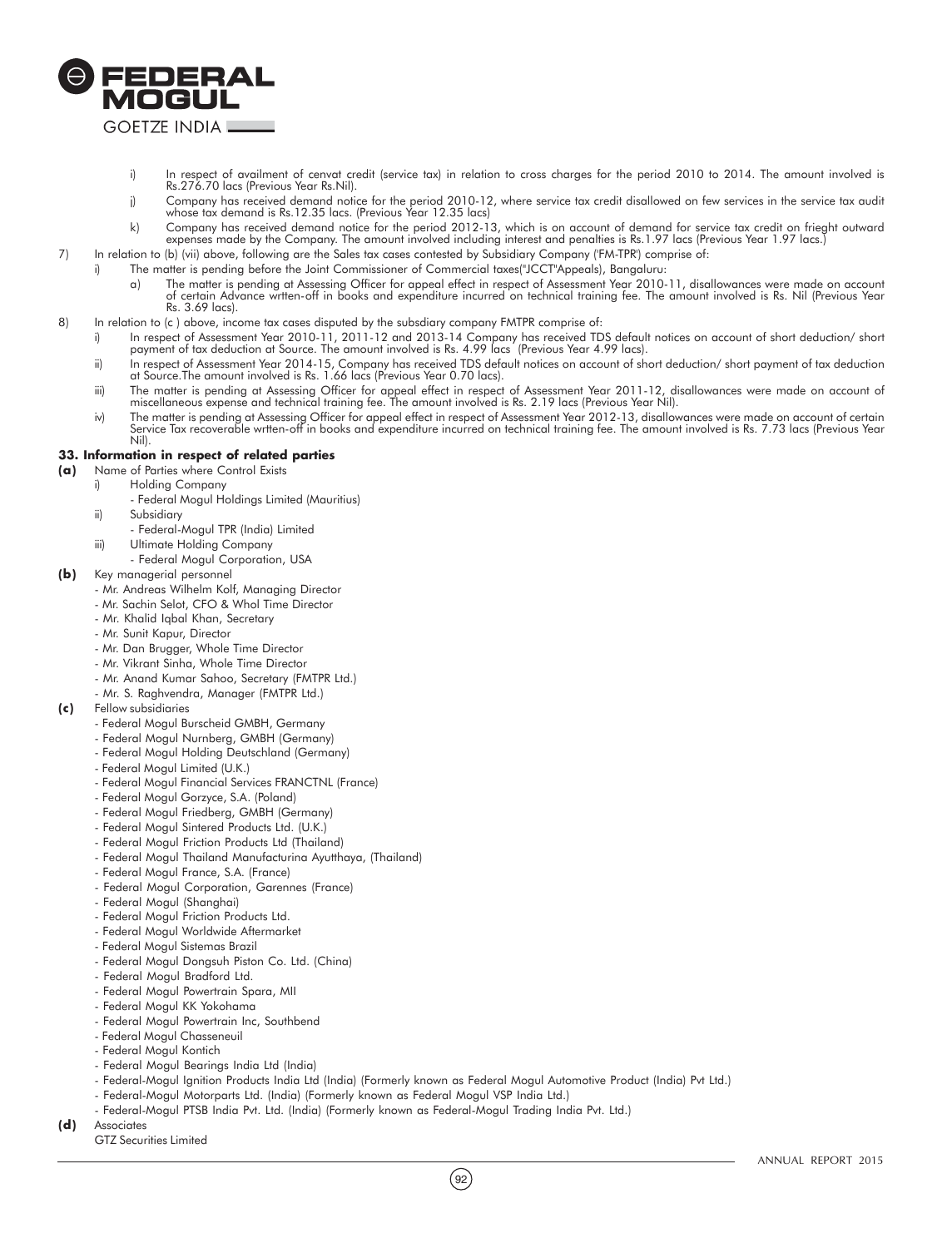

**GOETZE INDIA LAND** 

- i) In respect of availment of cenvat credit (service tax) in relation to cross charges for the period 2010 to 2014. The amount involved is Rs.276.70 lacs (Previous Year Rs.Nil).
- j) Company has received demand notice for the period 2010-12, where service tax credit disallowed on few services in the service tax audit whose tax demand is Rs.12.35 lacs. (Previous Year 12.35 lacs)
- k) Company has received demand notice for the period 2012-13, which is on account of demand for service tax credit on frieght outward expenses made by the Company. The amount involved including interest and penalties is Rs.1.97 lacs (Previous Year 1.97 lacs.)
- 7) In relation to (b) (vii) above, following are the Sales tax cases contested by Subsidiary Company ('FM-TPR') comprise of:
	- i) The matter is pending before the Joint Commissioner of Commercial taxes("JCCT"Appeals), Bangaluru:
		- a) The matter is pending at Assessing Otticer tor appeal ettect in respect ot Assessment Year 2010-11, disallowances were made on account<br>of certain Advance wrtten-off in books and expenditure incurred on technical trainin Rs. 3.69 lacs).
- 8) In relation to (c) above, income tax cases disputed by the subsdiary company FMTPR comprise of:
	- i) In respect of Assessment Year 2010-11, 2011-12 and 2013-14 Company has received TDS default notices on account of short deduction/ short payment of tax deduction at Source. The amount involved is Rs. 4.99 lacs (Previous Year 4.99 lacs).
	- ii) In respect of Assessment Year 2014-15, Company has received TDS default notices on account of short deduction/ short payment of tax deduction at Source.The amount involved is Rs. 1.66 lacs (Previous Year 0.70 lacs).
	- iii) The matter is pending at Assessing Officer for appeal effect in respect of Assessment Year 2011-12, disallowances were made on account of miscellaneous expense and technical training fee. The amount involved is Rs. 2.19 lacs (Previous Year Nil).
	- iv) The matter is pending at Assessing Officer for appeal effect in respect of Assessment Year 2012-13, disallowances were made on account of certain<br>Service Tax recoverable wrtten-off in books and expenditure incurred on Nil).

## **33. Information in respect of related parties**<br>(a) Name of Parties where Control Exists

- **(a)** Name of Parties where Control Exists
- i) Holding Company
	- Federal Mogul Holdings Limited (Mauritius)
	- ii) Subsidiary
		- Federal-Mogul TPR (India) Limited
	- iii) Ultimate Holding Company
		- Federal Mogul Corporation, USA
- **(b)** Key managerial personnel
	- Mr. Andreas Wilhelm Kolf, Managing Director
	- Mr. Sachin Selot, CFO & Whol Time Director
	- Mr. Khalid Iqbal Khan, Secretary
	- Mr. Sunit Kapur, Director
	- Mr. Dan Brugger, Whole Time Director
	- Mr. Vikrant Sinha, Whole Time Director
	- Mr. Anand Kumar Sahoo, Secretary (FMTPR Ltd.)
	- Mr. S. Raghvendra, Manager (FMTPR Ltd.)
- **(c)** Fellow subsidiaries
	- Federal Mogul Burscheid GMBH, Germany
	- Federal Mogul Nurnberg, GMBH (Germany)
	- Federal Mogul Holding Deutschland (Germany)
	- Federal Mogul Limited (U.K.)
	- Federal Mogul Financial Services FRANCTNL (France)
	- Federal Mogul Gorzyce, S.A. (Poland)
	- Federal Mogul Friedberg, GMBH (Germany)
	- Federal Mogul Sintered Products Ltd. (U.K.)
	- Federal Mogul Friction Products Ltd (Thailand)
	- Federal Mogul Thailand Manufacturina Ayutthaya, (Thailand)
	- Federal Mogul France, S.A. (France)
	- Federal Mogul Corporation, Garennes (France)
	- Federal Mogul (Shanghai)
	- Federal Mogul Friction Products Ltd.
	- Federal Mogul Worldwide Aftermarket
	- Federal Mogul Sistemas Brazil
	- Federal Mogul Dongsuh Piston Co. Ltd. (China)
	- Federal Mogul Bradford Ltd.
	- Federal Mogul Powertrain Spara, MII
	- Federal Mogul KK Yokohama
	- Federal Mogul Powertrain Inc, Southbend
	- Federal Mogul Chasseneuil
	- Federal Mogul Kontich
	- Federal Mogul Bearings India Ltd (India)
	- Federal-Mogul Ignition Products India Ltd (India) (Formerly known as Federal Mogul Automotive Product (India) Pvt Ltd.)
	- Federal-Mogul Motorparts Ltd. (India) (Formerly known as Federal Mogul VSP India Ltd.)
	- Federal-Mogul PTSB India Pvt. Ltd. (India) (Formerly known as Federal-Mogul Trading India Pvt. Ltd.)
- **(d)** Associates
	- GTZ Securities Limited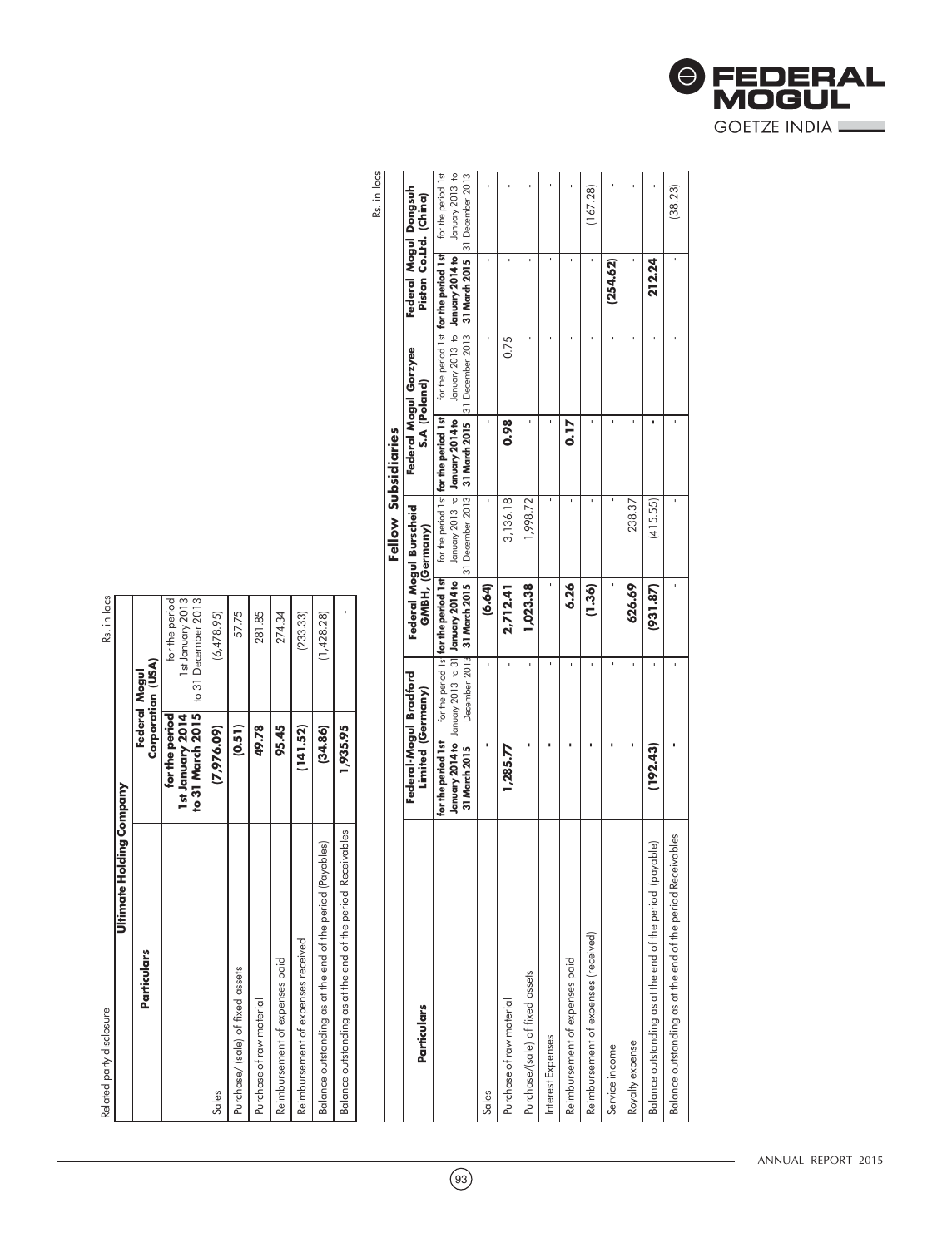

| Balance outstanding as at the end of the period Receivables | 1,935.95                            |                                             |                                                                                               |                                            |                                                                                                                                                         |                                       |                                                                          |                                                                         |
|-------------------------------------------------------------|-------------------------------------|---------------------------------------------|-----------------------------------------------------------------------------------------------|--------------------------------------------|---------------------------------------------------------------------------------------------------------------------------------------------------------|---------------------------------------|--------------------------------------------------------------------------|-------------------------------------------------------------------------|
|                                                             |                                     |                                             |                                                                                               |                                            |                                                                                                                                                         |                                       |                                                                          | Rs. in lacs                                                             |
|                                                             |                                     |                                             |                                                                                               |                                            | Fellow Subsidiaries                                                                                                                                     |                                       |                                                                          |                                                                         |
| Particulars                                                 |                                     | Federal-Mogul Bradford<br>Limited (Germany) |                                                                                               | Federal Mogul Burscheid<br>GMBH, (Germany) |                                                                                                                                                         | Federal Mogul Gorzyee<br>S.A (Poland) | Federal Mogul Dongsuh<br>Piston Co.Ltd. (China)                          |                                                                         |
|                                                             | for the period 1st<br>31 March 2015 |                                             | for the period 1st for the period 1st<br>January 2014 to   January 2013 to 31 January 2014 to |                                            | December 2013 31 March 2015 31 December 2013 31 March 2015 31 December 2013<br>for the period 1st for the period 1st<br>January 2013 to January 2014 to |                                       | for the period 1st for the period 1st<br>January 2013 to January 2014 to | January 2013 to<br>for the period 1st<br>31 March 2015 31 December 2013 |
| Sales                                                       |                                     |                                             | (6.64)                                                                                        |                                            |                                                                                                                                                         |                                       |                                                                          |                                                                         |
| Purchase of raw material                                    | 1,285.77                            |                                             | 2,712.41                                                                                      | 3,136.18                                   | 0.98                                                                                                                                                    | 0.75                                  |                                                                          |                                                                         |
| Purchase/(sale) of fixed assets                             |                                     |                                             | 023.38                                                                                        | 1,998.72                                   |                                                                                                                                                         |                                       |                                                                          |                                                                         |
| Interest Expenses                                           |                                     |                                             |                                                                                               |                                            |                                                                                                                                                         |                                       |                                                                          |                                                                         |
| Reimbursement of expenses paid                              |                                     |                                             | 6.26                                                                                          |                                            | 0.17                                                                                                                                                    |                                       |                                                                          |                                                                         |
| Reimbursement of expenses (received)                        |                                     |                                             | (1.36)                                                                                        |                                            |                                                                                                                                                         |                                       |                                                                          | (167.28)                                                                |
| Service income                                              |                                     |                                             |                                                                                               |                                            |                                                                                                                                                         |                                       | (254.62)                                                                 |                                                                         |
| Royalty expense                                             |                                     |                                             | 626.69                                                                                        | 238.37                                     |                                                                                                                                                         |                                       |                                                                          |                                                                         |
| Balance outstanding as at the end of the period (payable)   | (192.43)                            |                                             | (931.87)                                                                                      | (415.55)                                   |                                                                                                                                                         |                                       | 212.24                                                                   |                                                                         |
| Balance outstanding as at the end of the period Receivables |                                     |                                             |                                                                                               |                                            |                                                                                                                                                         |                                       |                                                                          | (38.23)                                                                 |

 $\circled{93}$ 

Rs. in lacs Rs. in lacs

Related party disclosure Related party disclosure

**Ultimate Holding Company**

**Ultimate Holding Company** 

**Federal Mogul Corporation (USA)**

Federal Mogul<br>Corporation (USA)

**for the period 1st January 2014 to 31 March 2015**

for the period<br>1st January 2014<br>to 31 March 2015

for the period 1st January 2013 to 31 December 2013

for the period<br>1st January 2013<br>1st January 2013<br>1st Poeember 2013

57.75 281.85 274.34  $(233.33)$ 

 $(0.51)$ 49.78  $\frac{95.45}{ }$   $(1,428.28)$ 

 $(34.86)$ 

Balance outstanding as at the end of the period (Payables)

Reimbursement of expenses received

Reimbursement of expenses paid

Purchase/ (sale) of fixed assets Purchase of raw material

Sales

 $(141.52)$ 

 $(6,478.95)$ 

 $(7,976.09)$ 

**Particulars**

Particulars

Sales **(7,976.09)** (6,478.95) Purchase/ (sale) of fixed assets **(0.51)** 57.75 Purchase of raw material **49.78** 281.85 Reimbursement of expenses paid **95.45** 274.34 Reimbursement of expenses received **(141.52)** (233.33) Balance outstanding as at the end of the period (Payables) **(34.86)** (1,428.28)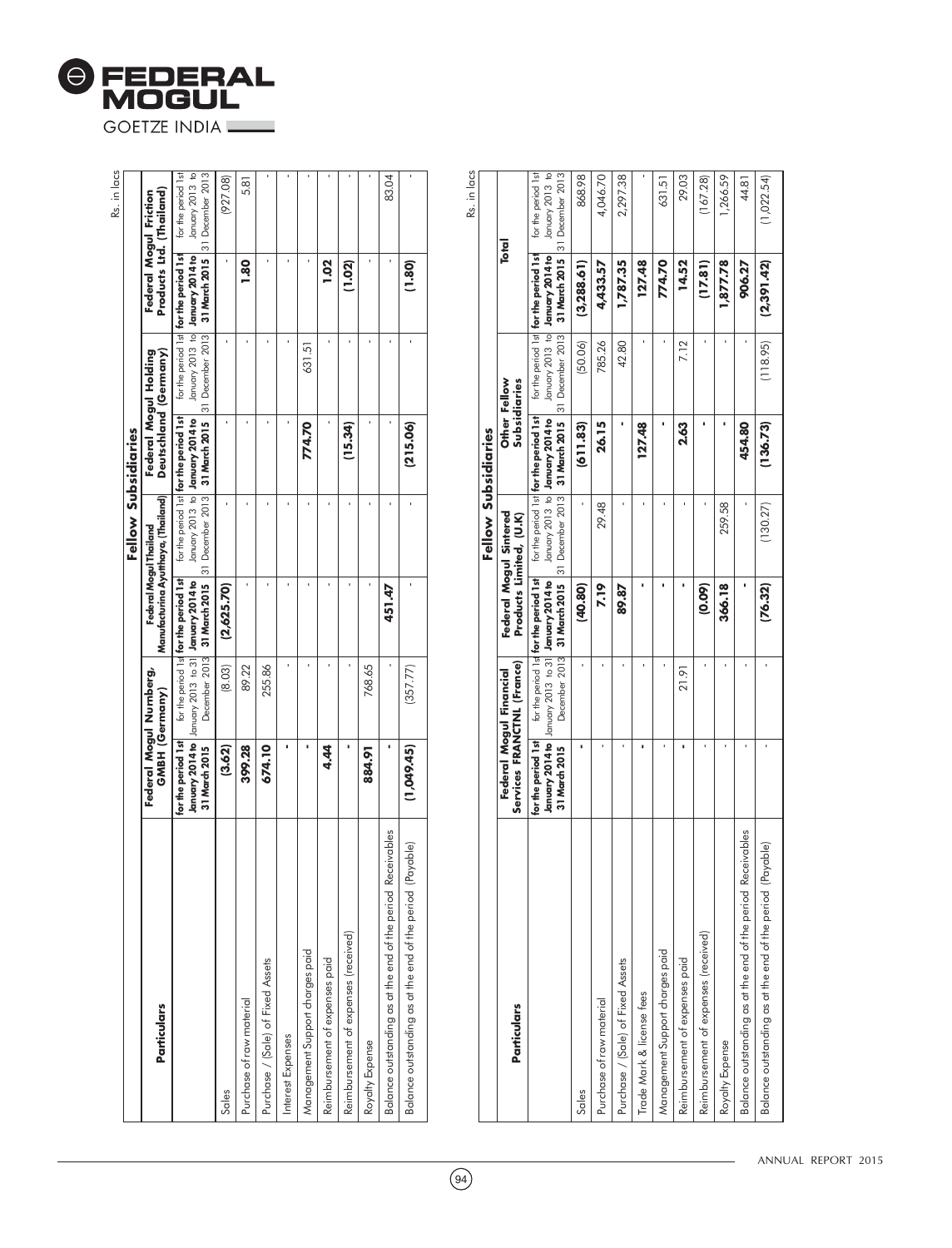|                                                             |                                     |                                           |                                                                                                                                                                                                                      | Fellow Subsidiaries                                           |                                                                          |                       |                                                                          | Rs. in lacs                                        |
|-------------------------------------------------------------|-------------------------------------|-------------------------------------------|----------------------------------------------------------------------------------------------------------------------------------------------------------------------------------------------------------------------|---------------------------------------------------------------|--------------------------------------------------------------------------|-----------------------|--------------------------------------------------------------------------|----------------------------------------------------|
| <b>Particulars</b>                                          |                                     | Federal Mogul Nurnberg,<br>GMBH (Germany) |                                                                                                                                                                                                                      | Manufacturina Ayutthaya, (Thailand)<br>Federal Mogul Thailand | Deutschland (Germany)                                                    | Federal Mogul Holding |                                                                          | Products Ltd. (Thailand)<br>Federal Mogul Friction |
|                                                             | for the period 1st<br>31 March 2015 |                                           | December 2013 31 March 2015  31 December 2013   31 March 2015  31 December 2013   31 March 2015  31 December 2013<br>for the period 1st for the period 1st<br>January 2014 to   January 2013 to 31   January 2014 to |                                                               | for the period 1st for the period 1st<br>January 2013 to January 2014 to |                       | for the period 1st for the period 1st<br>January 2013 to January 2014 to | for the period 1st<br>January 2013 to              |
| Sales                                                       | (3.62)                              | (8.03)                                    | (2,625.70)                                                                                                                                                                                                           |                                                               |                                                                          |                       |                                                                          | (927.08)                                           |
| Purchase of raw material                                    | 399.28                              | 89.22                                     |                                                                                                                                                                                                                      |                                                               |                                                                          |                       | <u> အို</u>                                                              | 5.81                                               |
| Purchase / (Sale) of Fixed Assets                           | 674.10                              | 255.86                                    |                                                                                                                                                                                                                      |                                                               |                                                                          |                       |                                                                          |                                                    |
| Interest Expenses                                           |                                     |                                           |                                                                                                                                                                                                                      |                                                               |                                                                          |                       |                                                                          |                                                    |
| Management Support charges paid                             |                                     |                                           |                                                                                                                                                                                                                      |                                                               | 774.70                                                                   | 631.51                |                                                                          |                                                    |
| Reimbursement of expenses paid                              | 4.44                                |                                           |                                                                                                                                                                                                                      |                                                               |                                                                          |                       | <b>1.02</b>                                                              |                                                    |
| Reimbursement of expenses (received)                        |                                     |                                           |                                                                                                                                                                                                                      |                                                               | (15.34)                                                                  |                       | (1.02)                                                                   |                                                    |
| Royalty Expense                                             | 884.91                              | 768.65                                    |                                                                                                                                                                                                                      |                                                               |                                                                          |                       |                                                                          |                                                    |
| Balance outstanding as at the end of the period Receivables |                                     |                                           | 451.47                                                                                                                                                                                                               |                                                               |                                                                          |                       |                                                                          | 83.04                                              |
| Balance outstanding as at the end of the period (Payable)   | (1,049.45)                          | (357.77)                                  |                                                                                                                                                                                                                      |                                                               | (215.06)                                                                 |                       | (1.80)                                                                   |                                                    |
|                                                             |                                     |                                           |                                                                                                                                                                                                                      |                                                               |                                                                          |                       |                                                                          |                                                    |

Rs. in lacs Rs. in lacs

|                                                             |                                     |                                                       |                                       |                                                   | Fellow Subsidiaries                                                                                                                                         |                              |                                                                          |                                                                         |
|-------------------------------------------------------------|-------------------------------------|-------------------------------------------------------|---------------------------------------|---------------------------------------------------|-------------------------------------------------------------------------------------------------------------------------------------------------------------|------------------------------|--------------------------------------------------------------------------|-------------------------------------------------------------------------|
| Particulars                                                 |                                     | Services FRANCTNL (France)<br>Federal Mogul Financial |                                       | Federal Mogul Sintered<br>Products Limited, (U.K) |                                                                                                                                                             | Other Fellow<br>Subsidiaries |                                                                          | Total                                                                   |
|                                                             | for the period 1st<br>31 March 2015 | January 2014 to January 2013 to 31 January 2014 to    | for the period 1st for the period 1st |                                                   | December 2013 31 March 2015 31 December 2013 31 March 2015 31 December 2013<br>for the period 1st for the period 1st<br>January 2013 to $ $ January 2014 to |                              | for the period 1st for the period 1st<br>January 2013 to January 2014 to | for the period 1st<br>January 2013 to<br>31 March 2015 31 December 2013 |
| Sales                                                       |                                     |                                                       | (40.80)                               |                                                   | (611.83)                                                                                                                                                    | (50.06)                      | (3,288.61)                                                               | 868.98                                                                  |
| Purchase of raw material                                    |                                     |                                                       | 7.19                                  | 29.48                                             | 26.15                                                                                                                                                       | 785.26                       | 4,433.57                                                                 | 4,046.70                                                                |
| Purchase / (Sale) of Fixed Assets                           |                                     |                                                       | 89.87                                 |                                                   | ı                                                                                                                                                           | 42.80                        | 1,787.35                                                                 | 2,297.38                                                                |
| Trade Mark & license fees                                   |                                     |                                                       | ı                                     |                                                   | 127.48                                                                                                                                                      |                              | 127.48                                                                   |                                                                         |
| Management Support charges paid                             |                                     |                                                       |                                       |                                                   |                                                                                                                                                             |                              | 774.70                                                                   | 631.51                                                                  |
| Reimbursement of expenses paid                              |                                     | 21.91                                                 |                                       |                                                   | 2.63                                                                                                                                                        | 7.12                         | 14.52                                                                    | 29.03                                                                   |
| Reimbursement of expenses (received)                        |                                     |                                                       | (0.09)                                |                                                   |                                                                                                                                                             |                              | (17.81)                                                                  | (167.28)                                                                |
| Royalty Expense                                             |                                     |                                                       | 366.18                                | 259.58                                            |                                                                                                                                                             |                              | 1,877.78                                                                 | 1,266.59                                                                |
| Balance outstanding as at the end of the period Receivables |                                     |                                                       |                                       |                                                   | 454.80                                                                                                                                                      |                              | 906.27                                                                   | 44.81                                                                   |
| Balance outstanding as at the end of the period (Payable)   |                                     |                                                       | (76.32)                               | (130.27)                                          | (136.73)                                                                                                                                                    | (118.95)                     | (2, 391.42)                                                              | (1,022.54)                                                              |



**GOETZE INDIA** 

ANNUAL REPORT 2015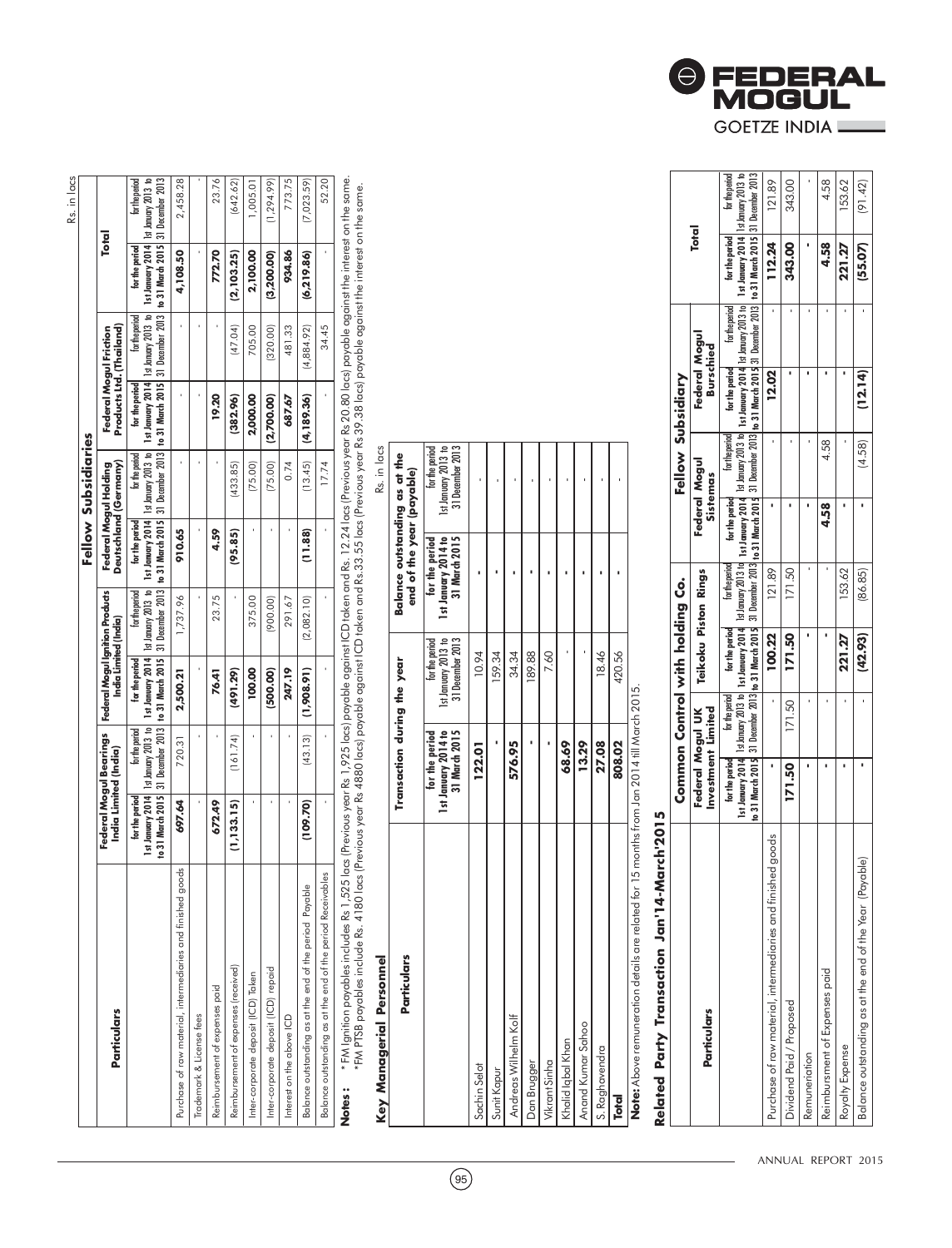|                                                                 |                       |                               |                                                                 |               |                                                                                                                                                                                                                              | Fellow Subsidiaries   |                          |                        |                |              |
|-----------------------------------------------------------------|-----------------------|-------------------------------|-----------------------------------------------------------------|---------------|------------------------------------------------------------------------------------------------------------------------------------------------------------------------------------------------------------------------------|-----------------------|--------------------------|------------------------|----------------|--------------|
| Particulars                                                     | India Limited (India) | <b>Federal Mogul Bearings</b> | <b>Federal Mogul Ignition Products</b><br>India Limited (India) |               | Deutschland (Germany)                                                                                                                                                                                                        | Federal Mogul Holding | Products Ltd. (Thailand) | Federal Mogul Friction | Total          |              |
|                                                                 | for the period        | for the period                | for the period                                                  | forthe period | 1st January 2014  ist January 2013 to   1st January 2014  ist January 2013 to   1st January 2013 to   1st January 2014   1st January 2014   Ist January 2013 to   1st January 2014   Ist January 2013 to  <br>for the period | for the period        | for the period           | for the period         | for the period | fortheperiod |
| Purchase of raw material, intermediaries and finished goods     | 697.64                | 720.31                        | 2,500.21                                                        | 1,737.96      | 910.65                                                                                                                                                                                                                       |                       |                          |                        | 4,108.50       | 2,458.28     |
| Trademark & License tees                                        |                       |                               |                                                                 |               |                                                                                                                                                                                                                              |                       |                          |                        |                |              |
| Reimbursement of expenses paid                                  | 672.49                |                               | 76.41                                                           | 23.75         | 4.59                                                                                                                                                                                                                         |                       | 19.20                    |                        | 772.70         | 23.76        |
| Reimbursement of expenses (received)                            | (1, 133.15)           | (161.74)                      | 491.29)                                                         |               | (95.85)                                                                                                                                                                                                                      | (433.85)              | (382.96)                 | (47.04)                | (2, 103.25)    | (642.62)     |
| Inter-corporate deposit (ICD) Taken                             |                       |                               | 100.00                                                          | 375.00        |                                                                                                                                                                                                                              | (75.00)               | 2,000.00                 | 705.00                 | 2,100.00       | 1,005.01     |
| Inter-corporate deposit (ICD) repaid                            |                       |                               | 500.00)                                                         | (900.00)      |                                                                                                                                                                                                                              | (75.00)               | (2,700.00)               | (320.00)               | (3, 200.00)    | (1, 294.99)  |
| Interest on the above ICD                                       |                       |                               | 247.19                                                          | 291.67        |                                                                                                                                                                                                                              | 0.74                  | 687.67                   | 481.33                 | 934.86         | 773.75       |
| Balance outstanding as at the end of the period Payable         | (109.70)              | (43.13)                       | (1,908.91)                                                      | (2,082,10)    | (11.88)                                                                                                                                                                                                                      | (13.45)               | (4, 189.36)              | (4,884.92)             | (6, 219.86)    | (7,023.59)   |
| es<br>Balance outstanding as at the end of the period Receivabl |                       |                               |                                                                 |               |                                                                                                                                                                                                                              | 17.74                 |                          | 34.45                  |                | 52.20        |

\* FM Ignition payables includes Rs 1,525 lacs (Previous year Rs 1,925 lacs) payable against ICD taken and Rs. 12.24 lacs (Previous year Rs 20.80 lacs) payable against the interest on the same.<br>\*FM PTSB payables include Rs. **Notes :** \* FM Ignition payables includes Rs 1,525 lacs (Previous year Rs 1,925 lacs) payable against ICD taken and Rs. 12.24 lacs (Previous year Rs 20.80 lacs) payable against the interest on the same. \*FM PTSB payables include Rs. 4180 lacs (Previous year Rs 4880 lacs) payable against ICD taken and Rs.33.55 lacs (Previous year Rs 39.38 lacs) payable against the interest on the same. Notes:

| Balance outstanding as at the<br>end of the year (payable)<br>1st January 2014 to<br>for the period<br>31 March 2015<br>1st January 2013 to<br>31 December 2013<br>for the period<br>189.88<br>7.60<br>18.46<br>420.56<br>10.94<br>34.34<br>159.34<br>Transaction during the year<br>1st January 2014 to<br>31 March 2015<br>for the period<br>68.69<br>13.29<br>27.08<br>808.02<br>576.95<br>122.01<br>Particulars<br>Andreas Wilhelm Kolf<br>Anand Kumar Sahoo<br>Khalid Iqbal Khan<br>S. Raghavendra<br>Vikrant Sinha<br>Dan Brugger<br>Sachin Selot<br>Sunit Kapur<br><b>Total</b> | Key Managerial Personnel |  | Rs. in lacs         |
|----------------------------------------------------------------------------------------------------------------------------------------------------------------------------------------------------------------------------------------------------------------------------------------------------------------------------------------------------------------------------------------------------------------------------------------------------------------------------------------------------------------------------------------------------------------------------------------|--------------------------|--|---------------------|
| 31 December 2013<br>for the period                                                                                                                                                                                                                                                                                                                                                                                                                                                                                                                                                     |                          |  |                     |
|                                                                                                                                                                                                                                                                                                                                                                                                                                                                                                                                                                                        |                          |  | 1st January 2013 to |
|                                                                                                                                                                                                                                                                                                                                                                                                                                                                                                                                                                                        |                          |  |                     |
|                                                                                                                                                                                                                                                                                                                                                                                                                                                                                                                                                                                        |                          |  |                     |
|                                                                                                                                                                                                                                                                                                                                                                                                                                                                                                                                                                                        |                          |  |                     |
|                                                                                                                                                                                                                                                                                                                                                                                                                                                                                                                                                                                        |                          |  |                     |
|                                                                                                                                                                                                                                                                                                                                                                                                                                                                                                                                                                                        |                          |  |                     |
|                                                                                                                                                                                                                                                                                                                                                                                                                                                                                                                                                                                        |                          |  |                     |
|                                                                                                                                                                                                                                                                                                                                                                                                                                                                                                                                                                                        |                          |  |                     |
|                                                                                                                                                                                                                                                                                                                                                                                                                                                                                                                                                                                        |                          |  |                     |
|                                                                                                                                                                                                                                                                                                                                                                                                                                                                                                                                                                                        |                          |  |                     |

 $\circled{95}$ 

Note: Above remuneration details are related tor 15 months trom Jan 2014 till March 2015. **Note:** Above remuneration details are related for 15 months from Jan 2014 till March 2015.

# Related Party Transaction Jan'14-March'2015 **Related Party Transaction Jan'14-March'2015**

|                                                                                 |                    |                  | Common Control with holding Co. |                |                           | Fellow Subsidiary |                                   |                |                                                                                                                                                                                                                                                                                                                                                                |                |
|---------------------------------------------------------------------------------|--------------------|------------------|---------------------------------|----------------|---------------------------|-------------------|-----------------------------------|----------------|----------------------------------------------------------------------------------------------------------------------------------------------------------------------------------------------------------------------------------------------------------------------------------------------------------------------------------------------------------------|----------------|
| Particulars                                                                     | Investment Limited | Federal Mogul UK | <b>Teikoku Piston Rings</b>     |                | Federal Mogul<br>Sistemas |                   | Federal Mogul<br><b>Burschied</b> |                | <b>Total</b>                                                                                                                                                                                                                                                                                                                                                   |                |
|                                                                                 | for the period     | for the period   | for the period                  | for the period | for the period            | for the period    | for the period                    | for the period | 1st January 2014  st January 2013   a 1 January 2014  st January 2014  st January 2014  st January 2019  1 st January 2014  st January 2014  st January 2018  st January 2019 <br>to 31 Mardı 2015 31 December 2013 to 31 Mardı 2015 31 Becember 2013 40 31 December 2013 10-31 Mardı 2015 31 Osember 2019 to 31 Mardı 2015 31 December 2013<br>for the period | for the period |
| 1 goods<br>Purchase of raw material, intermediaries and finished                |                    |                  | 100.22                          | 121.89         |                           |                   | 12.02                             |                | 112.24                                                                                                                                                                                                                                                                                                                                                         | 121.89         |
| Dividend Paid / Proposed                                                        | 171.50             | 171.50           | 171.50                          | 171.50         |                           |                   |                                   |                | 343.00                                                                                                                                                                                                                                                                                                                                                         | 343.00         |
| Remuneriation                                                                   |                    |                  |                                 |                |                           |                   |                                   |                |                                                                                                                                                                                                                                                                                                                                                                |                |
| Reimbursment of Expenses paid                                                   |                    |                  |                                 |                | 4.58                      | 4.58              |                                   |                | 4.58                                                                                                                                                                                                                                                                                                                                                           | 4.58           |
| Royalty Expense                                                                 |                    |                  | 221.27                          | 153.62         |                           |                   |                                   |                | 221.27                                                                                                                                                                                                                                                                                                                                                         | 153.62         |
| $\overline{\mathbb{Q}}$<br>Balance outstanding as at the end of the Year (Payab |                    |                  | (42.93)                         | (86.85)        |                           | (4.58)            | (12.14)                           |                | (55.07)                                                                                                                                                                                                                                                                                                                                                        | (91.42)        |
|                                                                                 |                    |                  |                                 |                |                           |                   |                                   |                |                                                                                                                                                                                                                                                                                                                                                                |                |

FEDERAL<br>MOGUL

**GOETZE INDIA** 

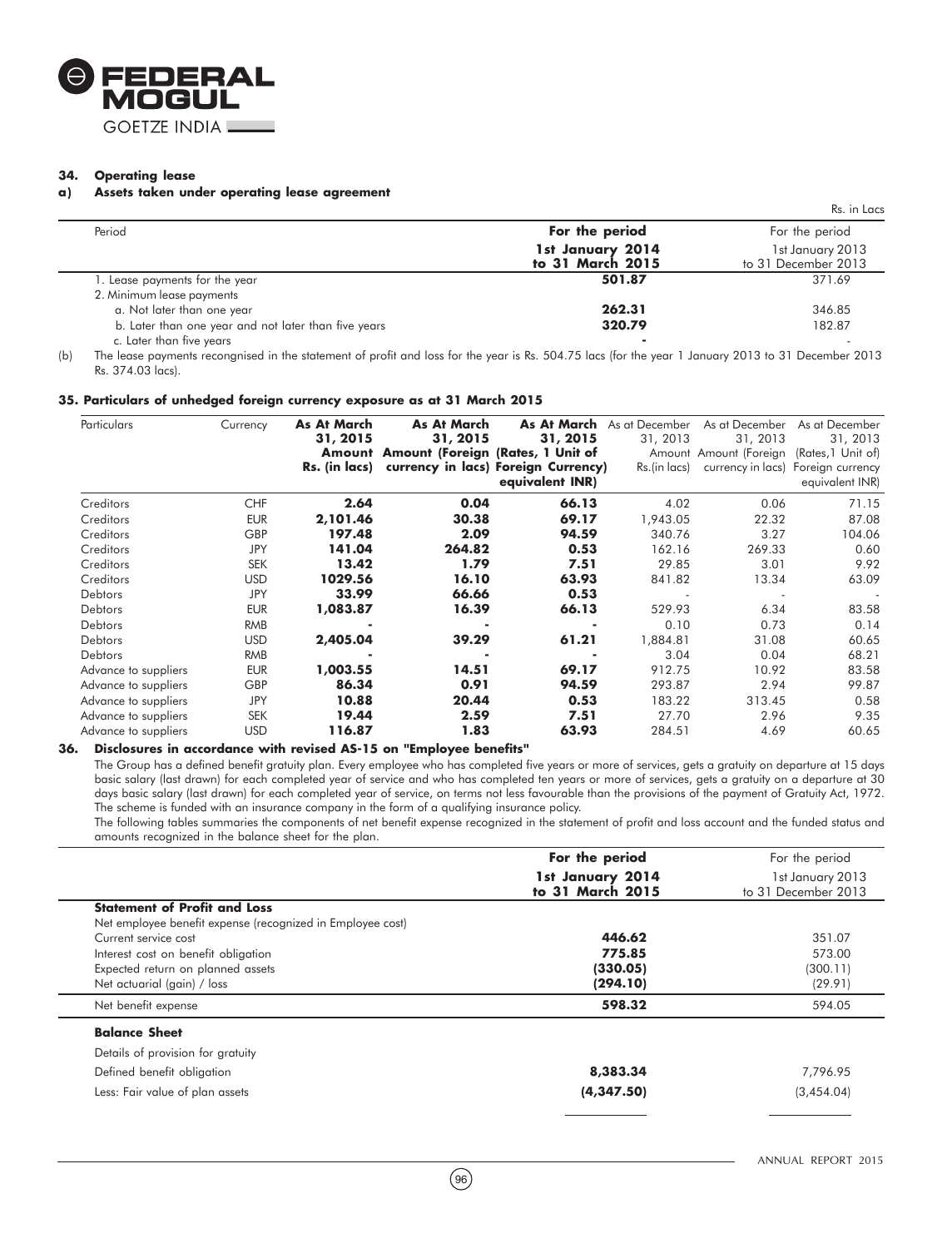

#### **34. Operating lease**

#### **a) Assets taken under operating lease agreement**

|                                                                                    |                                      | Rs. in Lacs                             |
|------------------------------------------------------------------------------------|--------------------------------------|-----------------------------------------|
| Period                                                                             | For the period                       | For the period                          |
|                                                                                    | 1st January 2014<br>to 31 March 2015 | 1st January 2013<br>to 31 December 2013 |
| 1. Lease payments for the year<br>2. Minimum lease payments                        | 501.87                               | 371.69                                  |
| a. Not later than one year<br>b. Later than one year and not later than five years | 262.31<br>320.79                     | 346.85<br>182.87                        |

c. Later than five years **-** -

(b) The lease payments recongnised in the statement of profit and loss for the year is Rs. 504.75 lacs (for the year 1 January 2013 to 31 December 2013 Rs. 374.03 lacs).

#### **35. Particulars of unhedged foreign currency exposure as at 31 March 2015**

| Particulars          | Currency   | As At March<br>31, 2015<br>Rs. (in lacs) | As At March<br>31, 2015<br>Amount Amount (Foreign (Rates, 1 Unit of | As At March<br>31, 2015<br>currency in lacs) Foreign Currency)<br>equivalent INR) | As at December<br>31, 2013<br>Rs.(in lacs) | As at December<br>31, 2013<br>Amount Amount (Foreign (Rates, 1 Unit of) | As at December<br>31, 2013<br>currency in lacs) Foreign currency<br>equivalent INR) |
|----------------------|------------|------------------------------------------|---------------------------------------------------------------------|-----------------------------------------------------------------------------------|--------------------------------------------|-------------------------------------------------------------------------|-------------------------------------------------------------------------------------|
| Creditors            | <b>CHF</b> | 2.64                                     | 0.04                                                                | 66.13                                                                             | 4.02                                       | 0.06                                                                    | 71.15                                                                               |
| Creditors            | <b>EUR</b> | 2,101.46                                 | 30.38                                                               | 69.17                                                                             | 1,943.05                                   | 22.32                                                                   | 87.08                                                                               |
| Creditors            | GBP        | 197.48                                   | 2.09                                                                | 94.59                                                                             | 340.76                                     | 3.27                                                                    | 104.06                                                                              |
| Creditors            | JPY        | 141.04                                   | 264.82                                                              | 0.53                                                                              | 162.16                                     | 269.33                                                                  | 0.60                                                                                |
| Creditors            | <b>SEK</b> | 13.42                                    | 1.79                                                                | 7.51                                                                              | 29.85                                      | 3.01                                                                    | 9.92                                                                                |
| Creditors            | <b>USD</b> | 1029.56                                  | 16.10                                                               | 63.93                                                                             | 841.82                                     | 13.34                                                                   | 63.09                                                                               |
| <b>Debtors</b>       | JPY        | 33.99                                    | 66.66                                                               | 0.53                                                                              |                                            |                                                                         |                                                                                     |
| <b>Debtors</b>       | <b>EUR</b> | 1,083.87                                 | 16.39                                                               | 66.13                                                                             | 529.93                                     | 6.34                                                                    | 83.58                                                                               |
| <b>Debtors</b>       | <b>RMB</b> |                                          |                                                                     | ۰                                                                                 | 0.10                                       | 0.73                                                                    | 0.14                                                                                |
| <b>Debtors</b>       | <b>USD</b> | 2,405.04                                 | 39.29                                                               | 61.21                                                                             | 1,884.81                                   | 31.08                                                                   | 60.65                                                                               |
| <b>Debtors</b>       | <b>RMB</b> |                                          |                                                                     |                                                                                   | 3.04                                       | 0.04                                                                    | 68.21                                                                               |
| Advance to suppliers | <b>EUR</b> | 1,003.55                                 | 14.51                                                               | 69.17                                                                             | 912.75                                     | 10.92                                                                   | 83.58                                                                               |
| Advance to suppliers | GBP        | 86.34                                    | 0.91                                                                | 94.59                                                                             | 293.87                                     | 2.94                                                                    | 99.87                                                                               |
| Advance to suppliers | JPY        | 10.88                                    | 20.44                                                               | 0.53                                                                              | 183.22                                     | 313.45                                                                  | 0.58                                                                                |
| Advance to suppliers | <b>SEK</b> | 19.44                                    | 2.59                                                                | 7.51                                                                              | 27.70                                      | 2.96                                                                    | 9.35                                                                                |
| Advance to suppliers | <b>USD</b> | 116.87                                   | 1.83                                                                | 63.93                                                                             | 284.51                                     | 4.69                                                                    | 60.65                                                                               |

#### **36. Disclosures in accordance with revised AS-15 on "Employee benefits"**

The Group has a defined benefit gratuity plan. Every employee who has completed five years or more of services, gets a gratuity on departure at 15 days basic salary (last drawn) for each completed year of service and who has completed ten years or more of services, gets a gratuity on a departure at 30 days basic salary (last drawn) for each completed year of service, on terms not less favourable than the provisions of the payment of Gratuity Act, 1972. The scheme is funded with an insurance company in the form of a qualifying insurance policy.

The following tables summaries the components of net benefit expense recognized in the statement of profit and loss account and the funded status and amounts recognized in the balance sheet for the plan.

|                                                            | For the period                       | For the period                          |
|------------------------------------------------------------|--------------------------------------|-----------------------------------------|
|                                                            | 1st January 2014<br>to 31 March 2015 | 1st January 2013<br>to 31 December 2013 |
| <b>Statement of Profit and Loss</b>                        |                                      |                                         |
| Net employee benefit expense (recognized in Employee cost) |                                      |                                         |
| Current service cost                                       | 446.62                               | 351.07                                  |
| Interest cost on benefit obligation                        | 775.85                               | 573.00                                  |
| Expected return on planned assets                          | (330.05)                             | (300.11)                                |
| Net actuarial (gain) / loss                                | (294.10)                             | (29.91)                                 |
| Net benefit expense                                        | 598.32                               | 594.05                                  |
| <b>Balance Sheet</b>                                       |                                      |                                         |
| Details of provision for gratuity                          |                                      |                                         |
| Defined benefit obligation                                 | 8,383.34                             | 7,796.95                                |
| Less: Fair value of plan assets                            | (4,347.50)                           | (3,454.04)                              |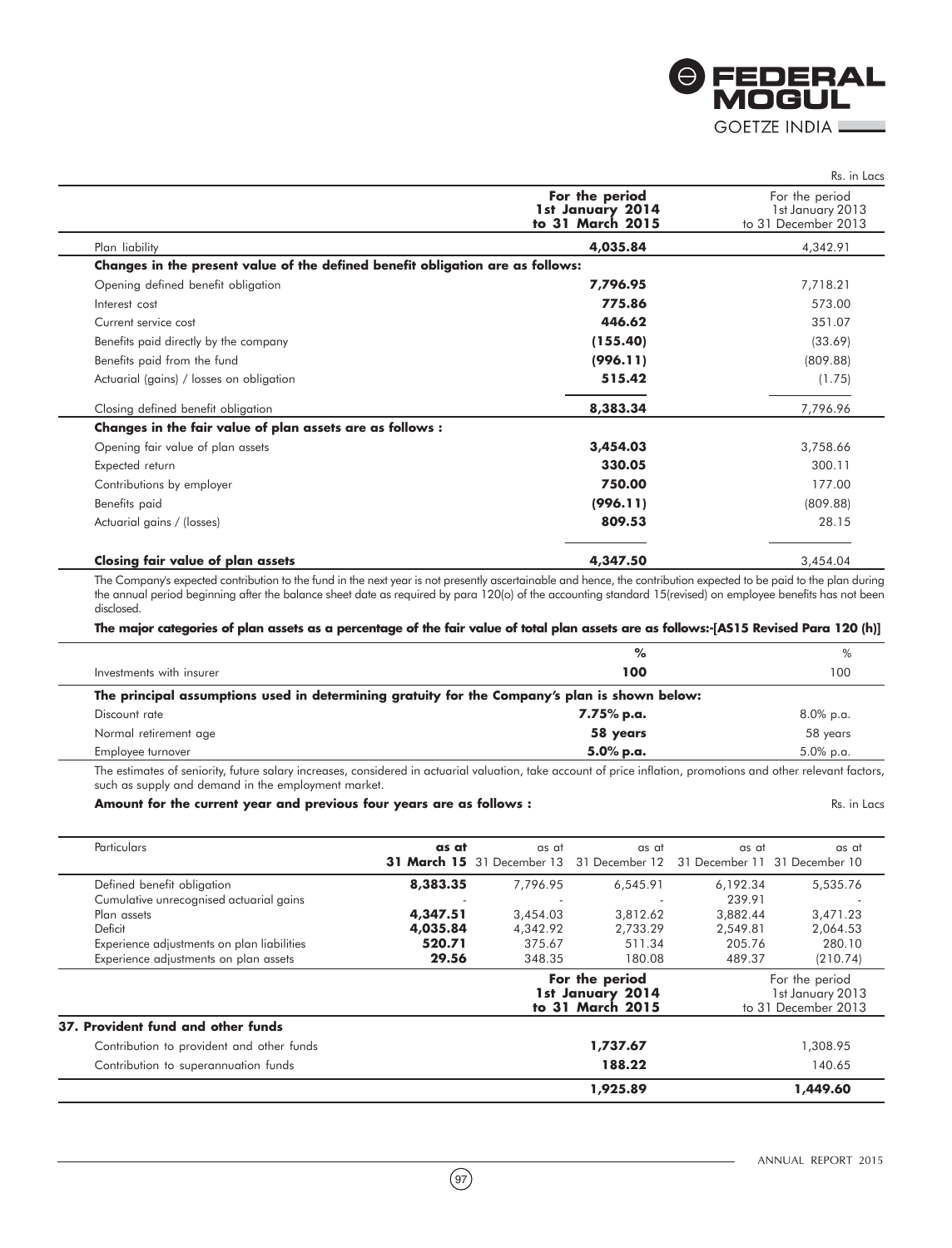

|                                                                                |                                                        | Rs. in Lacs                                               |
|--------------------------------------------------------------------------------|--------------------------------------------------------|-----------------------------------------------------------|
|                                                                                | For the period<br>1st January 2014<br>to 31 March 2015 | For the period<br>1st January 2013<br>to 31 December 2013 |
| Plan liability                                                                 | 4,035.84                                               | 4,342.91                                                  |
| Changes in the present value of the defined benefit obligation are as follows: |                                                        |                                                           |
| Opening defined benefit obligation                                             | 7,796.95                                               | 7,718.21                                                  |
| Interest cost                                                                  | 775.86                                                 | 573.00                                                    |
| Current service cost                                                           | 446.62                                                 | 351.07                                                    |
| Benefits paid directly by the company                                          | (155.40)                                               | (33.69)                                                   |
| Benefits paid from the fund                                                    | (996.11)                                               | (809.88)                                                  |
| Actuarial (gains) / losses on obligation                                       | 515.42                                                 | (1.75)                                                    |
| Closing defined benefit obligation                                             | 8,383.34                                               | 7,796.96                                                  |
| Changes in the fair value of plan assets are as follows:                       |                                                        |                                                           |
| Opening fair value of plan assets                                              | 3,454.03                                               | 3,758.66                                                  |
| Expected return                                                                | 330.05                                                 | 300.11                                                    |
| Contributions by employer                                                      | 750.00                                                 | 177.00                                                    |
| Benefits paid                                                                  | (996.11)                                               | (809.88)                                                  |
| Actuarial gains / (losses)                                                     | 809.53                                                 | 28.15                                                     |
| <b>Closing fair value of plan assets</b>                                       | 4,347.50                                               | 3,454.04                                                  |

The Company's expected contribution to the fund in the next year is not presently ascertainable and hence, the contribution expected to be paid to the plan during the annual period beginning after the balance sheet date as required by para 120(o) of the accounting standard 15(revised) on employee benefits has not been disclosed.

#### **The major categories of plan assets as a percentage of the fair value of total plan assets are as follows:-[AS15 Revised Para 120 (h)]**

|                                                                                               | %            |              |
|-----------------------------------------------------------------------------------------------|--------------|--------------|
| Investments with insurer                                                                      | 100          | 100          |
| The principal assumptions used in determining gratuity for the Company's plan is shown below: |              |              |
| Discount rate                                                                                 | $7.75%$ p.a. | $8.0\%$ p.a. |
| Normal retirement age                                                                         | 58 years     | 58 years     |
| Employee turnover                                                                             | $5.0\%$ p.a. | $5.0\%$ p.a. |

The estimates of seniority, future salary increases, considered in actuarial valuation, take account of price inflation, promotions and other relevant factors, such as supply and demand in the employment market.

#### **Amount for the current year and previous four years are as follows :** Rs. in Lacs Rs. in Lacs

| Particulars                                                           | as at    | as at    | as at<br><b>31 March 15</b> 31 December 13 31 December 12 | as at<br>31 December 11 31 December 10 | as at                                                     |
|-----------------------------------------------------------------------|----------|----------|-----------------------------------------------------------|----------------------------------------|-----------------------------------------------------------|
| Defined benefit obligation<br>Cumulative unrecognised actuarial gains | 8,383.35 | 7.796.95 | 6.545.91                                                  | 6.192.34<br>239.91                     | 5,535.76                                                  |
| Plan assets                                                           | 4,347.51 | 3,454.03 | 3,812.62                                                  | 3,882.44                               | 3,471.23                                                  |
| Deficit                                                               | 4,035.84 | 4,342.92 | 2,733.29                                                  | 2,549.81                               | 2,064.53                                                  |
| Experience adjustments on plan liabilities                            | 520.71   | 375.67   | 511.34                                                    | 205.76                                 | 280.10                                                    |
| Experience adjustments on plan assets                                 | 29.56    | 348.35   | 180.08                                                    | 489.37                                 | (210.74)                                                  |
|                                                                       |          |          | For the period<br>1st January 2014<br>to 31 March 2015    |                                        | For the period<br>1st January 2013<br>to 31 December 2013 |
| 37. Provident fund and other funds                                    |          |          |                                                           |                                        |                                                           |
| Contribution to provident and other funds                             |          |          | 1,737.67                                                  |                                        | 1,308.95                                                  |
| Contribution to superannuation funds                                  |          |          | 188.22                                                    |                                        | 140.65                                                    |
|                                                                       |          |          | 1,925.89                                                  |                                        | 1,449.60                                                  |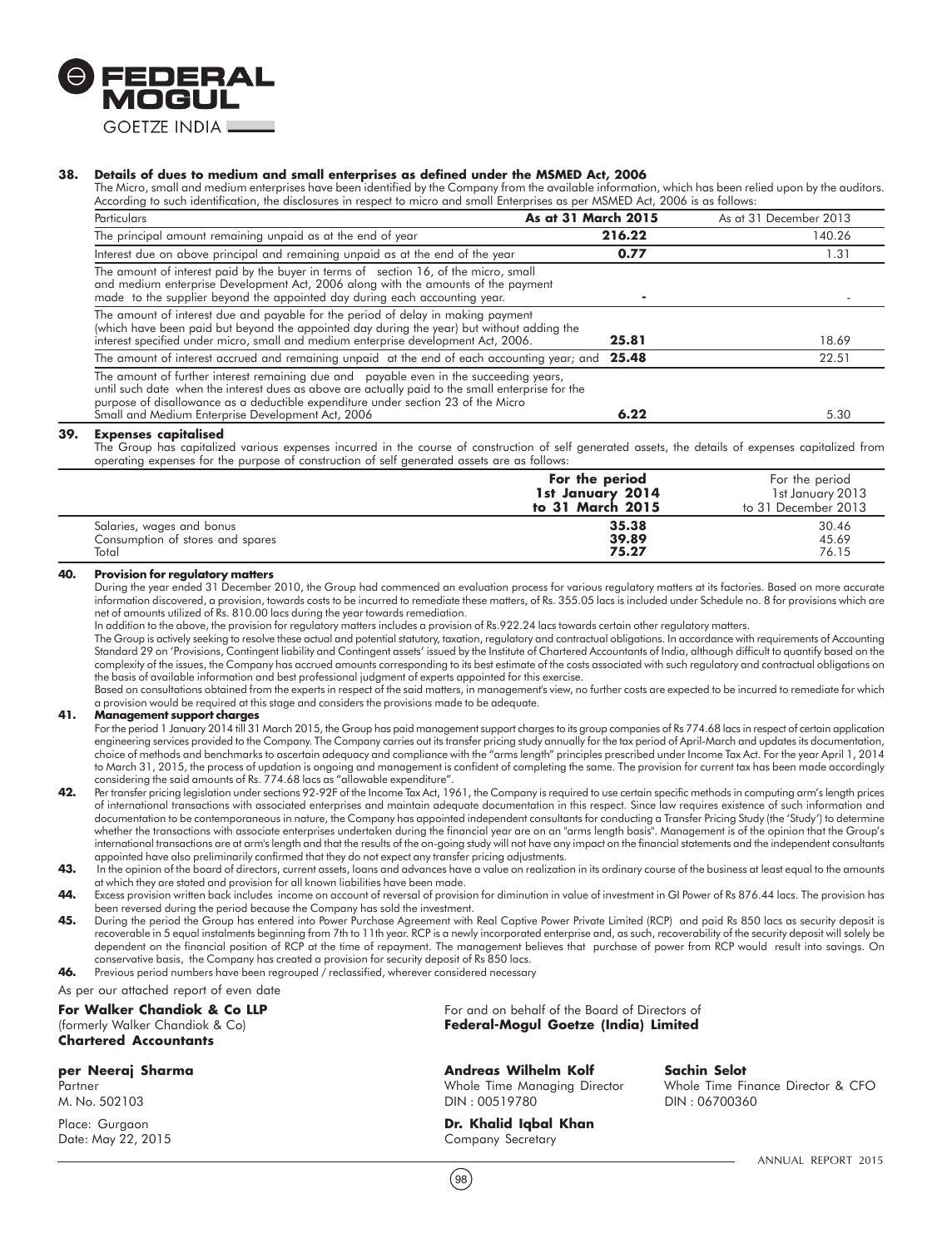

**GOETZE INDIA** 

#### **38. Details of dues to medium and small enterprises as defined under the MSMED Act, 2006**

The Micro, small and medium enterprises have been identified by the Company from the available information, which has been relied upon by the auditors. According to such identification, the disclosures in respect to micro and small Enterprises as per MSMED Act, 2006 is as follows:

| 216.22<br>0.77 | 140.26                                                                                                                                                                                                                                                                                                                                                                                                 |
|----------------|--------------------------------------------------------------------------------------------------------------------------------------------------------------------------------------------------------------------------------------------------------------------------------------------------------------------------------------------------------------------------------------------------------|
|                |                                                                                                                                                                                                                                                                                                                                                                                                        |
|                | l .31                                                                                                                                                                                                                                                                                                                                                                                                  |
|                |                                                                                                                                                                                                                                                                                                                                                                                                        |
| 25.81          | 18.69                                                                                                                                                                                                                                                                                                                                                                                                  |
|                | 22.51                                                                                                                                                                                                                                                                                                                                                                                                  |
|                | 5.30                                                                                                                                                                                                                                                                                                                                                                                                   |
|                | (which have been paid but beyond the appointed day during the year) but without adding the<br>The amount of interest accrued and remaining unpaid at the end of each accounting year; and 25.48<br>The amount of further interest remaining due and payable even in the succeeding years,<br>until such date when the interest dues as above are actually paid to the small enterprise for the<br>6.22 |

#### **39. Expenses capitalised**

The Group has capitalized various expenses incurred in the course of construction of self generated assets, the details of expenses capitalized from operating expenses for the purpose of construction of self generated assets are as follows:

|                                  | For the period<br>1st January 2014<br>to 31 March 2015 | For the period<br>1st January 2013<br>to 31 December 2013 |
|----------------------------------|--------------------------------------------------------|-----------------------------------------------------------|
| Salaries, wages and bonus        | 35.38                                                  | 30.46                                                     |
| Consumption of stores and spares | 39.89                                                  | 45.69                                                     |
| Total                            | 75.27                                                  | 76.15                                                     |

#### **40. Provision for regulatory matters**

During the year ended 31 December 2010, the Group had commenced an evaluation process for various regulatory matters at its factories. Based on more accurate information discovered, a provision, towards costs to be incurred to remediate these matters, of Rs. 355.05 lacs is included under Schedule no. 8 for provisions which are net of amounts utilized of Rs. 810.00 lacs during the year towards remediation.

In addition to the above, the provision for regulatory matters includes a provision of Rs.922.24 lacs towards certain other regulatory matters.

The Group is actively seeking to resolve these actual and potential statutory, taxation, regulatory and contractual obligations. In accordance with requirements of Accounting Standard 29 on 'Provisions, Contingent liability and Contingent assets' issued by the Institute of Chartered Accountants of India, although difficult to quantify based on the complexity of the issues, the Company has accrued amounts corresponding to its best estimate of the costs associated with such regulatory and contractual obligations on the basis of available information and best professional judgment of experts appointed for this exercise.

Based on consultations obtained from the experts in respect of the said matters, in management's view, no further costs are expected to be incurred to remediate for which a provision would be required at this stage and considers the provisions made to be adequate.

#### **41. Management support charges**

For the period 1 January 2014 till 31 March 2015, the Group has paid management support charges to its group companies of Rs 774.68 lacs in respect of certain application engineering services provided to the Company. The Company carries out its transfer pricing study annually for the tax period of April-March and updates its documentation, choice of methods and benchmarks to ascertain adequacy and compliance with the "arms length" principles prescribed under Income Tax Act. For the year April 1, 2014 to March 31, 2015, the process of updation is ongoing and management is confident of completing the same. The provision for current tax has been made accordingly considering the said amounts of Rs. 774.68 lacs as "allowable expenditure".

- **42.** Per transfer pricing legislation under sections 92-92F of the Income Tax Act, 1961, the Company is required to use certain specific methods in computing arm's length prices of international transactions with associated enterprises and maintain adequate documentation in this respect. Since law requires existence of such information and documentation to be contemporaneous in nature, the Company has appointed independent consultants for conducting a Transfer Pricing Study (the 'Study') to determine whether the transactions with associate enterprises undertaken during the financial year are on an "arms length basis". Management is of the opinion that the Group's international transactions are at arm's length and that the results of the on-going study will not have any impact on the financial statements and the independent consultants appointed have also preliminarily confirmed that they do not expect any transfer pricing adjustments.
- **43.** In the opinion of the board of directors, current assets, loans and advances have a value on realization in its ordinary course of the business at least equal to the amounts at which they are stated and provision for all known liabilities have been made.
- **44.** Excess provision written back includes income on account of reversal of provision for diminution in value of investment in GI Power of Rs 876.44 lacs. The provision has been reversed during the period because the Company has sold the investment.
- 45. During the period the Group has entered into Power Purchase Agreement with Real Captive Power Private Limited (RCP) and paid Rs 850 lacs as security deposit is recoverable in 5 equal instalments beginning from 7th to 11th year. RCP is a newly incorporated enterprise and, as such, recoverability of the security deposit will solely be dependent on the financial position of RCP at the time of repayment. The management believes that purchase of power from RCP would result into savings. On conservative basis, the Company has created a provision for security deposit of Rs 850 lacs.
- **46.** Previous period numbers have been regrouped / reclassified, wherever considered necessary

#### As per our attached report of even date

**Chartered Accountants**

M. No. 502103

Date: May 22, 2015

**For Walker Chandiok & Co LLP** For and on behalf of the Board of Directors of the Board of Directors of the Board of Directors of the Home of the Board of Directors of the **Federal-Moaul Goetze (India) Limited Federal-Mogul Goetze (India) Limited** 

**per Neeraj Sharma Andreas Wilhelm Kolf Sachin Selot** Sachin Selot<br>Partner Managing Director Whole Time Fi

Whole Time Managing Director Mhole Time Finance Director & CFO<br>
DIN: 00519780 DIN: 06700360

Place: Gurgaon **Dr. Khalid Iqbal Khan**<br>
Date: May 22, 2015 **Dr. Company Secretary**